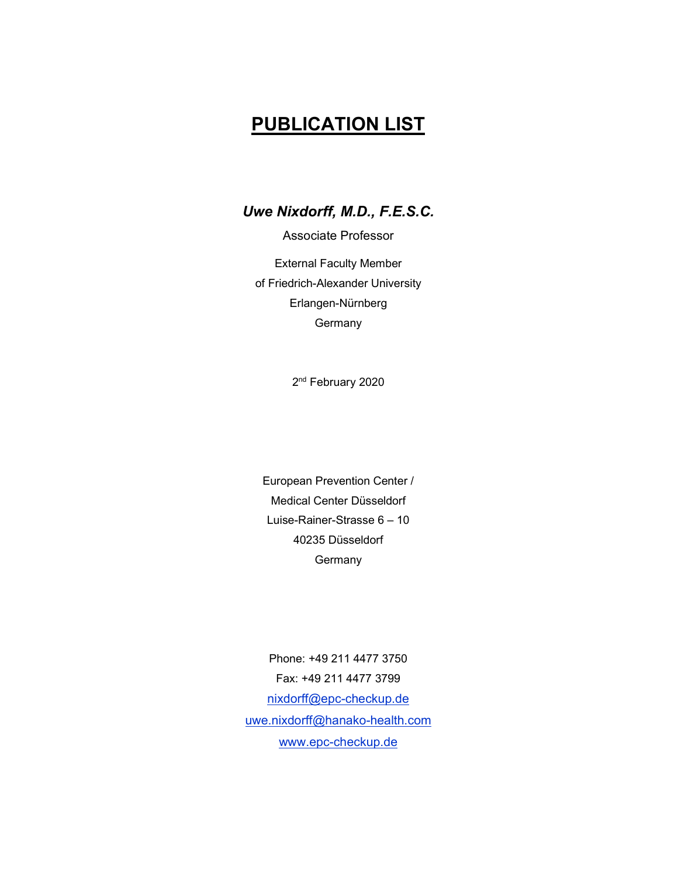# PUBLICATION LIST

Uwe Nixdorff, M.D., F.E.S.C.

Associate Professor External Faculty Member of Friedrich-Alexander University Erlangen-Nürnberg

**Germany** 

2<sup>nd</sup> February 2020

European Prevention Center / Medical Center Düsseldorf Luise-Rainer-Strasse 6 – 10 40235 Düsseldorf **Germany** 

Phone: +49 211 4477 3750 Fax: +49 211 4477 3799 nixdorff@epc-checkup.de uwe.nixdorff@hanako-health.com www.epc-checkup.de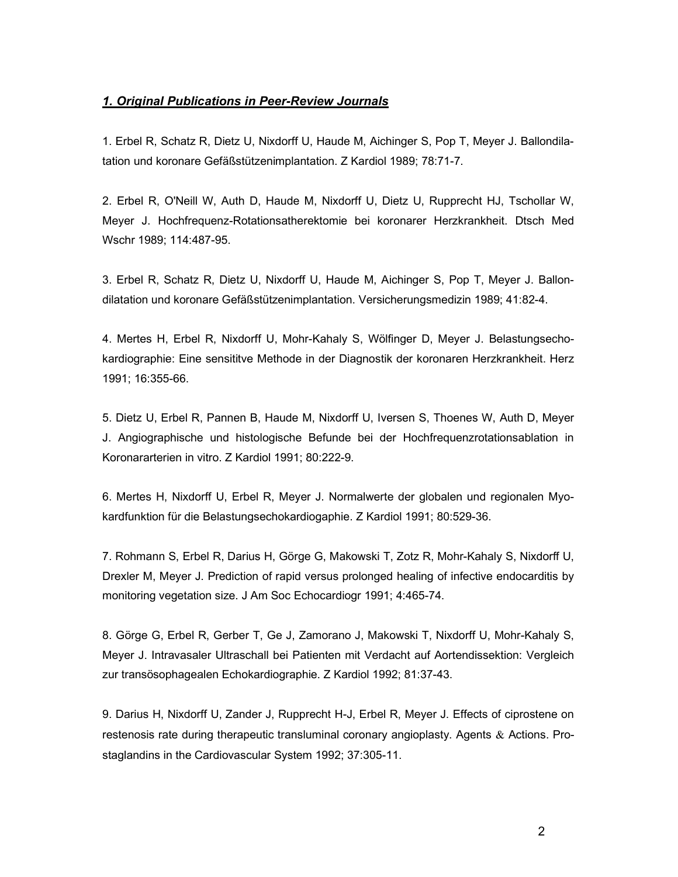### 1. Original Publications in Peer-Review Journals

1. Erbel R, Schatz R, Dietz U, Nixdorff U, Haude M, Aichinger S, Pop T, Meyer J. Ballondilatation und koronare Gefäßstützenimplantation. Z Kardiol 1989; 78:71-7.

2. Erbel R, O'Neill W, Auth D, Haude M, Nixdorff U, Dietz U, Rupprecht HJ, Tschollar W, Meyer J. Hochfrequenz-Rotationsatherektomie bei koronarer Herzkrankheit. Dtsch Med Wschr 1989; 114:487-95.

3. Erbel R, Schatz R, Dietz U, Nixdorff U, Haude M, Aichinger S, Pop T, Meyer J. Ballondilatation und koronare Gefäßstützenimplantation. Versicherungsmedizin 1989; 41:82-4.

4. Mertes H, Erbel R, Nixdorff U, Mohr-Kahaly S, Wölfinger D, Meyer J. Belastungsechokardiographie: Eine sensititve Methode in der Diagnostik der koronaren Herzkrankheit. Herz 1991; 16:355-66.

5. Dietz U, Erbel R, Pannen B, Haude M, Nixdorff U, Iversen S, Thoenes W, Auth D, Meyer J. Angiographische und histologische Befunde bei der Hochfrequenzrotationsablation in Koronararterien in vitro. Z Kardiol 1991; 80:222-9.

6. Mertes H, Nixdorff U, Erbel R, Meyer J. Normalwerte der globalen und regionalen Myokardfunktion für die Belastungsechokardiogaphie. Z Kardiol 1991; 80:529-36.

7. Rohmann S, Erbel R, Darius H, Görge G, Makowski T, Zotz R, Mohr-Kahaly S, Nixdorff U, Drexler M, Meyer J. Prediction of rapid versus prolonged healing of infective endocarditis by monitoring vegetation size. J Am Soc Echocardiogr 1991; 4:465-74.

8. Görge G, Erbel R, Gerber T, Ge J, Zamorano J, Makowski T, Nixdorff U, Mohr-Kahaly S, Meyer J. Intravasaler Ultraschall bei Patienten mit Verdacht auf Aortendissektion: Vergleich zur transösophagealen Echokardiographie. Z Kardiol 1992; 81:37-43.

9. Darius H, Nixdorff U, Zander J, Rupprecht H-J, Erbel R, Meyer J. Effects of ciprostene on restenosis rate during therapeutic transluminal coronary angioplasty. Agents  $\&$  Actions. Prostaglandins in the Cardiovascular System 1992; 37:305-11.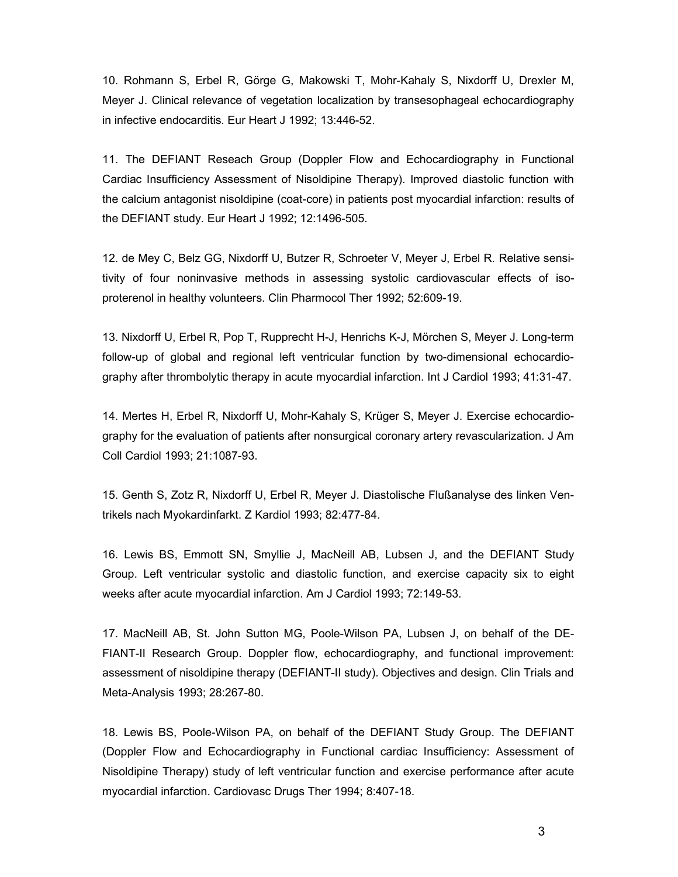10. Rohmann S, Erbel R, Görge G, Makowski T, Mohr-Kahaly S, Nixdorff U, Drexler M, Meyer J. Clinical relevance of vegetation localization by transesophageal echocardiography in infective endocarditis. Eur Heart J 1992; 13:446-52.

11. The DEFIANT Reseach Group (Doppler Flow and Echocardiography in Functional Cardiac Insufficiency Assessment of Nisoldipine Therapy). Improved diastolic function with the calcium antagonist nisoldipine (coat-core) in patients post myocardial infarction: results of the DEFIANT study. Eur Heart J 1992; 12:1496-505.

12. de Mey C, Belz GG, Nixdorff U, Butzer R, Schroeter V, Meyer J, Erbel R. Relative sensitivity of four noninvasive methods in assessing systolic cardiovascular effects of isoproterenol in healthy volunteers. Clin Pharmocol Ther 1992; 52:609-19.

13. Nixdorff U, Erbel R, Pop T, Rupprecht H-J, Henrichs K-J, Mörchen S, Meyer J. Long-term follow-up of global and regional left ventricular function by two-dimensional echocardiography after thrombolytic therapy in acute myocardial infarction. Int J Cardiol 1993; 41:31-47.

14. Mertes H, Erbel R, Nixdorff U, Mohr-Kahaly S, Krüger S, Meyer J. Exercise echocardiography for the evaluation of patients after nonsurgical coronary artery revascularization. J Am Coll Cardiol 1993; 21:1087-93.

15. Genth S, Zotz R, Nixdorff U, Erbel R, Meyer J. Diastolische Flußanalyse des linken Ventrikels nach Myokardinfarkt. Z Kardiol 1993; 82:477-84.

16. Lewis BS, Emmott SN, Smyllie J, MacNeill AB, Lubsen J, and the DEFIANT Study Group. Left ventricular systolic and diastolic function, and exercise capacity six to eight weeks after acute myocardial infarction. Am J Cardiol 1993; 72:149-53.

17. MacNeill AB, St. John Sutton MG, Poole-Wilson PA, Lubsen J, on behalf of the DE-FIANT-II Research Group. Doppler flow, echocardiography, and functional improvement: assessment of nisoldipine therapy (DEFIANT-II study). Objectives and design. Clin Trials and Meta-Analysis 1993; 28:267-80.

18. Lewis BS, Poole-Wilson PA, on behalf of the DEFIANT Study Group. The DEFIANT (Doppler Flow and Echocardiography in Functional cardiac Insufficiency: Assessment of Nisoldipine Therapy) study of left ventricular function and exercise performance after acute myocardial infarction. Cardiovasc Drugs Ther 1994; 8:407-18.

3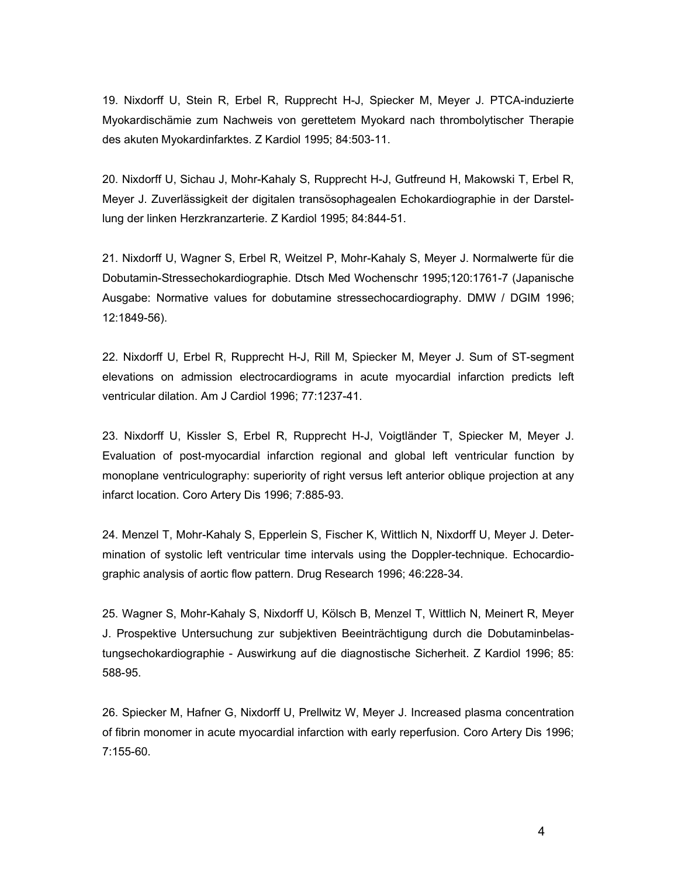19. Nixdorff U, Stein R, Erbel R, Rupprecht H-J, Spiecker M, Meyer J. PTCA-induzierte Myokardischämie zum Nachweis von gerettetem Myokard nach thrombolytischer Therapie des akuten Myokardinfarktes. Z Kardiol 1995; 84:503-11.

20. Nixdorff U, Sichau J, Mohr-Kahaly S, Rupprecht H-J, Gutfreund H, Makowski T, Erbel R, Meyer J. Zuverlässigkeit der digitalen transösophagealen Echokardiographie in der Darstellung der linken Herzkranzarterie. Z Kardiol 1995; 84:844-51.

21. Nixdorff U, Wagner S, Erbel R, Weitzel P, Mohr-Kahaly S, Meyer J. Normalwerte für die Dobutamin-Stressechokardiographie. Dtsch Med Wochenschr 1995;120:1761-7 (Japanische Ausgabe: Normative values for dobutamine stressechocardiography. DMW / DGIM 1996; 12:1849-56).

22. Nixdorff U, Erbel R, Rupprecht H-J, Rill M, Spiecker M, Meyer J. Sum of ST-segment elevations on admission electrocardiograms in acute myocardial infarction predicts left ventricular dilation. Am J Cardiol 1996; 77:1237-41.

23. Nixdorff U, Kissler S, Erbel R, Rupprecht H-J, Voigtländer T, Spiecker M, Meyer J. Evaluation of post-myocardial infarction regional and global left ventricular function by monoplane ventriculography: superiority of right versus left anterior oblique projection at any infarct location. Coro Artery Dis 1996; 7:885-93.

24. Menzel T, Mohr-Kahaly S, Epperlein S, Fischer K, Wittlich N, Nixdorff U, Meyer J. Determination of systolic left ventricular time intervals using the Doppler-technique. Echocardiographic analysis of aortic flow pattern. Drug Research 1996; 46:228-34.

25. Wagner S, Mohr-Kahaly S, Nixdorff U, Kölsch B, Menzel T, Wittlich N, Meinert R, Meyer J. Prospektive Untersuchung zur subjektiven Beeinträchtigung durch die Dobutaminbelastungsechokardiographie - Auswirkung auf die diagnostische Sicherheit. Z Kardiol 1996; 85: 588-95.

26. Spiecker M, Hafner G, Nixdorff U, Prellwitz W, Meyer J. Increased plasma concentration of fibrin monomer in acute myocardial infarction with early reperfusion. Coro Artery Dis 1996; 7:155-60.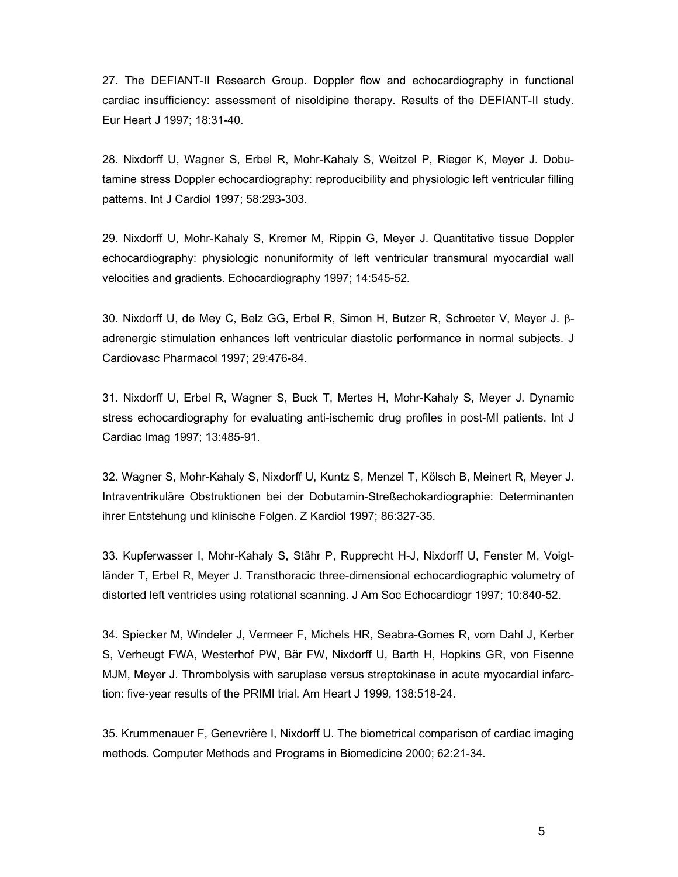27. The DEFIANT-II Research Group. Doppler flow and echocardiography in functional cardiac insufficiency: assessment of nisoldipine therapy. Results of the DEFIANT-II study. Eur Heart J 1997; 18:31-40.

28. Nixdorff U, Wagner S, Erbel R, Mohr-Kahaly S, Weitzel P, Rieger K, Meyer J. Dobutamine stress Doppler echocardiography: reproducibility and physiologic left ventricular filling patterns. Int J Cardiol 1997; 58:293-303.

29. Nixdorff U, Mohr-Kahaly S, Kremer M, Rippin G, Meyer J. Quantitative tissue Doppler echocardiography: physiologic nonuniformity of left ventricular transmural myocardial wall velocities and gradients. Echocardiography 1997; 14:545-52.

30. Nixdorff U, de Mey C, Belz GG, Erbel R, Simon H, Butzer R, Schroeter V, Meyer J.  $\beta$ adrenergic stimulation enhances left ventricular diastolic performance in normal subjects. J Cardiovasc Pharmacol 1997; 29:476-84.

31. Nixdorff U, Erbel R, Wagner S, Buck T, Mertes H, Mohr-Kahaly S, Meyer J. Dynamic stress echocardiography for evaluating anti-ischemic drug profiles in post-MI patients. Int J Cardiac Imag 1997; 13:485-91.

32. Wagner S, Mohr-Kahaly S, Nixdorff U, Kuntz S, Menzel T, Kölsch B, Meinert R, Meyer J. Intraventrikuläre Obstruktionen bei der Dobutamin-Streßechokardiographie: Determinanten ihrer Entstehung und klinische Folgen. Z Kardiol 1997; 86:327-35.

33. Kupferwasser I, Mohr-Kahaly S, Stähr P, Rupprecht H-J, Nixdorff U, Fenster M, Voigtländer T, Erbel R, Meyer J. Transthoracic three-dimensional echocardiographic volumetry of distorted left ventricles using rotational scanning. J Am Soc Echocardiogr 1997; 10:840-52.

34. Spiecker M, Windeler J, Vermeer F, Michels HR, Seabra-Gomes R, vom Dahl J, Kerber S, Verheugt FWA, Westerhof PW, Bär FW, Nixdorff U, Barth H, Hopkins GR, von Fisenne MJM, Meyer J. Thrombolysis with saruplase versus streptokinase in acute myocardial infarction: five-year results of the PRIMI trial. Am Heart J 1999, 138:518-24.

35. Krummenauer F, Genevrière I, Nixdorff U. The biometrical comparison of cardiac imaging methods. Computer Methods and Programs in Biomedicine 2000; 62:21-34.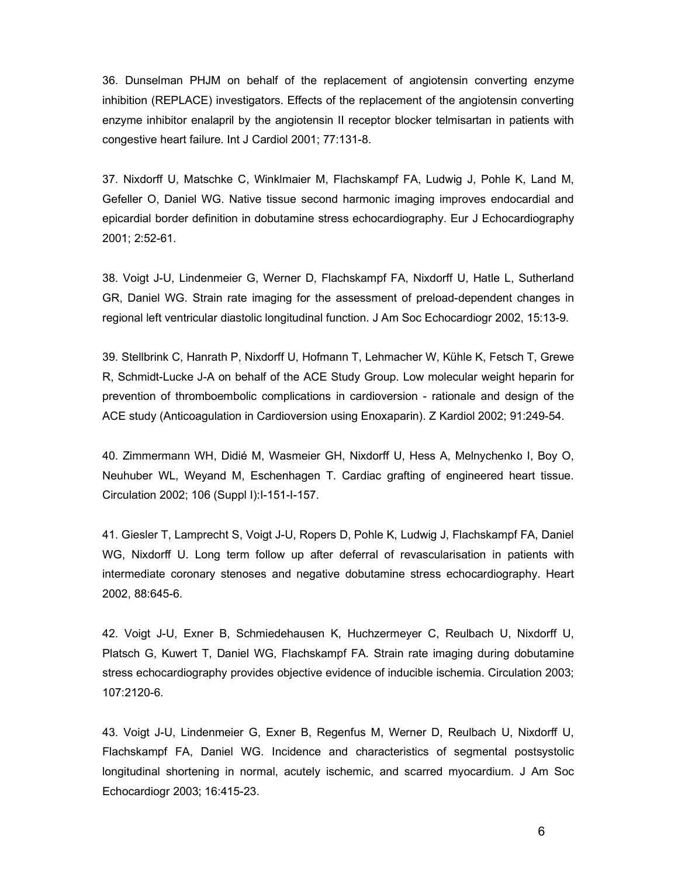36. Dunselman PHJM on behalf of the replacement of angiotensin converting enzyme inhibition (REPLACE) investigators. Effects of the replacement of the angiotensin converting enzyme inhibitor enalapril by the angiotensin II receptor blocker telmisartan in patients with congestive heart failure. Int J Cardiol 2001; 77:131-8.

37. Nixdorff U, Matschke C, Winklmaier M, Flachskampf FA, Ludwig J, Pohle K, Land M, Gefeller O, Daniel WG. Native tissue second harmonic imaging improves endocardial and epicardial border definition in dobutamine stress echocardiography. Eur J Echocardiography 2001; 2:52-61.

38. Voigt J-U, Lindenmeier G, Werner D, Flachskampf FA, Nixdorff U, Hatle L, Sutherland GR, Daniel WG. Strain rate imaging for the assessment of preload-dependent changes in regional left ventricular diastolic longitudinal function. J Am Soc Echocardiogr 2002, 15:13-9.

39. Stellbrink C, Hanrath P, Nixdorff U, Hofmann T, Lehmacher W, Kühle K, Fetsch T, Grewe R, Schmidt-Lucke J-A on behalf of the ACE Study Group. Low molecular weight heparin for prevention of thromboembolic complications in cardioversion - rationale and design of the ACE study (Anticoagulation in Cardioversion using Enoxaparin). Z Kardiol 2002; 91:249-54.

40. Zimmermann WH, Didié M, Wasmeier GH, Nixdorff U, Hess A, Melnychenko I, Boy O, Neuhuber WL, Weyand M, Eschenhagen T. Cardiac grafting of engineered heart tissue. Circulation 2002; 106 (Suppl I):I-151-I-157.

41. Giesler T, Lamprecht S, Voigt J-U, Ropers D, Pohle K, Ludwig J, Flachskampf FA, Daniel WG, Nixdorff U. Long term follow up after deferral of revascularisation in patients with intermediate coronary stenoses and negative dobutamine stress echocardiography. Heart 2002, 88:645-6.

42. Voigt J-U, Exner B, Schmiedehausen K, Huchzermeyer C, Reulbach U, Nixdorff U, Platsch G, Kuwert T, Daniel WG, Flachskampf FA. Strain rate imaging during dobutamine stress echocardiography provides objective evidence of inducible ischemia. Circulation 2003; 107:2120-6.

43. Voigt J-U, Lindenmeier G, Exner B, Regenfus M, Werner D, Reulbach U, Nixdorff U, Flachskampf FA, Daniel WG. Incidence and characteristics of segmental postsystolic longitudinal shortening in normal, acutely ischemic, and scarred myocardium. J Am Soc Echocardiogr 2003; 16:415-23.

6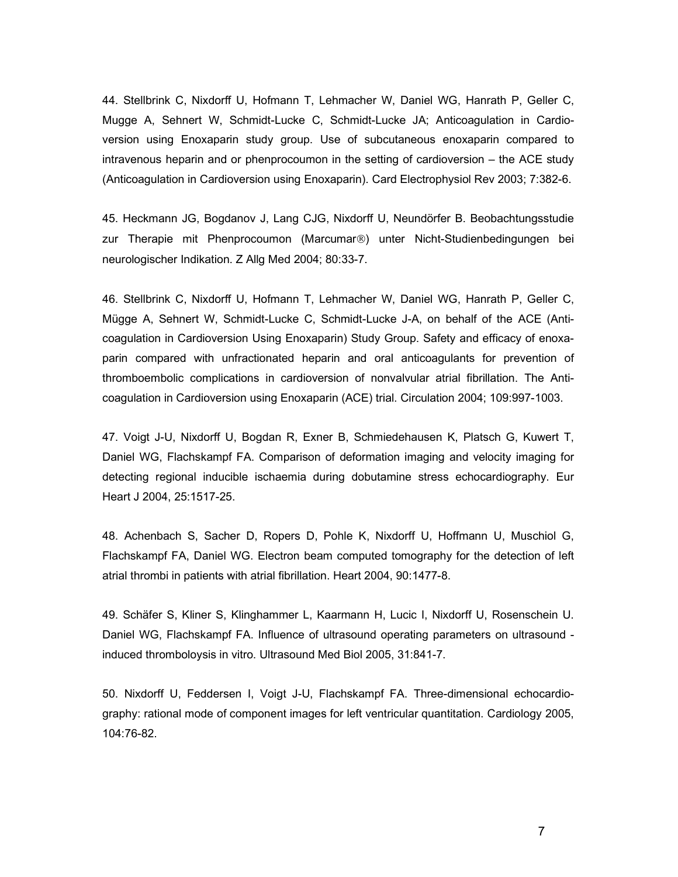44. Stellbrink C, Nixdorff U, Hofmann T, Lehmacher W, Daniel WG, Hanrath P, Geller C, Mugge A, Sehnert W, Schmidt-Lucke C, Schmidt-Lucke JA; Anticoagulation in Cardioversion using Enoxaparin study group. Use of subcutaneous enoxaparin compared to intravenous heparin and or phenprocoumon in the setting of cardioversion – the ACE study (Anticoagulation in Cardioversion using Enoxaparin). Card Electrophysiol Rev 2003; 7:382-6.

45. Heckmann JG, Bogdanov J, Lang CJG, Nixdorff U, Neundörfer B. Beobachtungsstudie zur Therapie mit Phenprocoumon (Marcumar<sup>®</sup>) unter Nicht-Studienbedingungen bei neurologischer Indikation. Z Allg Med 2004; 80:33-7.

46. Stellbrink C, Nixdorff U, Hofmann T, Lehmacher W, Daniel WG, Hanrath P, Geller C, Mügge A, Sehnert W, Schmidt-Lucke C, Schmidt-Lucke J-A, on behalf of the ACE (Anticoagulation in Cardioversion Using Enoxaparin) Study Group. Safety and efficacy of enoxaparin compared with unfractionated heparin and oral anticoagulants for prevention of thromboembolic complications in cardioversion of nonvalvular atrial fibrillation. The Anticoagulation in Cardioversion using Enoxaparin (ACE) trial. Circulation 2004; 109:997-1003.

47. Voigt J-U, Nixdorff U, Bogdan R, Exner B, Schmiedehausen K, Platsch G, Kuwert T, Daniel WG, Flachskampf FA. Comparison of deformation imaging and velocity imaging for detecting regional inducible ischaemia during dobutamine stress echocardiography. Eur Heart J 2004, 25:1517-25.

48. Achenbach S, Sacher D, Ropers D, Pohle K, Nixdorff U, Hoffmann U, Muschiol G, Flachskampf FA, Daniel WG. Electron beam computed tomography for the detection of left atrial thrombi in patients with atrial fibrillation. Heart 2004, 90:1477-8.

49. Schäfer S, Kliner S, Klinghammer L, Kaarmann H, Lucic I, Nixdorff U, Rosenschein U. Daniel WG, Flachskampf FA. Influence of ultrasound operating parameters on ultrasound induced thromboloysis in vitro. Ultrasound Med Biol 2005, 31:841-7.

50. Nixdorff U, Feddersen I, Voigt J-U, Flachskampf FA. Three-dimensional echocardiography: rational mode of component images for left ventricular quantitation. Cardiology 2005, 104:76-82.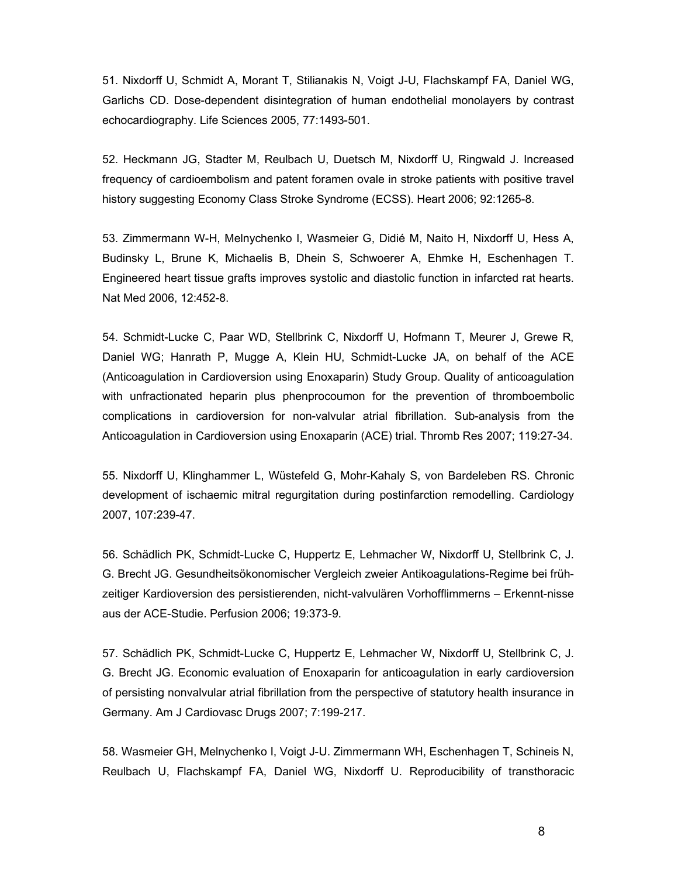51. Nixdorff U, Schmidt A, Morant T, Stilianakis N, Voigt J-U, Flachskampf FA, Daniel WG, Garlichs CD. Dose-dependent disintegration of human endothelial monolayers by contrast echocardiography. Life Sciences 2005, 77:1493-501.

52. Heckmann JG, Stadter M, Reulbach U, Duetsch M, Nixdorff U, Ringwald J. Increased frequency of cardioembolism and patent foramen ovale in stroke patients with positive travel history suggesting Economy Class Stroke Syndrome (ECSS). Heart 2006; 92:1265-8.

53. Zimmermann W-H, Melnychenko I, Wasmeier G, Didié M, Naito H, Nixdorff U, Hess A, Budinsky L, Brune K, Michaelis B, Dhein S, Schwoerer A, Ehmke H, Eschenhagen T. Engineered heart tissue grafts improves systolic and diastolic function in infarcted rat hearts. Nat Med 2006, 12:452-8.

54. Schmidt-Lucke C, Paar WD, Stellbrink C, Nixdorff U, Hofmann T, Meurer J, Grewe R, Daniel WG; Hanrath P, Mugge A, Klein HU, Schmidt-Lucke JA, on behalf of the ACE (Anticoagulation in Cardioversion using Enoxaparin) Study Group. Quality of anticoagulation with unfractionated heparin plus phenprocoumon for the prevention of thromboembolic complications in cardioversion for non-valvular atrial fibrillation. Sub-analysis from the Anticoagulation in Cardioversion using Enoxaparin (ACE) trial. Thromb Res 2007; 119:27-34.

55. Nixdorff U, Klinghammer L, Wüstefeld G, Mohr-Kahaly S, von Bardeleben RS. Chronic development of ischaemic mitral regurgitation during postinfarction remodelling. Cardiology 2007, 107:239-47.

56. Schädlich PK, Schmidt-Lucke C, Huppertz E, Lehmacher W, Nixdorff U, Stellbrink C, J. G. Brecht JG. Gesundheitsökonomischer Vergleich zweier Antikoagulations-Regime bei frühzeitiger Kardioversion des persistierenden, nicht-valvulären Vorhofflimmerns – Erkennt-nisse aus der ACE-Studie. Perfusion 2006; 19:373-9.

57. Schädlich PK, Schmidt-Lucke C, Huppertz E, Lehmacher W, Nixdorff U, Stellbrink C, J. G. Brecht JG. Economic evaluation of Enoxaparin for anticoagulation in early cardioversion of persisting nonvalvular atrial fibrillation from the perspective of statutory health insurance in Germany. Am J Cardiovasc Drugs 2007; 7:199-217.

58. Wasmeier GH, Melnychenko I, Voigt J-U. Zimmermann WH, Eschenhagen T, Schineis N, Reulbach U, Flachskampf FA, Daniel WG, Nixdorff U. Reproducibility of transthoracic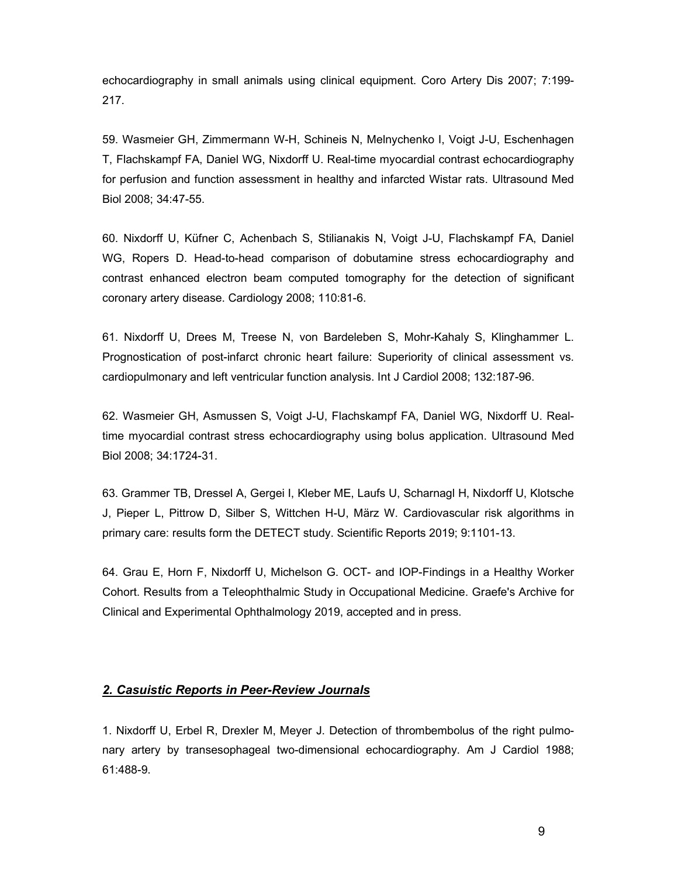echocardiography in small animals using clinical equipment. Coro Artery Dis 2007; 7:199- 217.

59. Wasmeier GH, Zimmermann W-H, Schineis N, Melnychenko I, Voigt J-U, Eschenhagen T, Flachskampf FA, Daniel WG, Nixdorff U. Real-time myocardial contrast echocardiography for perfusion and function assessment in healthy and infarcted Wistar rats. Ultrasound Med Biol 2008; 34:47-55.

60. Nixdorff U, Küfner C, Achenbach S, Stilianakis N, Voigt J-U, Flachskampf FA, Daniel WG, Ropers D. Head-to-head comparison of dobutamine stress echocardiography and contrast enhanced electron beam computed tomography for the detection of significant coronary artery disease. Cardiology 2008; 110:81-6.

61. Nixdorff U, Drees M, Treese N, von Bardeleben S, Mohr-Kahaly S, Klinghammer L. Prognostication of post-infarct chronic heart failure: Superiority of clinical assessment vs. cardiopulmonary and left ventricular function analysis. Int J Cardiol 2008; 132:187-96.

62. Wasmeier GH, Asmussen S, Voigt J-U, Flachskampf FA, Daniel WG, Nixdorff U. Realtime myocardial contrast stress echocardiography using bolus application. Ultrasound Med Biol 2008; 34:1724-31.

63. Grammer TB, Dressel A, Gergei I, Kleber ME, Laufs U, Scharnagl H, Nixdorff U, Klotsche J, Pieper L, Pittrow D, Silber S, Wittchen H-U, März W. Cardiovascular risk algorithms in primary care: results form the DETECT study. Scientific Reports 2019; 9:1101-13.

64. Grau E, Horn F, Nixdorff U, Michelson G. OCT- and IOP-Findings in a Healthy Worker Cohort. Results from a Teleophthalmic Study in Occupational Medicine. Graefe's Archive for Clinical and Experimental Ophthalmology 2019, accepted and in press.

## 2. Casuistic Reports in Peer-Review Journals

1. Nixdorff U, Erbel R, Drexler M, Meyer J. Detection of thrombembolus of the right pulmonary artery by transesophageal two-dimensional echocardiography. Am J Cardiol 1988; 61:488-9.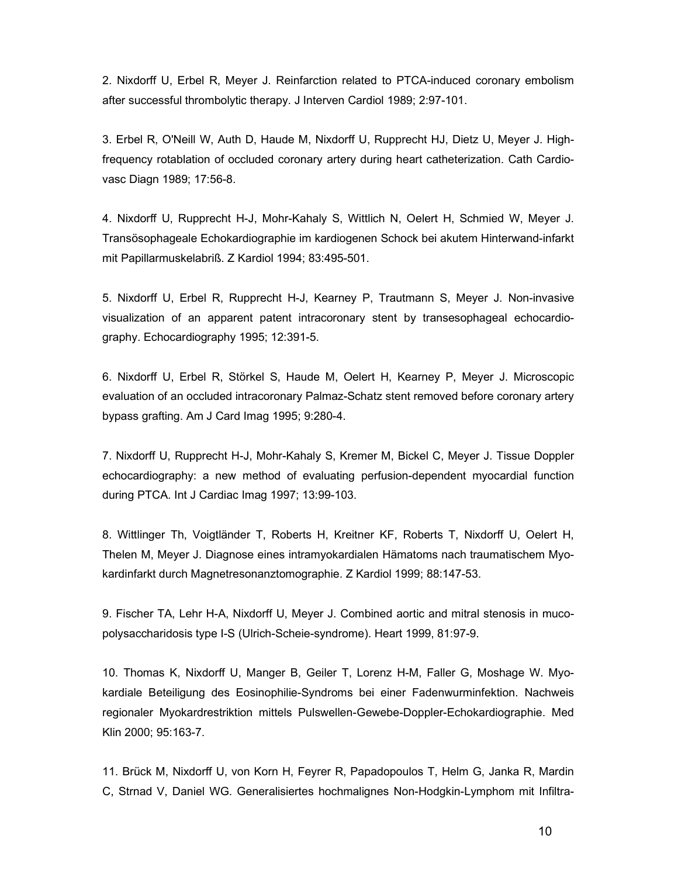2. Nixdorff U, Erbel R, Meyer J. Reinfarction related to PTCA-induced coronary embolism after successful thrombolytic therapy. J Interven Cardiol 1989; 2:97-101.

3. Erbel R, O'Neill W, Auth D, Haude M, Nixdorff U, Rupprecht HJ, Dietz U, Meyer J. Highfrequency rotablation of occluded coronary artery during heart catheterization. Cath Cardiovasc Diagn 1989; 17:56-8.

4. Nixdorff U, Rupprecht H-J, Mohr-Kahaly S, Wittlich N, Oelert H, Schmied W, Meyer J. Transösophageale Echokardiographie im kardiogenen Schock bei akutem Hinterwand-infarkt mit Papillarmuskelabriß. Z Kardiol 1994; 83:495-501.

5. Nixdorff U, Erbel R, Rupprecht H-J, Kearney P, Trautmann S, Meyer J. Non-invasive visualization of an apparent patent intracoronary stent by transesophageal echocardiography. Echocardiography 1995; 12:391-5.

6. Nixdorff U, Erbel R, Störkel S, Haude M, Oelert H, Kearney P, Meyer J. Microscopic evaluation of an occluded intracoronary Palmaz-Schatz stent removed before coronary artery bypass grafting. Am J Card Imag 1995; 9:280-4.

7. Nixdorff U, Rupprecht H-J, Mohr-Kahaly S, Kremer M, Bickel C, Meyer J. Tissue Doppler echocardiography: a new method of evaluating perfusion-dependent myocardial function during PTCA. Int J Cardiac Imag 1997; 13:99-103.

8. Wittlinger Th, Voigtländer T, Roberts H, Kreitner KF, Roberts T, Nixdorff U, Oelert H, Thelen M, Meyer J. Diagnose eines intramyokardialen Hämatoms nach traumatischem Myokardinfarkt durch Magnetresonanztomographie. Z Kardiol 1999; 88:147-53.

9. Fischer TA, Lehr H-A, Nixdorff U, Meyer J. Combined aortic and mitral stenosis in mucopolysaccharidosis type I-S (Ulrich-Scheie-syndrome). Heart 1999, 81:97-9.

10. Thomas K, Nixdorff U, Manger B, Geiler T, Lorenz H-M, Faller G, Moshage W. Myokardiale Beteiligung des Eosinophilie-Syndroms bei einer Fadenwurminfektion. Nachweis regionaler Myokardrestriktion mittels Pulswellen-Gewebe-Doppler-Echokardiographie. Med Klin 2000; 95:163-7.

11. Brück M, Nixdorff U, von Korn H, Feyrer R, Papadopoulos T, Helm G, Janka R, Mardin C, Strnad V, Daniel WG. Generalisiertes hochmalignes Non-Hodgkin-Lymphom mit Infiltra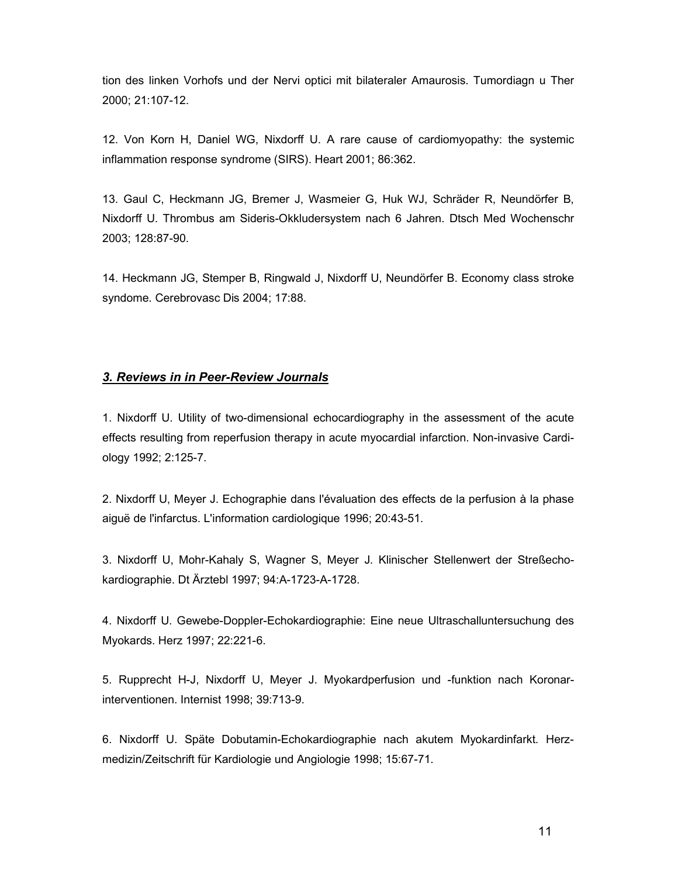tion des linken Vorhofs und der Nervi optici mit bilateraler Amaurosis. Tumordiagn u Ther 2000; 21:107-12.

12. Von Korn H, Daniel WG, Nixdorff U. A rare cause of cardiomyopathy: the systemic inflammation response syndrome (SIRS). Heart 2001; 86:362.

13. Gaul C, Heckmann JG, Bremer J, Wasmeier G, Huk WJ, Schräder R, Neundörfer B, Nixdorff U. Thrombus am Sideris-Okkludersystem nach 6 Jahren. Dtsch Med Wochenschr 2003; 128:87-90.

14. Heckmann JG, Stemper B, Ringwald J, Nixdorff U, Neundörfer B. Economy class stroke syndome. Cerebrovasc Dis 2004; 17:88.

#### 3. Reviews in in Peer-Review Journals

1. Nixdorff U. Utility of two-dimensional echocardiography in the assessment of the acute effects resulting from reperfusion therapy in acute myocardial infarction. Non-invasive Cardiology 1992; 2:125-7.

2. Nixdorff U, Meyer J. Echographie dans l'évaluation des effects de la perfusion à la phase aiguë de l'infarctus. L'information cardiologique 1996; 20:43-51.

3. Nixdorff U, Mohr-Kahaly S, Wagner S, Meyer J. Klinischer Stellenwert der Streßechokardiographie. Dt Ärztebl 1997; 94:A-1723-A-1728.

4. Nixdorff U. Gewebe-Doppler-Echokardiographie: Eine neue Ultraschalluntersuchung des Myokards. Herz 1997; 22:221-6.

5. Rupprecht H-J, Nixdorff U, Meyer J. Myokardperfusion und -funktion nach Koronarinterventionen. Internist 1998; 39:713-9.

6. Nixdorff U. Späte Dobutamin-Echokardiographie nach akutem Myokardinfarkt. Herzmedizin/Zeitschrift für Kardiologie und Angiologie 1998; 15:67-71.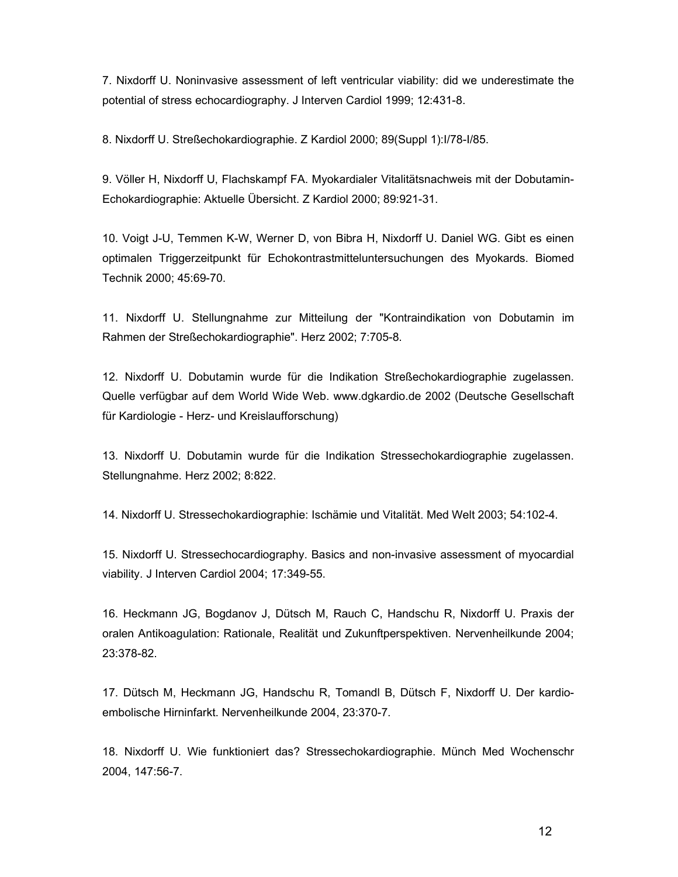7. Nixdorff U. Noninvasive assessment of left ventricular viability: did we underestimate the potential of stress echocardiography. J Interven Cardiol 1999; 12:431-8.

8. Nixdorff U. Streßechokardiographie. Z Kardiol 2000; 89(Suppl 1):I/78-I/85.

9. Völler H, Nixdorff U, Flachskampf FA. Myokardialer Vitalitätsnachweis mit der Dobutamin-Echokardiographie: Aktuelle Übersicht. Z Kardiol 2000; 89:921-31.

10. Voigt J-U, Temmen K-W, Werner D, von Bibra H, Nixdorff U. Daniel WG. Gibt es einen optimalen Triggerzeitpunkt für Echokontrastmitteluntersuchungen des Myokards. Biomed Technik 2000; 45:69-70.

11. Nixdorff U. Stellungnahme zur Mitteilung der "Kontraindikation von Dobutamin im Rahmen der Streßechokardiographie". Herz 2002; 7:705-8.

12. Nixdorff U. Dobutamin wurde für die Indikation Streßechokardiographie zugelassen. Quelle verfügbar auf dem World Wide Web. www.dgkardio.de 2002 (Deutsche Gesellschaft für Kardiologie - Herz- und Kreislaufforschung)

13. Nixdorff U. Dobutamin wurde für die Indikation Stressechokardiographie zugelassen. Stellungnahme. Herz 2002; 8:822.

14. Nixdorff U. Stressechokardiographie: Ischämie und Vitalität. Med Welt 2003; 54:102-4.

15. Nixdorff U. Stressechocardiography. Basics and non-invasive assessment of myocardial viability. J Interven Cardiol 2004; 17:349-55.

16. Heckmann JG, Bogdanov J, Dütsch M, Rauch C, Handschu R, Nixdorff U. Praxis der oralen Antikoagulation: Rationale, Realität und Zukunftperspektiven. Nervenheilkunde 2004; 23:378-82.

17. Dütsch M, Heckmann JG, Handschu R, Tomandl B, Dütsch F, Nixdorff U. Der kardioembolische Hirninfarkt. Nervenheilkunde 2004, 23:370-7.

18. Nixdorff U. Wie funktioniert das? Stressechokardiographie. Münch Med Wochenschr 2004, 147:56-7.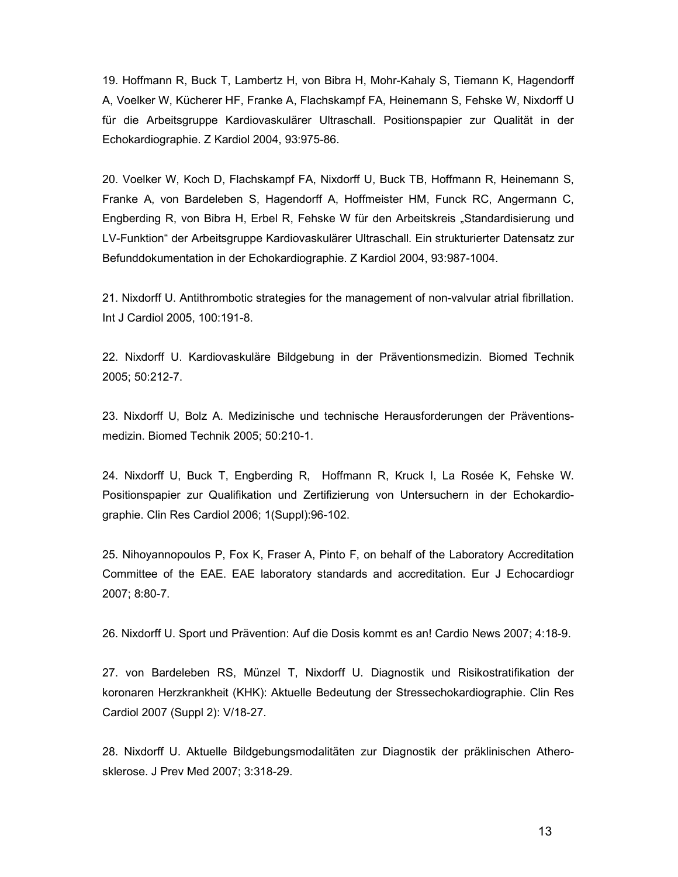19. Hoffmann R, Buck T, Lambertz H, von Bibra H, Mohr-Kahaly S, Tiemann K, Hagendorff A, Voelker W, Kücherer HF, Franke A, Flachskampf FA, Heinemann S, Fehske W, Nixdorff U für die Arbeitsgruppe Kardiovaskulärer Ultraschall. Positionspapier zur Qualität in der Echokardiographie. Z Kardiol 2004, 93:975-86.

20. Voelker W, Koch D, Flachskampf FA, Nixdorff U, Buck TB, Hoffmann R, Heinemann S, Franke A, von Bardeleben S, Hagendorff A, Hoffmeister HM, Funck RC, Angermann C, Engberding R, von Bibra H, Erbel R, Fehske W für den Arbeitskreis "Standardisierung und LV-Funktion" der Arbeitsgruppe Kardiovaskulärer Ultraschall. Ein strukturierter Datensatz zur Befunddokumentation in der Echokardiographie. Z Kardiol 2004, 93:987-1004.

21. Nixdorff U. Antithrombotic strategies for the management of non-valvular atrial fibrillation. Int J Cardiol 2005, 100:191-8.

22. Nixdorff U. Kardiovaskuläre Bildgebung in der Präventionsmedizin. Biomed Technik 2005; 50:212-7.

23. Nixdorff U, Bolz A. Medizinische und technische Herausforderungen der Präventionsmedizin. Biomed Technik 2005; 50:210-1.

24. Nixdorff U, Buck T, Engberding R, Hoffmann R, Kruck I, La Rosée K, Fehske W. Positionspapier zur Qualifikation und Zertifizierung von Untersuchern in der Echokardiographie. Clin Res Cardiol 2006; 1(Suppl):96-102.

25. Nihoyannopoulos P, Fox K, Fraser A, Pinto F, on behalf of the Laboratory Accreditation Committee of the EAE. EAE laboratory standards and accreditation. Eur J Echocardiogr 2007; 8:80-7.

26. Nixdorff U. Sport und Prävention: Auf die Dosis kommt es an! Cardio News 2007; 4:18-9.

27. von Bardeleben RS, Münzel T, Nixdorff U. Diagnostik und Risikostratifikation der koronaren Herzkrankheit (KHK): Aktuelle Bedeutung der Stressechokardiographie. Clin Res Cardiol 2007 (Suppl 2): V/18-27.

28. Nixdorff U. Aktuelle Bildgebungsmodalitäten zur Diagnostik der präklinischen Atherosklerose. J Prev Med 2007; 3:318-29.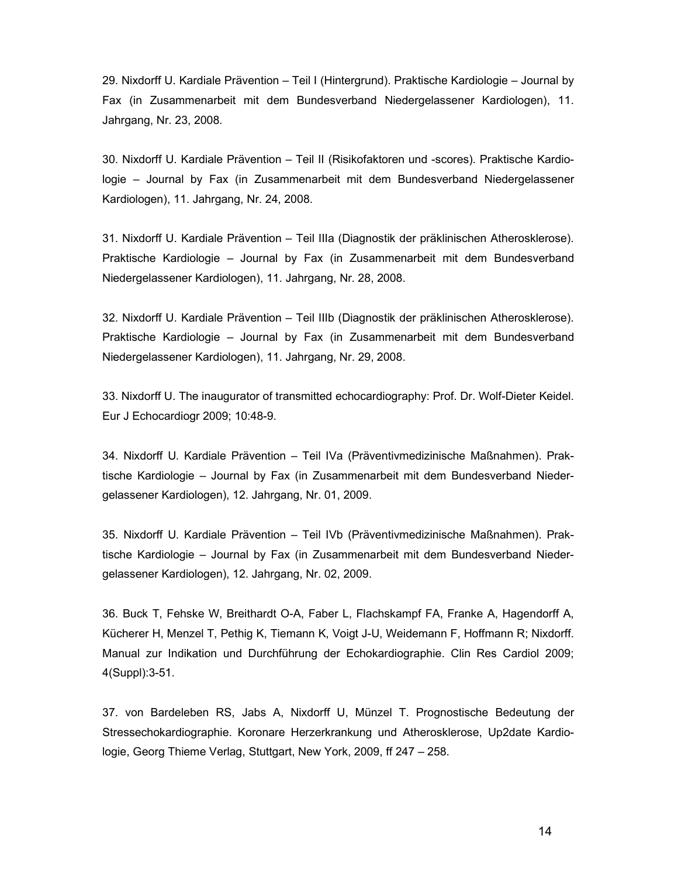29. Nixdorff U. Kardiale Prävention – Teil I (Hintergrund). Praktische Kardiologie – Journal by Fax (in Zusammenarbeit mit dem Bundesverband Niedergelassener Kardiologen), 11. Jahrgang, Nr. 23, 2008.

30. Nixdorff U. Kardiale Prävention – Teil II (Risikofaktoren und -scores). Praktische Kardiologie – Journal by Fax (in Zusammenarbeit mit dem Bundesverband Niedergelassener Kardiologen), 11. Jahrgang, Nr. 24, 2008.

31. Nixdorff U. Kardiale Prävention – Teil IIIa (Diagnostik der präklinischen Atherosklerose). Praktische Kardiologie – Journal by Fax (in Zusammenarbeit mit dem Bundesverband Niedergelassener Kardiologen), 11. Jahrgang, Nr. 28, 2008.

32. Nixdorff U. Kardiale Prävention – Teil IIIb (Diagnostik der präklinischen Atherosklerose). Praktische Kardiologie – Journal by Fax (in Zusammenarbeit mit dem Bundesverband Niedergelassener Kardiologen), 11. Jahrgang, Nr. 29, 2008.

33. Nixdorff U. The inaugurator of transmitted echocardiography: Prof. Dr. Wolf-Dieter Keidel. Eur J Echocardiogr 2009; 10:48-9.

34. Nixdorff U. Kardiale Prävention – Teil IVa (Präventivmedizinische Maßnahmen). Praktische Kardiologie – Journal by Fax (in Zusammenarbeit mit dem Bundesverband Niedergelassener Kardiologen), 12. Jahrgang, Nr. 01, 2009.

35. Nixdorff U. Kardiale Prävention – Teil IVb (Präventivmedizinische Maßnahmen). Praktische Kardiologie – Journal by Fax (in Zusammenarbeit mit dem Bundesverband Niedergelassener Kardiologen), 12. Jahrgang, Nr. 02, 2009.

36. Buck T, Fehske W, Breithardt O-A, Faber L, Flachskampf FA, Franke A, Hagendorff A, Kücherer H, Menzel T, Pethig K, Tiemann K, Voigt J-U, Weidemann F, Hoffmann R; Nixdorff. Manual zur Indikation und Durchführung der Echokardiographie. Clin Res Cardiol 2009; 4(Suppl):3-51.

37. von Bardeleben RS, Jabs A, Nixdorff U, Münzel T. Prognostische Bedeutung der Stressechokardiographie. Koronare Herzerkrankung und Atherosklerose, Up2date Kardiologie, Georg Thieme Verlag, Stuttgart, New York, 2009, ff 247 – 258.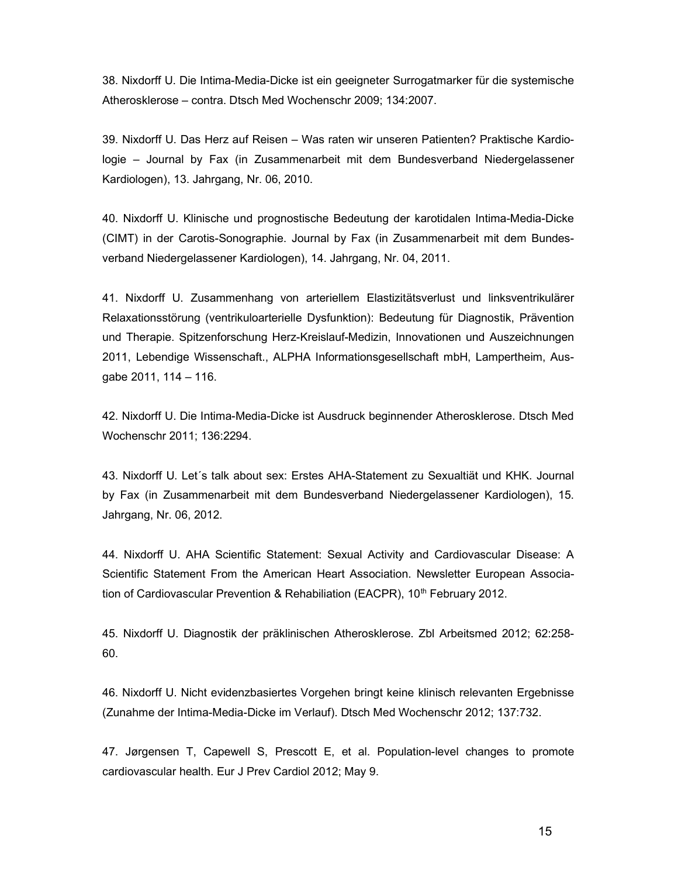38. Nixdorff U. Die Intima-Media-Dicke ist ein geeigneter Surrogatmarker für die systemische Atherosklerose – contra. Dtsch Med Wochenschr 2009; 134:2007.

39. Nixdorff U. Das Herz auf Reisen – Was raten wir unseren Patienten? Praktische Kardiologie – Journal by Fax (in Zusammenarbeit mit dem Bundesverband Niedergelassener Kardiologen), 13. Jahrgang, Nr. 06, 2010.

40. Nixdorff U. Klinische und prognostische Bedeutung der karotidalen Intima-Media-Dicke (CIMT) in der Carotis-Sonographie. Journal by Fax (in Zusammenarbeit mit dem Bundesverband Niedergelassener Kardiologen), 14. Jahrgang, Nr. 04, 2011.

41. Nixdorff U. Zusammenhang von arteriellem Elastizitätsverlust und linksventrikulärer Relaxationsstörung (ventrikuloarterielle Dysfunktion): Bedeutung für Diagnostik, Prävention und Therapie. Spitzenforschung Herz-Kreislauf-Medizin, Innovationen und Auszeichnungen 2011, Lebendige Wissenschaft., ALPHA Informationsgesellschaft mbH, Lampertheim, Ausgabe 2011, 114 – 116.

42. Nixdorff U. Die Intima-Media-Dicke ist Ausdruck beginnender Atherosklerose. Dtsch Med Wochenschr 2011; 136:2294.

43. Nixdorff U. Let´s talk about sex: Erstes AHA-Statement zu Sexualtiät und KHK. Journal by Fax (in Zusammenarbeit mit dem Bundesverband Niedergelassener Kardiologen), 15. Jahrgang, Nr. 06, 2012.

44. Nixdorff U. AHA Scientific Statement: Sexual Activity and Cardiovascular Disease: A Scientific Statement From the American Heart Association. Newsletter European Association of Cardiovascular Prevention & Rehabiliation (EACPR),  $10<sup>th</sup>$  February 2012.

45. Nixdorff U. Diagnostik der präklinischen Atherosklerose. Zbl Arbeitsmed 2012; 62:258- 60.

46. Nixdorff U. Nicht evidenzbasiertes Vorgehen bringt keine klinisch relevanten Ergebnisse (Zunahme der Intima-Media-Dicke im Verlauf). Dtsch Med Wochenschr 2012; 137:732.

47. Jørgensen T, Capewell S, Prescott E, et al. Population-level changes to promote cardiovascular health. Eur J Prev Cardiol 2012; May 9.

15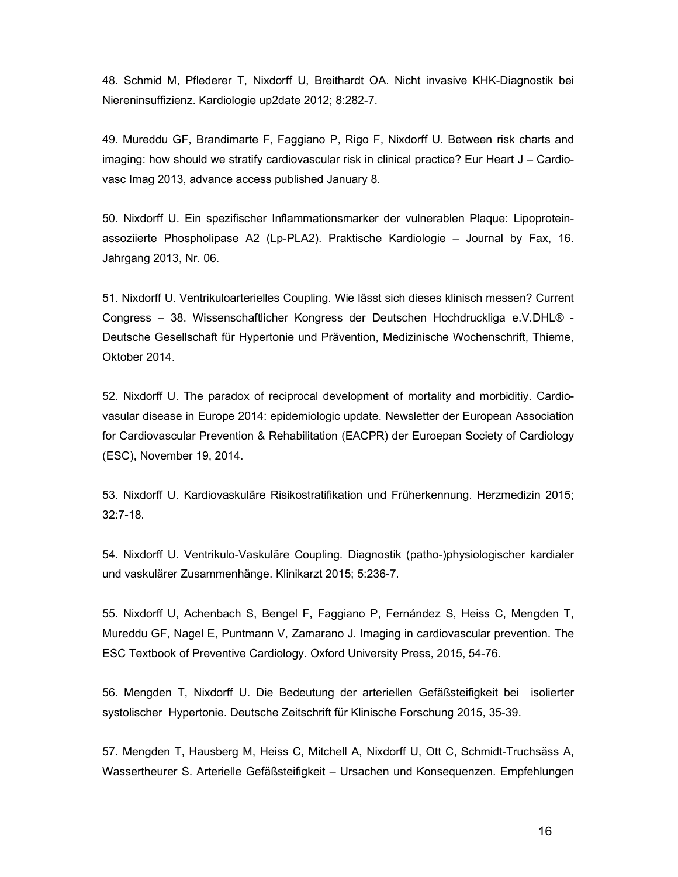48. Schmid M, Pflederer T, Nixdorff U, Breithardt OA. Nicht invasive KHK-Diagnostik bei Niereninsuffizienz. Kardiologie up2date 2012; 8:282-7.

49. Mureddu GF, Brandimarte F, Faggiano P, Rigo F, Nixdorff U. Between risk charts and imaging: how should we stratify cardiovascular risk in clinical practice? Eur Heart J – Cardiovasc Imag 2013, advance access published January 8.

50. Nixdorff U. Ein spezifischer Inflammationsmarker der vulnerablen Plaque: Lipoproteinassoziierte Phospholipase A2 (Lp-PLA2). Praktische Kardiologie – Journal by Fax, 16. Jahrgang 2013, Nr. 06.

51. Nixdorff U. Ventrikuloarterielles Coupling. Wie lässt sich dieses klinisch messen? Current Congress – 38. Wissenschaftlicher Kongress der Deutschen Hochdruckliga e.V.DHL® - Deutsche Gesellschaft für Hypertonie und Prävention, Medizinische Wochenschrift, Thieme, Oktober 2014.

52. Nixdorff U. The paradox of reciprocal development of mortality and morbiditiy. Cardiovasular disease in Europe 2014: epidemiologic update. Newsletter der European Association for Cardiovascular Prevention & Rehabilitation (EACPR) der Euroepan Society of Cardiology (ESC), November 19, 2014.

53. Nixdorff U. Kardiovaskuläre Risikostratifikation und Früherkennung. Herzmedizin 2015; 32:7-18.

54. Nixdorff U. Ventrikulo-Vaskuläre Coupling. Diagnostik (patho-)physiologischer kardialer und vaskulärer Zusammenhänge. Klinikarzt 2015; 5:236-7.

55. Nixdorff U, Achenbach S, Bengel F, Faggiano P, Fernández S, Heiss C, Mengden T, Mureddu GF, Nagel E, Puntmann V, Zamarano J. Imaging in cardiovascular prevention. The ESC Textbook of Preventive Cardiology. Oxford University Press, 2015, 54-76.

56. Mengden T, Nixdorff U. Die Bedeutung der arteriellen Gefäßsteifigkeit bei isolierter systolischer Hypertonie. Deutsche Zeitschrift für Klinische Forschung 2015, 35-39.

57. Mengden T, Hausberg M, Heiss C, Mitchell A, Nixdorff U, Ott C, Schmidt-Truchsäss A, Wassertheurer S. Arterielle Gefäßsteifigkeit – Ursachen und Konsequenzen. Empfehlungen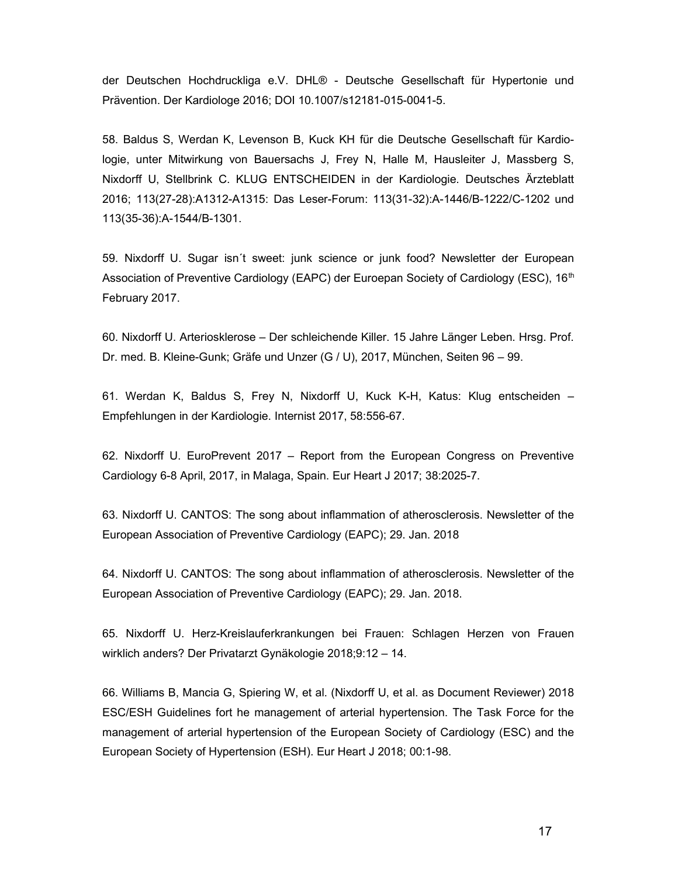der Deutschen Hochdruckliga e.V. DHL® - Deutsche Gesellschaft für Hypertonie und Prävention. Der Kardiologe 2016; DOI 10.1007/s12181-015-0041-5.

58. Baldus S, Werdan K, Levenson B, Kuck KH für die Deutsche Gesellschaft für Kardiologie, unter Mitwirkung von Bauersachs J, Frey N, Halle M, Hausleiter J, Massberg S, Nixdorff U, Stellbrink C. KLUG ENTSCHEIDEN in der Kardiologie. Deutsches Ärzteblatt 2016; 113(27-28):A1312-A1315: Das Leser-Forum: 113(31-32):A-1446/B-1222/C-1202 und 113(35-36):A-1544/B-1301.

59. Nixdorff U. Sugar isn´t sweet: junk science or junk food? Newsletter der European Association of Preventive Cardiology (EAPC) der Euroepan Society of Cardiology (ESC), 16<sup>th</sup> February 2017.

60. Nixdorff U. Arteriosklerose – Der schleichende Killer. 15 Jahre Länger Leben. Hrsg. Prof. Dr. med. B. Kleine-Gunk; Gräfe und Unzer (G / U), 2017, München, Seiten 96 – 99.

61. Werdan K, Baldus S, Frey N, Nixdorff U, Kuck K-H, Katus: Klug entscheiden – Empfehlungen in der Kardiologie. Internist 2017, 58:556-67.

62. Nixdorff U. EuroPrevent 2017 – Report from the European Congress on Preventive Cardiology 6-8 April, 2017, in Malaga, Spain. Eur Heart J 2017; 38:2025-7.

63. Nixdorff U. CANTOS: The song about inflammation of atherosclerosis. Newsletter of the European Association of Preventive Cardiology (EAPC); 29. Jan. 2018

64. Nixdorff U. CANTOS: The song about inflammation of atherosclerosis. Newsletter of the European Association of Preventive Cardiology (EAPC); 29. Jan. 2018.

65. Nixdorff U. Herz-Kreislauferkrankungen bei Frauen: Schlagen Herzen von Frauen wirklich anders? Der Privatarzt Gynäkologie 2018;9:12 – 14.

66. Williams B, Mancia G, Spiering W, et al. (Nixdorff U, et al. as Document Reviewer) 2018 ESC/ESH Guidelines fort he management of arterial hypertension. The Task Force for the management of arterial hypertension of the European Society of Cardiology (ESC) and the European Society of Hypertension (ESH). Eur Heart J 2018; 00:1-98.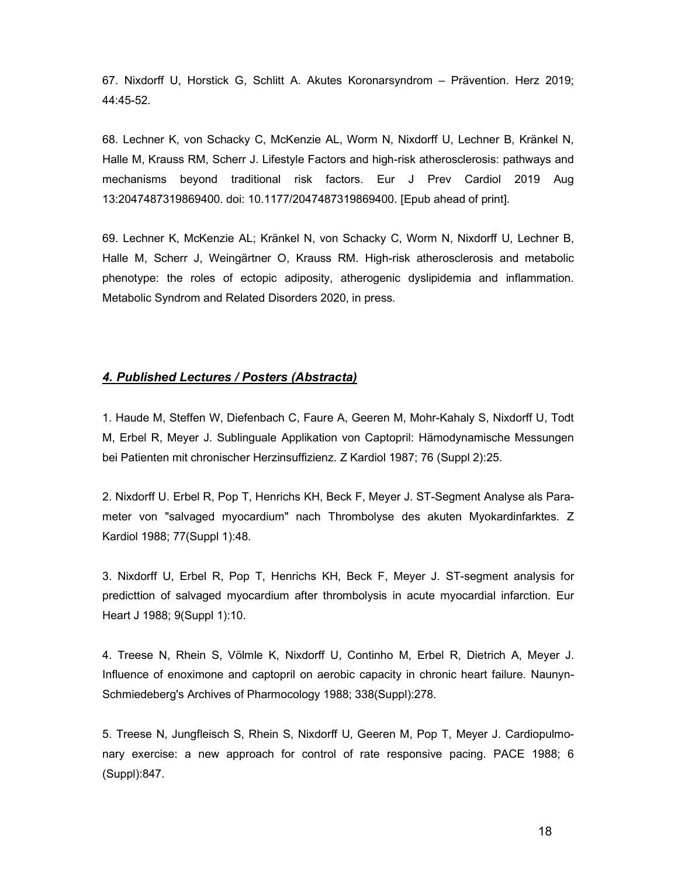67. Nixdorff U, Horstick G, Schlitt A. Akutes Koronarsyndrom – Prävention. Herz 2019; 44:45-52.

68. Lechner K, von Schacky C, McKenzie AL, Worm N, Nixdorff U, Lechner B, Kränkel N, Halle M, Krauss RM, Scherr J. Lifestyle Factors and high-risk atherosclerosis: pathways and mechanisms beyond traditional risk factors. Eur J Prev Cardiol 2019 Aug 13:2047487319869400. doi: 10.1177/2047487319869400. [Epub ahead of print].

69. Lechner K, McKenzie AL; Kränkel N, von Schacky C, Worm N, Nixdorff U, Lechner B, Halle M, Scherr J, Weingärtner O, Krauss RM. High-risk atherosclerosis and metabolic phenotype: the roles of ectopic adiposity, atherogenic dyslipidemia and inflammation. Metabolic Syndrom and Related Disorders 2020, in press.

#### 4. Published Lectures / Posters (Abstracta)

1. Haude M, Steffen W, Diefenbach C, Faure A, Geeren M, Mohr-Kahaly S, Nixdorff U, Todt M, Erbel R, Meyer J. Sublinguale Applikation von Captopril: Hämodynamische Messungen bei Patienten mit chronischer Herzinsuffizienz. Z Kardiol 1987; 76 (Suppl 2):25.

2. Nixdorff U. Erbel R, Pop T, Henrichs KH, Beck F, Meyer J. ST-Segment Analyse als Parameter von "salvaged myocardium" nach Thrombolyse des akuten Myokardinfarktes. Z Kardiol 1988; 77(Suppl 1):48.

3. Nixdorff U, Erbel R, Pop T, Henrichs KH, Beck F, Meyer J. ST-segment analysis for predicttion of salvaged myocardium after thrombolysis in acute myocardial infarction. Eur Heart J 1988; 9(Suppl 1):10.

4. Treese N, Rhein S, Völmle K, Nixdorff U, Continho M, Erbel R, Dietrich A, Meyer J. Influence of enoximone and captopril on aerobic capacity in chronic heart failure. Naunyn-Schmiedeberg's Archives of Pharmocology 1988; 338(Suppl):278.

5. Treese N, Jungfleisch S, Rhein S, Nixdorff U, Geeren M, Pop T, Meyer J. Cardiopulmonary exercise: a new approach for control of rate responsive pacing. PACE 1988; 6 (Suppl):847.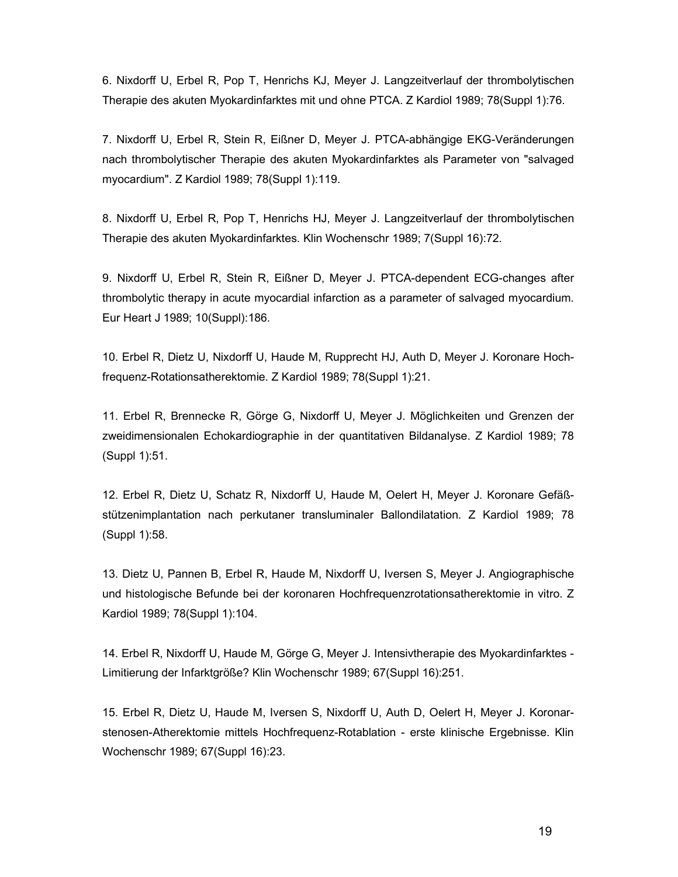6. Nixdorff U, Erbel R, Pop T, Henrichs KJ, Meyer J. Langzeitverlauf der thrombolytischen Therapie des akuten Myokardinfarktes mit und ohne PTCA. Z Kardiol 1989; 78(Suppl 1):76.

7. Nixdorff U, Erbel R, Stein R, Eißner D, Meyer J. PTCA-abhängige EKG-Veränderungen nach thrombolytischer Therapie des akuten Myokardinfarktes als Parameter von "salvaged myocardium". Z Kardiol 1989; 78(Suppl 1):119.

8. Nixdorff U, Erbel R, Pop T, Henrichs HJ, Meyer J. Langzeitverlauf der thrombolytischen Therapie des akuten Myokardinfarktes. Klin Wochenschr 1989; 7(Suppl 16):72.

9. Nixdorff U, Erbel R, Stein R, Eißner D, Meyer J. PTCA-dependent ECG-changes after thrombolytic therapy in acute myocardial infarction as a parameter of salvaged myocardium. Eur Heart J 1989; 10(Suppl):186.

10. Erbel R, Dietz U, Nixdorff U, Haude M, Rupprecht HJ, Auth D, Meyer J. Koronare Hochfrequenz-Rotationsatherektomie. Z Kardiol 1989; 78(Suppl 1):21.

11. Erbel R, Brennecke R, Görge G, Nixdorff U, Meyer J. Möglichkeiten und Grenzen der zweidimensionalen Echokardiographie in der quantitativen Bildanalyse. Z Kardiol 1989; 78 (Suppl 1):51.

12. Erbel R, Dietz U, Schatz R, Nixdorff U, Haude M, Oelert H, Meyer J. Koronare Gefäßstützenimplantation nach perkutaner transluminaler Ballondilatation. Z Kardiol 1989; 78 (Suppl 1):58.

13. Dietz U, Pannen B, Erbel R, Haude M, Nixdorff U, Iversen S, Meyer J. Angiographische und histologische Befunde bei der koronaren Hochfrequenzrotationsatherektomie in vitro. Z Kardiol 1989; 78(Suppl 1):104.

14. Erbel R, Nixdorff U, Haude M, Görge G, Meyer J. Intensivtherapie des Myokardinfarktes - Limitierung der Infarktgröße? Klin Wochenschr 1989; 67(Suppl 16):251.

15. Erbel R, Dietz U, Haude M, Iversen S, Nixdorff U, Auth D, Oelert H, Meyer J. Koronarstenosen-Atherektomie mittels Hochfrequenz-Rotablation - erste klinische Ergebnisse. Klin Wochenschr 1989; 67(Suppl 16):23.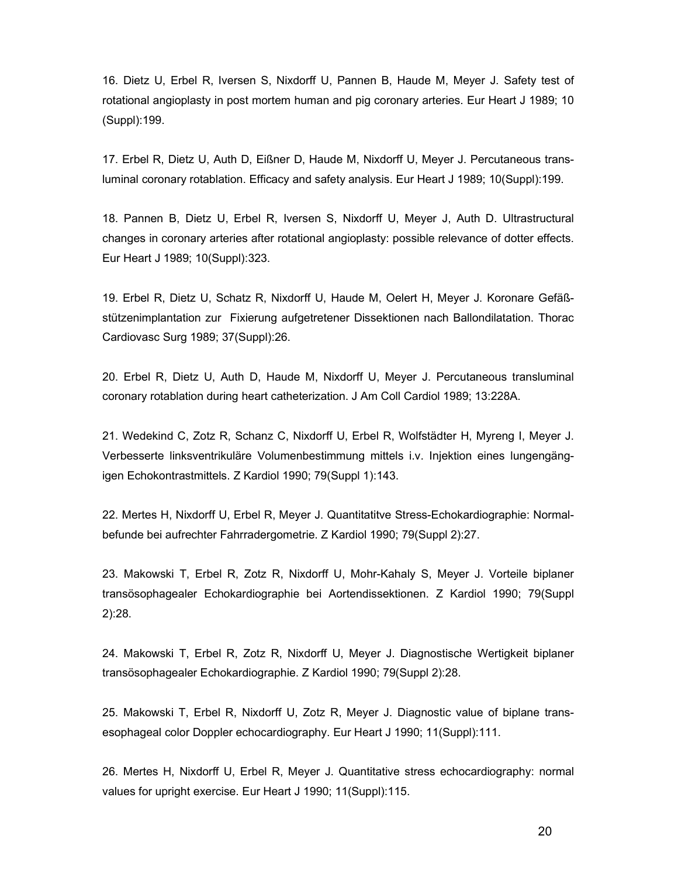16. Dietz U, Erbel R, Iversen S, Nixdorff U, Pannen B, Haude M, Meyer J. Safety test of rotational angioplasty in post mortem human and pig coronary arteries. Eur Heart J 1989; 10 (Suppl):199.

17. Erbel R, Dietz U, Auth D, Eißner D, Haude M, Nixdorff U, Meyer J. Percutaneous transluminal coronary rotablation. Efficacy and safety analysis. Eur Heart J 1989; 10(Suppl):199.

18. Pannen B, Dietz U, Erbel R, Iversen S, Nixdorff U, Meyer J, Auth D. Ultrastructural changes in coronary arteries after rotational angioplasty: possible relevance of dotter effects. Eur Heart J 1989; 10(Suppl):323.

19. Erbel R, Dietz U, Schatz R, Nixdorff U, Haude M, Oelert H, Meyer J. Koronare Gefäßstützenimplantation zur Fixierung aufgetretener Dissektionen nach Ballondilatation. Thorac Cardiovasc Surg 1989; 37(Suppl):26.

20. Erbel R, Dietz U, Auth D, Haude M, Nixdorff U, Meyer J. Percutaneous transluminal coronary rotablation during heart catheterization. J Am Coll Cardiol 1989; 13:228A.

21. Wedekind C, Zotz R, Schanz C, Nixdorff U, Erbel R, Wolfstädter H, Myreng I, Meyer J. Verbesserte linksventrikuläre Volumenbestimmung mittels i.v. Injektion eines lungengängigen Echokontrastmittels. Z Kardiol 1990; 79(Suppl 1):143.

22. Mertes H, Nixdorff U, Erbel R, Meyer J. Quantitatitve Stress-Echokardiographie: Normalbefunde bei aufrechter Fahrradergometrie. Z Kardiol 1990; 79(Suppl 2):27.

23. Makowski T, Erbel R, Zotz R, Nixdorff U, Mohr-Kahaly S, Meyer J. Vorteile biplaner transösophagealer Echokardiographie bei Aortendissektionen. Z Kardiol 1990; 79(Suppl 2):28.

24. Makowski T, Erbel R, Zotz R, Nixdorff U, Meyer J. Diagnostische Wertigkeit biplaner transösophagealer Echokardiographie. Z Kardiol 1990; 79(Suppl 2):28.

25. Makowski T, Erbel R, Nixdorff U, Zotz R, Meyer J. Diagnostic value of biplane transesophageal color Doppler echocardiography. Eur Heart J 1990; 11(Suppl):111.

26. Mertes H, Nixdorff U, Erbel R, Meyer J. Quantitative stress echocardiography: normal values for upright exercise. Eur Heart J 1990; 11(Suppl):115.

20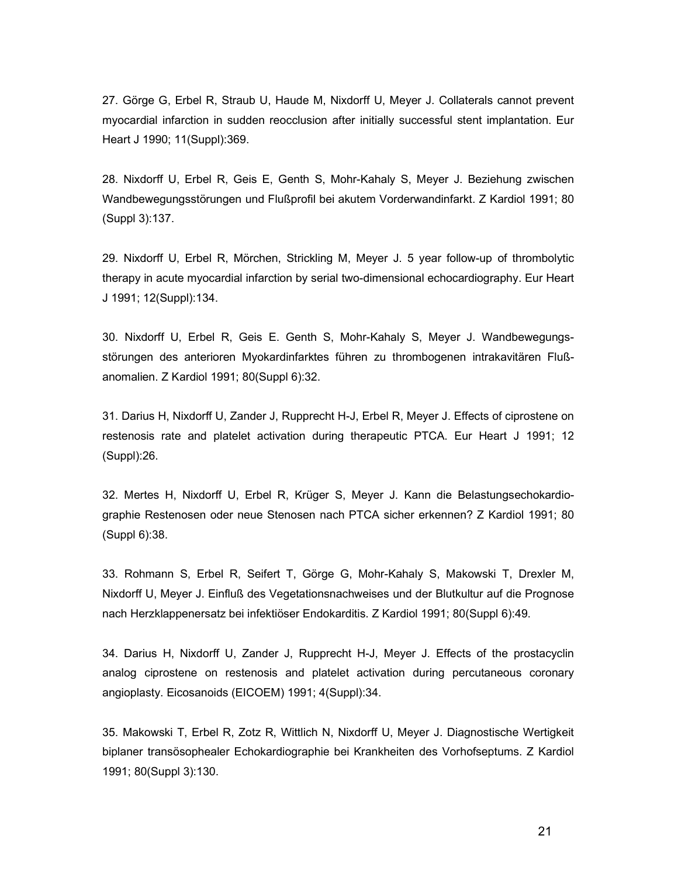27. Görge G, Erbel R, Straub U, Haude M, Nixdorff U, Meyer J. Collaterals cannot prevent myocardial infarction in sudden reocclusion after initially successful stent implantation. Eur Heart J 1990; 11(Suppl):369.

28. Nixdorff U, Erbel R, Geis E, Genth S, Mohr-Kahaly S, Meyer J. Beziehung zwischen Wandbewegungsstörungen und Flußprofil bei akutem Vorderwandinfarkt. Z Kardiol 1991; 80 (Suppl 3):137.

29. Nixdorff U, Erbel R, Mörchen, Strickling M, Meyer J. 5 year follow-up of thrombolytic therapy in acute myocardial infarction by serial two-dimensional echocardiography. Eur Heart J 1991; 12(Suppl):134.

30. Nixdorff U, Erbel R, Geis E. Genth S, Mohr-Kahaly S, Meyer J. Wandbewegungsstörungen des anterioren Myokardinfarktes führen zu thrombogenen intrakavitären Flußanomalien. Z Kardiol 1991; 80(Suppl 6):32.

31. Darius H, Nixdorff U, Zander J, Rupprecht H-J, Erbel R, Meyer J. Effects of ciprostene on restenosis rate and platelet activation during therapeutic PTCA. Eur Heart J 1991; 12 (Suppl):26.

32. Mertes H, Nixdorff U, Erbel R, Krüger S, Meyer J. Kann die Belastungsechokardiographie Restenosen oder neue Stenosen nach PTCA sicher erkennen? Z Kardiol 1991; 80 (Suppl 6):38.

33. Rohmann S, Erbel R, Seifert T, Görge G, Mohr-Kahaly S, Makowski T, Drexler M, Nixdorff U, Meyer J. Einfluß des Vegetationsnachweises und der Blutkultur auf die Prognose nach Herzklappenersatz bei infektiöser Endokarditis. Z Kardiol 1991; 80(Suppl 6):49.

34. Darius H, Nixdorff U, Zander J, Rupprecht H-J, Meyer J. Effects of the prostacyclin analog ciprostene on restenosis and platelet activation during percutaneous coronary angioplasty. Eicosanoids (EICOEM) 1991; 4(Suppl):34.

35. Makowski T, Erbel R, Zotz R, Wittlich N, Nixdorff U, Meyer J. Diagnostische Wertigkeit biplaner transösophealer Echokardiographie bei Krankheiten des Vorhofseptums. Z Kardiol 1991; 80(Suppl 3):130.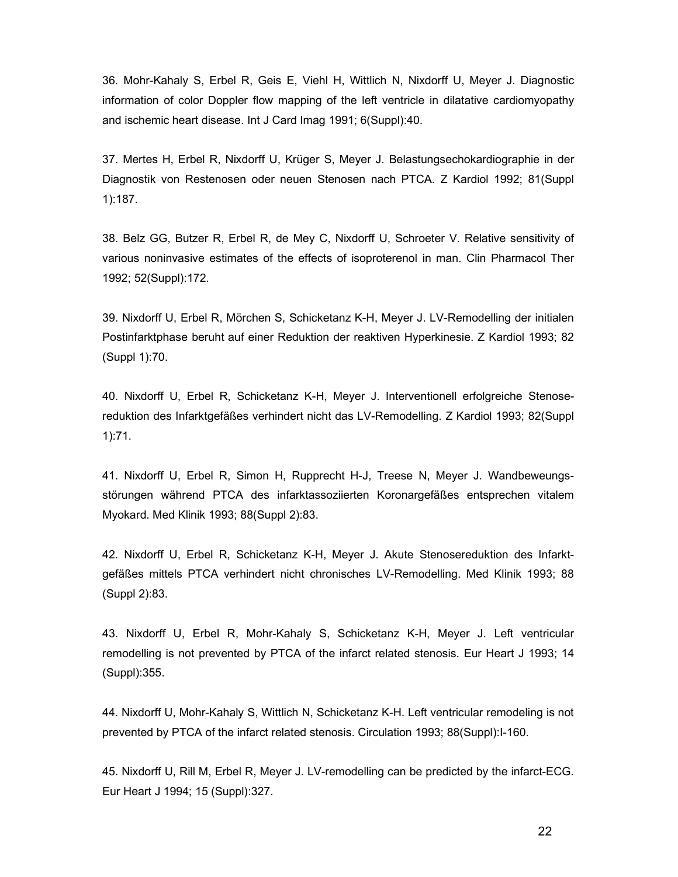36. Mohr-Kahaly S, Erbel R, Geis E, Viehl H, Wittlich N, Nixdorff U, Meyer J. Diagnostic information of color Doppler flow mapping of the left ventricle in dilatative cardiomyopathy and ischemic heart disease. Int J Card Imag 1991; 6(Suppl):40.

37. Mertes H, Erbel R, Nixdorff U, Krüger S, Meyer J. Belastungsechokardiographie in der Diagnostik von Restenosen oder neuen Stenosen nach PTCA. Z Kardiol 1992; 81(Suppl 1):187.

38. Belz GG, Butzer R, Erbel R, de Mey C, Nixdorff U, Schroeter V. Relative sensitivity of various noninvasive estimates of the effects of isoproterenol in man. Clin Pharmacol Ther 1992; 52(Suppl):172.

39. Nixdorff U, Erbel R, Mörchen S, Schicketanz K-H, Meyer J. LV-Remodelling der initialen Postinfarktphase beruht auf einer Reduktion der reaktiven Hyperkinesie. Z Kardiol 1993; 82 (Suppl 1):70.

40. Nixdorff U, Erbel R, Schicketanz K-H, Meyer J. Interventionell erfolgreiche Stenosereduktion des Infarktgefäßes verhindert nicht das LV-Remodelling. Z Kardiol 1993; 82(Suppl 1):71.

41. Nixdorff U, Erbel R, Simon H, Rupprecht H-J, Treese N, Meyer J. Wandbeweungsstörungen während PTCA des infarktassoziierten Koronargefäßes entsprechen vitalem Myokard. Med Klinik 1993; 88(Suppl 2):83.

42. Nixdorff U, Erbel R, Schicketanz K-H, Meyer J. Akute Stenosereduktion des Infarktgefäßes mittels PTCA verhindert nicht chronisches LV-Remodelling. Med Klinik 1993; 88 (Suppl 2):83.

43. Nixdorff U, Erbel R, Mohr-Kahaly S, Schicketanz K-H, Meyer J. Left ventricular remodelling is not prevented by PTCA of the infarct related stenosis. Eur Heart J 1993; 14 (Suppl):355.

44. Nixdorff U, Mohr-Kahaly S, Wittlich N, Schicketanz K-H. Left ventricular remodeling is not prevented by PTCA of the infarct related stenosis. Circulation 1993; 88(Suppl):I-160.

45. Nixdorff U, Rill M, Erbel R, Meyer J. LV-remodelling can be predicted by the infarct-ECG. Eur Heart J 1994; 15 (Suppl):327.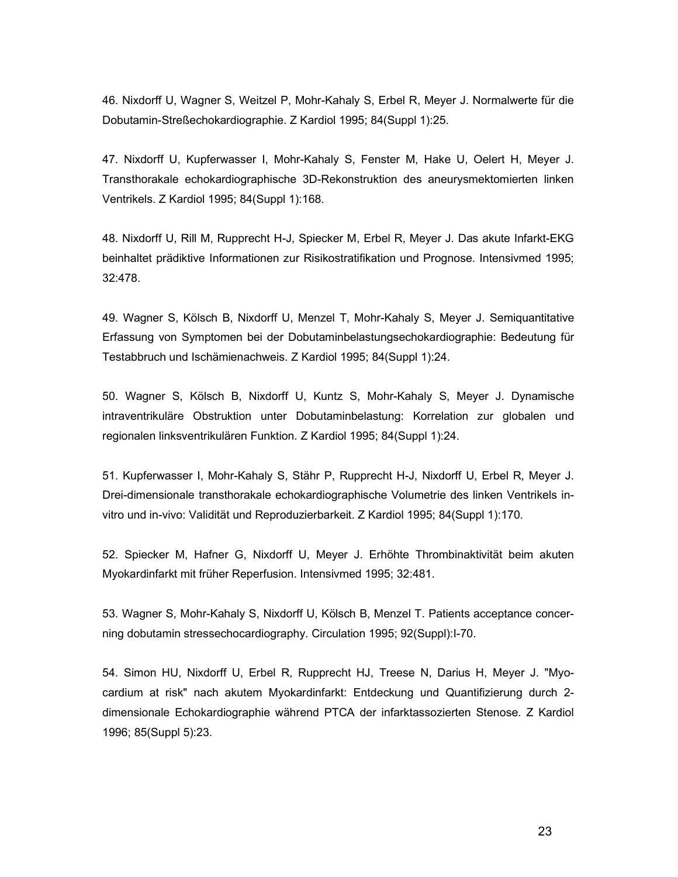46. Nixdorff U, Wagner S, Weitzel P, Mohr-Kahaly S, Erbel R, Meyer J. Normalwerte für die Dobutamin-Streßechokardiographie. Z Kardiol 1995; 84(Suppl 1):25.

47. Nixdorff U, Kupferwasser I, Mohr-Kahaly S, Fenster M, Hake U, Oelert H, Meyer J. Transthorakale echokardiographische 3D-Rekonstruktion des aneurysmektomierten linken Ventrikels. Z Kardiol 1995; 84(Suppl 1):168.

48. Nixdorff U, Rill M, Rupprecht H-J, Spiecker M, Erbel R, Meyer J. Das akute Infarkt-EKG beinhaltet prädiktive Informationen zur Risikostratifikation und Prognose. Intensivmed 1995; 32:478.

49. Wagner S, Kölsch B, Nixdorff U, Menzel T, Mohr-Kahaly S, Meyer J. Semiquantitative Erfassung von Symptomen bei der Dobutaminbelastungsechokardiographie: Bedeutung für Testabbruch und Ischämienachweis. Z Kardiol 1995; 84(Suppl 1):24.

50. Wagner S, Kölsch B, Nixdorff U, Kuntz S, Mohr-Kahaly S, Meyer J. Dynamische intraventrikuläre Obstruktion unter Dobutaminbelastung: Korrelation zur globalen und regionalen linksventrikulären Funktion. Z Kardiol 1995; 84(Suppl 1):24.

51. Kupferwasser I, Mohr-Kahaly S, Stähr P, Rupprecht H-J, Nixdorff U, Erbel R, Meyer J. Drei-dimensionale transthorakale echokardiographische Volumetrie des linken Ventrikels invitro und in-vivo: Validität und Reproduzierbarkeit. Z Kardiol 1995; 84(Suppl 1):170.

52. Spiecker M, Hafner G, Nixdorff U, Meyer J. Erhöhte Thrombinaktivität beim akuten Myokardinfarkt mit früher Reperfusion. Intensivmed 1995; 32:481.

53. Wagner S, Mohr-Kahaly S, Nixdorff U, Kölsch B, Menzel T. Patients acceptance concerning dobutamin stressechocardiography. Circulation 1995; 92(Suppl):I-70.

54. Simon HU, Nixdorff U, Erbel R, Rupprecht HJ, Treese N, Darius H, Meyer J. "Myocardium at risk" nach akutem Myokardinfarkt: Entdeckung und Quantifizierung durch 2 dimensionale Echokardiographie während PTCA der infarktassozierten Stenose. Z Kardiol 1996; 85(Suppl 5):23.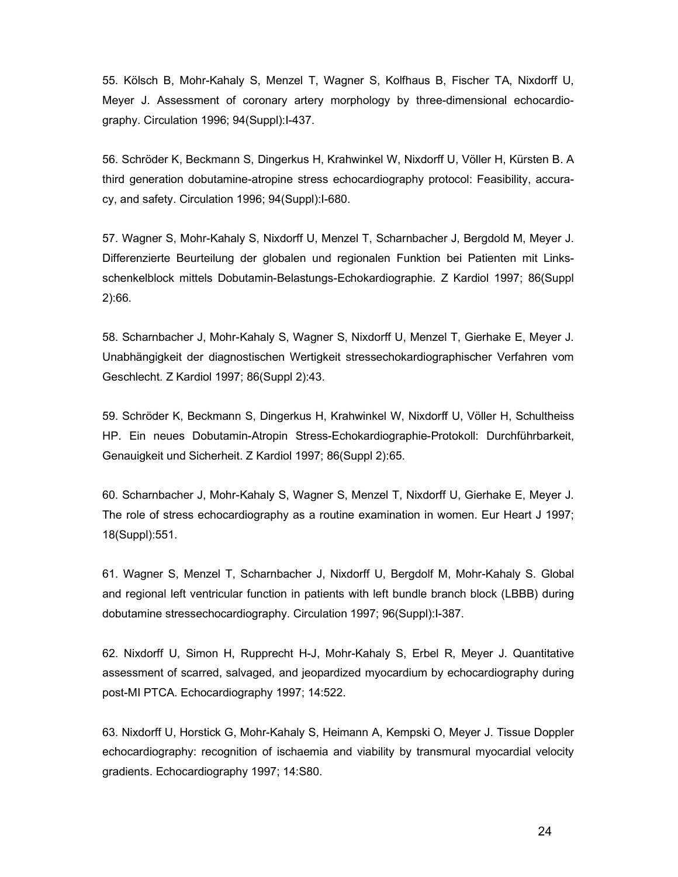55. Kölsch B, Mohr-Kahaly S, Menzel T, Wagner S, Kolfhaus B, Fischer TA, Nixdorff U, Meyer J. Assessment of coronary artery morphology by three-dimensional echocardiography. Circulation 1996; 94(Suppl):I-437.

56. Schröder K, Beckmann S, Dingerkus H, Krahwinkel W, Nixdorff U, Völler H, Kürsten B. A third generation dobutamine-atropine stress echocardiography protocol: Feasibility, accuracy, and safety. Circulation 1996; 94(Suppl):I-680.

57. Wagner S, Mohr-Kahaly S, Nixdorff U, Menzel T, Scharnbacher J, Bergdold M, Meyer J. Differenzierte Beurteilung der globalen und regionalen Funktion bei Patienten mit Linksschenkelblock mittels Dobutamin-Belastungs-Echokardiographie. Z Kardiol 1997; 86(Suppl 2):66.

58. Scharnbacher J, Mohr-Kahaly S, Wagner S, Nixdorff U, Menzel T, Gierhake E, Meyer J. Unabhängigkeit der diagnostischen Wertigkeit stressechokardiographischer Verfahren vom Geschlecht. Z Kardiol 1997; 86(Suppl 2):43.

59. Schröder K, Beckmann S, Dingerkus H, Krahwinkel W, Nixdorff U, Völler H, Schultheiss HP. Ein neues Dobutamin-Atropin Stress-Echokardiographie-Protokoll: Durchführbarkeit, Genauigkeit und Sicherheit. Z Kardiol 1997; 86(Suppl 2):65.

60. Scharnbacher J, Mohr-Kahaly S, Wagner S, Menzel T, Nixdorff U, Gierhake E, Meyer J. The role of stress echocardiography as a routine examination in women. Eur Heart J 1997; 18(Suppl):551.

61. Wagner S, Menzel T, Scharnbacher J, Nixdorff U, Bergdolf M, Mohr-Kahaly S. Global and regional left ventricular function in patients with left bundle branch block (LBBB) during dobutamine stressechocardiography. Circulation 1997; 96(Suppl):I-387.

62. Nixdorff U, Simon H, Rupprecht H-J, Mohr-Kahaly S, Erbel R, Meyer J. Quantitative assessment of scarred, salvaged, and jeopardized myocardium by echocardiography during post-MI PTCA. Echocardiography 1997; 14:522.

63. Nixdorff U, Horstick G, Mohr-Kahaly S, Heimann A, Kempski O, Meyer J. Tissue Doppler echocardiography: recognition of ischaemia and viability by transmural myocardial velocity gradients. Echocardiography 1997; 14:S80.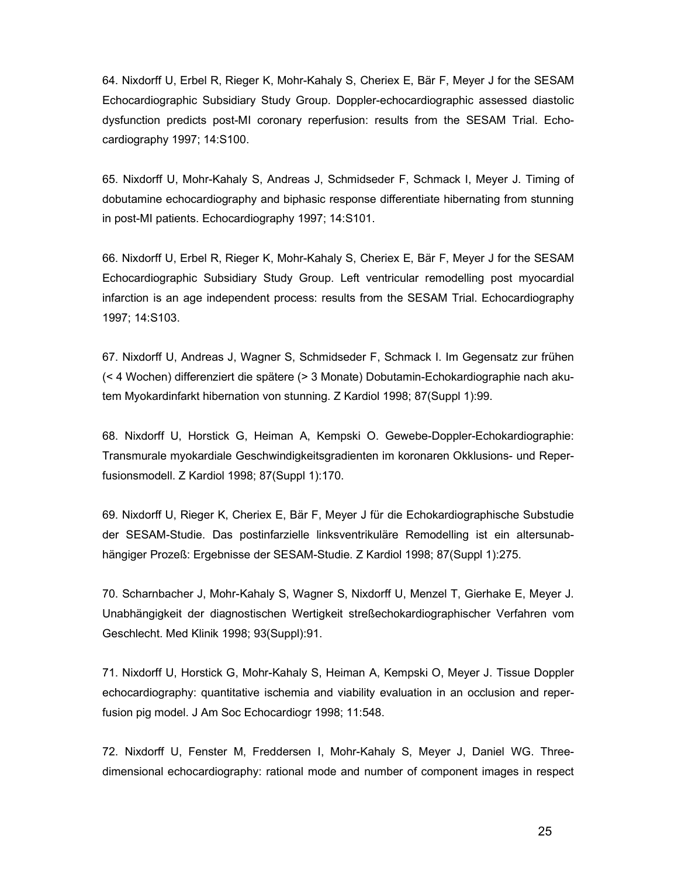64. Nixdorff U, Erbel R, Rieger K, Mohr-Kahaly S, Cheriex E, Bär F, Meyer J for the SESAM Echocardiographic Subsidiary Study Group. Doppler-echocardiographic assessed diastolic dysfunction predicts post-MI coronary reperfusion: results from the SESAM Trial. Echocardiography 1997; 14:S100.

65. Nixdorff U, Mohr-Kahaly S, Andreas J, Schmidseder F, Schmack I, Meyer J. Timing of dobutamine echocardiography and biphasic response differentiate hibernating from stunning in post-MI patients. Echocardiography 1997; 14:S101.

66. Nixdorff U, Erbel R, Rieger K, Mohr-Kahaly S, Cheriex E, Bär F, Meyer J for the SESAM Echocardiographic Subsidiary Study Group. Left ventricular remodelling post myocardial infarction is an age independent process: results from the SESAM Trial. Echocardiography 1997; 14:S103.

67. Nixdorff U, Andreas J, Wagner S, Schmidseder F, Schmack I. Im Gegensatz zur frühen (< 4 Wochen) differenziert die spätere (> 3 Monate) Dobutamin-Echokardiographie nach akutem Myokardinfarkt hibernation von stunning. Z Kardiol 1998; 87(Suppl 1):99.

68. Nixdorff U, Horstick G, Heiman A, Kempski O. Gewebe-Doppler-Echokardiographie: Transmurale myokardiale Geschwindigkeitsgradienten im koronaren Okklusions- und Reperfusionsmodell. Z Kardiol 1998; 87(Suppl 1):170.

69. Nixdorff U, Rieger K, Cheriex E, Bär F, Meyer J für die Echokardiographische Substudie der SESAM-Studie. Das postinfarzielle linksventrikuläre Remodelling ist ein altersunabhängiger Prozeß: Ergebnisse der SESAM-Studie. Z Kardiol 1998; 87(Suppl 1):275.

70. Scharnbacher J, Mohr-Kahaly S, Wagner S, Nixdorff U, Menzel T, Gierhake E, Meyer J. Unabhängigkeit der diagnostischen Wertigkeit streßechokardiographischer Verfahren vom Geschlecht. Med Klinik 1998; 93(Suppl):91.

71. Nixdorff U, Horstick G, Mohr-Kahaly S, Heiman A, Kempski O, Meyer J. Tissue Doppler echocardiography: quantitative ischemia and viability evaluation in an occlusion and reperfusion pig model. J Am Soc Echocardiogr 1998; 11:548.

72. Nixdorff U, Fenster M, Freddersen I, Mohr-Kahaly S, Meyer J, Daniel WG. Threedimensional echocardiography: rational mode and number of component images in respect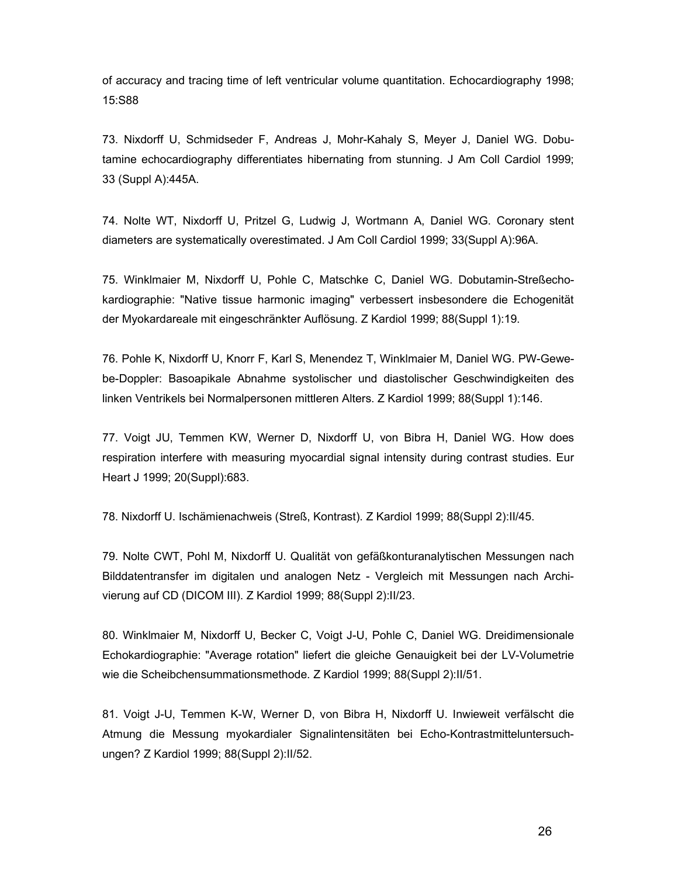of accuracy and tracing time of left ventricular volume quantitation. Echocardiography 1998; 15:S88

73. Nixdorff U, Schmidseder F, Andreas J, Mohr-Kahaly S, Meyer J, Daniel WG. Dobutamine echocardiography differentiates hibernating from stunning. J Am Coll Cardiol 1999; 33 (Suppl A):445A.

74. Nolte WT, Nixdorff U, Pritzel G, Ludwig J, Wortmann A, Daniel WG. Coronary stent diameters are systematically overestimated. J Am Coll Cardiol 1999; 33(Suppl A):96A.

75. Winklmaier M, Nixdorff U, Pohle C, Matschke C, Daniel WG. Dobutamin-Streßechokardiographie: "Native tissue harmonic imaging" verbessert insbesondere die Echogenität der Myokardareale mit eingeschränkter Auflösung. Z Kardiol 1999; 88(Suppl 1):19.

76. Pohle K, Nixdorff U, Knorr F, Karl S, Menendez T, Winklmaier M, Daniel WG. PW-Gewebe-Doppler: Basoapikale Abnahme systolischer und diastolischer Geschwindigkeiten des linken Ventrikels bei Normalpersonen mittleren Alters. Z Kardiol 1999; 88(Suppl 1):146.

77. Voigt JU, Temmen KW, Werner D, Nixdorff U, von Bibra H, Daniel WG. How does respiration interfere with measuring myocardial signal intensity during contrast studies. Eur Heart J 1999; 20(Suppl):683.

78. Nixdorff U. Ischämienachweis (Streß, Kontrast). Z Kardiol 1999; 88(Suppl 2):II/45.

79. Nolte CWT, Pohl M, Nixdorff U. Qualität von gefäßkonturanalytischen Messungen nach Bilddatentransfer im digitalen und analogen Netz - Vergleich mit Messungen nach Archivierung auf CD (DICOM III). Z Kardiol 1999; 88(Suppl 2):II/23.

80. Winklmaier M, Nixdorff U, Becker C, Voigt J-U, Pohle C, Daniel WG. Dreidimensionale Echokardiographie: "Average rotation" liefert die gleiche Genauigkeit bei der LV-Volumetrie wie die Scheibchensummationsmethode. Z Kardiol 1999; 88(Suppl 2):II/51.

81. Voigt J-U, Temmen K-W, Werner D, von Bibra H, Nixdorff U. Inwieweit verfälscht die Atmung die Messung myokardialer Signalintensitäten bei Echo-Kontrastmitteluntersuchungen? Z Kardiol 1999; 88(Suppl 2):II/52.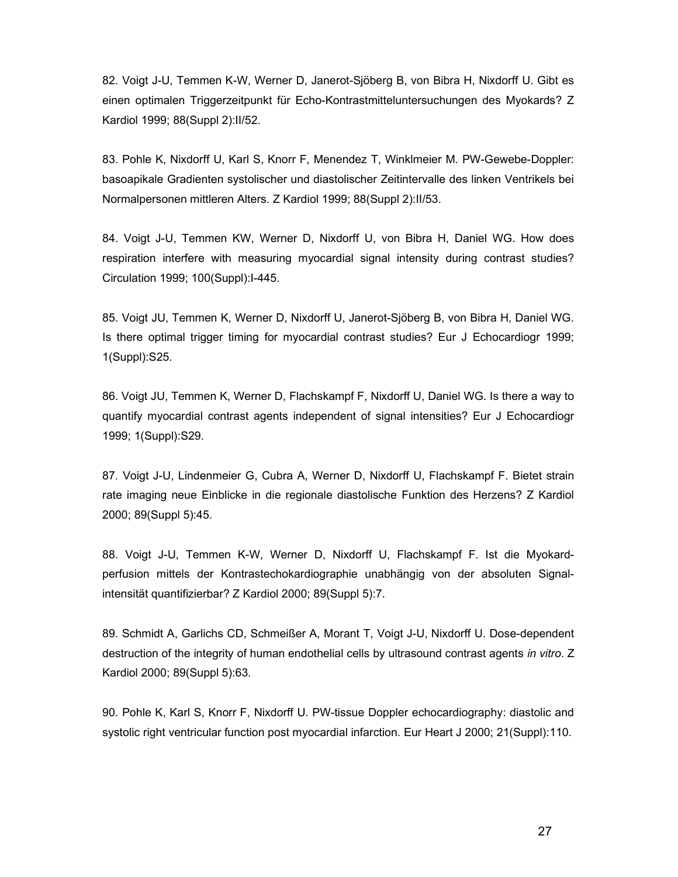82. Voigt J-U, Temmen K-W, Werner D, Janerot-Sjöberg B, von Bibra H, Nixdorff U. Gibt es einen optimalen Triggerzeitpunkt für Echo-Kontrastmitteluntersuchungen des Myokards? Z Kardiol 1999; 88(Suppl 2):II/52.

83. Pohle K, Nixdorff U, Karl S, Knorr F, Menendez T, Winklmeier M. PW-Gewebe-Doppler: basoapikale Gradienten systolischer und diastolischer Zeitintervalle des linken Ventrikels bei Normalpersonen mittleren Alters. Z Kardiol 1999; 88(Suppl 2):II/53.

84. Voigt J-U, Temmen KW, Werner D, Nixdorff U, von Bibra H, Daniel WG. How does respiration interfere with measuring myocardial signal intensity during contrast studies? Circulation 1999; 100(Suppl):I-445.

85. Voigt JU, Temmen K, Werner D, Nixdorff U, Janerot-Sjöberg B, von Bibra H, Daniel WG. Is there optimal trigger timing for myocardial contrast studies? Eur J Echocardiogr 1999; 1(Suppl):S25.

86. Voigt JU, Temmen K, Werner D, Flachskampf F, Nixdorff U, Daniel WG. Is there a way to quantify myocardial contrast agents independent of signal intensities? Eur J Echocardiogr 1999; 1(Suppl):S29.

87. Voigt J-U, Lindenmeier G, Cubra A, Werner D, Nixdorff U, Flachskampf F. Bietet strain rate imaging neue Einblicke in die regionale diastolische Funktion des Herzens? Z Kardiol 2000; 89(Suppl 5):45.

88. Voigt J-U, Temmen K-W, Werner D, Nixdorff U, Flachskampf F. Ist die Myokardperfusion mittels der Kontrastechokardiographie unabhängig von der absoluten Signalintensität quantifizierbar? Z Kardiol 2000; 89(Suppl 5):7.

89. Schmidt A, Garlichs CD, Schmeißer A, Morant T, Voigt J-U, Nixdorff U. Dose-dependent destruction of the integrity of human endothelial cells by ultrasound contrast agents in vitro. Z Kardiol 2000; 89(Suppl 5):63.

90. Pohle K, Karl S, Knorr F, Nixdorff U. PW-tissue Doppler echocardiography: diastolic and systolic right ventricular function post myocardial infarction. Eur Heart J 2000; 21(Suppl):110.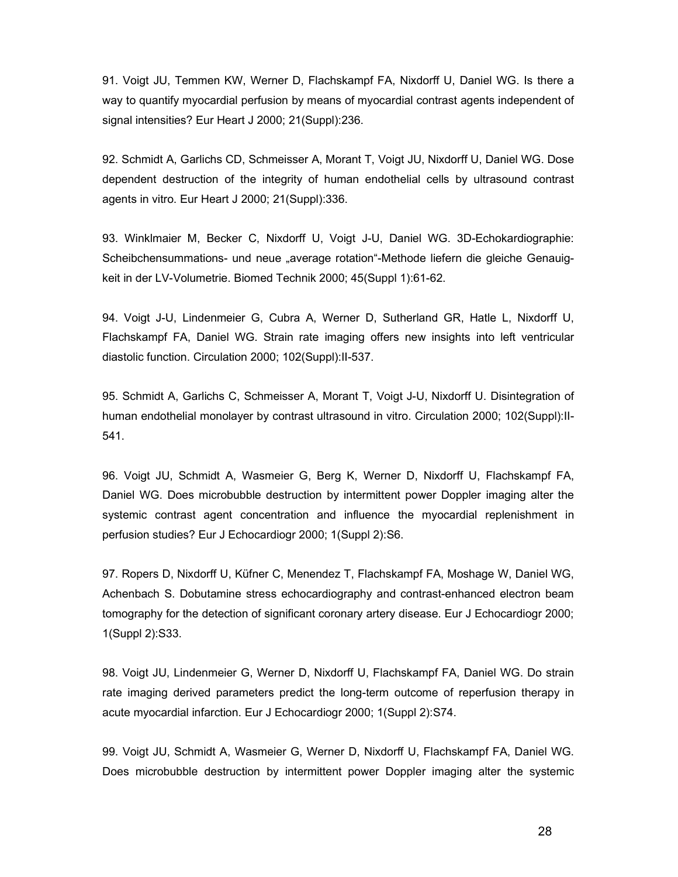91. Voigt JU, Temmen KW, Werner D, Flachskampf FA, Nixdorff U, Daniel WG. Is there a way to quantify myocardial perfusion by means of myocardial contrast agents independent of signal intensities? Eur Heart J 2000; 21(Suppl):236.

92. Schmidt A, Garlichs CD, Schmeisser A, Morant T, Voigt JU, Nixdorff U, Daniel WG. Dose dependent destruction of the integrity of human endothelial cells by ultrasound contrast agents in vitro. Eur Heart J 2000; 21(Suppl):336.

93. Winklmaier M, Becker C, Nixdorff U, Voigt J-U, Daniel WG. 3D-Echokardiographie: Scheibchensummations- und neue "average rotation"-Methode liefern die gleiche Genauigkeit in der LV-Volumetrie. Biomed Technik 2000; 45(Suppl 1):61-62.

94. Voigt J-U, Lindenmeier G, Cubra A, Werner D, Sutherland GR, Hatle L, Nixdorff U, Flachskampf FA, Daniel WG. Strain rate imaging offers new insights into left ventricular diastolic function. Circulation 2000; 102(Suppl):II-537.

95. Schmidt A, Garlichs C, Schmeisser A, Morant T, Voigt J-U, Nixdorff U. Disintegration of human endothelial monolayer by contrast ultrasound in vitro. Circulation 2000; 102(Suppl):II-541.

96. Voigt JU, Schmidt A, Wasmeier G, Berg K, Werner D, Nixdorff U, Flachskampf FA, Daniel WG. Does microbubble destruction by intermittent power Doppler imaging alter the systemic contrast agent concentration and influence the myocardial replenishment in perfusion studies? Eur J Echocardiogr 2000; 1(Suppl 2):S6.

97. Ropers D, Nixdorff U, Küfner C, Menendez T, Flachskampf FA, Moshage W, Daniel WG, Achenbach S. Dobutamine stress echocardiography and contrast-enhanced electron beam tomography for the detection of significant coronary artery disease. Eur J Echocardiogr 2000; 1(Suppl 2):S33.

98. Voigt JU, Lindenmeier G, Werner D, Nixdorff U, Flachskampf FA, Daniel WG. Do strain rate imaging derived parameters predict the long-term outcome of reperfusion therapy in acute myocardial infarction. Eur J Echocardiogr 2000; 1(Suppl 2):S74.

99. Voigt JU, Schmidt A, Wasmeier G, Werner D, Nixdorff U, Flachskampf FA, Daniel WG. Does microbubble destruction by intermittent power Doppler imaging alter the systemic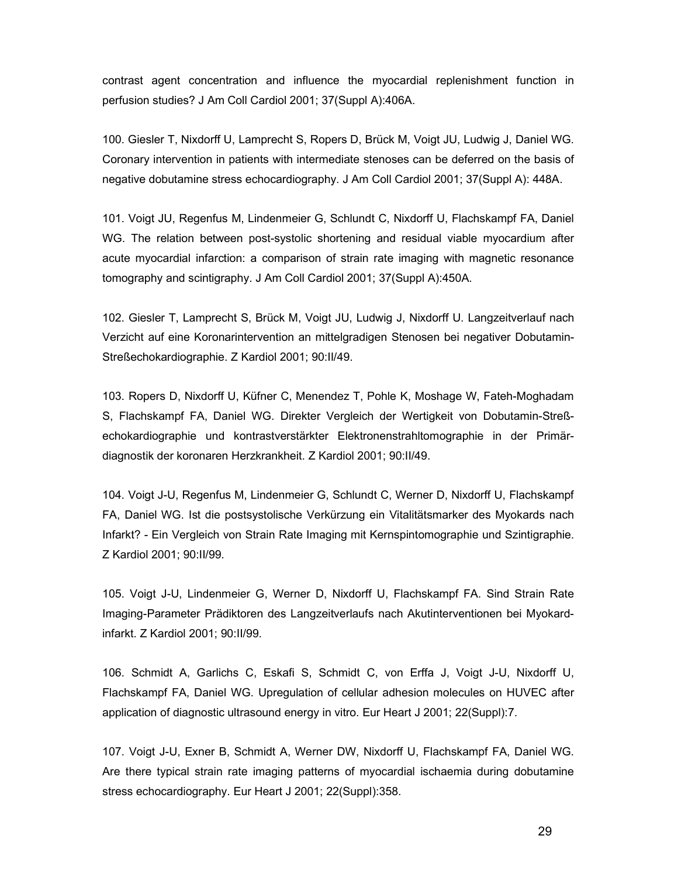contrast agent concentration and influence the myocardial replenishment function in perfusion studies? J Am Coll Cardiol 2001; 37(Suppl A):406A.

100. Giesler T, Nixdorff U, Lamprecht S, Ropers D, Brück M, Voigt JU, Ludwig J, Daniel WG. Coronary intervention in patients with intermediate stenoses can be deferred on the basis of negative dobutamine stress echocardiography. J Am Coll Cardiol 2001; 37(Suppl A): 448A.

101. Voigt JU, Regenfus M, Lindenmeier G, Schlundt C, Nixdorff U, Flachskampf FA, Daniel WG. The relation between post-systolic shortening and residual viable myocardium after acute myocardial infarction: a comparison of strain rate imaging with magnetic resonance tomography and scintigraphy. J Am Coll Cardiol 2001; 37(Suppl A):450A.

102. Giesler T, Lamprecht S, Brück M, Voigt JU, Ludwig J, Nixdorff U. Langzeitverlauf nach Verzicht auf eine Koronarintervention an mittelgradigen Stenosen bei negativer Dobutamin-Streßechokardiographie. Z Kardiol 2001; 90:II/49.

103. Ropers D, Nixdorff U, Küfner C, Menendez T, Pohle K, Moshage W, Fateh-Moghadam S, Flachskampf FA, Daniel WG. Direkter Vergleich der Wertigkeit von Dobutamin-Streßechokardiographie und kontrastverstärkter Elektronenstrahltomographie in der Primärdiagnostik der koronaren Herzkrankheit. Z Kardiol 2001; 90:II/49.

104. Voigt J-U, Regenfus M, Lindenmeier G, Schlundt C, Werner D, Nixdorff U, Flachskampf FA, Daniel WG. Ist die postsystolische Verkürzung ein Vitalitätsmarker des Myokards nach Infarkt? - Ein Vergleich von Strain Rate Imaging mit Kernspintomographie und Szintigraphie. Z Kardiol 2001; 90:II/99.

105. Voigt J-U, Lindenmeier G, Werner D, Nixdorff U, Flachskampf FA. Sind Strain Rate Imaging-Parameter Prädiktoren des Langzeitverlaufs nach Akutinterventionen bei Myokardinfarkt. Z Kardiol 2001; 90:II/99.

106. Schmidt A, Garlichs C, Eskafi S, Schmidt C, von Erffa J, Voigt J-U, Nixdorff U, Flachskampf FA, Daniel WG. Upregulation of cellular adhesion molecules on HUVEC after application of diagnostic ultrasound energy in vitro. Eur Heart J 2001; 22(Suppl):7.

107. Voigt J-U, Exner B, Schmidt A, Werner DW, Nixdorff U, Flachskampf FA, Daniel WG. Are there typical strain rate imaging patterns of myocardial ischaemia during dobutamine stress echocardiography. Eur Heart J 2001; 22(Suppl):358.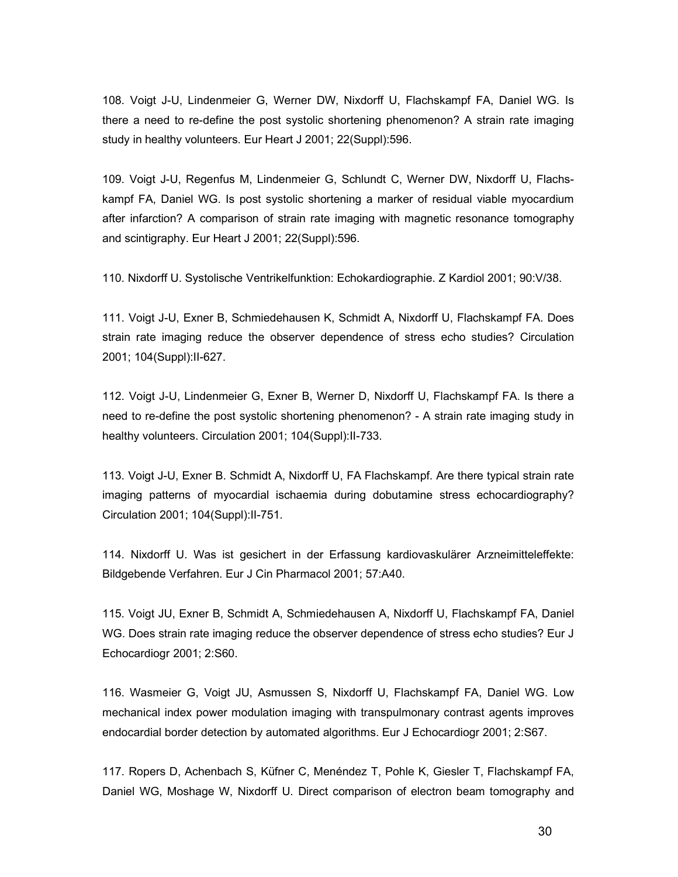108. Voigt J-U, Lindenmeier G, Werner DW, Nixdorff U, Flachskampf FA, Daniel WG. Is there a need to re-define the post systolic shortening phenomenon? A strain rate imaging study in healthy volunteers. Eur Heart J 2001; 22(Suppl):596.

109. Voigt J-U, Regenfus M, Lindenmeier G, Schlundt C, Werner DW, Nixdorff U, Flachskampf FA, Daniel WG. Is post systolic shortening a marker of residual viable myocardium after infarction? A comparison of strain rate imaging with magnetic resonance tomography and scintigraphy. Eur Heart J 2001; 22(Suppl):596.

110. Nixdorff U. Systolische Ventrikelfunktion: Echokardiographie. Z Kardiol 2001; 90:V/38.

111. Voigt J-U, Exner B, Schmiedehausen K, Schmidt A, Nixdorff U, Flachskampf FA. Does strain rate imaging reduce the observer dependence of stress echo studies? Circulation 2001; 104(Suppl):II-627.

112. Voigt J-U, Lindenmeier G, Exner B, Werner D, Nixdorff U, Flachskampf FA. Is there a need to re-define the post systolic shortening phenomenon? - A strain rate imaging study in healthy volunteers. Circulation 2001; 104(Suppl):II-733.

113. Voigt J-U, Exner B. Schmidt A, Nixdorff U, FA Flachskampf. Are there typical strain rate imaging patterns of myocardial ischaemia during dobutamine stress echocardiography? Circulation 2001; 104(Suppl):II-751.

114. Nixdorff U. Was ist gesichert in der Erfassung kardiovaskulärer Arzneimitteleffekte: Bildgebende Verfahren. Eur J Cin Pharmacol 2001; 57:A40.

115. Voigt JU, Exner B, Schmidt A, Schmiedehausen A, Nixdorff U, Flachskampf FA, Daniel WG. Does strain rate imaging reduce the observer dependence of stress echo studies? Eur J Echocardiogr 2001; 2:S60.

116. Wasmeier G, Voigt JU, Asmussen S, Nixdorff U, Flachskampf FA, Daniel WG. Low mechanical index power modulation imaging with transpulmonary contrast agents improves endocardial border detection by automated algorithms. Eur J Echocardiogr 2001; 2:S67.

117. Ropers D, Achenbach S, Küfner C, Menéndez T, Pohle K, Giesler T, Flachskampf FA, Daniel WG, Moshage W, Nixdorff U. Direct comparison of electron beam tomography and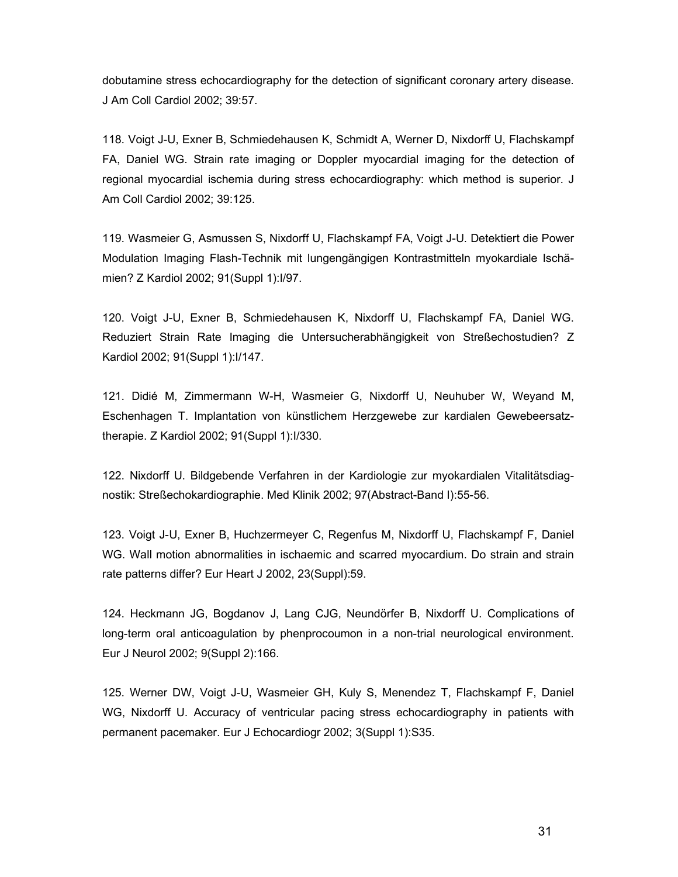dobutamine stress echocardiography for the detection of significant coronary artery disease. J Am Coll Cardiol 2002; 39:57.

118. Voigt J-U, Exner B, Schmiedehausen K, Schmidt A, Werner D, Nixdorff U, Flachskampf FA, Daniel WG. Strain rate imaging or Doppler myocardial imaging for the detection of regional myocardial ischemia during stress echocardiography: which method is superior. J Am Coll Cardiol 2002; 39:125.

119. Wasmeier G, Asmussen S, Nixdorff U, Flachskampf FA, Voigt J-U. Detektiert die Power Modulation Imaging Flash-Technik mit lungengängigen Kontrastmitteln myokardiale Ischämien? Z Kardiol 2002; 91(Suppl 1):I/97.

120. Voigt J-U, Exner B, Schmiedehausen K, Nixdorff U, Flachskampf FA, Daniel WG. Reduziert Strain Rate Imaging die Untersucherabhängigkeit von Streßechostudien? Z Kardiol 2002; 91(Suppl 1):I/147.

121. Didié M, Zimmermann W-H, Wasmeier G, Nixdorff U, Neuhuber W, Weyand M, Eschenhagen T. Implantation von künstlichem Herzgewebe zur kardialen Gewebeersatztherapie. Z Kardiol 2002; 91(Suppl 1):I/330.

122. Nixdorff U. Bildgebende Verfahren in der Kardiologie zur myokardialen Vitalitätsdiagnostik: Streßechokardiographie. Med Klinik 2002; 97(Abstract-Band I):55-56.

123. Voigt J-U, Exner B, Huchzermeyer C, Regenfus M, Nixdorff U, Flachskampf F, Daniel WG. Wall motion abnormalities in ischaemic and scarred myocardium. Do strain and strain rate patterns differ? Eur Heart J 2002, 23(Suppl):59.

124. Heckmann JG, Bogdanov J, Lang CJG, Neundörfer B, Nixdorff U. Complications of long-term oral anticoagulation by phenprocoumon in a non-trial neurological environment. Eur J Neurol 2002; 9(Suppl 2):166.

125. Werner DW, Voigt J-U, Wasmeier GH, Kuly S, Menendez T, Flachskampf F, Daniel WG, Nixdorff U. Accuracy of ventricular pacing stress echocardiography in patients with permanent pacemaker. Eur J Echocardiogr 2002; 3(Suppl 1):S35.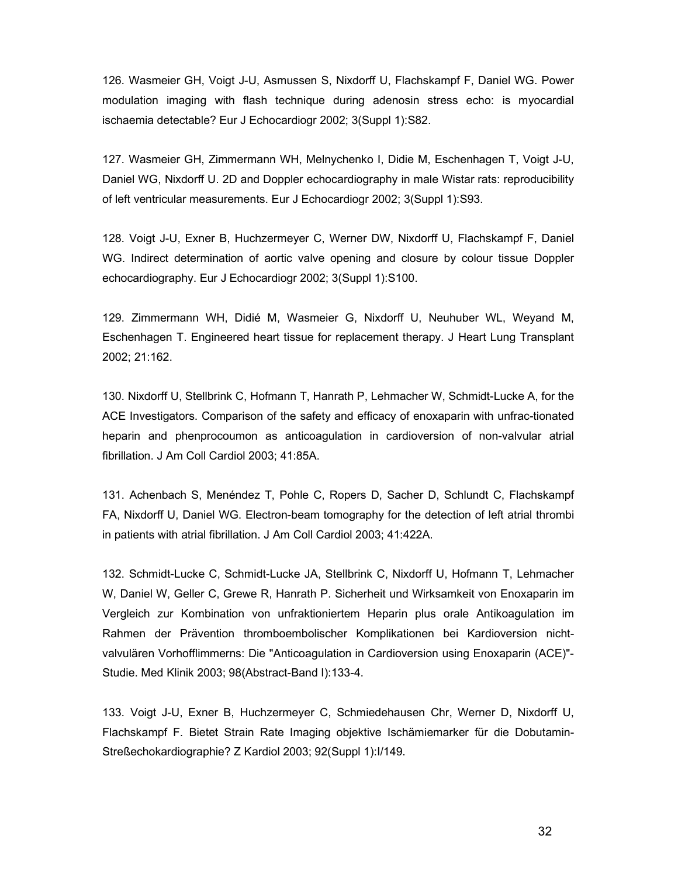126. Wasmeier GH, Voigt J-U, Asmussen S, Nixdorff U, Flachskampf F, Daniel WG. Power modulation imaging with flash technique during adenosin stress echo: is myocardial ischaemia detectable? Eur J Echocardiogr 2002; 3(Suppl 1):S82.

127. Wasmeier GH, Zimmermann WH, Melnychenko I, Didie M, Eschenhagen T, Voigt J-U, Daniel WG, Nixdorff U. 2D and Doppler echocardiography in male Wistar rats: reproducibility of left ventricular measurements. Eur J Echocardiogr 2002; 3(Suppl 1):S93.

128. Voigt J-U, Exner B, Huchzermeyer C, Werner DW, Nixdorff U, Flachskampf F, Daniel WG. Indirect determination of aortic valve opening and closure by colour tissue Doppler echocardiography. Eur J Echocardiogr 2002; 3(Suppl 1):S100.

129. Zimmermann WH, Didié M, Wasmeier G, Nixdorff U, Neuhuber WL, Weyand M, Eschenhagen T. Engineered heart tissue for replacement therapy. J Heart Lung Transplant 2002; 21:162.

130. Nixdorff U, Stellbrink C, Hofmann T, Hanrath P, Lehmacher W, Schmidt-Lucke A, for the ACE Investigators. Comparison of the safety and efficacy of enoxaparin with unfrac-tionated heparin and phenprocoumon as anticoagulation in cardioversion of non-valvular atrial fibrillation. J Am Coll Cardiol 2003; 41:85A.

131. Achenbach S, Menéndez T, Pohle C, Ropers D, Sacher D, Schlundt C, Flachskampf FA, Nixdorff U, Daniel WG. Electron-beam tomography for the detection of left atrial thrombi in patients with atrial fibrillation. J Am Coll Cardiol 2003; 41:422A.

132. Schmidt-Lucke C, Schmidt-Lucke JA, Stellbrink C, Nixdorff U, Hofmann T, Lehmacher W, Daniel W, Geller C, Grewe R, Hanrath P. Sicherheit und Wirksamkeit von Enoxaparin im Vergleich zur Kombination von unfraktioniertem Heparin plus orale Antikoagulation im Rahmen der Prävention thromboembolischer Komplikationen bei Kardioversion nichtvalvulären Vorhofflimmerns: Die "Anticoagulation in Cardioversion using Enoxaparin (ACE)"- Studie. Med Klinik 2003; 98(Abstract-Band I):133-4.

133. Voigt J-U, Exner B, Huchzermeyer C, Schmiedehausen Chr, Werner D, Nixdorff U, Flachskampf F. Bietet Strain Rate Imaging objektive Ischämiemarker für die Dobutamin-Streßechokardiographie? Z Kardiol 2003; 92(Suppl 1):I/149.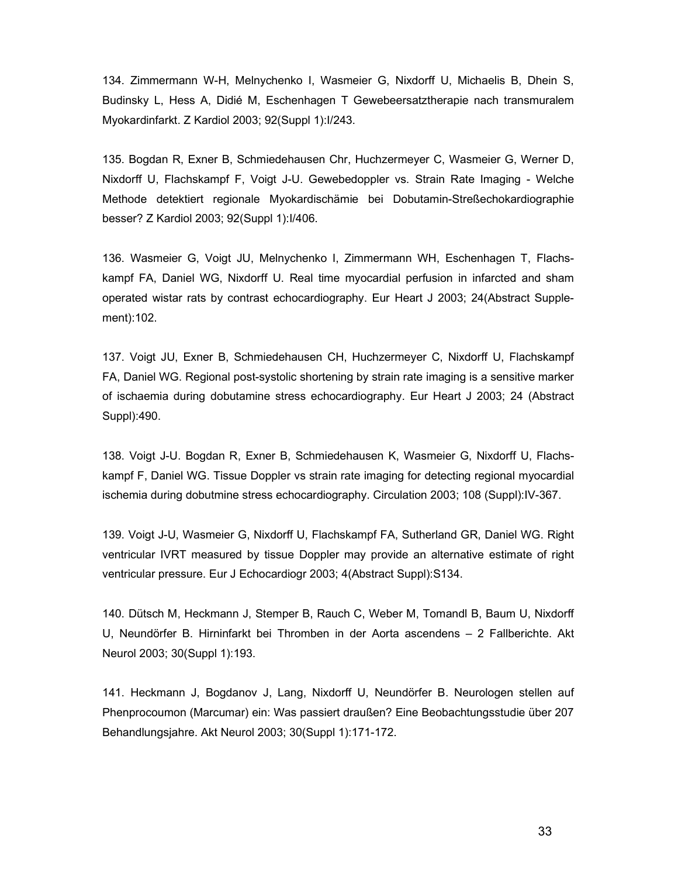134. Zimmermann W-H, Melnychenko I, Wasmeier G, Nixdorff U, Michaelis B, Dhein S, Budinsky L, Hess A, Didié M, Eschenhagen T Gewebeersatztherapie nach transmuralem Myokardinfarkt. Z Kardiol 2003; 92(Suppl 1):I/243.

135. Bogdan R, Exner B, Schmiedehausen Chr, Huchzermeyer C, Wasmeier G, Werner D, Nixdorff U, Flachskampf F, Voigt J-U. Gewebedoppler vs. Strain Rate Imaging - Welche Methode detektiert regionale Myokardischämie bei Dobutamin-Streßechokardiographie besser? Z Kardiol 2003; 92(Suppl 1):I/406.

136. Wasmeier G, Voigt JU, Melnychenko I, Zimmermann WH, Eschenhagen T, Flachskampf FA, Daniel WG, Nixdorff U. Real time myocardial perfusion in infarcted and sham operated wistar rats by contrast echocardiography. Eur Heart J 2003; 24(Abstract Supplement):102.

137. Voigt JU, Exner B, Schmiedehausen CH, Huchzermeyer C, Nixdorff U, Flachskampf FA, Daniel WG. Regional post-systolic shortening by strain rate imaging is a sensitive marker of ischaemia during dobutamine stress echocardiography. Eur Heart J 2003; 24 (Abstract Suppl):490.

138. Voigt J-U. Bogdan R, Exner B, Schmiedehausen K, Wasmeier G, Nixdorff U, Flachskampf F, Daniel WG. Tissue Doppler vs strain rate imaging for detecting regional myocardial ischemia during dobutmine stress echocardiography. Circulation 2003; 108 (Suppl):IV-367.

139. Voigt J-U, Wasmeier G, Nixdorff U, Flachskampf FA, Sutherland GR, Daniel WG. Right ventricular IVRT measured by tissue Doppler may provide an alternative estimate of right ventricular pressure. Eur J Echocardiogr 2003; 4(Abstract Suppl):S134.

140. Dütsch M, Heckmann J, Stemper B, Rauch C, Weber M, Tomandl B, Baum U, Nixdorff U, Neundörfer B. Hirninfarkt bei Thromben in der Aorta ascendens – 2 Fallberichte. Akt Neurol 2003; 30(Suppl 1):193.

141. Heckmann J, Bogdanov J, Lang, Nixdorff U, Neundörfer B. Neurologen stellen auf Phenprocoumon (Marcumar) ein: Was passiert draußen? Eine Beobachtungsstudie über 207 Behandlungsjahre. Akt Neurol 2003; 30(Suppl 1):171-172.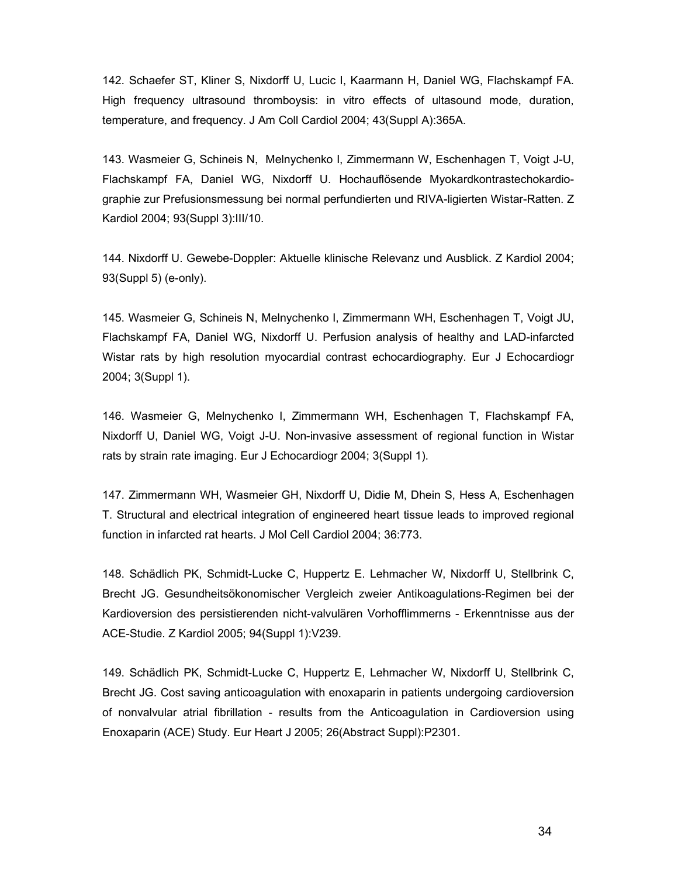142. Schaefer ST, Kliner S, Nixdorff U, Lucic I, Kaarmann H, Daniel WG, Flachskampf FA. High frequency ultrasound thromboysis: in vitro effects of ultasound mode, duration, temperature, and frequency. J Am Coll Cardiol 2004; 43(Suppl A):365A.

143. Wasmeier G, Schineis N, Melnychenko I, Zimmermann W, Eschenhagen T, Voigt J-U, Flachskampf FA, Daniel WG, Nixdorff U. Hochauflösende Myokardkontrastechokardiographie zur Prefusionsmessung bei normal perfundierten und RIVA-ligierten Wistar-Ratten. Z Kardiol 2004; 93(Suppl 3):III/10.

144. Nixdorff U. Gewebe-Doppler: Aktuelle klinische Relevanz und Ausblick. Z Kardiol 2004; 93(Suppl 5) (e-only).

145. Wasmeier G, Schineis N, Melnychenko I, Zimmermann WH, Eschenhagen T, Voigt JU, Flachskampf FA, Daniel WG, Nixdorff U. Perfusion analysis of healthy and LAD-infarcted Wistar rats by high resolution myocardial contrast echocardiography. Eur J Echocardiogr 2004; 3(Suppl 1).

146. Wasmeier G, Melnychenko I, Zimmermann WH, Eschenhagen T, Flachskampf FA, Nixdorff U, Daniel WG, Voigt J-U. Non-invasive assessment of regional function in Wistar rats by strain rate imaging. Eur J Echocardiogr 2004; 3(Suppl 1).

147. Zimmermann WH, Wasmeier GH, Nixdorff U, Didie M, Dhein S, Hess A, Eschenhagen T. Structural and electrical integration of engineered heart tissue leads to improved regional function in infarcted rat hearts. J Mol Cell Cardiol 2004; 36:773.

148. Schädlich PK, Schmidt-Lucke C, Huppertz E. Lehmacher W, Nixdorff U, Stellbrink C, Brecht JG. Gesundheitsökonomischer Vergleich zweier Antikoagulations-Regimen bei der Kardioversion des persistierenden nicht-valvulären Vorhofflimmerns - Erkenntnisse aus der ACE-Studie. Z Kardiol 2005; 94(Suppl 1):V239.

149. Schädlich PK, Schmidt-Lucke C, Huppertz E, Lehmacher W, Nixdorff U, Stellbrink C, Brecht JG. Cost saving anticoagulation with enoxaparin in patients undergoing cardioversion of nonvalvular atrial fibrillation - results from the Anticoagulation in Cardioversion using Enoxaparin (ACE) Study. Eur Heart J 2005; 26(Abstract Suppl):P2301.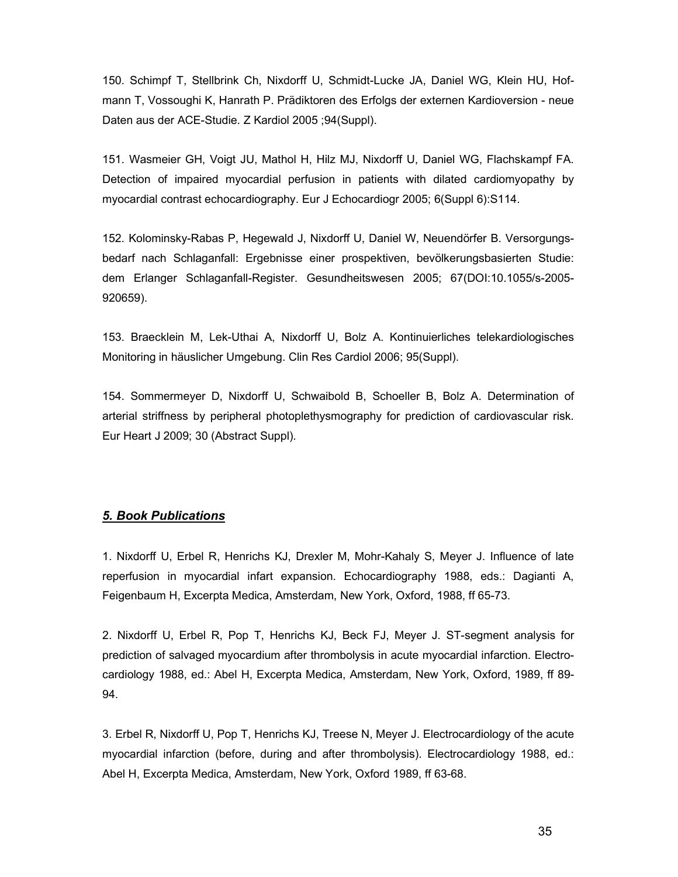150. Schimpf T, Stellbrink Ch, Nixdorff U, Schmidt-Lucke JA, Daniel WG, Klein HU, Hofmann T, Vossoughi K, Hanrath P. Prädiktoren des Erfolgs der externen Kardioversion - neue Daten aus der ACE-Studie. Z Kardiol 2005 ;94(Suppl).

151. Wasmeier GH, Voigt JU, Mathol H, Hilz MJ, Nixdorff U, Daniel WG, Flachskampf FA. Detection of impaired myocardial perfusion in patients with dilated cardiomyopathy by myocardial contrast echocardiography. Eur J Echocardiogr 2005; 6(Suppl 6):S114.

152. Kolominsky-Rabas P, Hegewald J, Nixdorff U, Daniel W, Neuendörfer B. Versorgungsbedarf nach Schlaganfall: Ergebnisse einer prospektiven, bevölkerungsbasierten Studie: dem Erlanger Schlaganfall-Register. Gesundheitswesen 2005; 67(DOI:10.1055/s-2005- 920659).

153. Braecklein M, Lek-Uthai A, Nixdorff U, Bolz A. Kontinuierliches telekardiologisches Monitoring in häuslicher Umgebung. Clin Res Cardiol 2006; 95(Suppl).

154. Sommermeyer D, Nixdorff U, Schwaibold B, Schoeller B, Bolz A. Determination of arterial striffness by peripheral photoplethysmography for prediction of cardiovascular risk. Eur Heart J 2009; 30 (Abstract Suppl).

#### 5. Book Publications

1. Nixdorff U, Erbel R, Henrichs KJ, Drexler M, Mohr-Kahaly S, Meyer J. Influence of late reperfusion in myocardial infart expansion. Echocardiography 1988, eds.: Dagianti A, Feigenbaum H, Excerpta Medica, Amsterdam, New York, Oxford, 1988, ff 65-73.

2. Nixdorff U, Erbel R, Pop T, Henrichs KJ, Beck FJ, Meyer J. ST-segment analysis for prediction of salvaged myocardium after thrombolysis in acute myocardial infarction. Electrocardiology 1988, ed.: Abel H, Excerpta Medica, Amsterdam, New York, Oxford, 1989, ff 89- 94.

3. Erbel R, Nixdorff U, Pop T, Henrichs KJ, Treese N, Meyer J. Electrocardiology of the acute myocardial infarction (before, during and after thrombolysis). Electrocardiology 1988, ed.: Abel H, Excerpta Medica, Amsterdam, New York, Oxford 1989, ff 63-68.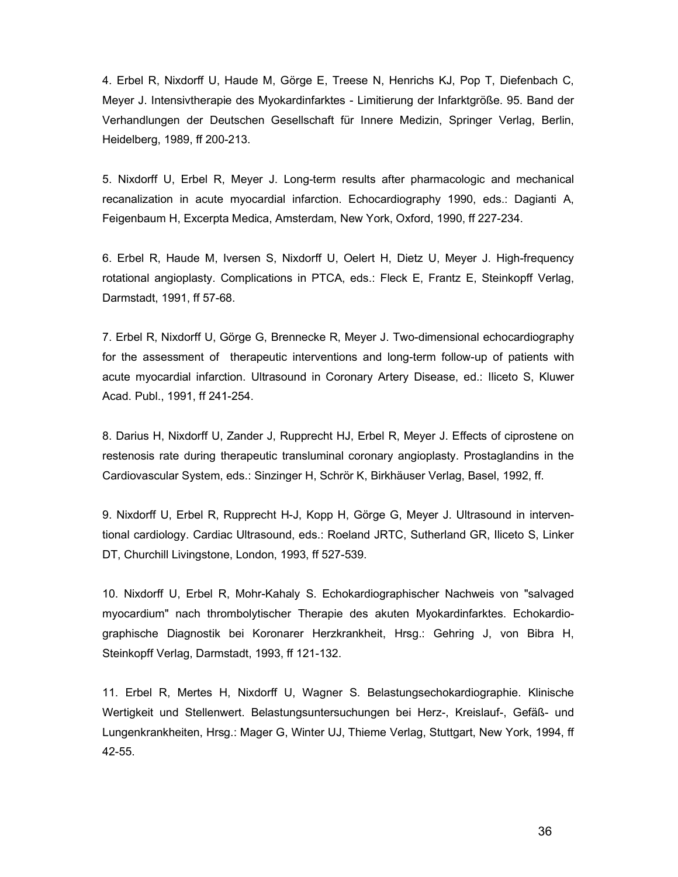4. Erbel R, Nixdorff U, Haude M, Görge E, Treese N, Henrichs KJ, Pop T, Diefenbach C, Meyer J. Intensivtherapie des Myokardinfarktes - Limitierung der Infarktgröße. 95. Band der Verhandlungen der Deutschen Gesellschaft für Innere Medizin, Springer Verlag, Berlin, Heidelberg, 1989, ff 200-213.

5. Nixdorff U, Erbel R, Meyer J. Long-term results after pharmacologic and mechanical recanalization in acute myocardial infarction. Echocardiography 1990, eds.: Dagianti A, Feigenbaum H, Excerpta Medica, Amsterdam, New York, Oxford, 1990, ff 227-234.

6. Erbel R, Haude M, Iversen S, Nixdorff U, Oelert H, Dietz U, Meyer J. High-frequency rotational angioplasty. Complications in PTCA, eds.: Fleck E, Frantz E, Steinkopff Verlag, Darmstadt, 1991, ff 57-68.

7. Erbel R, Nixdorff U, Görge G, Brennecke R, Meyer J. Two-dimensional echocardiography for the assessment of therapeutic interventions and long-term follow-up of patients with acute myocardial infarction. Ultrasound in Coronary Artery Disease, ed.: Iliceto S, Kluwer Acad. Publ., 1991, ff 241-254.

8. Darius H, Nixdorff U, Zander J, Rupprecht HJ, Erbel R, Meyer J. Effects of ciprostene on restenosis rate during therapeutic transluminal coronary angioplasty. Prostaglandins in the Cardiovascular System, eds.: Sinzinger H, Schrör K, Birkhäuser Verlag, Basel, 1992, ff.

9. Nixdorff U, Erbel R, Rupprecht H-J, Kopp H, Görge G, Meyer J. Ultrasound in interventional cardiology. Cardiac Ultrasound, eds.: Roeland JRTC, Sutherland GR, Iliceto S, Linker DT, Churchill Livingstone, London, 1993, ff 527-539.

10. Nixdorff U, Erbel R, Mohr-Kahaly S. Echokardiographischer Nachweis von "salvaged myocardium" nach thrombolytischer Therapie des akuten Myokardinfarktes. Echokardiographische Diagnostik bei Koronarer Herzkrankheit, Hrsg.: Gehring J, von Bibra H, Steinkopff Verlag, Darmstadt, 1993, ff 121-132.

11. Erbel R, Mertes H, Nixdorff U, Wagner S. Belastungsechokardiographie. Klinische Wertigkeit und Stellenwert. Belastungsuntersuchungen bei Herz-, Kreislauf-, Gefäß- und Lungenkrankheiten, Hrsg.: Mager G, Winter UJ, Thieme Verlag, Stuttgart, New York, 1994, ff 42-55.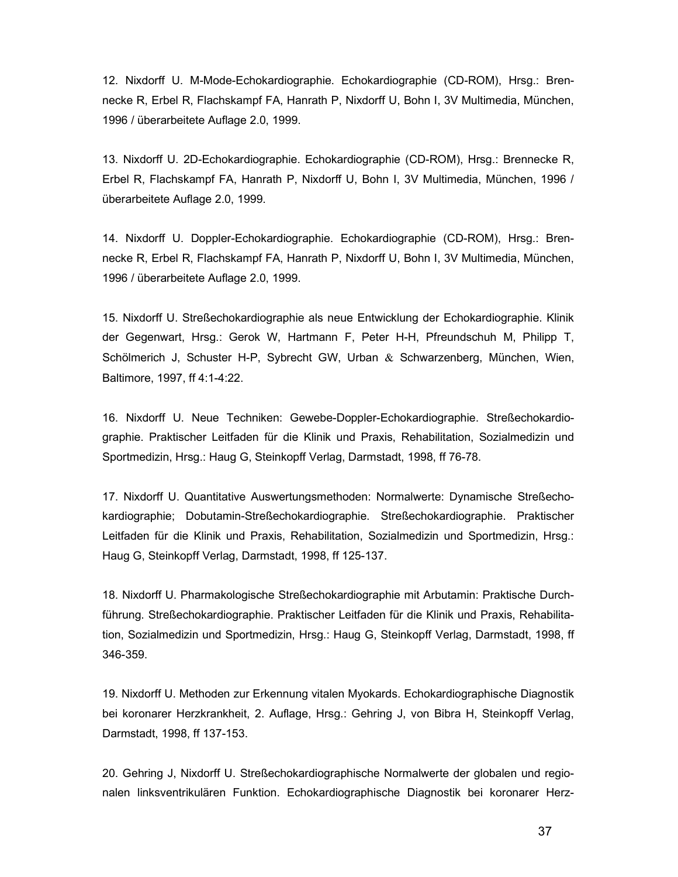12. Nixdorff U. M-Mode-Echokardiographie. Echokardiographie (CD-ROM), Hrsg.: Brennecke R, Erbel R, Flachskampf FA, Hanrath P, Nixdorff U, Bohn I, 3V Multimedia, München, 1996 / überarbeitete Auflage 2.0, 1999.

13. Nixdorff U. 2D-Echokardiographie. Echokardiographie (CD-ROM), Hrsg.: Brennecke R, Erbel R, Flachskampf FA, Hanrath P, Nixdorff U, Bohn I, 3V Multimedia, München, 1996 / überarbeitete Auflage 2.0, 1999.

14. Nixdorff U. Doppler-Echokardiographie. Echokardiographie (CD-ROM), Hrsg.: Brennecke R, Erbel R, Flachskampf FA, Hanrath P, Nixdorff U, Bohn I, 3V Multimedia, München, 1996 / überarbeitete Auflage 2.0, 1999.

15. Nixdorff U. Streßechokardiographie als neue Entwicklung der Echokardiographie. Klinik der Gegenwart, Hrsg.: Gerok W, Hartmann F, Peter H-H, Pfreundschuh M, Philipp T, Schölmerich J, Schuster H-P, Sybrecht GW, Urban  $\&$  Schwarzenberg, München, Wien, Baltimore, 1997, ff 4:1-4:22.

16. Nixdorff U. Neue Techniken: Gewebe-Doppler-Echokardiographie. Streßechokardiographie. Praktischer Leitfaden für die Klinik und Praxis, Rehabilitation, Sozialmedizin und Sportmedizin, Hrsg.: Haug G, Steinkopff Verlag, Darmstadt, 1998, ff 76-78.

17. Nixdorff U. Quantitative Auswertungsmethoden: Normalwerte: Dynamische Streßechokardiographie; Dobutamin-Streßechokardiographie. Streßechokardiographie. Praktischer Leitfaden für die Klinik und Praxis, Rehabilitation, Sozialmedizin und Sportmedizin, Hrsg.: Haug G, Steinkopff Verlag, Darmstadt, 1998, ff 125-137.

18. Nixdorff U. Pharmakologische Streßechokardiographie mit Arbutamin: Praktische Durchführung. Streßechokardiographie. Praktischer Leitfaden für die Klinik und Praxis, Rehabilitation, Sozialmedizin und Sportmedizin, Hrsg.: Haug G, Steinkopff Verlag, Darmstadt, 1998, ff 346-359.

19. Nixdorff U. Methoden zur Erkennung vitalen Myokards. Echokardiographische Diagnostik bei koronarer Herzkrankheit, 2. Auflage, Hrsg.: Gehring J, von Bibra H, Steinkopff Verlag, Darmstadt, 1998, ff 137-153.

20. Gehring J, Nixdorff U. Streßechokardiographische Normalwerte der globalen und regionalen linksventrikulären Funktion. Echokardiographische Diagnostik bei koronarer Herz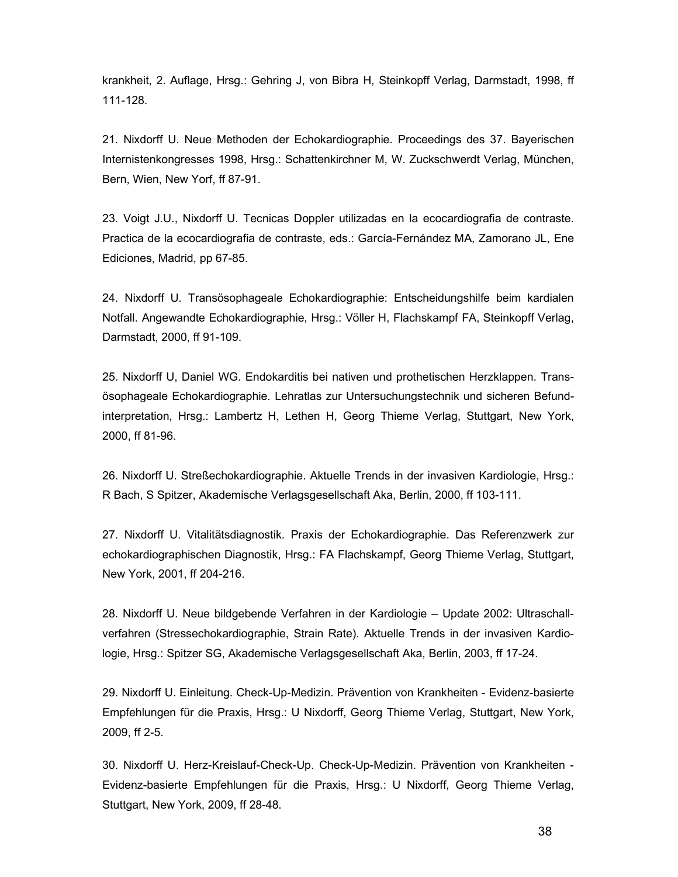krankheit, 2. Auflage, Hrsg.: Gehring J, von Bibra H, Steinkopff Verlag, Darmstadt, 1998, ff 111-128.

21. Nixdorff U. Neue Methoden der Echokardiographie. Proceedings des 37. Bayerischen Internistenkongresses 1998, Hrsg.: Schattenkirchner M, W. Zuckschwerdt Verlag, München, Bern, Wien, New Yorf, ff 87-91.

23. Voigt J.U., Nixdorff U. Tecnicas Doppler utilizadas en la ecocardiografia de contraste. Practica de la ecocardiografia de contraste, eds.: García-Fernández MA, Zamorano JL, Ene Ediciones, Madrid, pp 67-85.

24. Nixdorff U. Transösophageale Echokardiographie: Entscheidungshilfe beim kardialen Notfall. Angewandte Echokardiographie, Hrsg.: Völler H, Flachskampf FA, Steinkopff Verlag, Darmstadt, 2000, ff 91-109.

25. Nixdorff U, Daniel WG. Endokarditis bei nativen und prothetischen Herzklappen. Transösophageale Echokardiographie. Lehratlas zur Untersuchungstechnik und sicheren Befundinterpretation, Hrsg.: Lambertz H, Lethen H, Georg Thieme Verlag, Stuttgart, New York, 2000, ff 81-96.

26. Nixdorff U. Streßechokardiographie. Aktuelle Trends in der invasiven Kardiologie, Hrsg.: R Bach, S Spitzer, Akademische Verlagsgesellschaft Aka, Berlin, 2000, ff 103-111.

27. Nixdorff U. Vitalitätsdiagnostik. Praxis der Echokardiographie. Das Referenzwerk zur echokardiographischen Diagnostik, Hrsg.: FA Flachskampf, Georg Thieme Verlag, Stuttgart, New York, 2001, ff 204-216.

28. Nixdorff U. Neue bildgebende Verfahren in der Kardiologie – Update 2002: Ultraschallverfahren (Stressechokardiographie, Strain Rate). Aktuelle Trends in der invasiven Kardiologie, Hrsg.: Spitzer SG, Akademische Verlagsgesellschaft Aka, Berlin, 2003, ff 17-24.

29. Nixdorff U. Einleitung. Check-Up-Medizin. Prävention von Krankheiten - Evidenz-basierte Empfehlungen für die Praxis, Hrsg.: U Nixdorff, Georg Thieme Verlag, Stuttgart, New York, 2009, ff 2-5.

30. Nixdorff U. Herz-Kreislauf-Check-Up. Check-Up-Medizin. Prävention von Krankheiten - Evidenz-basierte Empfehlungen für die Praxis, Hrsg.: U Nixdorff, Georg Thieme Verlag, Stuttgart, New York, 2009, ff 28-48.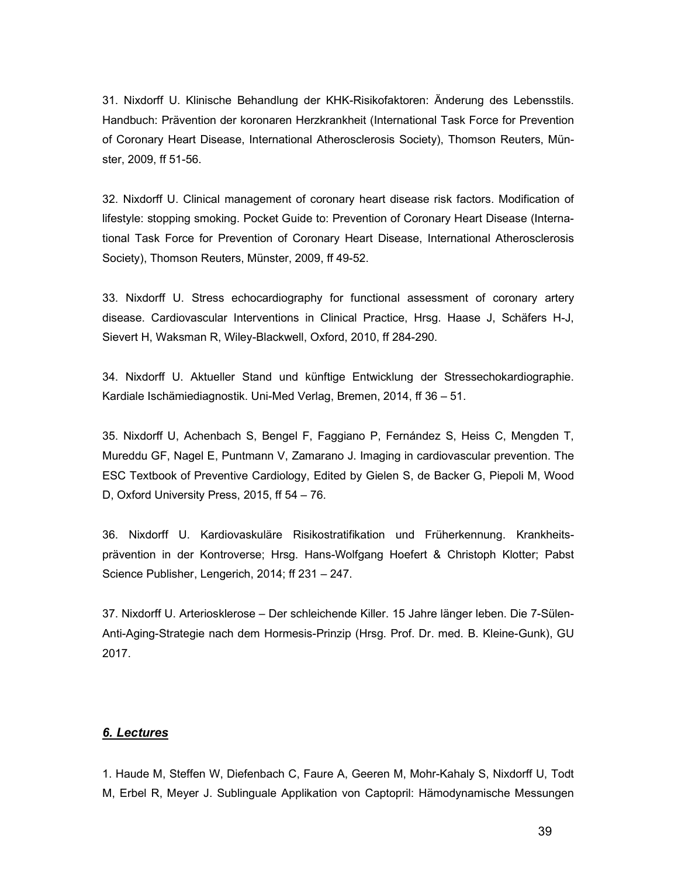31. Nixdorff U. Klinische Behandlung der KHK-Risikofaktoren: Änderung des Lebensstils. Handbuch: Prävention der koronaren Herzkrankheit (International Task Force for Prevention of Coronary Heart Disease, International Atherosclerosis Society), Thomson Reuters, Münster, 2009, ff 51-56.

32. Nixdorff U. Clinical management of coronary heart disease risk factors. Modification of lifestyle: stopping smoking. Pocket Guide to: Prevention of Coronary Heart Disease (International Task Force for Prevention of Coronary Heart Disease, International Atherosclerosis Society), Thomson Reuters, Münster, 2009, ff 49-52.

33. Nixdorff U. Stress echocardiography for functional assessment of coronary artery disease. Cardiovascular Interventions in Clinical Practice, Hrsg. Haase J, Schäfers H-J, Sievert H, Waksman R, Wiley-Blackwell, Oxford, 2010, ff 284-290.

34. Nixdorff U. Aktueller Stand und künftige Entwicklung der Stressechokardiographie. Kardiale Ischämiediagnostik. Uni-Med Verlag, Bremen, 2014, ff 36 – 51.

35. Nixdorff U, Achenbach S, Bengel F, Faggiano P, Fernández S, Heiss C, Mengden T, Mureddu GF, Nagel E, Puntmann V, Zamarano J. Imaging in cardiovascular prevention. The ESC Textbook of Preventive Cardiology, Edited by Gielen S, de Backer G, Piepoli M, Wood D, Oxford University Press, 2015, ff 54 – 76.

36. Nixdorff U. Kardiovaskuläre Risikostratifikation und Früherkennung. Krankheitsprävention in der Kontroverse; Hrsg. Hans-Wolfgang Hoefert & Christoph Klotter; Pabst Science Publisher, Lengerich, 2014; ff 231 – 247.

37. Nixdorff U. Arteriosklerose – Der schleichende Killer. 15 Jahre länger leben. Die 7-Sülen-Anti-Aging-Strategie nach dem Hormesis-Prinzip (Hrsg. Prof. Dr. med. B. Kleine-Gunk), GU 2017.

## 6. Lectures

1. Haude M, Steffen W, Diefenbach C, Faure A, Geeren M, Mohr-Kahaly S, Nixdorff U, Todt M, Erbel R, Meyer J. Sublinguale Applikation von Captopril: Hämodynamische Messungen

39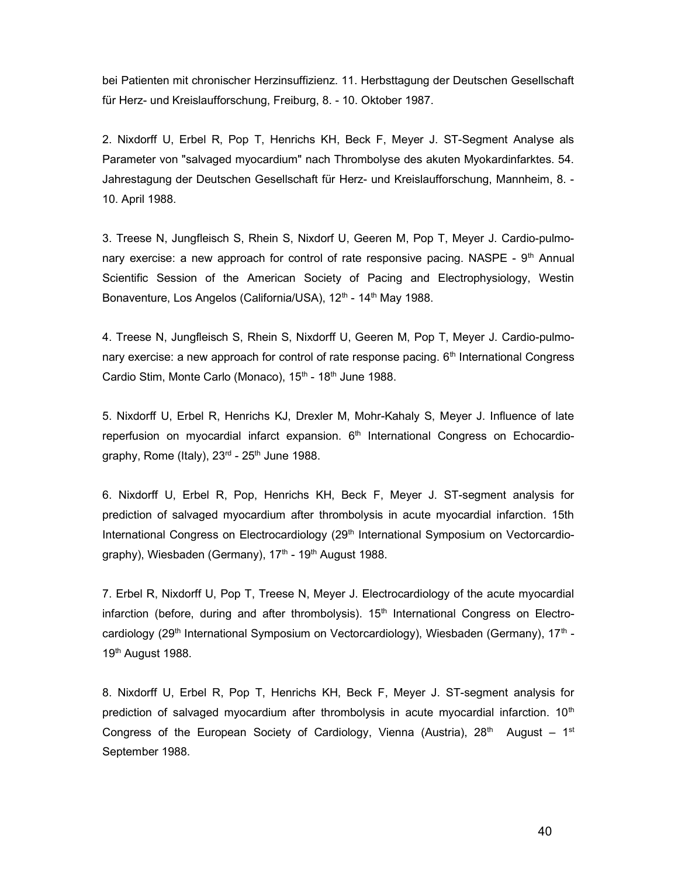bei Patienten mit chronischer Herzinsuffizienz. 11. Herbsttagung der Deutschen Gesellschaft für Herz- und Kreislaufforschung, Freiburg, 8. - 10. Oktober 1987.

2. Nixdorff U, Erbel R, Pop T, Henrichs KH, Beck F, Meyer J. ST-Segment Analyse als Parameter von "salvaged myocardium" nach Thrombolyse des akuten Myokardinfarktes. 54. Jahrestagung der Deutschen Gesellschaft für Herz- und Kreislaufforschung, Mannheim, 8. - 10. April 1988.

3. Treese N, Jungfleisch S, Rhein S, Nixdorf U, Geeren M, Pop T, Meyer J. Cardio-pulmonary exercise: a new approach for control of rate responsive pacing. NASPE -  $9<sup>th</sup>$  Annual Scientific Session of the American Society of Pacing and Electrophysiology, Westin Bonaventure, Los Angelos (California/USA), 12<sup>th</sup> - 14<sup>th</sup> May 1988.

4. Treese N, Jungfleisch S, Rhein S, Nixdorff U, Geeren M, Pop T, Meyer J. Cardio-pulmonary exercise: a new approach for control of rate response pacing. 6<sup>th</sup> International Congress Cardio Stim, Monte Carlo (Monaco), 15<sup>th</sup> - 18<sup>th</sup> June 1988.

5. Nixdorff U, Erbel R, Henrichs KJ, Drexler M, Mohr-Kahaly S, Meyer J. Influence of late reperfusion on myocardial infarct expansion.  $6<sup>th</sup>$  International Congress on Echocardiography, Rome (Italy),  $23<sup>rd</sup>$  -  $25<sup>th</sup>$  June 1988.

6. Nixdorff U, Erbel R, Pop, Henrichs KH, Beck F, Meyer J. ST-segment analysis for prediction of salvaged myocardium after thrombolysis in acute myocardial infarction. 15th International Congress on Electrocardiology (29<sup>th</sup> International Symposium on Vectorcardiography), Wiesbaden (Germany), 17<sup>th</sup> - 19<sup>th</sup> August 1988.

7. Erbel R, Nixdorff U, Pop T, Treese N, Meyer J. Electrocardiology of the acute myocardial infarction (before, during and after thrombolysis).  $15<sup>th</sup>$  International Congress on Electrocardiology (29<sup>th</sup> International Symposium on Vectorcardiology), Wiesbaden (Germany), 17<sup>th</sup> -19<sup>th</sup> August 1988.

8. Nixdorff U, Erbel R, Pop T, Henrichs KH, Beck F, Meyer J. ST-segment analysis for prediction of salvaged myocardium after thrombolysis in acute myocardial infarction.  $10<sup>th</sup>$ Congress of the European Society of Cardiology, Vienna (Austria),  $28<sup>th</sup>$  August – 1<sup>st</sup> September 1988.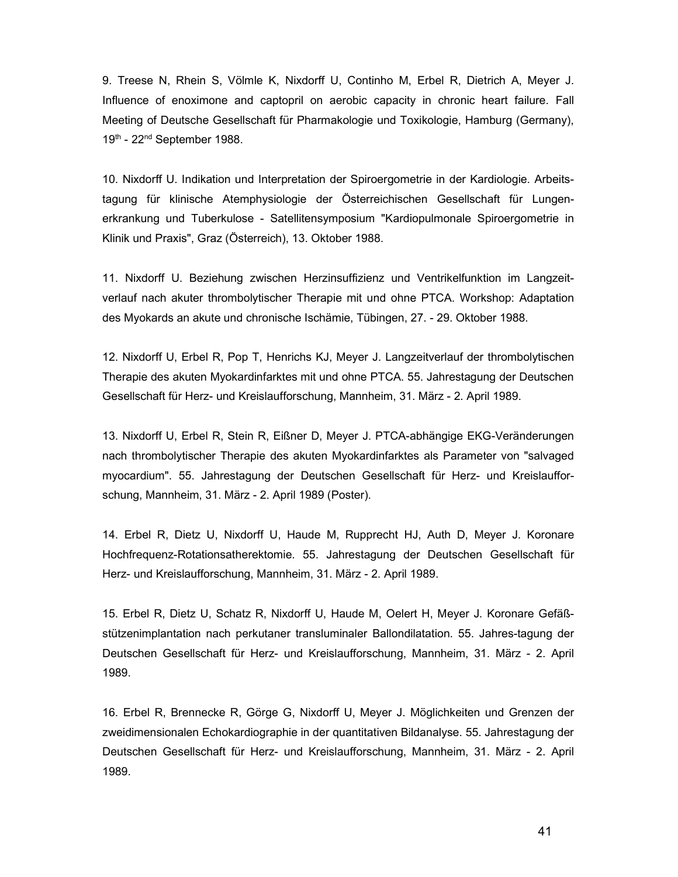9. Treese N, Rhein S, Völmle K, Nixdorff U, Continho M, Erbel R, Dietrich A, Meyer J. Influence of enoximone and captopril on aerobic capacity in chronic heart failure. Fall Meeting of Deutsche Gesellschaft für Pharmakologie und Toxikologie, Hamburg (Germany), 19th - 22<sup>nd</sup> September 1988.

10. Nixdorff U. Indikation und Interpretation der Spiroergometrie in der Kardiologie. Arbeitstagung für klinische Atemphysiologie der Österreichischen Gesellschaft für Lungenerkrankung und Tuberkulose - Satellitensymposium "Kardiopulmonale Spiroergometrie in Klinik und Praxis", Graz (Österreich), 13. Oktober 1988.

11. Nixdorff U. Beziehung zwischen Herzinsuffizienz und Ventrikelfunktion im Langzeitverlauf nach akuter thrombolytischer Therapie mit und ohne PTCA. Workshop: Adaptation des Myokards an akute und chronische Ischämie, Tübingen, 27. - 29. Oktober 1988.

12. Nixdorff U, Erbel R, Pop T, Henrichs KJ, Meyer J. Langzeitverlauf der thrombolytischen Therapie des akuten Myokardinfarktes mit und ohne PTCA. 55. Jahrestagung der Deutschen Gesellschaft für Herz- und Kreislaufforschung, Mannheim, 31. März - 2. April 1989.

13. Nixdorff U, Erbel R, Stein R, Eißner D, Meyer J. PTCA-abhängige EKG-Veränderungen nach thrombolytischer Therapie des akuten Myokardinfarktes als Parameter von "salvaged myocardium". 55. Jahrestagung der Deutschen Gesellschaft für Herz- und Kreislaufforschung, Mannheim, 31. März - 2. April 1989 (Poster).

14. Erbel R, Dietz U, Nixdorff U, Haude M, Rupprecht HJ, Auth D, Meyer J. Koronare Hochfrequenz-Rotationsatherektomie. 55. Jahrestagung der Deutschen Gesellschaft für Herz- und Kreislaufforschung, Mannheim, 31. März - 2. April 1989.

15. Erbel R, Dietz U, Schatz R, Nixdorff U, Haude M, Oelert H, Meyer J. Koronare Gefäßstützenimplantation nach perkutaner transluminaler Ballondilatation. 55. Jahres-tagung der Deutschen Gesellschaft für Herz- und Kreislaufforschung, Mannheim, 31. März - 2. April 1989.

16. Erbel R, Brennecke R, Görge G, Nixdorff U, Meyer J. Möglichkeiten und Grenzen der zweidimensionalen Echokardiographie in der quantitativen Bildanalyse. 55. Jahrestagung der Deutschen Gesellschaft für Herz- und Kreislaufforschung, Mannheim, 31. März - 2. April 1989.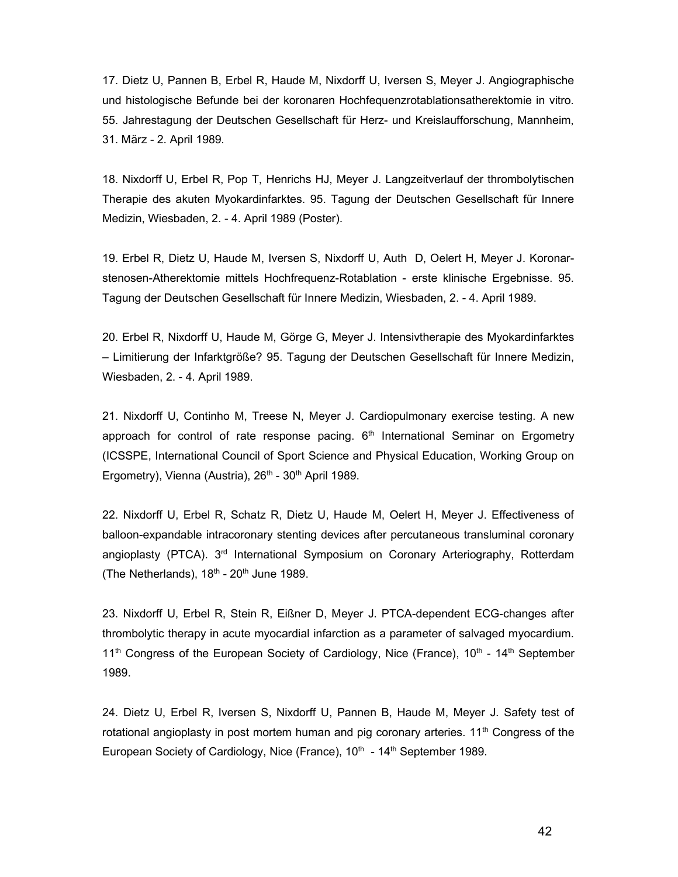17. Dietz U, Pannen B, Erbel R, Haude M, Nixdorff U, Iversen S, Meyer J. Angiographische und histologische Befunde bei der koronaren Hochfequenzrotablationsatherektomie in vitro. 55. Jahrestagung der Deutschen Gesellschaft für Herz- und Kreislaufforschung, Mannheim, 31. März - 2. April 1989.

18. Nixdorff U, Erbel R, Pop T, Henrichs HJ, Meyer J. Langzeitverlauf der thrombolytischen Therapie des akuten Myokardinfarktes. 95. Tagung der Deutschen Gesellschaft für Innere Medizin, Wiesbaden, 2. - 4. April 1989 (Poster).

19. Erbel R, Dietz U, Haude M, Iversen S, Nixdorff U, Auth D, Oelert H, Meyer J. Koronarstenosen-Atherektomie mittels Hochfrequenz-Rotablation - erste klinische Ergebnisse. 95. Tagung der Deutschen Gesellschaft für Innere Medizin, Wiesbaden, 2. - 4. April 1989.

20. Erbel R, Nixdorff U, Haude M, Görge G, Meyer J. Intensivtherapie des Myokardinfarktes – Limitierung der Infarktgröße? 95. Tagung der Deutschen Gesellschaft für Innere Medizin, Wiesbaden, 2. - 4. April 1989.

21. Nixdorff U, Continho M, Treese N, Meyer J. Cardiopulmonary exercise testing. A new approach for control of rate response pacing.  $6<sup>th</sup>$  International Seminar on Ergometry (ICSSPE, International Council of Sport Science and Physical Education, Working Group on Ergometry), Vienna (Austria), 26<sup>th</sup> - 30<sup>th</sup> April 1989.

22. Nixdorff U, Erbel R, Schatz R, Dietz U, Haude M, Oelert H, Meyer J. Effectiveness of balloon-expandable intracoronary stenting devices after percutaneous transluminal coronary angioplasty (PTCA). 3<sup>rd</sup> International Symposium on Coronary Arteriography, Rotterdam (The Netherlands),  $18^{th}$  -  $20^{th}$  June 1989.

23. Nixdorff U, Erbel R, Stein R, Eißner D, Meyer J. PTCA-dependent ECG-changes after thrombolytic therapy in acute myocardial infarction as a parameter of salvaged myocardium.  $11<sup>th</sup>$  Congress of the European Society of Cardiology, Nice (France),  $10<sup>th</sup>$  -  $14<sup>th</sup>$  September 1989.

24. Dietz U, Erbel R, Iversen S, Nixdorff U, Pannen B, Haude M, Meyer J. Safety test of rotational angioplasty in post mortem human and pig coronary arteries.  $11<sup>th</sup>$  Congress of the European Society of Cardiology, Nice (France),  $10<sup>th</sup> - 14<sup>th</sup>$  September 1989.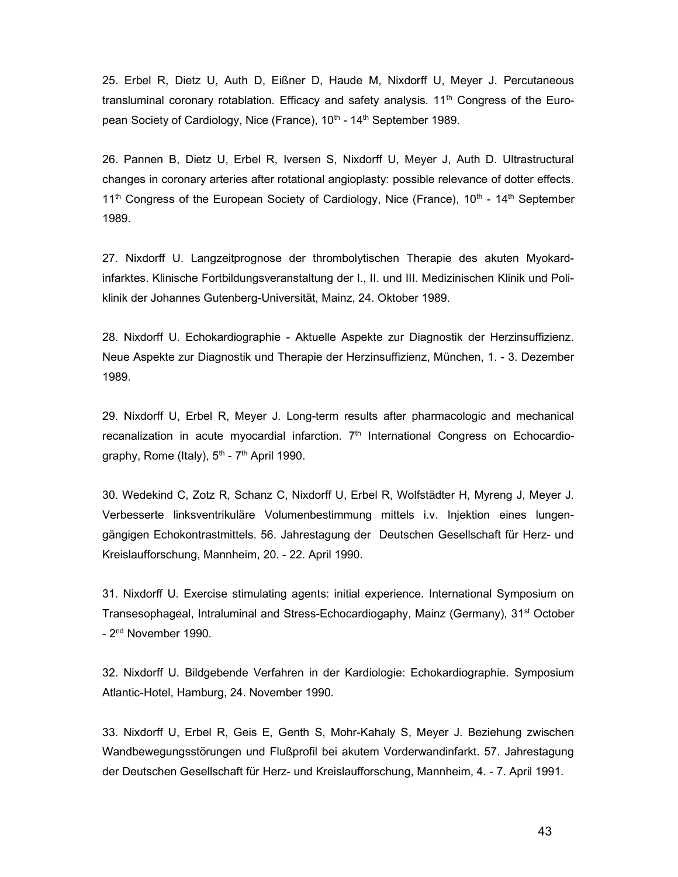25. Erbel R, Dietz U, Auth D, Eißner D, Haude M, Nixdorff U, Meyer J. Percutaneous transluminal coronary rotablation. Efficacy and safety analysis.  $11<sup>th</sup>$  Congress of the European Society of Cardiology, Nice (France), 10<sup>th</sup> - 14<sup>th</sup> September 1989.

26. Pannen B, Dietz U, Erbel R, Iversen S, Nixdorff U, Meyer J, Auth D. Ultrastructural changes in coronary arteries after rotational angioplasty: possible relevance of dotter effects.  $11<sup>th</sup>$  Congress of the European Society of Cardiology, Nice (France),  $10<sup>th</sup>$  -  $14<sup>th</sup>$  September 1989.

27. Nixdorff U. Langzeitprognose der thrombolytischen Therapie des akuten Myokardinfarktes. Klinische Fortbildungsveranstaltung der I., II. und III. Medizinischen Klinik und Poliklinik der Johannes Gutenberg-Universität, Mainz, 24. Oktober 1989.

28. Nixdorff U. Echokardiographie - Aktuelle Aspekte zur Diagnostik der Herzinsuffizienz. Neue Aspekte zur Diagnostik und Therapie der Herzinsuffizienz, München, 1. - 3. Dezember 1989.

29. Nixdorff U, Erbel R, Meyer J. Long-term results after pharmacologic and mechanical recanalization in acute myocardial infarction.  $7<sup>th</sup>$  International Congress on Echocardiography, Rome (Italy), 5<sup>th</sup> - 7<sup>th</sup> April 1990.

30. Wedekind C, Zotz R, Schanz C, Nixdorff U, Erbel R, Wolfstädter H, Myreng J, Meyer J. Verbesserte linksventrikuläre Volumenbestimmung mittels i.v. Injektion eines lungengängigen Echokontrastmittels. 56. Jahrestagung der Deutschen Gesellschaft für Herz- und Kreislaufforschung, Mannheim, 20. - 22. April 1990.

31. Nixdorff U. Exercise stimulating agents: initial experience. International Symposium on Transesophageal, Intraluminal and Stress-Echocardiogaphy, Mainz (Germany), 31<sup>st</sup> October - 2<sup>nd</sup> November 1990.

32. Nixdorff U. Bildgebende Verfahren in der Kardiologie: Echokardiographie. Symposium Atlantic-Hotel, Hamburg, 24. November 1990.

33. Nixdorff U, Erbel R, Geis E, Genth S, Mohr-Kahaly S, Meyer J. Beziehung zwischen Wandbewegungsstörungen und Flußprofil bei akutem Vorderwandinfarkt. 57. Jahrestagung der Deutschen Gesellschaft für Herz- und Kreislaufforschung, Mannheim, 4. - 7. April 1991.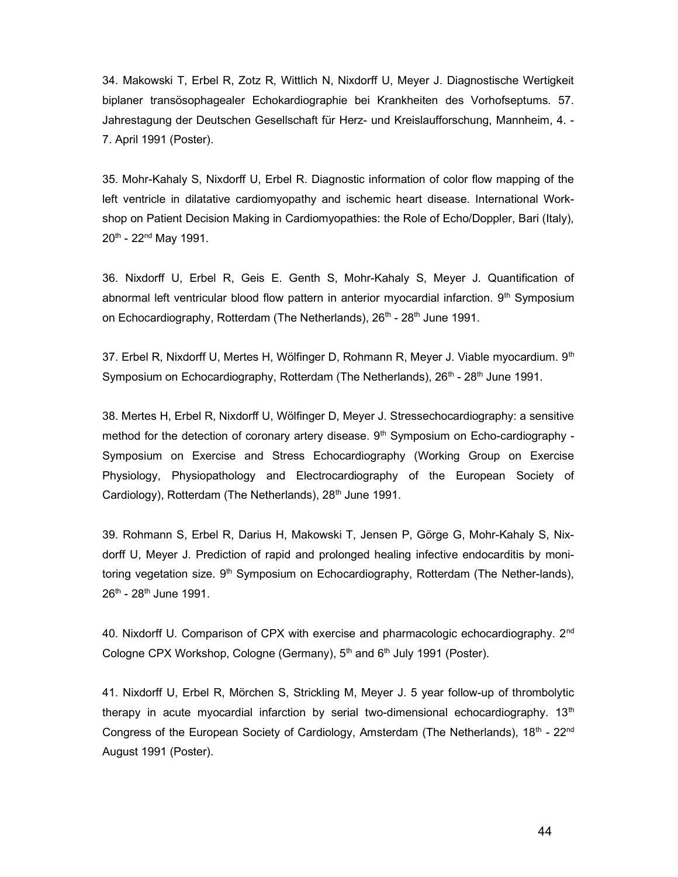34. Makowski T, Erbel R, Zotz R, Wittlich N, Nixdorff U, Meyer J. Diagnostische Wertigkeit biplaner transösophagealer Echokardiographie bei Krankheiten des Vorhofseptums. 57. Jahrestagung der Deutschen Gesellschaft für Herz- und Kreislaufforschung, Mannheim, 4. - 7. April 1991 (Poster).

35. Mohr-Kahaly S, Nixdorff U, Erbel R. Diagnostic information of color flow mapping of the left ventricle in dilatative cardiomyopathy and ischemic heart disease. International Workshop on Patient Decision Making in Cardiomyopathies: the Role of Echo/Doppler, Bari (Italy), 20th - 22nd May 1991.

36. Nixdorff U, Erbel R, Geis E. Genth S, Mohr-Kahaly S, Meyer J. Quantification of abnormal left ventricular blood flow pattern in anterior myocardial infarction.  $9<sup>th</sup>$  Symposium on Echocardiography, Rotterdam (The Netherlands), 26<sup>th</sup> - 28<sup>th</sup> June 1991.

37. Erbel R, Nixdorff U, Mertes H, Wölfinger D, Rohmann R, Meyer J. Viable myocardium. 9<sup>th</sup> Symposium on Echocardiography, Rotterdam (The Netherlands),  $26<sup>th</sup>$  -  $28<sup>th</sup>$  June 1991.

38. Mertes H, Erbel R, Nixdorff U, Wölfinger D, Meyer J. Stressechocardiography: a sensitive method for the detection of coronary artery disease.  $9<sup>th</sup>$  Symposium on Echo-cardiography -Symposium on Exercise and Stress Echocardiography (Working Group on Exercise Physiology, Physiopathology and Electrocardiography of the European Society of Cardiology), Rotterdam (The Netherlands), 28<sup>th</sup> June 1991.

39. Rohmann S, Erbel R, Darius H, Makowski T, Jensen P, Görge G, Mohr-Kahaly S, Nixdorff U, Meyer J. Prediction of rapid and prolonged healing infective endocarditis by monitoring vegetation size. 9<sup>th</sup> Symposium on Echocardiography, Rotterdam (The Nether-lands),  $26^{th}$  -  $28^{th}$  June 1991.

40. Nixdorff U. Comparison of CPX with exercise and pharmacologic echocardiography. 2<sup>nd</sup> Cologne CPX Workshop, Cologne (Germany), 5<sup>th</sup> and 6<sup>th</sup> July 1991 (Poster).

41. Nixdorff U, Erbel R, Mörchen S, Strickling M, Meyer J. 5 year follow-up of thrombolytic therapy in acute myocardial infarction by serial two-dimensional echocardiography.  $13<sup>th</sup>$ Congress of the European Society of Cardiology, Amsterdam (The Netherlands),  $18<sup>th</sup> - 22<sup>nd</sup>$ August 1991 (Poster).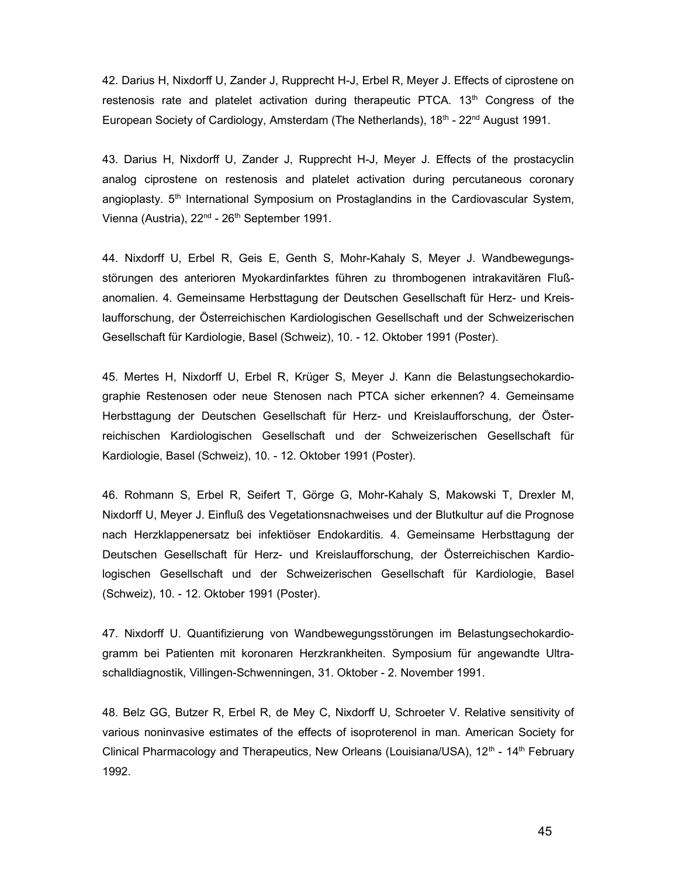42. Darius H, Nixdorff U, Zander J, Rupprecht H-J, Erbel R, Meyer J. Effects of ciprostene on restenosis rate and platelet activation during therapeutic PTCA.  $13<sup>th</sup>$  Congress of the European Society of Cardiology, Amsterdam (The Netherlands),  $18<sup>th</sup> - 22<sup>nd</sup>$  August 1991.

43. Darius H, Nixdorff U, Zander J, Rupprecht H-J, Meyer J. Effects of the prostacyclin analog ciprostene on restenosis and platelet activation during percutaneous coronary angioplasty.  $5<sup>th</sup>$  International Symposium on Prostaglandins in the Cardiovascular System, Vienna (Austria), 22<sup>nd</sup> - 26<sup>th</sup> September 1991.

44. Nixdorff U, Erbel R, Geis E, Genth S, Mohr-Kahaly S, Meyer J. Wandbewegungsstörungen des anterioren Myokardinfarktes führen zu thrombogenen intrakavitären Flußanomalien. 4. Gemeinsame Herbsttagung der Deutschen Gesellschaft für Herz- und Kreislaufforschung, der Österreichischen Kardiologischen Gesellschaft und der Schweizerischen Gesellschaft für Kardiologie, Basel (Schweiz), 10. - 12. Oktober 1991 (Poster).

45. Mertes H, Nixdorff U, Erbel R, Krüger S, Meyer J. Kann die Belastungsechokardiographie Restenosen oder neue Stenosen nach PTCA sicher erkennen? 4. Gemeinsame Herbsttagung der Deutschen Gesellschaft für Herz- und Kreislaufforschung, der Österreichischen Kardiologischen Gesellschaft und der Schweizerischen Gesellschaft für Kardiologie, Basel (Schweiz), 10. - 12. Oktober 1991 (Poster).

46. Rohmann S, Erbel R, Seifert T, Görge G, Mohr-Kahaly S, Makowski T, Drexler M, Nixdorff U, Meyer J. Einfluß des Vegetationsnachweises und der Blutkultur auf die Prognose nach Herzklappenersatz bei infektiöser Endokarditis. 4. Gemeinsame Herbsttagung der Deutschen Gesellschaft für Herz- und Kreislaufforschung, der Österreichischen Kardiologischen Gesellschaft und der Schweizerischen Gesellschaft für Kardiologie, Basel (Schweiz), 10. - 12. Oktober 1991 (Poster).

47. Nixdorff U. Quantifizierung von Wandbewegungsstörungen im Belastungsechokardiogramm bei Patienten mit koronaren Herzkrankheiten. Symposium für angewandte Ultraschalldiagnostik, Villingen-Schwenningen, 31. Oktober - 2. November 1991.

48. Belz GG, Butzer R, Erbel R, de Mey C, Nixdorff U, Schroeter V. Relative sensitivity of various noninvasive estimates of the effects of isoproterenol in man. American Society for Clinical Pharmacology and Therapeutics, New Orleans (Louisiana/USA),  $12<sup>th</sup>$  -  $14<sup>th</sup>$  February 1992.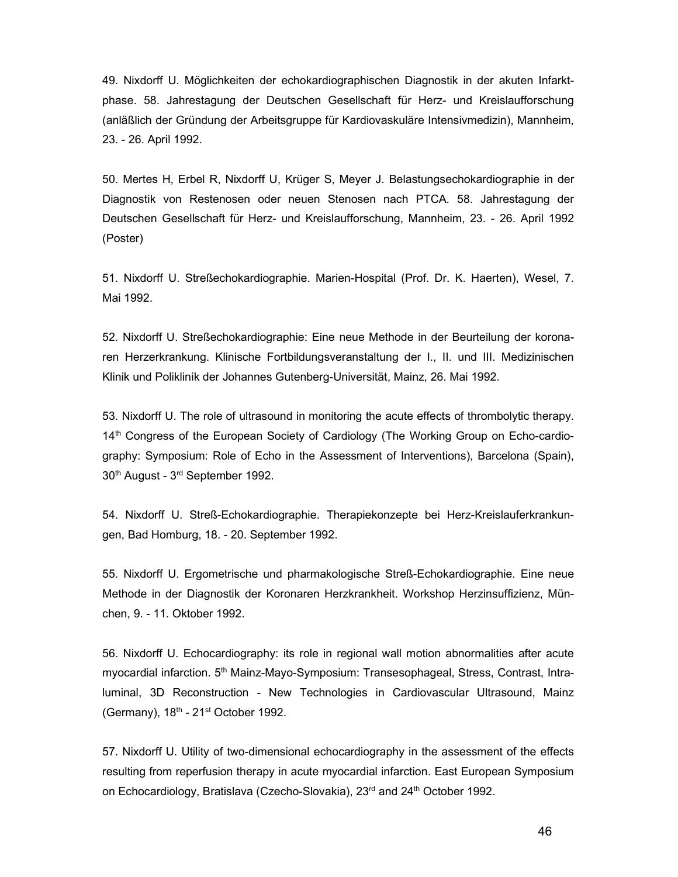49. Nixdorff U. Möglichkeiten der echokardiographischen Diagnostik in der akuten Infarktphase. 58. Jahrestagung der Deutschen Gesellschaft für Herz- und Kreislaufforschung (anläßlich der Gründung der Arbeitsgruppe für Kardiovaskuläre Intensivmedizin), Mannheim, 23. - 26. April 1992.

50. Mertes H, Erbel R, Nixdorff U, Krüger S, Meyer J. Belastungsechokardiographie in der Diagnostik von Restenosen oder neuen Stenosen nach PTCA. 58. Jahrestagung der Deutschen Gesellschaft für Herz- und Kreislaufforschung, Mannheim, 23. - 26. April 1992 (Poster)

51. Nixdorff U. Streßechokardiographie. Marien-Hospital (Prof. Dr. K. Haerten), Wesel, 7. Mai 1992.

52. Nixdorff U. Streßechokardiographie: Eine neue Methode in der Beurteilung der koronaren Herzerkrankung. Klinische Fortbildungsveranstaltung der I., II. und III. Medizinischen Klinik und Poliklinik der Johannes Gutenberg-Universität, Mainz, 26. Mai 1992.

53. Nixdorff U. The role of ultrasound in monitoring the acute effects of thrombolytic therapy. 14<sup>th</sup> Congress of the European Society of Cardiology (The Working Group on Echo-cardiography: Symposium: Role of Echo in the Assessment of Interventions), Barcelona (Spain), 30<sup>th</sup> August - 3<sup>rd</sup> September 1992.

54. Nixdorff U. Streß-Echokardiographie. Therapiekonzepte bei Herz-Kreislauferkrankungen, Bad Homburg, 18. - 20. September 1992.

55. Nixdorff U. Ergometrische und pharmakologische Streß-Echokardiographie. Eine neue Methode in der Diagnostik der Koronaren Herzkrankheit. Workshop Herzinsuffizienz, München, 9. - 11. Oktober 1992.

56. Nixdorff U. Echocardiography: its role in regional wall motion abnormalities after acute myocardial infarction. 5<sup>th</sup> Mainz-Mayo-Symposium: Transesophageal, Stress, Contrast, Intraluminal, 3D Reconstruction - New Technologies in Cardiovascular Ultrasound, Mainz (Germany),  $18<sup>th</sup> - 21<sup>st</sup> October 1992.$ 

57. Nixdorff U. Utility of two-dimensional echocardiography in the assessment of the effects resulting from reperfusion therapy in acute myocardial infarction. East European Symposium on Echocardiology, Bratislava (Czecho-Slovakia), 23<sup>rd</sup> and 24<sup>th</sup> October 1992.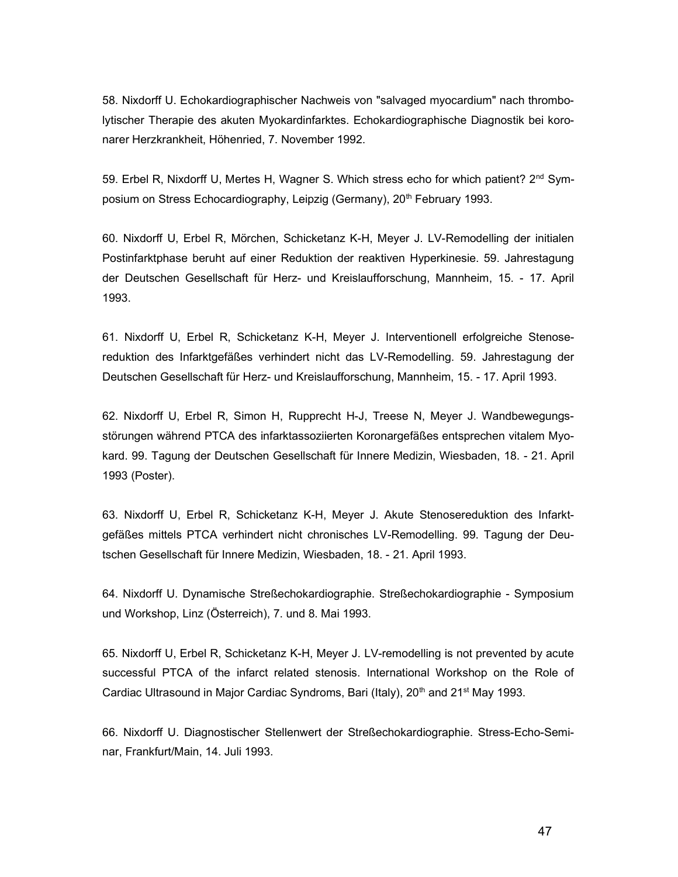58. Nixdorff U. Echokardiographischer Nachweis von "salvaged myocardium" nach thrombolytischer Therapie des akuten Myokardinfarktes. Echokardiographische Diagnostik bei koronarer Herzkrankheit, Höhenried, 7. November 1992.

59. Erbel R, Nixdorff U, Mertes H, Wagner S. Which stress echo for which patient? 2<sup>nd</sup> Symposium on Stress Echocardiography, Leipzig (Germany), 20<sup>th</sup> February 1993.

60. Nixdorff U, Erbel R, Mörchen, Schicketanz K-H, Meyer J. LV-Remodelling der initialen Postinfarktphase beruht auf einer Reduktion der reaktiven Hyperkinesie. 59. Jahrestagung der Deutschen Gesellschaft für Herz- und Kreislaufforschung, Mannheim, 15. - 17. April 1993.

61. Nixdorff U, Erbel R, Schicketanz K-H, Meyer J. Interventionell erfolgreiche Stenosereduktion des Infarktgefäßes verhindert nicht das LV-Remodelling. 59. Jahrestagung der Deutschen Gesellschaft für Herz- und Kreislaufforschung, Mannheim, 15. - 17. April 1993.

62. Nixdorff U, Erbel R, Simon H, Rupprecht H-J, Treese N, Meyer J. Wandbewegungsstörungen während PTCA des infarktassoziierten Koronargefäßes entsprechen vitalem Myokard. 99. Tagung der Deutschen Gesellschaft für Innere Medizin, Wiesbaden, 18. - 21. April 1993 (Poster).

63. Nixdorff U, Erbel R, Schicketanz K-H, Meyer J. Akute Stenosereduktion des Infarktgefäßes mittels PTCA verhindert nicht chronisches LV-Remodelling. 99. Tagung der Deutschen Gesellschaft für Innere Medizin, Wiesbaden, 18. - 21. April 1993.

64. Nixdorff U. Dynamische Streßechokardiographie. Streßechokardiographie - Symposium und Workshop, Linz (Österreich), 7. und 8. Mai 1993.

65. Nixdorff U, Erbel R, Schicketanz K-H, Meyer J. LV-remodelling is not prevented by acute successful PTCA of the infarct related stenosis. International Workshop on the Role of Cardiac Ultrasound in Major Cardiac Syndroms, Bari (Italy), 20<sup>th</sup> and 21<sup>st</sup> May 1993.

66. Nixdorff U. Diagnostischer Stellenwert der Streßechokardiographie. Stress-Echo-Seminar, Frankfurt/Main, 14. Juli 1993.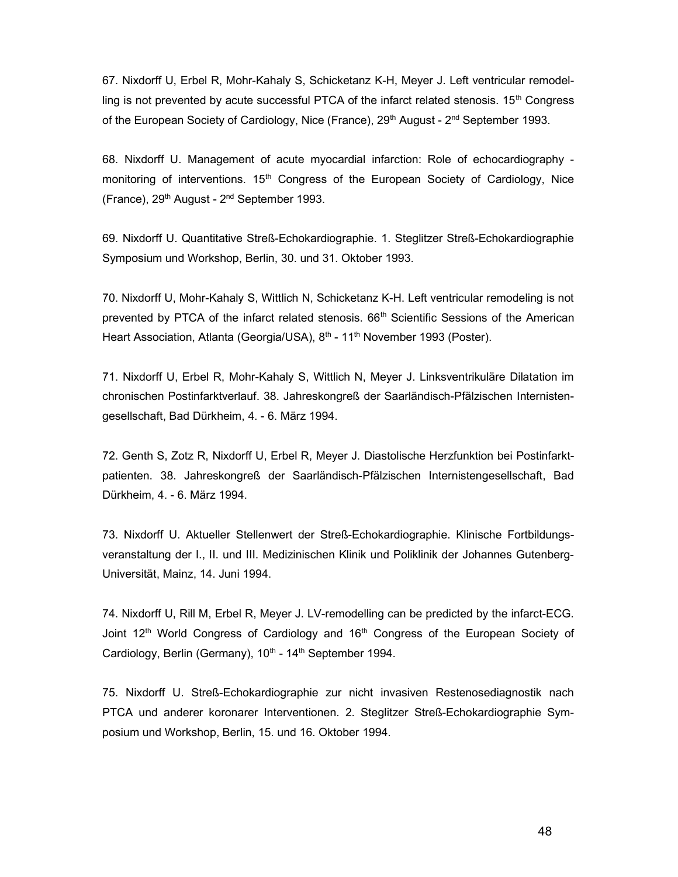67. Nixdorff U, Erbel R, Mohr-Kahaly S, Schicketanz K-H, Meyer J. Left ventricular remodelling is not prevented by acute successful PTCA of the infarct related stenosis.  $15<sup>th</sup>$  Congress of the European Society of Cardiology, Nice (France),  $29<sup>th</sup>$  August -  $2<sup>nd</sup>$  September 1993.

68. Nixdorff U. Management of acute myocardial infarction: Role of echocardiography monitoring of interventions.  $15<sup>th</sup>$  Congress of the European Society of Cardiology, Nice (France),  $29<sup>th</sup>$  August -  $2<sup>nd</sup>$  September 1993.

69. Nixdorff U. Quantitative Streß-Echokardiographie. 1. Steglitzer Streß-Echokardiographie Symposium und Workshop, Berlin, 30. und 31. Oktober 1993.

70. Nixdorff U, Mohr-Kahaly S, Wittlich N, Schicketanz K-H. Left ventricular remodeling is not prevented by PTCA of the infarct related stenosis. 66<sup>th</sup> Scientific Sessions of the American Heart Association, Atlanta (Georgia/USA), 8<sup>th</sup> - 11<sup>th</sup> November 1993 (Poster).

71. Nixdorff U, Erbel R, Mohr-Kahaly S, Wittlich N, Meyer J. Linksventrikuläre Dilatation im chronischen Postinfarktverlauf. 38. Jahreskongreß der Saarländisch-Pfälzischen Internistengesellschaft, Bad Dürkheim, 4. - 6. März 1994.

72. Genth S, Zotz R, Nixdorff U, Erbel R, Meyer J. Diastolische Herzfunktion bei Postinfarktpatienten. 38. Jahreskongreß der Saarländisch-Pfälzischen Internistengesellschaft, Bad Dürkheim, 4. - 6. März 1994.

73. Nixdorff U. Aktueller Stellenwert der Streß-Echokardiographie. Klinische Fortbildungsveranstaltung der I., II. und III. Medizinischen Klinik und Poliklinik der Johannes Gutenberg-Universität, Mainz, 14. Juni 1994.

74. Nixdorff U, Rill M, Erbel R, Meyer J. LV-remodelling can be predicted by the infarct-ECG. Joint 12<sup>th</sup> World Congress of Cardiology and 16<sup>th</sup> Congress of the European Society of Cardiology, Berlin (Germany),  $10^{th}$  -  $14^{th}$  September 1994.

75. Nixdorff U. Streß-Echokardiographie zur nicht invasiven Restenosediagnostik nach PTCA und anderer koronarer Interventionen. 2. Steglitzer Streß-Echokardiographie Symposium und Workshop, Berlin, 15. und 16. Oktober 1994.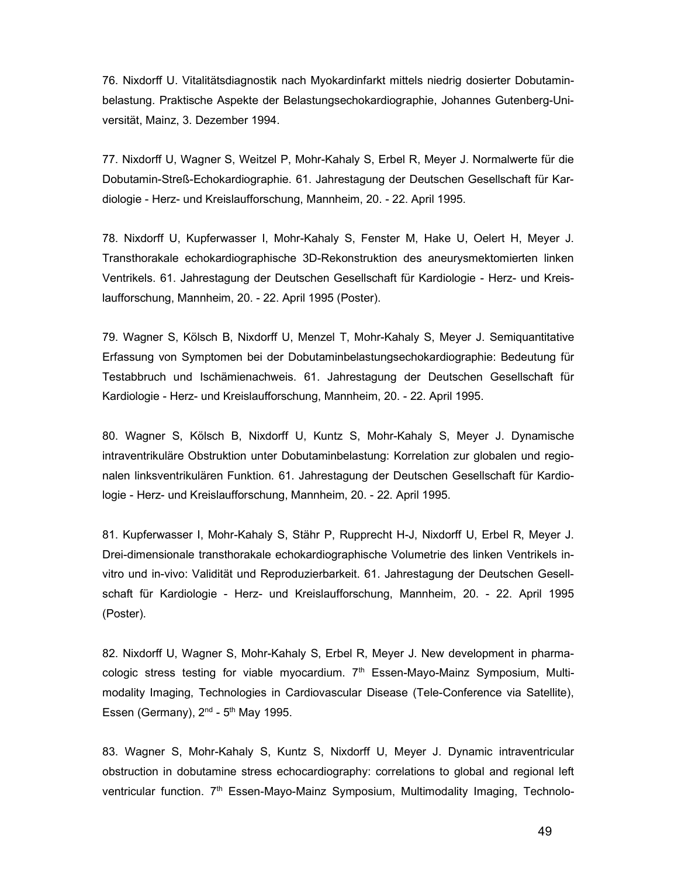76. Nixdorff U. Vitalitätsdiagnostik nach Myokardinfarkt mittels niedrig dosierter Dobutaminbelastung. Praktische Aspekte der Belastungsechokardiographie, Johannes Gutenberg-Universität, Mainz, 3. Dezember 1994.

77. Nixdorff U, Wagner S, Weitzel P, Mohr-Kahaly S, Erbel R, Meyer J. Normalwerte für die Dobutamin-Streß-Echokardiographie. 61. Jahrestagung der Deutschen Gesellschaft für Kardiologie - Herz- und Kreislaufforschung, Mannheim, 20. - 22. April 1995.

78. Nixdorff U, Kupferwasser I, Mohr-Kahaly S, Fenster M, Hake U, Oelert H, Meyer J. Transthorakale echokardiographische 3D-Rekonstruktion des aneurysmektomierten linken Ventrikels. 61. Jahrestagung der Deutschen Gesellschaft für Kardiologie - Herz- und Kreislaufforschung, Mannheim, 20. - 22. April 1995 (Poster).

79. Wagner S, Kölsch B, Nixdorff U, Menzel T, Mohr-Kahaly S, Meyer J. Semiquantitative Erfassung von Symptomen bei der Dobutaminbelastungsechokardiographie: Bedeutung für Testabbruch und Ischämienachweis. 61. Jahrestagung der Deutschen Gesellschaft für Kardiologie - Herz- und Kreislaufforschung, Mannheim, 20. - 22. April 1995.

80. Wagner S, Kölsch B, Nixdorff U, Kuntz S, Mohr-Kahaly S, Meyer J. Dynamische intraventrikuläre Obstruktion unter Dobutaminbelastung: Korrelation zur globalen und regionalen linksventrikulären Funktion. 61. Jahrestagung der Deutschen Gesellschaft für Kardiologie - Herz- und Kreislaufforschung, Mannheim, 20. - 22. April 1995.

81. Kupferwasser I, Mohr-Kahaly S, Stähr P, Rupprecht H-J, Nixdorff U, Erbel R, Meyer J. Drei-dimensionale transthorakale echokardiographische Volumetrie des linken Ventrikels invitro und in-vivo: Validität und Reproduzierbarkeit. 61. Jahrestagung der Deutschen Gesellschaft für Kardiologie - Herz- und Kreislaufforschung, Mannheim, 20. - 22. April 1995 (Poster).

82. Nixdorff U, Wagner S, Mohr-Kahaly S, Erbel R, Meyer J. New development in pharmacologic stress testing for viable myocardium.  $7<sup>th</sup>$  Essen-Mayo-Mainz Symposium, Multimodality Imaging, Technologies in Cardiovascular Disease (Tele-Conference via Satellite), Essen (Germany),  $2<sup>nd</sup>$  -  $5<sup>th</sup>$  May 1995.

83. Wagner S, Mohr-Kahaly S, Kuntz S, Nixdorff U, Meyer J. Dynamic intraventricular obstruction in dobutamine stress echocardiography: correlations to global and regional left ventricular function. 7th Essen-Mayo-Mainz Symposium, Multimodality Imaging, Technolo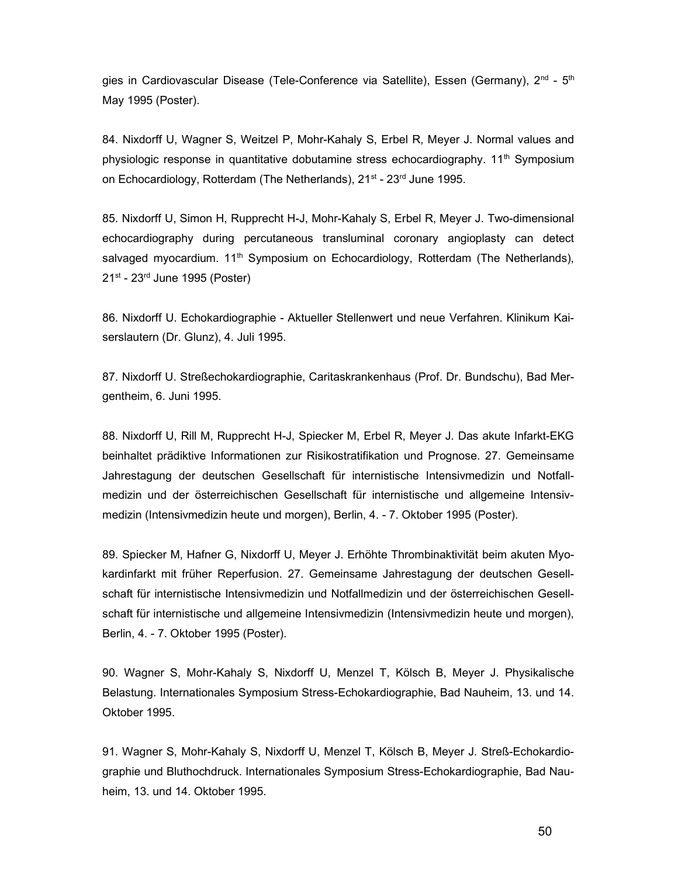gies in Cardiovascular Disease (Tele-Conference via Satellite), Essen (Germany), 2<sup>nd</sup> - 5<sup>th</sup> May 1995 (Poster).

84. Nixdorff U, Wagner S, Weitzel P, Mohr-Kahaly S, Erbel R, Meyer J. Normal values and physiologic response in quantitative dobutamine stress echocardiography.  $11<sup>th</sup>$  Symposium on Echocardiology, Rotterdam (The Netherlands), 21<sup>st</sup> - 23<sup>rd</sup> June 1995.

85. Nixdorff U, Simon H, Rupprecht H-J, Mohr-Kahaly S, Erbel R, Meyer J. Two-dimensional echocardiography during percutaneous transluminal coronary angioplasty can detect salvaged myocardium. 11<sup>th</sup> Symposium on Echocardiology, Rotterdam (The Netherlands),  $21<sup>st</sup>$  -  $23<sup>rd</sup>$  June 1995 (Poster)

86. Nixdorff U. Echokardiographie - Aktueller Stellenwert und neue Verfahren. Klinikum Kaiserslautern (Dr. Glunz), 4. Juli 1995.

87. Nixdorff U. Streßechokardiographie, Caritaskrankenhaus (Prof. Dr. Bundschu), Bad Mergentheim, 6. Juni 1995.

88. Nixdorff U, Rill M, Rupprecht H-J, Spiecker M, Erbel R, Meyer J. Das akute Infarkt-EKG beinhaltet prädiktive Informationen zur Risikostratifikation und Prognose. 27. Gemeinsame Jahrestagung der deutschen Gesellschaft für internistische Intensivmedizin und Notfallmedizin und der österreichischen Gesellschaft für internistische und allgemeine Intensivmedizin (Intensivmedizin heute und morgen), Berlin, 4. - 7. Oktober 1995 (Poster).

89. Spiecker M, Hafner G, Nixdorff U, Meyer J. Erhöhte Thrombinaktivität beim akuten Myokardinfarkt mit früher Reperfusion. 27. Gemeinsame Jahrestagung der deutschen Gesellschaft für internistische Intensivmedizin und Notfallmedizin und der österreichischen Gesellschaft für internistische und allgemeine Intensivmedizin (Intensivmedizin heute und morgen), Berlin, 4. - 7. Oktober 1995 (Poster).

90. Wagner S, Mohr-Kahaly S, Nixdorff U, Menzel T, Kölsch B, Meyer J. Physikalische Belastung. Internationales Symposium Stress-Echokardiographie, Bad Nauheim, 13. und 14. Oktober 1995.

91. Wagner S, Mohr-Kahaly S, Nixdorff U, Menzel T, Kölsch B, Meyer J. Streß-Echokardiographie und Bluthochdruck. Internationales Symposium Stress-Echokardiographie, Bad Nauheim, 13. und 14. Oktober 1995.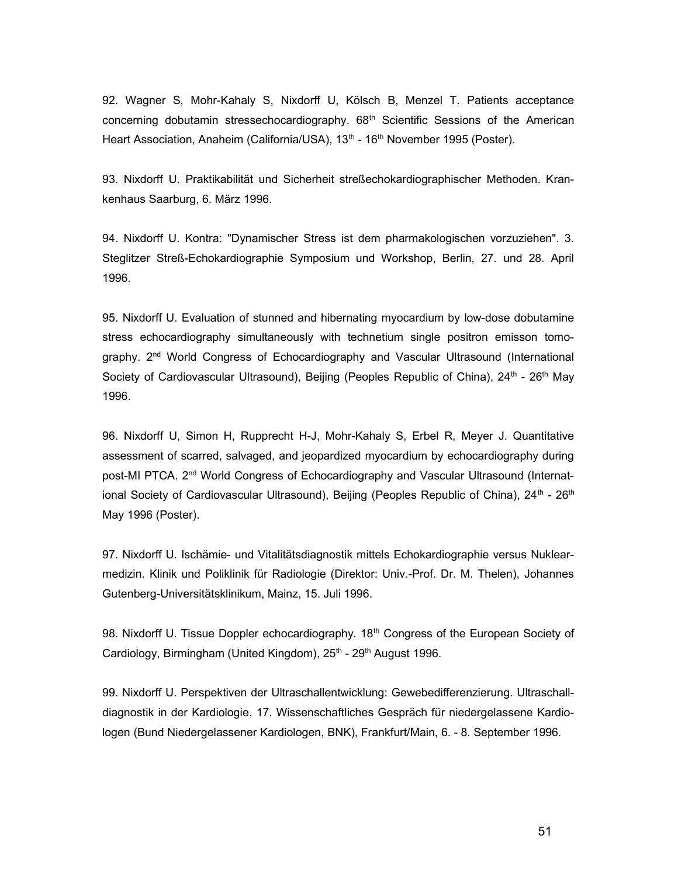92. Wagner S, Mohr-Kahaly S, Nixdorff U, Kölsch B, Menzel T. Patients acceptance concerning dobutamin stressechocardiography.  $68<sup>th</sup>$  Scientific Sessions of the American Heart Association, Anaheim (California/USA), 13<sup>th</sup> - 16<sup>th</sup> November 1995 (Poster).

93. Nixdorff U. Praktikabilität und Sicherheit streßechokardiographischer Methoden. Krankenhaus Saarburg, 6. März 1996.

94. Nixdorff U. Kontra: "Dynamischer Stress ist dem pharmakologischen vorzuziehen". 3. Steglitzer Streß-Echokardiographie Symposium und Workshop, Berlin, 27. und 28. April 1996.

95. Nixdorff U. Evaluation of stunned and hibernating myocardium by low-dose dobutamine stress echocardiography simultaneously with technetium single positron emisson tomography. 2<sup>nd</sup> World Congress of Echocardiography and Vascular Ultrasound (International Society of Cardiovascular Ultrasound), Beijing (Peoples Republic of China), 24<sup>th</sup> - 26<sup>th</sup> May 1996.

96. Nixdorff U, Simon H, Rupprecht H-J, Mohr-Kahaly S, Erbel R, Meyer J. Quantitative assessment of scarred, salvaged, and jeopardized myocardium by echocardiography during post-MI PTCA. 2<sup>nd</sup> World Congress of Echocardiography and Vascular Ultrasound (International Society of Cardiovascular Ultrasound), Beijing (Peoples Republic of China),  $24<sup>th</sup> - 26<sup>th</sup>$ May 1996 (Poster).

97. Nixdorff U. Ischämie- und Vitalitätsdiagnostik mittels Echokardiographie versus Nuklearmedizin. Klinik und Poliklinik für Radiologie (Direktor: Univ.-Prof. Dr. M. Thelen), Johannes Gutenberg-Universitätsklinikum, Mainz, 15. Juli 1996.

98. Nixdorff U. Tissue Doppler echocardiography. 18<sup>th</sup> Congress of the European Society of Cardiology, Birmingham (United Kingdom), 25<sup>th</sup> - 29<sup>th</sup> August 1996.

99. Nixdorff U. Perspektiven der Ultraschallentwicklung: Gewebedifferenzierung. Ultraschalldiagnostik in der Kardiologie. 17. Wissenschaftliches Gespräch für niedergelassene Kardiologen (Bund Niedergelassener Kardiologen, BNK), Frankfurt/Main, 6. - 8. September 1996.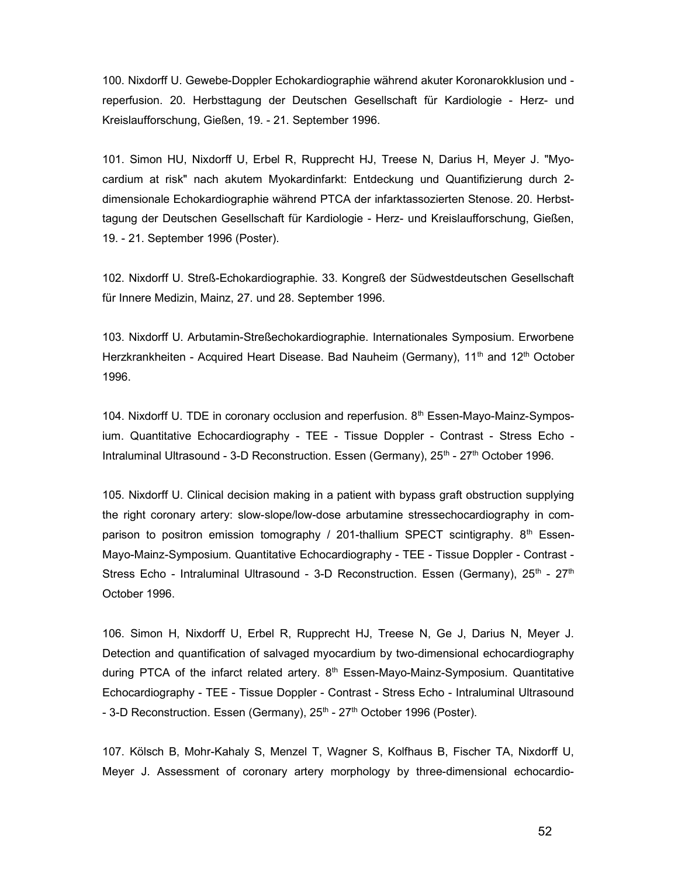100. Nixdorff U. Gewebe-Doppler Echokardiographie während akuter Koronarokklusion und reperfusion. 20. Herbsttagung der Deutschen Gesellschaft für Kardiologie - Herz- und Kreislaufforschung, Gießen, 19. - 21. September 1996.

101. Simon HU, Nixdorff U, Erbel R, Rupprecht HJ, Treese N, Darius H, Meyer J. "Myocardium at risk" nach akutem Myokardinfarkt: Entdeckung und Quantifizierung durch 2 dimensionale Echokardiographie während PTCA der infarktassozierten Stenose. 20. Herbsttagung der Deutschen Gesellschaft für Kardiologie - Herz- und Kreislaufforschung, Gießen, 19. - 21. September 1996 (Poster).

102. Nixdorff U. Streß-Echokardiographie. 33. Kongreß der Südwestdeutschen Gesellschaft für Innere Medizin, Mainz, 27. und 28. September 1996.

103. Nixdorff U. Arbutamin-Streßechokardiographie. Internationales Symposium. Erworbene Herzkrankheiten - Acquired Heart Disease. Bad Nauheim (Germany), 11<sup>th</sup> and 12<sup>th</sup> October 1996.

104. Nixdorff U. TDE in coronary occlusion and reperfusion. 8<sup>th</sup> Essen-Mayo-Mainz-Symposium. Quantitative Echocardiography - TEE - Tissue Doppler - Contrast - Stress Echo - Intraluminal Ultrasound - 3-D Reconstruction. Essen (Germany),  $25<sup>th</sup>$  -  $27<sup>th</sup>$  October 1996.

105. Nixdorff U. Clinical decision making in a patient with bypass graft obstruction supplying the right coronary artery: slow-slope/low-dose arbutamine stressechocardiography in comparison to positron emission tomography / 201-thallium SPECT scintigraphy.  $8<sup>th</sup>$  Essen-Mayo-Mainz-Symposium. Quantitative Echocardiography - TEE - Tissue Doppler - Contrast - Stress Echo - Intraluminal Ultrasound - 3-D Reconstruction. Essen (Germany),  $25<sup>th</sup>$  -  $27<sup>th</sup>$ October 1996.

106. Simon H, Nixdorff U, Erbel R, Rupprecht HJ, Treese N, Ge J, Darius N, Meyer J. Detection and quantification of salvaged myocardium by two-dimensional echocardiography during PTCA of the infarct related artery.  $8<sup>th</sup>$  Essen-Mayo-Mainz-Symposium. Quantitative Echocardiography - TEE - Tissue Doppler - Contrast - Stress Echo - Intraluminal Ultrasound - 3-D Reconstruction. Essen (Germany), 25<sup>th</sup> - 27<sup>th</sup> October 1996 (Poster).

107. Kölsch B, Mohr-Kahaly S, Menzel T, Wagner S, Kolfhaus B, Fischer TA, Nixdorff U, Meyer J. Assessment of coronary artery morphology by three-dimensional echocardio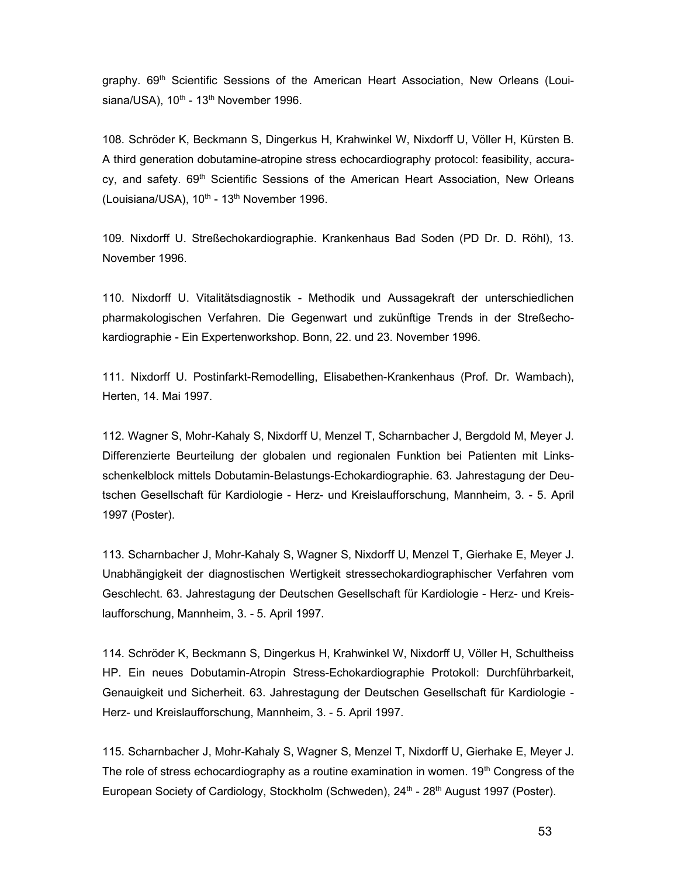graphy. 69<sup>th</sup> Scientific Sessions of the American Heart Association, New Orleans (Louisiana/USA),  $10^{th}$  -  $13^{th}$  November 1996.

108. Schröder K, Beckmann S, Dingerkus H, Krahwinkel W, Nixdorff U, Völler H, Kürsten B. A third generation dobutamine-atropine stress echocardiography protocol: feasibility, accuracy, and safety.  $69<sup>th</sup>$  Scientific Sessions of the American Heart Association, New Orleans (Louisiana/USA),  $10^{th}$  -  $13^{th}$  November 1996.

109. Nixdorff U. Streßechokardiographie. Krankenhaus Bad Soden (PD Dr. D. Röhl), 13. November 1996.

110. Nixdorff U. Vitalitätsdiagnostik - Methodik und Aussagekraft der unterschiedlichen pharmakologischen Verfahren. Die Gegenwart und zukünftige Trends in der Streßechokardiographie - Ein Expertenworkshop. Bonn, 22. und 23. November 1996.

111. Nixdorff U. Postinfarkt-Remodelling, Elisabethen-Krankenhaus (Prof. Dr. Wambach), Herten, 14. Mai 1997.

112. Wagner S, Mohr-Kahaly S, Nixdorff U, Menzel T, Scharnbacher J, Bergdold M, Meyer J. Differenzierte Beurteilung der globalen und regionalen Funktion bei Patienten mit Linksschenkelblock mittels Dobutamin-Belastungs-Echokardiographie. 63. Jahrestagung der Deutschen Gesellschaft für Kardiologie - Herz- und Kreislaufforschung, Mannheim, 3. - 5. April 1997 (Poster).

113. Scharnbacher J, Mohr-Kahaly S, Wagner S, Nixdorff U, Menzel T, Gierhake E, Meyer J. Unabhängigkeit der diagnostischen Wertigkeit stressechokardiographischer Verfahren vom Geschlecht. 63. Jahrestagung der Deutschen Gesellschaft für Kardiologie - Herz- und Kreislaufforschung, Mannheim, 3. - 5. April 1997.

114. Schröder K, Beckmann S, Dingerkus H, Krahwinkel W, Nixdorff U, Völler H, Schultheiss HP. Ein neues Dobutamin-Atropin Stress-Echokardiographie Protokoll: Durchführbarkeit, Genauigkeit und Sicherheit. 63. Jahrestagung der Deutschen Gesellschaft für Kardiologie - Herz- und Kreislaufforschung, Mannheim, 3. - 5. April 1997.

115. Scharnbacher J, Mohr-Kahaly S, Wagner S, Menzel T, Nixdorff U, Gierhake E, Meyer J. The role of stress echocardiography as a routine examination in women.  $19<sup>th</sup>$  Congress of the European Society of Cardiology, Stockholm (Schweden), 24<sup>th</sup> - 28<sup>th</sup> August 1997 (Poster).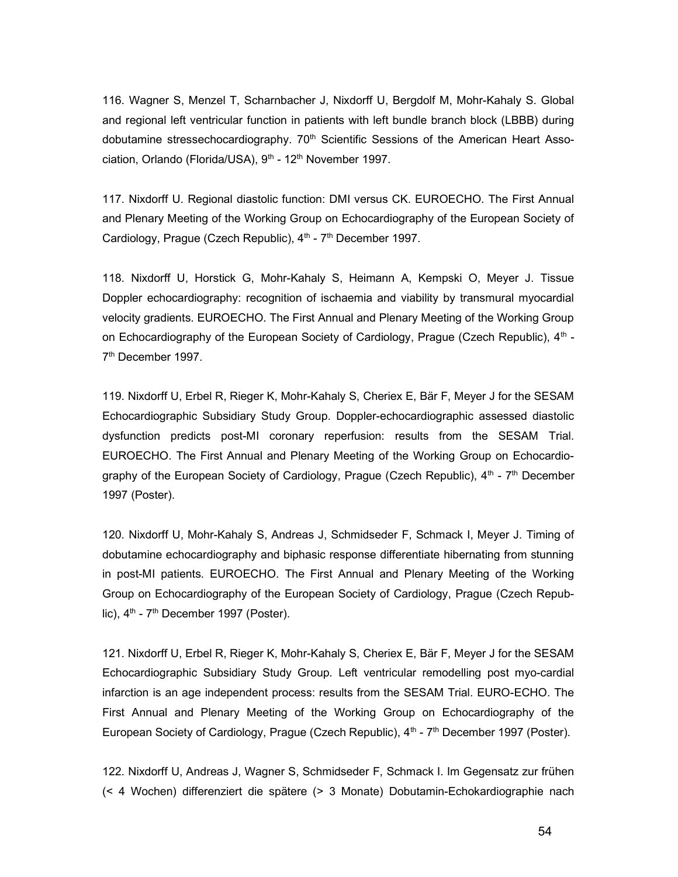116. Wagner S, Menzel T, Scharnbacher J, Nixdorff U, Bergdolf M, Mohr-Kahaly S. Global and regional left ventricular function in patients with left bundle branch block (LBBB) during dobutamine stressechocardiography.  $70<sup>th</sup>$  Scientific Sessions of the American Heart Association, Orlando (Florida/USA), 9<sup>th</sup> - 12<sup>th</sup> November 1997.

117. Nixdorff U. Regional diastolic function: DMI versus CK. EUROECHO. The First Annual and Plenary Meeting of the Working Group on Echocardiography of the European Society of Cardiology, Prague (Czech Republic),  $4<sup>th</sup>$  -  $7<sup>th</sup>$  December 1997.

118. Nixdorff U, Horstick G, Mohr-Kahaly S, Heimann A, Kempski O, Meyer J. Tissue Doppler echocardiography: recognition of ischaemia and viability by transmural myocardial velocity gradients. EUROECHO. The First Annual and Plenary Meeting of the Working Group on Echocardiography of the European Society of Cardiology, Prague (Czech Republic),  $4<sup>th</sup>$  -7<sup>th</sup> December 1997.

119. Nixdorff U, Erbel R, Rieger K, Mohr-Kahaly S, Cheriex E, Bär F, Meyer J for the SESAM Echocardiographic Subsidiary Study Group. Doppler-echocardiographic assessed diastolic dysfunction predicts post-MI coronary reperfusion: results from the SESAM Trial. EUROECHO. The First Annual and Plenary Meeting of the Working Group on Echocardiography of the European Society of Cardiology, Prague (Czech Republic),  $4<sup>th</sup>$  -  $7<sup>th</sup>$  December 1997 (Poster).

120. Nixdorff U, Mohr-Kahaly S, Andreas J, Schmidseder F, Schmack I, Meyer J. Timing of dobutamine echocardiography and biphasic response differentiate hibernating from stunning in post-MI patients. EUROECHO. The First Annual and Plenary Meeting of the Working Group on Echocardiography of the European Society of Cardiology, Prague (Czech Republic),  $4<sup>th</sup>$  -  $7<sup>th</sup>$  December 1997 (Poster).

121. Nixdorff U, Erbel R, Rieger K, Mohr-Kahaly S, Cheriex E, Bär F, Meyer J for the SESAM Echocardiographic Subsidiary Study Group. Left ventricular remodelling post myo-cardial infarction is an age independent process: results from the SESAM Trial. EURO-ECHO. The First Annual and Plenary Meeting of the Working Group on Echocardiography of the European Society of Cardiology, Prague (Czech Republic),  $4<sup>th</sup>$  -  $7<sup>th</sup>$  December 1997 (Poster).

122. Nixdorff U, Andreas J, Wagner S, Schmidseder F, Schmack I. Im Gegensatz zur frühen (< 4 Wochen) differenziert die spätere (> 3 Monate) Dobutamin-Echokardiographie nach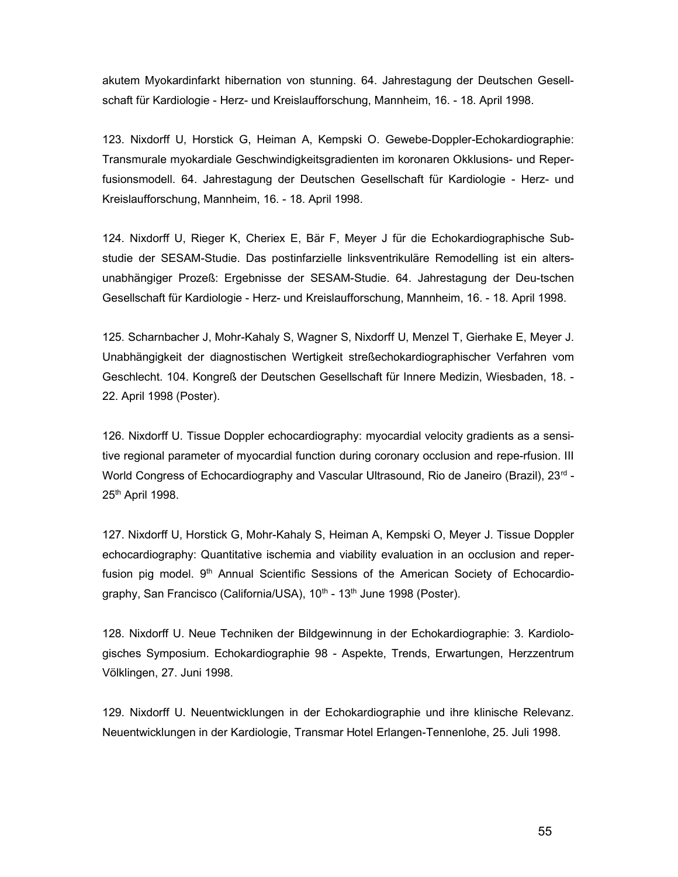akutem Myokardinfarkt hibernation von stunning. 64. Jahrestagung der Deutschen Gesellschaft für Kardiologie - Herz- und Kreislaufforschung, Mannheim, 16. - 18. April 1998.

123. Nixdorff U, Horstick G, Heiman A, Kempski O. Gewebe-Doppler-Echokardiographie: Transmurale myokardiale Geschwindigkeitsgradienten im koronaren Okklusions- und Reperfusionsmodell. 64. Jahrestagung der Deutschen Gesellschaft für Kardiologie - Herz- und Kreislaufforschung, Mannheim, 16. - 18. April 1998.

124. Nixdorff U, Rieger K, Cheriex E, Bär F, Meyer J für die Echokardiographische Substudie der SESAM-Studie. Das postinfarzielle linksventrikuläre Remodelling ist ein altersunabhängiger Prozeß: Ergebnisse der SESAM-Studie. 64. Jahrestagung der Deu-tschen Gesellschaft für Kardiologie - Herz- und Kreislaufforschung, Mannheim, 16. - 18. April 1998.

125. Scharnbacher J, Mohr-Kahaly S, Wagner S, Nixdorff U, Menzel T, Gierhake E, Meyer J. Unabhängigkeit der diagnostischen Wertigkeit streßechokardiographischer Verfahren vom Geschlecht. 104. Kongreß der Deutschen Gesellschaft für Innere Medizin, Wiesbaden, 18. - 22. April 1998 (Poster).

126. Nixdorff U. Tissue Doppler echocardiography: myocardial velocity gradients as a sensitive regional parameter of myocardial function during coronary occlusion and repe-rfusion. III World Congress of Echocardiography and Vascular Ultrasound, Rio de Janeiro (Brazil), 23<sup>rd</sup> -25th April 1998.

127. Nixdorff U, Horstick G, Mohr-Kahaly S, Heiman A, Kempski O, Meyer J. Tissue Doppler echocardiography: Quantitative ischemia and viability evaluation in an occlusion and reperfusion pig model. 9<sup>th</sup> Annual Scientific Sessions of the American Society of Echocardiography, San Francisco (California/USA), 10<sup>th</sup> - 13<sup>th</sup> June 1998 (Poster).

128. Nixdorff U. Neue Techniken der Bildgewinnung in der Echokardiographie: 3. Kardiologisches Symposium. Echokardiographie 98 - Aspekte, Trends, Erwartungen, Herzzentrum Völklingen, 27. Juni 1998.

129. Nixdorff U. Neuentwicklungen in der Echokardiographie und ihre klinische Relevanz. Neuentwicklungen in der Kardiologie, Transmar Hotel Erlangen-Tennenlohe, 25. Juli 1998.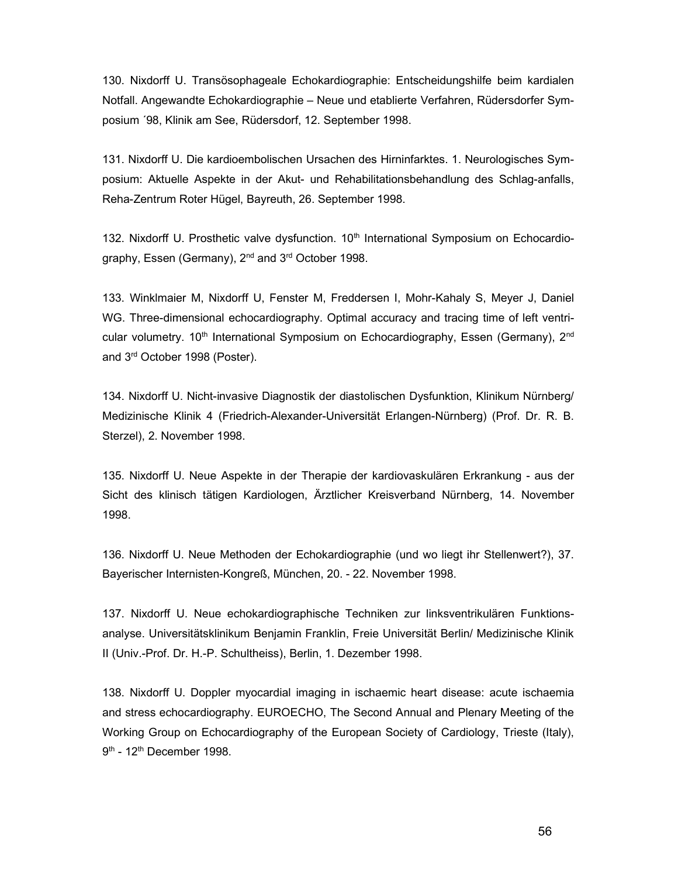130. Nixdorff U. Transösophageale Echokardiographie: Entscheidungshilfe beim kardialen Notfall. Angewandte Echokardiographie – Neue und etablierte Verfahren, Rüdersdorfer Symposium ´98, Klinik am See, Rüdersdorf, 12. September 1998.

131. Nixdorff U. Die kardioembolischen Ursachen des Hirninfarktes. 1. Neurologisches Symposium: Aktuelle Aspekte in der Akut- und Rehabilitationsbehandlung des Schlag-anfalls, Reha-Zentrum Roter Hügel, Bayreuth, 26. September 1998.

132. Nixdorff U. Prosthetic valve dysfunction. 10<sup>th</sup> International Symposium on Echocardiography, Essen (Germany), 2<sup>nd</sup> and 3<sup>rd</sup> October 1998.

133. Winklmaier M, Nixdorff U, Fenster M, Freddersen I, Mohr-Kahaly S, Meyer J, Daniel WG. Three-dimensional echocardiography. Optimal accuracy and tracing time of left ventricular volumetry. 10<sup>th</sup> International Symposium on Echocardiography, Essen (Germany), 2<sup>nd</sup> and 3rd October 1998 (Poster).

134. Nixdorff U. Nicht-invasive Diagnostik der diastolischen Dysfunktion, Klinikum Nürnberg/ Medizinische Klinik 4 (Friedrich-Alexander-Universität Erlangen-Nürnberg) (Prof. Dr. R. B. Sterzel), 2. November 1998.

135. Nixdorff U. Neue Aspekte in der Therapie der kardiovaskulären Erkrankung - aus der Sicht des klinisch tätigen Kardiologen, Ärztlicher Kreisverband Nürnberg, 14. November 1998.

136. Nixdorff U. Neue Methoden der Echokardiographie (und wo liegt ihr Stellenwert?), 37. Bayerischer Internisten-Kongreß, München, 20. - 22. November 1998.

137. Nixdorff U. Neue echokardiographische Techniken zur linksventrikulären Funktionsanalyse. Universitätsklinikum Benjamin Franklin, Freie Universität Berlin/ Medizinische Klinik II (Univ.-Prof. Dr. H.-P. Schultheiss), Berlin, 1. Dezember 1998.

138. Nixdorff U. Doppler myocardial imaging in ischaemic heart disease: acute ischaemia and stress echocardiography. EUROECHO, The Second Annual and Plenary Meeting of the Working Group on Echocardiography of the European Society of Cardiology, Trieste (Italy), 9<sup>th</sup> - 12<sup>th</sup> December 1998.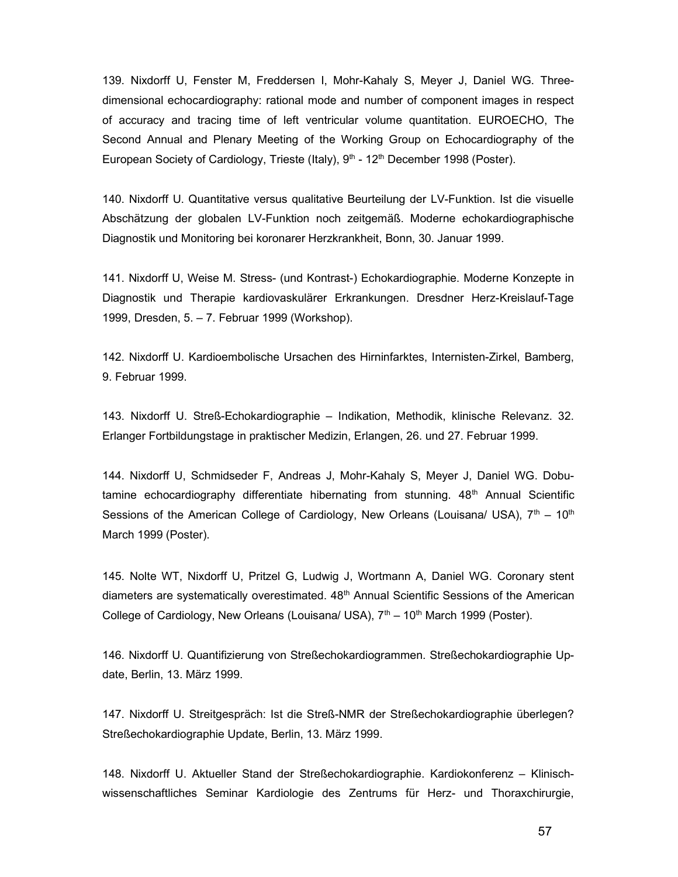139. Nixdorff U, Fenster M, Freddersen I, Mohr-Kahaly S, Meyer J, Daniel WG. Threedimensional echocardiography: rational mode and number of component images in respect of accuracy and tracing time of left ventricular volume quantitation. EUROECHO, The Second Annual and Plenary Meeting of the Working Group on Echocardiography of the European Society of Cardiology, Trieste (Italy), 9<sup>th</sup> - 12<sup>th</sup> December 1998 (Poster).

140. Nixdorff U. Quantitative versus qualitative Beurteilung der LV-Funktion. Ist die visuelle Abschätzung der globalen LV-Funktion noch zeitgemäß. Moderne echokardiographische Diagnostik und Monitoring bei koronarer Herzkrankheit, Bonn, 30. Januar 1999.

141. Nixdorff U, Weise M. Stress- (und Kontrast-) Echokardiographie. Moderne Konzepte in Diagnostik und Therapie kardiovaskulärer Erkrankungen. Dresdner Herz-Kreislauf-Tage 1999, Dresden, 5. – 7. Februar 1999 (Workshop).

142. Nixdorff U. Kardioembolische Ursachen des Hirninfarktes, Internisten-Zirkel, Bamberg, 9. Februar 1999.

143. Nixdorff U. Streß-Echokardiographie – Indikation, Methodik, klinische Relevanz. 32. Erlanger Fortbildungstage in praktischer Medizin, Erlangen, 26. und 27. Februar 1999.

144. Nixdorff U, Schmidseder F, Andreas J, Mohr-Kahaly S, Meyer J, Daniel WG. Dobutamine echocardiography differentiate hibernating from stunning.  $48<sup>th</sup>$  Annual Scientific Sessions of the American College of Cardiology, New Orleans (Louisana/ USA),  $7<sup>th</sup> - 10<sup>th</sup>$ March 1999 (Poster).

145. Nolte WT, Nixdorff U, Pritzel G, Ludwig J, Wortmann A, Daniel WG. Coronary stent diameters are systematically overestimated.  $48<sup>th</sup>$  Annual Scientific Sessions of the American College of Cardiology, New Orleans (Louisana/ USA),  $7<sup>th</sup> - 10<sup>th</sup>$  March 1999 (Poster).

146. Nixdorff U. Quantifizierung von Streßechokardiogrammen. Streßechokardiographie Update, Berlin, 13. März 1999.

147. Nixdorff U. Streitgespräch: Ist die Streß-NMR der Streßechokardiographie überlegen? Streßechokardiographie Update, Berlin, 13. März 1999.

148. Nixdorff U. Aktueller Stand der Streßechokardiographie. Kardiokonferenz – Klinischwissenschaftliches Seminar Kardiologie des Zentrums für Herz- und Thoraxchirurgie,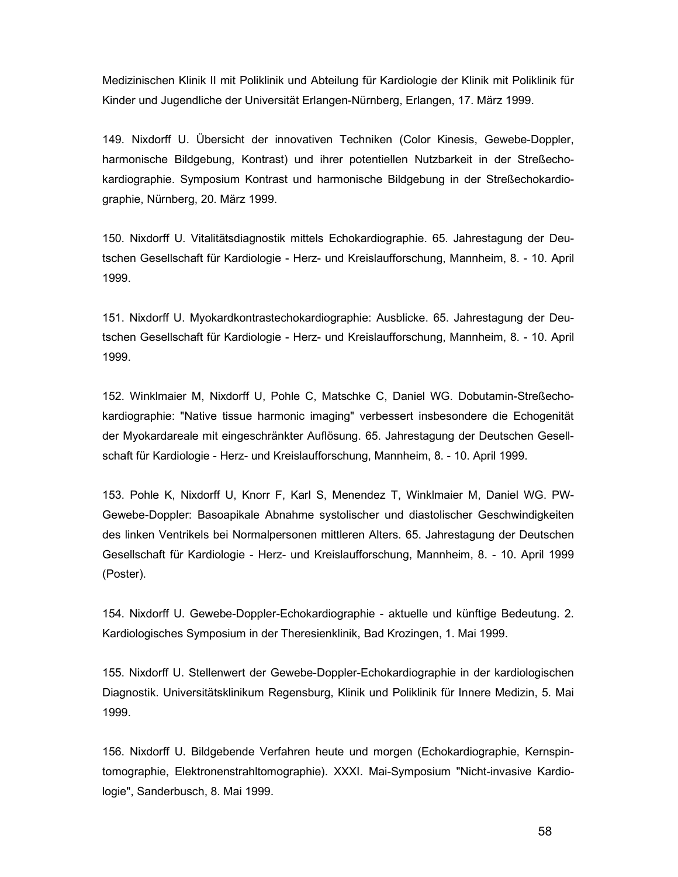Medizinischen Klinik II mit Poliklinik und Abteilung für Kardiologie der Klinik mit Poliklinik für Kinder und Jugendliche der Universität Erlangen-Nürnberg, Erlangen, 17. März 1999.

149. Nixdorff U. Übersicht der innovativen Techniken (Color Kinesis, Gewebe-Doppler, harmonische Bildgebung, Kontrast) und ihrer potentiellen Nutzbarkeit in der Streßechokardiographie. Symposium Kontrast und harmonische Bildgebung in der Streßechokardiographie, Nürnberg, 20. März 1999.

150. Nixdorff U. Vitalitätsdiagnostik mittels Echokardiographie. 65. Jahrestagung der Deutschen Gesellschaft für Kardiologie - Herz- und Kreislaufforschung, Mannheim, 8. - 10. April 1999.

151. Nixdorff U. Myokardkontrastechokardiographie: Ausblicke. 65. Jahrestagung der Deutschen Gesellschaft für Kardiologie - Herz- und Kreislaufforschung, Mannheim, 8. - 10. April 1999.

152. Winklmaier M, Nixdorff U, Pohle C, Matschke C, Daniel WG. Dobutamin-Streßechokardiographie: "Native tissue harmonic imaging" verbessert insbesondere die Echogenität der Myokardareale mit eingeschränkter Auflösung. 65. Jahrestagung der Deutschen Gesellschaft für Kardiologie - Herz- und Kreislaufforschung, Mannheim, 8. - 10. April 1999.

153. Pohle K, Nixdorff U, Knorr F, Karl S, Menendez T, Winklmaier M, Daniel WG. PW-Gewebe-Doppler: Basoapikale Abnahme systolischer und diastolischer Geschwindigkeiten des linken Ventrikels bei Normalpersonen mittleren Alters. 65. Jahrestagung der Deutschen Gesellschaft für Kardiologie - Herz- und Kreislaufforschung, Mannheim, 8. - 10. April 1999 (Poster).

154. Nixdorff U. Gewebe-Doppler-Echokardiographie - aktuelle und künftige Bedeutung. 2. Kardiologisches Symposium in der Theresienklinik, Bad Krozingen, 1. Mai 1999.

155. Nixdorff U. Stellenwert der Gewebe-Doppler-Echokardiographie in der kardiologischen Diagnostik. Universitätsklinikum Regensburg, Klinik und Poliklinik für Innere Medizin, 5. Mai 1999.

156. Nixdorff U. Bildgebende Verfahren heute und morgen (Echokardiographie, Kernspintomographie, Elektronenstrahltomographie). XXXI. Mai-Symposium "Nicht-invasive Kardiologie", Sanderbusch, 8. Mai 1999.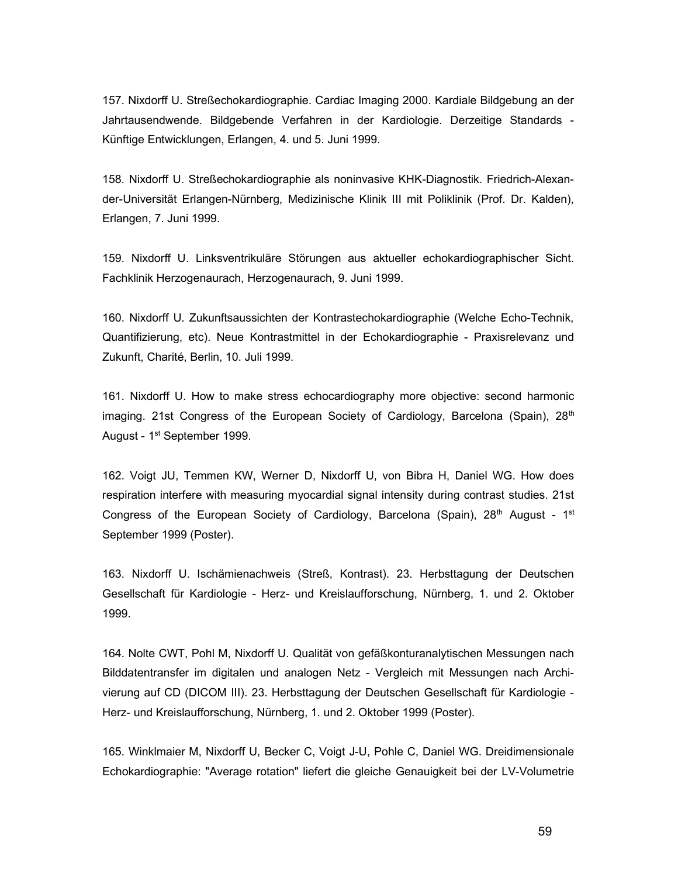157. Nixdorff U. Streßechokardiographie. Cardiac Imaging 2000. Kardiale Bildgebung an der Jahrtausendwende. Bildgebende Verfahren in der Kardiologie. Derzeitige Standards - Künftige Entwicklungen, Erlangen, 4. und 5. Juni 1999.

158. Nixdorff U. Streßechokardiographie als noninvasive KHK-Diagnostik. Friedrich-Alexander-Universität Erlangen-Nürnberg, Medizinische Klinik III mit Poliklinik (Prof. Dr. Kalden), Erlangen, 7. Juni 1999.

159. Nixdorff U. Linksventrikuläre Störungen aus aktueller echokardiographischer Sicht. Fachklinik Herzogenaurach, Herzogenaurach, 9. Juni 1999.

160. Nixdorff U. Zukunftsaussichten der Kontrastechokardiographie (Welche Echo-Technik, Quantifizierung, etc). Neue Kontrastmittel in der Echokardiographie - Praxisrelevanz und Zukunft, Charité, Berlin, 10. Juli 1999.

161. Nixdorff U. How to make stress echocardiography more objective: second harmonic imaging. 21st Congress of the European Society of Cardiology, Barcelona (Spain),  $28<sup>th</sup>$ August - 1st September 1999.

162. Voigt JU, Temmen KW, Werner D, Nixdorff U, von Bibra H, Daniel WG. How does respiration interfere with measuring myocardial signal intensity during contrast studies. 21st Congress of the European Society of Cardiology, Barcelona (Spain),  $28<sup>th</sup>$  August - 1<sup>st</sup> September 1999 (Poster).

163. Nixdorff U. Ischämienachweis (Streß, Kontrast). 23. Herbsttagung der Deutschen Gesellschaft für Kardiologie - Herz- und Kreislaufforschung, Nürnberg, 1. und 2. Oktober 1999.

164. Nolte CWT, Pohl M, Nixdorff U. Qualität von gefäßkonturanalytischen Messungen nach Bilddatentransfer im digitalen und analogen Netz - Vergleich mit Messungen nach Archivierung auf CD (DICOM III). 23. Herbsttagung der Deutschen Gesellschaft für Kardiologie - Herz- und Kreislaufforschung, Nürnberg, 1. und 2. Oktober 1999 (Poster).

165. Winklmaier M, Nixdorff U, Becker C, Voigt J-U, Pohle C, Daniel WG. Dreidimensionale Echokardiographie: "Average rotation" liefert die gleiche Genauigkeit bei der LV-Volumetrie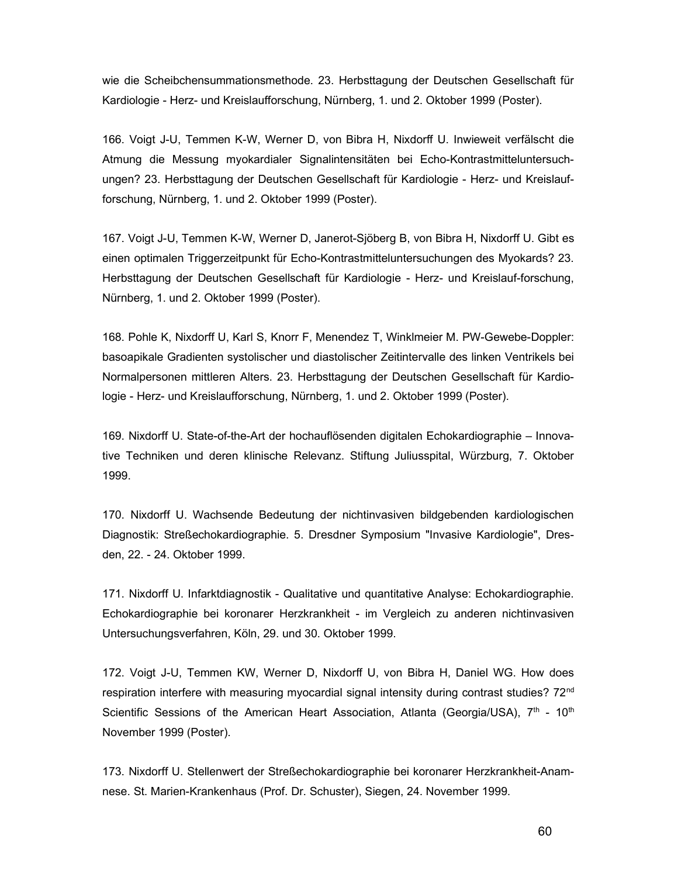wie die Scheibchensummationsmethode. 23. Herbsttagung der Deutschen Gesellschaft für Kardiologie - Herz- und Kreislaufforschung, Nürnberg, 1. und 2. Oktober 1999 (Poster).

166. Voigt J-U, Temmen K-W, Werner D, von Bibra H, Nixdorff U. Inwieweit verfälscht die Atmung die Messung myokardialer Signalintensitäten bei Echo-Kontrastmitteluntersuchungen? 23. Herbsttagung der Deutschen Gesellschaft für Kardiologie - Herz- und Kreislaufforschung, Nürnberg, 1. und 2. Oktober 1999 (Poster).

167. Voigt J-U, Temmen K-W, Werner D, Janerot-Sjöberg B, von Bibra H, Nixdorff U. Gibt es einen optimalen Triggerzeitpunkt für Echo-Kontrastmitteluntersuchungen des Myokards? 23. Herbsttagung der Deutschen Gesellschaft für Kardiologie - Herz- und Kreislauf-forschung, Nürnberg, 1. und 2. Oktober 1999 (Poster).

168. Pohle K, Nixdorff U, Karl S, Knorr F, Menendez T, Winklmeier M. PW-Gewebe-Doppler: basoapikale Gradienten systolischer und diastolischer Zeitintervalle des linken Ventrikels bei Normalpersonen mittleren Alters. 23. Herbsttagung der Deutschen Gesellschaft für Kardiologie - Herz- und Kreislaufforschung, Nürnberg, 1. und 2. Oktober 1999 (Poster).

169. Nixdorff U. State-of-the-Art der hochauflösenden digitalen Echokardiographie – Innovative Techniken und deren klinische Relevanz. Stiftung Juliusspital, Würzburg, 7. Oktober 1999.

170. Nixdorff U. Wachsende Bedeutung der nichtinvasiven bildgebenden kardiologischen Diagnostik: Streßechokardiographie. 5. Dresdner Symposium "Invasive Kardiologie", Dresden, 22. - 24. Oktober 1999.

171. Nixdorff U. Infarktdiagnostik - Qualitative und quantitative Analyse: Echokardiographie. Echokardiographie bei koronarer Herzkrankheit - im Vergleich zu anderen nichtinvasiven Untersuchungsverfahren, Köln, 29. und 30. Oktober 1999.

172. Voigt J-U, Temmen KW, Werner D, Nixdorff U, von Bibra H, Daniel WG. How does respiration interfere with measuring myocardial signal intensity during contrast studies? 72<sup>nd</sup> Scientific Sessions of the American Heart Association, Atlanta (Georgia/USA),  $7<sup>th</sup>$  - 10<sup>th</sup> November 1999 (Poster).

173. Nixdorff U. Stellenwert der Streßechokardiographie bei koronarer Herzkrankheit-Anamnese. St. Marien-Krankenhaus (Prof. Dr. Schuster), Siegen, 24. November 1999.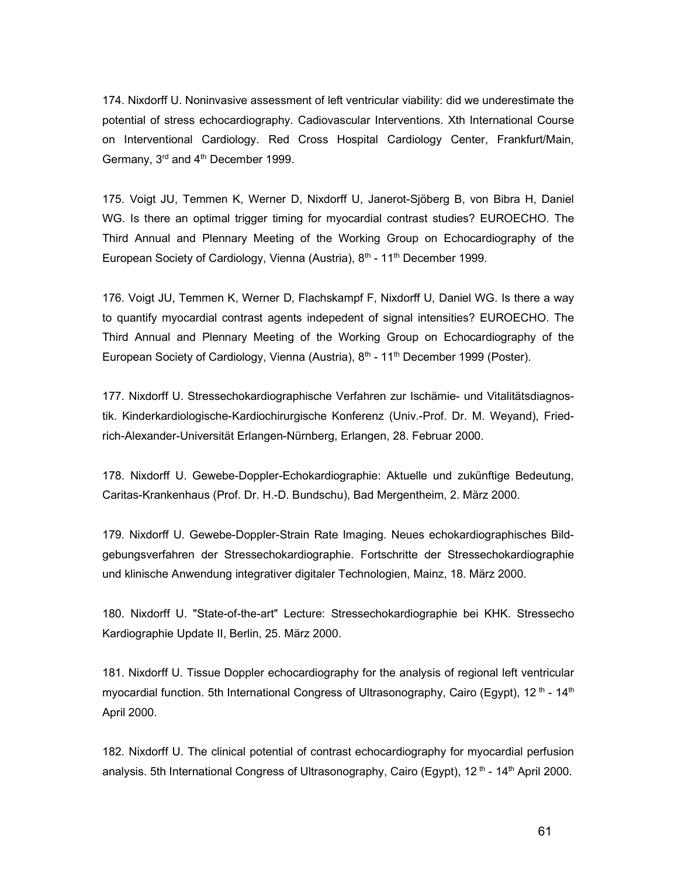174. Nixdorff U. Noninvasive assessment of left ventricular viability: did we underestimate the potential of stress echocardiography. Cadiovascular Interventions. Xth International Course on Interventional Cardiology. Red Cross Hospital Cardiology Center, Frankfurt/Main, Germany, 3<sup>rd</sup> and 4<sup>th</sup> December 1999.

175. Voigt JU, Temmen K, Werner D, Nixdorff U, Janerot-Sjöberg B, von Bibra H, Daniel WG. Is there an optimal trigger timing for myocardial contrast studies? EUROECHO. The Third Annual and Plennary Meeting of the Working Group on Echocardiography of the European Society of Cardiology, Vienna (Austria),  $8<sup>th</sup>$  - 11<sup>th</sup> December 1999.

176. Voigt JU, Temmen K, Werner D, Flachskampf F, Nixdorff U, Daniel WG. Is there a way to quantify myocardial contrast agents indepedent of signal intensities? EUROECHO. The Third Annual and Plennary Meeting of the Working Group on Echocardiography of the European Society of Cardiology, Vienna (Austria), 8<sup>th</sup> - 11<sup>th</sup> December 1999 (Poster).

177. Nixdorff U. Stressechokardiographische Verfahren zur Ischämie- und Vitalitätsdiagnostik. Kinderkardiologische-Kardiochirurgische Konferenz (Univ.-Prof. Dr. M. Weyand), Friedrich-Alexander-Universität Erlangen-Nürnberg, Erlangen, 28. Februar 2000.

178. Nixdorff U. Gewebe-Doppler-Echokardiographie: Aktuelle und zukünftige Bedeutung, Caritas-Krankenhaus (Prof. Dr. H.-D. Bundschu), Bad Mergentheim, 2. März 2000.

179. Nixdorff U. Gewebe-Doppler-Strain Rate Imaging. Neues echokardiographisches Bildgebungsverfahren der Stressechokardiographie. Fortschritte der Stressechokardiographie und klinische Anwendung integrativer digitaler Technologien, Mainz, 18. März 2000.

180. Nixdorff U. "State-of-the-art" Lecture: Stressechokardiographie bei KHK. Stressecho Kardiographie Update II, Berlin, 25. März 2000.

181. Nixdorff U. Tissue Doppler echocardiography for the analysis of regional left ventricular myocardial function. 5th International Congress of Ultrasonography, Cairo (Egypt), 12<sup>th</sup> - 14<sup>th</sup> April 2000.

182. Nixdorff U. The clinical potential of contrast echocardiography for myocardial perfusion analysis. 5th International Congress of Ultrasonography, Cairo (Egypt),  $12<sup>th</sup>$  -  $14<sup>th</sup>$  April 2000.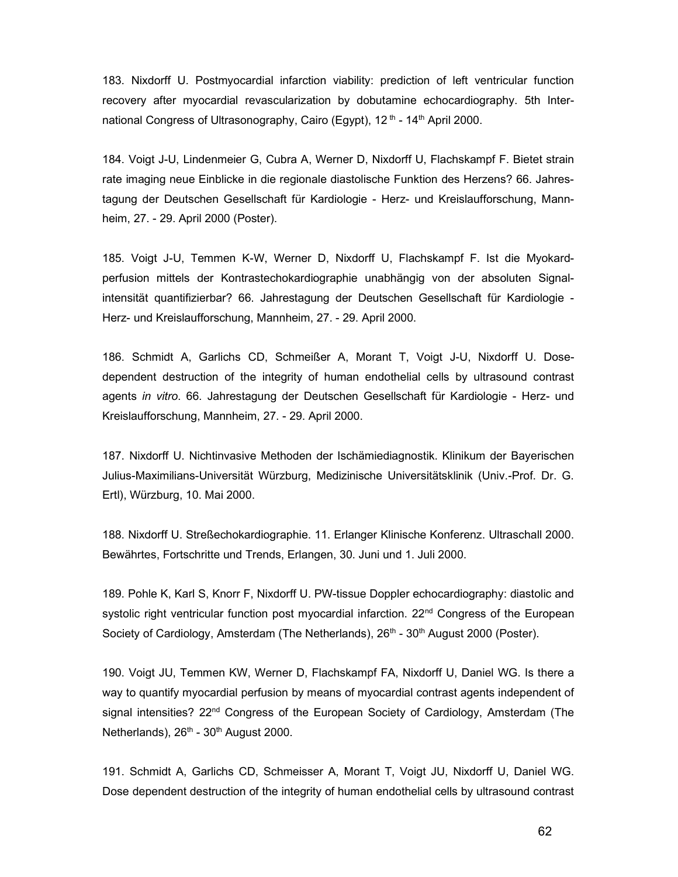183. Nixdorff U. Postmyocardial infarction viability: prediction of left ventricular function recovery after myocardial revascularization by dobutamine echocardiography. 5th International Congress of Ultrasonography, Cairo (Egypt), 12<sup>th</sup> - 14<sup>th</sup> April 2000.

184. Voigt J-U, Lindenmeier G, Cubra A, Werner D, Nixdorff U, Flachskampf F. Bietet strain rate imaging neue Einblicke in die regionale diastolische Funktion des Herzens? 66. Jahrestagung der Deutschen Gesellschaft für Kardiologie - Herz- und Kreislaufforschung, Mannheim, 27. - 29. April 2000 (Poster).

185. Voigt J-U, Temmen K-W, Werner D, Nixdorff U, Flachskampf F. Ist die Myokardperfusion mittels der Kontrastechokardiographie unabhängig von der absoluten Signalintensität quantifizierbar? 66. Jahrestagung der Deutschen Gesellschaft für Kardiologie - Herz- und Kreislaufforschung, Mannheim, 27. - 29. April 2000.

186. Schmidt A, Garlichs CD, Schmeißer A, Morant T, Voigt J-U, Nixdorff U. Dosedependent destruction of the integrity of human endothelial cells by ultrasound contrast agents in vitro. 66. Jahrestagung der Deutschen Gesellschaft für Kardiologie - Herz- und Kreislaufforschung, Mannheim, 27. - 29. April 2000.

187. Nixdorff U. Nichtinvasive Methoden der Ischämiediagnostik. Klinikum der Bayerischen Julius-Maximilians-Universität Würzburg, Medizinische Universitätsklinik (Univ.-Prof. Dr. G. Ertl), Würzburg, 10. Mai 2000.

188. Nixdorff U. Streßechokardiographie. 11. Erlanger Klinische Konferenz. Ultraschall 2000. Bewährtes, Fortschritte und Trends, Erlangen, 30. Juni und 1. Juli 2000.

189. Pohle K, Karl S, Knorr F, Nixdorff U. PW-tissue Doppler echocardiography: diastolic and systolic right ventricular function post myocardial infarction. 22<sup>nd</sup> Congress of the European Society of Cardiology, Amsterdam (The Netherlands), 26<sup>th</sup> - 30<sup>th</sup> August 2000 (Poster).

190. Voigt JU, Temmen KW, Werner D, Flachskampf FA, Nixdorff U, Daniel WG. Is there a way to quantify myocardial perfusion by means of myocardial contrast agents independent of signal intensities? 22<sup>nd</sup> Congress of the European Society of Cardiology, Amsterdam (The Netherlands),  $26<sup>th</sup>$  -  $30<sup>th</sup>$  August 2000.

191. Schmidt A, Garlichs CD, Schmeisser A, Morant T, Voigt JU, Nixdorff U, Daniel WG. Dose dependent destruction of the integrity of human endothelial cells by ultrasound contrast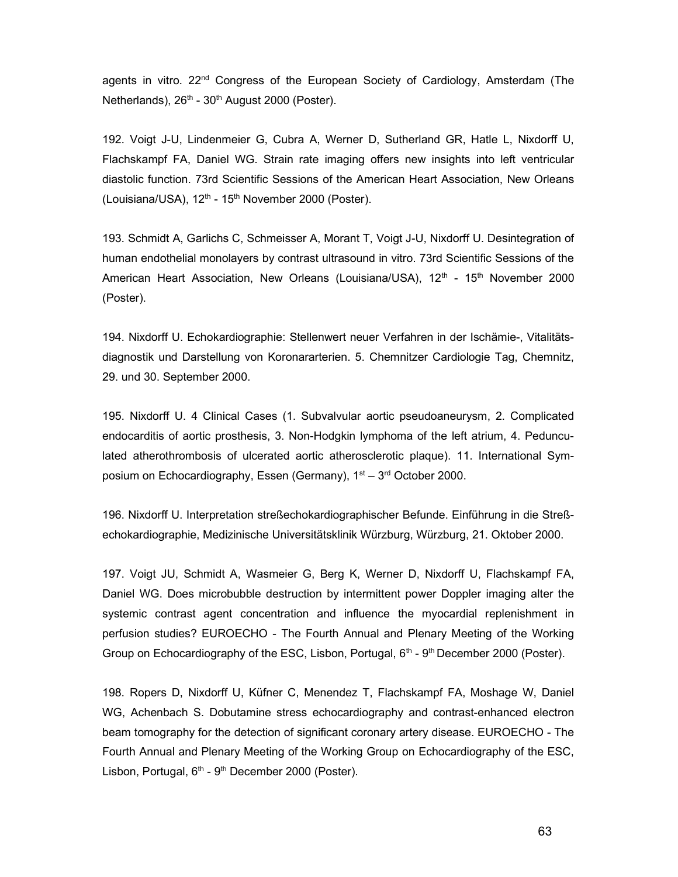agents in vitro. 22<sup>nd</sup> Congress of the European Society of Cardiology, Amsterdam (The Netherlands),  $26<sup>th</sup> - 30<sup>th</sup>$  August 2000 (Poster).

192. Voigt J-U, Lindenmeier G, Cubra A, Werner D, Sutherland GR, Hatle L, Nixdorff U, Flachskampf FA, Daniel WG. Strain rate imaging offers new insights into left ventricular diastolic function. 73rd Scientific Sessions of the American Heart Association, New Orleans (Louisiana/USA), 12<sup>th</sup> - 15<sup>th</sup> November 2000 (Poster).

193. Schmidt A, Garlichs C, Schmeisser A, Morant T, Voigt J-U, Nixdorff U. Desintegration of human endothelial monolayers by contrast ultrasound in vitro. 73rd Scientific Sessions of the American Heart Association, New Orleans (Louisiana/USA),  $12<sup>th</sup>$  -  $15<sup>th</sup>$  November 2000 (Poster).

194. Nixdorff U. Echokardiographie: Stellenwert neuer Verfahren in der Ischämie-, Vitalitätsdiagnostik und Darstellung von Koronararterien. 5. Chemnitzer Cardiologie Tag, Chemnitz, 29. und 30. September 2000.

195. Nixdorff U. 4 Clinical Cases (1. Subvalvular aortic pseudoaneurysm, 2. Complicated endocarditis of aortic prosthesis, 3. Non-Hodgkin lymphoma of the left atrium, 4. Pedunculated atherothrombosis of ulcerated aortic atherosclerotic plaque). 11. International Symposium on Echocardiography, Essen (Germany),  $1<sup>st</sup> - 3<sup>rd</sup>$  October 2000.

196. Nixdorff U. Interpretation streßechokardiographischer Befunde. Einführung in die Streßechokardiographie, Medizinische Universitätsklinik Würzburg, Würzburg, 21. Oktober 2000.

197. Voigt JU, Schmidt A, Wasmeier G, Berg K, Werner D, Nixdorff U, Flachskampf FA, Daniel WG. Does microbubble destruction by intermittent power Doppler imaging alter the systemic contrast agent concentration and influence the myocardial replenishment in perfusion studies? EUROECHO - The Fourth Annual and Plenary Meeting of the Working Group on Echocardiography of the ESC, Lisbon, Portugal,  $6<sup>th</sup>$  -  $9<sup>th</sup>$  December 2000 (Poster).

198. Ropers D, Nixdorff U, Küfner C, Menendez T, Flachskampf FA, Moshage W, Daniel WG, Achenbach S. Dobutamine stress echocardiography and contrast-enhanced electron beam tomography for the detection of significant coronary artery disease. EUROECHO - The Fourth Annual and Plenary Meeting of the Working Group on Echocardiography of the ESC, Lisbon, Portugal,  $6<sup>th</sup>$  -  $9<sup>th</sup>$  December 2000 (Poster).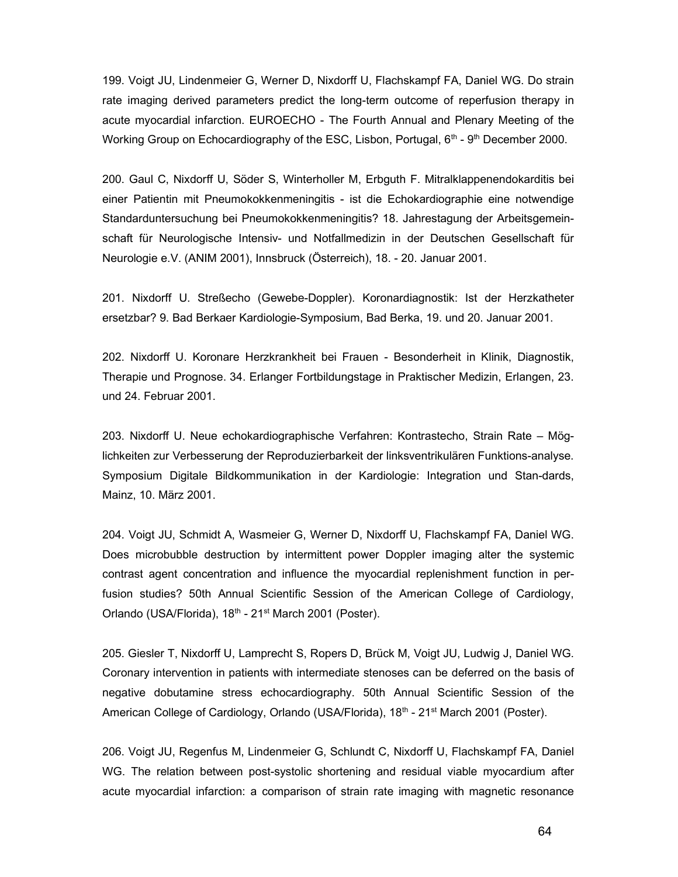199. Voigt JU, Lindenmeier G, Werner D, Nixdorff U, Flachskampf FA, Daniel WG. Do strain rate imaging derived parameters predict the long-term outcome of reperfusion therapy in acute myocardial infarction. EUROECHO - The Fourth Annual and Plenary Meeting of the Working Group on Echocardiography of the ESC, Lisbon, Portugal,  $6<sup>th</sup>$  -  $9<sup>th</sup>$  December 2000.

200. Gaul C, Nixdorff U, Söder S, Winterholler M, Erbguth F. Mitralklappenendokarditis bei einer Patientin mit Pneumokokkenmeningitis - ist die Echokardiographie eine notwendige Standarduntersuchung bei Pneumokokkenmeningitis? 18. Jahrestagung der Arbeitsgemeinschaft für Neurologische Intensiv- und Notfallmedizin in der Deutschen Gesellschaft für Neurologie e.V. (ANIM 2001), Innsbruck (Österreich), 18. - 20. Januar 2001.

201. Nixdorff U. Streßecho (Gewebe-Doppler). Koronardiagnostik: Ist der Herzkatheter ersetzbar? 9. Bad Berkaer Kardiologie-Symposium, Bad Berka, 19. und 20. Januar 2001.

202. Nixdorff U. Koronare Herzkrankheit bei Frauen - Besonderheit in Klinik, Diagnostik, Therapie und Prognose. 34. Erlanger Fortbildungstage in Praktischer Medizin, Erlangen, 23. und 24. Februar 2001.

203. Nixdorff U. Neue echokardiographische Verfahren: Kontrastecho, Strain Rate – Möglichkeiten zur Verbesserung der Reproduzierbarkeit der linksventrikulären Funktions-analyse. Symposium Digitale Bildkommunikation in der Kardiologie: Integration und Stan-dards, Mainz, 10. März 2001.

204. Voigt JU, Schmidt A, Wasmeier G, Werner D, Nixdorff U, Flachskampf FA, Daniel WG. Does microbubble destruction by intermittent power Doppler imaging alter the systemic contrast agent concentration and influence the myocardial replenishment function in perfusion studies? 50th Annual Scientific Session of the American College of Cardiology, Orlando (USA/Florida), 18<sup>th</sup> - 21<sup>st</sup> March 2001 (Poster).

205. Giesler T, Nixdorff U, Lamprecht S, Ropers D, Brück M, Voigt JU, Ludwig J, Daniel WG. Coronary intervention in patients with intermediate stenoses can be deferred on the basis of negative dobutamine stress echocardiography. 50th Annual Scientific Session of the American College of Cardiology, Orlando (USA/Florida), 18<sup>th</sup> - 21<sup>st</sup> March 2001 (Poster).

206. Voigt JU, Regenfus M, Lindenmeier G, Schlundt C, Nixdorff U, Flachskampf FA, Daniel WG. The relation between post-systolic shortening and residual viable myocardium after acute myocardial infarction: a comparison of strain rate imaging with magnetic resonance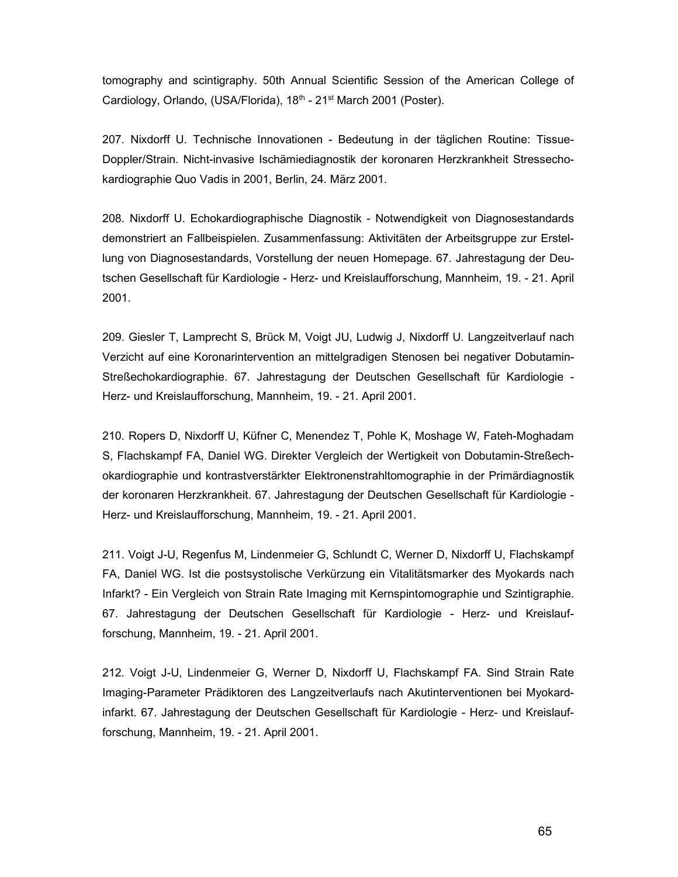tomography and scintigraphy. 50th Annual Scientific Session of the American College of Cardiology, Orlando, (USA/Florida), 18<sup>th</sup> - 21<sup>st</sup> March 2001 (Poster).

207. Nixdorff U. Technische Innovationen - Bedeutung in der täglichen Routine: Tissue-Doppler/Strain. Nicht-invasive Ischämiediagnostik der koronaren Herzkrankheit Stressechokardiographie Quo Vadis in 2001, Berlin, 24. März 2001.

208. Nixdorff U. Echokardiographische Diagnostik - Notwendigkeit von Diagnosestandards demonstriert an Fallbeispielen. Zusammenfassung: Aktivitäten der Arbeitsgruppe zur Erstellung von Diagnosestandards, Vorstellung der neuen Homepage. 67. Jahrestagung der Deutschen Gesellschaft für Kardiologie - Herz- und Kreislaufforschung, Mannheim, 19. - 21. April 2001.

209. Giesler T, Lamprecht S, Brück M, Voigt JU, Ludwig J, Nixdorff U. Langzeitverlauf nach Verzicht auf eine Koronarintervention an mittelgradigen Stenosen bei negativer Dobutamin-Streßechokardiographie. 67. Jahrestagung der Deutschen Gesellschaft für Kardiologie - Herz- und Kreislaufforschung, Mannheim, 19. - 21. April 2001.

210. Ropers D, Nixdorff U, Küfner C, Menendez T, Pohle K, Moshage W, Fateh-Moghadam S, Flachskampf FA, Daniel WG. Direkter Vergleich der Wertigkeit von Dobutamin-Streßechokardiographie und kontrastverstärkter Elektronenstrahltomographie in der Primärdiagnostik der koronaren Herzkrankheit. 67. Jahrestagung der Deutschen Gesellschaft für Kardiologie - Herz- und Kreislaufforschung, Mannheim, 19. - 21. April 2001.

211. Voigt J-U, Regenfus M, Lindenmeier G, Schlundt C, Werner D, Nixdorff U, Flachskampf FA, Daniel WG. Ist die postsystolische Verkürzung ein Vitalitätsmarker des Myokards nach Infarkt? - Ein Vergleich von Strain Rate Imaging mit Kernspintomographie und Szintigraphie. 67. Jahrestagung der Deutschen Gesellschaft für Kardiologie - Herz- und Kreislaufforschung, Mannheim, 19. - 21. April 2001.

212. Voigt J-U, Lindenmeier G, Werner D, Nixdorff U, Flachskampf FA. Sind Strain Rate Imaging-Parameter Prädiktoren des Langzeitverlaufs nach Akutinterventionen bei Myokardinfarkt. 67. Jahrestagung der Deutschen Gesellschaft für Kardiologie - Herz- und Kreislaufforschung, Mannheim, 19. - 21. April 2001.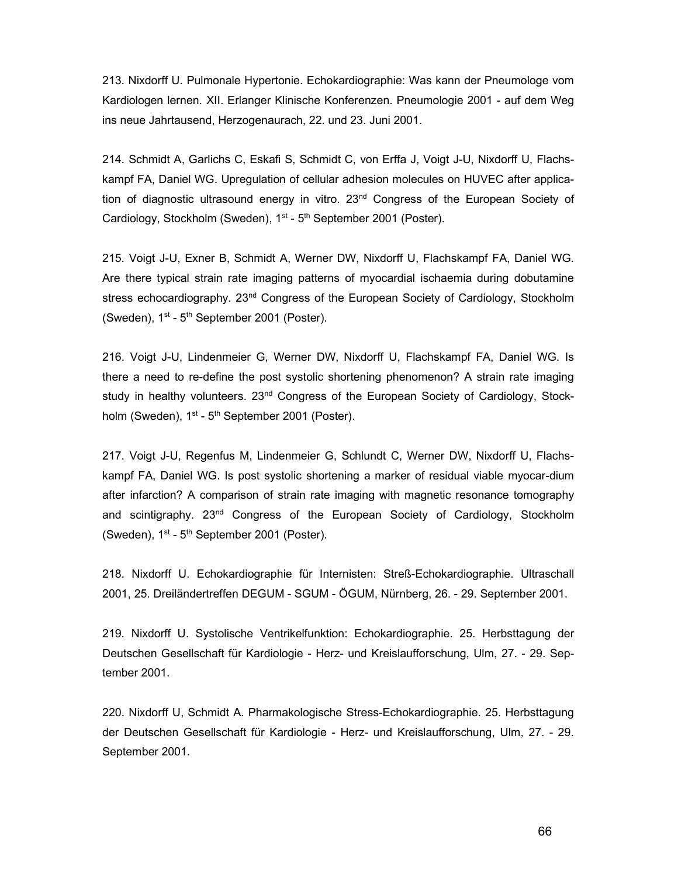213. Nixdorff U. Pulmonale Hypertonie. Echokardiographie: Was kann der Pneumologe vom Kardiologen lernen. XII. Erlanger Klinische Konferenzen. Pneumologie 2001 - auf dem Weg ins neue Jahrtausend, Herzogenaurach, 22. und 23. Juni 2001.

214. Schmidt A, Garlichs C, Eskafi S, Schmidt C, von Erffa J, Voigt J-U, Nixdorff U, Flachskampf FA, Daniel WG. Upregulation of cellular adhesion molecules on HUVEC after application of diagnostic ultrasound energy in vitro.  $23<sup>nd</sup>$  Congress of the European Society of Cardiology, Stockholm (Sweden), 1<sup>st</sup> - 5<sup>th</sup> September 2001 (Poster).

215. Voigt J-U, Exner B, Schmidt A, Werner DW, Nixdorff U, Flachskampf FA, Daniel WG. Are there typical strain rate imaging patterns of myocardial ischaemia during dobutamine stress echocardiography. 23<sup>nd</sup> Congress of the European Society of Cardiology, Stockholm (Sweden),  $1^{st}$  -  $5^{th}$  September 2001 (Poster).

216. Voigt J-U, Lindenmeier G, Werner DW, Nixdorff U, Flachskampf FA, Daniel WG. Is there a need to re-define the post systolic shortening phenomenon? A strain rate imaging study in healthy volunteers. 23<sup>nd</sup> Congress of the European Society of Cardiology, Stockholm (Sweden),  $1<sup>st</sup> - 5<sup>th</sup>$  September 2001 (Poster).

217. Voigt J-U, Regenfus M, Lindenmeier G, Schlundt C, Werner DW, Nixdorff U, Flachskampf FA, Daniel WG. Is post systolic shortening a marker of residual viable myocar-dium after infarction? A comparison of strain rate imaging with magnetic resonance tomography and scintigraphy. 23nd Congress of the European Society of Cardiology, Stockholm (Sweden),  $1^{st}$  -  $5^{th}$  September 2001 (Poster).

218. Nixdorff U. Echokardiographie für Internisten: Streß-Echokardiographie. Ultraschall 2001, 25. Dreiländertreffen DEGUM - SGUM - ÖGUM, Nürnberg, 26. - 29. September 2001.

219. Nixdorff U. Systolische Ventrikelfunktion: Echokardiographie. 25. Herbsttagung der Deutschen Gesellschaft für Kardiologie - Herz- und Kreislaufforschung, Ulm, 27. - 29. September 2001.

220. Nixdorff U, Schmidt A. Pharmakologische Stress-Echokardiographie. 25. Herbsttagung der Deutschen Gesellschaft für Kardiologie - Herz- und Kreislaufforschung, Ulm, 27. - 29. September 2001.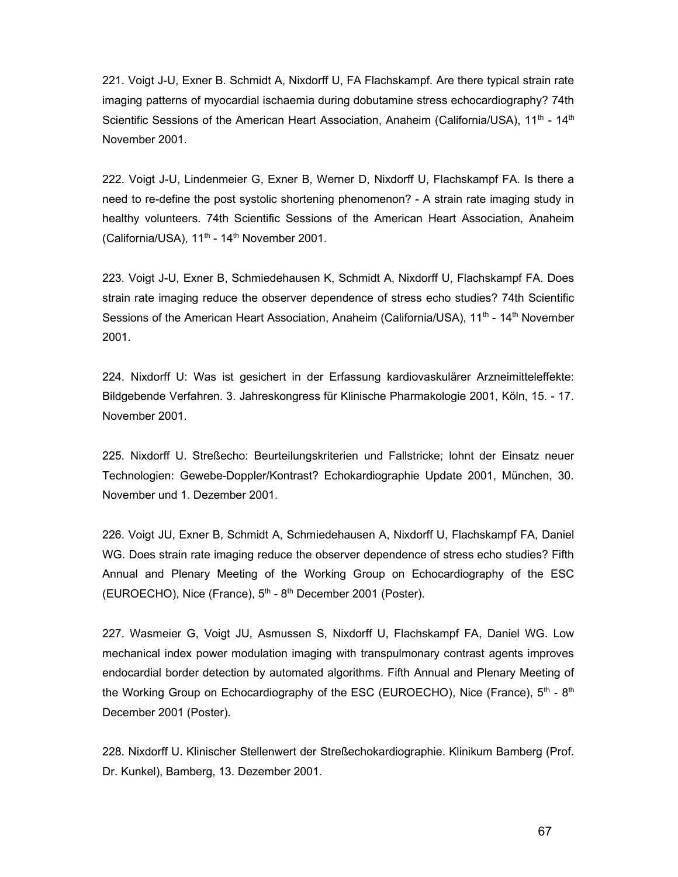221. Voigt J-U, Exner B. Schmidt A, Nixdorff U, FA Flachskampf. Are there typical strain rate imaging patterns of myocardial ischaemia during dobutamine stress echocardiography? 74th Scientific Sessions of the American Heart Association, Anaheim (California/USA),  $11<sup>th</sup> - 14<sup>th</sup>$ November 2001.

222. Voigt J-U, Lindenmeier G, Exner B, Werner D, Nixdorff U, Flachskampf FA. Is there a need to re-define the post systolic shortening phenomenon? - A strain rate imaging study in healthy volunteers. 74th Scientific Sessions of the American Heart Association, Anaheim (California/USA), 11<sup>th</sup> - 14<sup>th</sup> November 2001.

223. Voigt J-U, Exner B, Schmiedehausen K, Schmidt A, Nixdorff U, Flachskampf FA. Does strain rate imaging reduce the observer dependence of stress echo studies? 74th Scientific Sessions of the American Heart Association, Anaheim (California/USA), 11<sup>th</sup> - 14<sup>th</sup> November 2001.

224. Nixdorff U: Was ist gesichert in der Erfassung kardiovaskulärer Arzneimitteleffekte: Bildgebende Verfahren. 3. Jahreskongress für Klinische Pharmakologie 2001, Köln, 15. - 17. November 2001.

225. Nixdorff U. Streßecho: Beurteilungskriterien und Fallstricke; lohnt der Einsatz neuer Technologien: Gewebe-Doppler/Kontrast? Echokardiographie Update 2001, München, 30. November und 1. Dezember 2001.

226. Voigt JU, Exner B, Schmidt A, Schmiedehausen A, Nixdorff U, Flachskampf FA, Daniel WG. Does strain rate imaging reduce the observer dependence of stress echo studies? Fifth Annual and Plenary Meeting of the Working Group on Echocardiography of the ESC (EUROECHO), Nice (France),  $5<sup>th</sup> - 8<sup>th</sup>$  December 2001 (Poster).

227. Wasmeier G, Voigt JU, Asmussen S, Nixdorff U, Flachskampf FA, Daniel WG. Low mechanical index power modulation imaging with transpulmonary contrast agents improves endocardial border detection by automated algorithms. Fifth Annual and Plenary Meeting of the Working Group on Echocardiography of the ESC (EUROECHO), Nice (France),  $5<sup>th</sup> - 8<sup>th</sup>$ December 2001 (Poster).

228. Nixdorff U. Klinischer Stellenwert der Streßechokardiographie. Klinikum Bamberg (Prof. Dr. Kunkel), Bamberg, 13. Dezember 2001.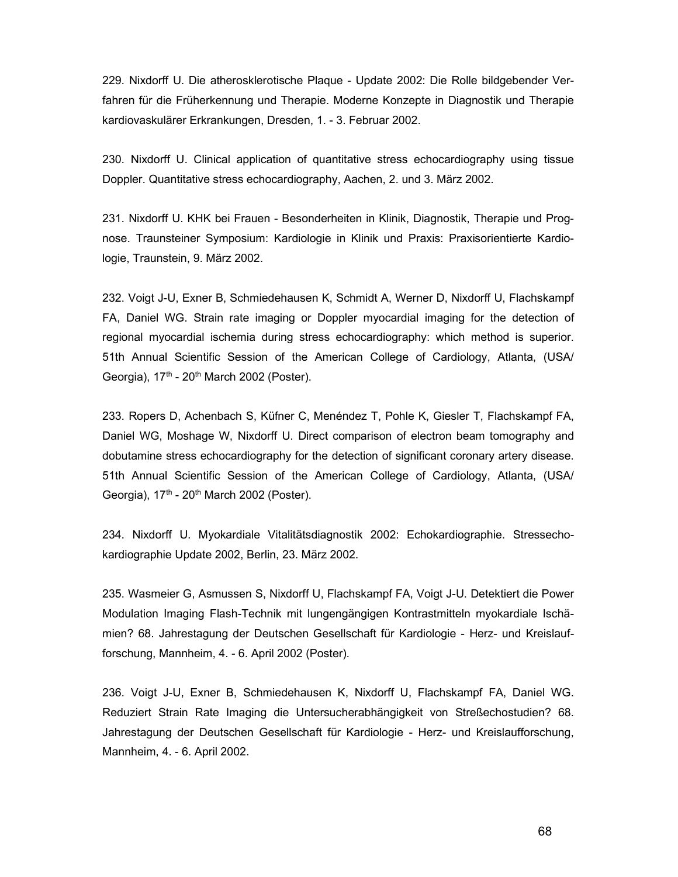229. Nixdorff U. Die atherosklerotische Plaque - Update 2002: Die Rolle bildgebender Verfahren für die Früherkennung und Therapie. Moderne Konzepte in Diagnostik und Therapie kardiovaskulärer Erkrankungen, Dresden, 1. - 3. Februar 2002.

230. Nixdorff U. Clinical application of quantitative stress echocardiography using tissue Doppler. Quantitative stress echocardiography, Aachen, 2. und 3. März 2002.

231. Nixdorff U. KHK bei Frauen - Besonderheiten in Klinik, Diagnostik, Therapie und Prognose. Traunsteiner Symposium: Kardiologie in Klinik und Praxis: Praxisorientierte Kardiologie, Traunstein, 9. März 2002.

232. Voigt J-U, Exner B, Schmiedehausen K, Schmidt A, Werner D, Nixdorff U, Flachskampf FA, Daniel WG. Strain rate imaging or Doppler myocardial imaging for the detection of regional myocardial ischemia during stress echocardiography: which method is superior. 51th Annual Scientific Session of the American College of Cardiology, Atlanta, (USA/ Georgia),  $17<sup>th</sup>$  -  $20<sup>th</sup>$  March 2002 (Poster).

233. Ropers D, Achenbach S, Küfner C, Menéndez T, Pohle K, Giesler T, Flachskampf FA, Daniel WG, Moshage W, Nixdorff U. Direct comparison of electron beam tomography and dobutamine stress echocardiography for the detection of significant coronary artery disease. 51th Annual Scientific Session of the American College of Cardiology, Atlanta, (USA/ Georgia),  $17<sup>th</sup>$  -  $20<sup>th</sup>$  March 2002 (Poster).

234. Nixdorff U. Myokardiale Vitalitätsdiagnostik 2002: Echokardiographie. Stressechokardiographie Update 2002, Berlin, 23. März 2002.

235. Wasmeier G, Asmussen S, Nixdorff U, Flachskampf FA, Voigt J-U. Detektiert die Power Modulation Imaging Flash-Technik mit lungengängigen Kontrastmitteln myokardiale Ischämien? 68. Jahrestagung der Deutschen Gesellschaft für Kardiologie - Herz- und Kreislaufforschung, Mannheim, 4. - 6. April 2002 (Poster).

236. Voigt J-U, Exner B, Schmiedehausen K, Nixdorff U, Flachskampf FA, Daniel WG. Reduziert Strain Rate Imaging die Untersucherabhängigkeit von Streßechostudien? 68. Jahrestagung der Deutschen Gesellschaft für Kardiologie - Herz- und Kreislaufforschung, Mannheim, 4. - 6. April 2002.

68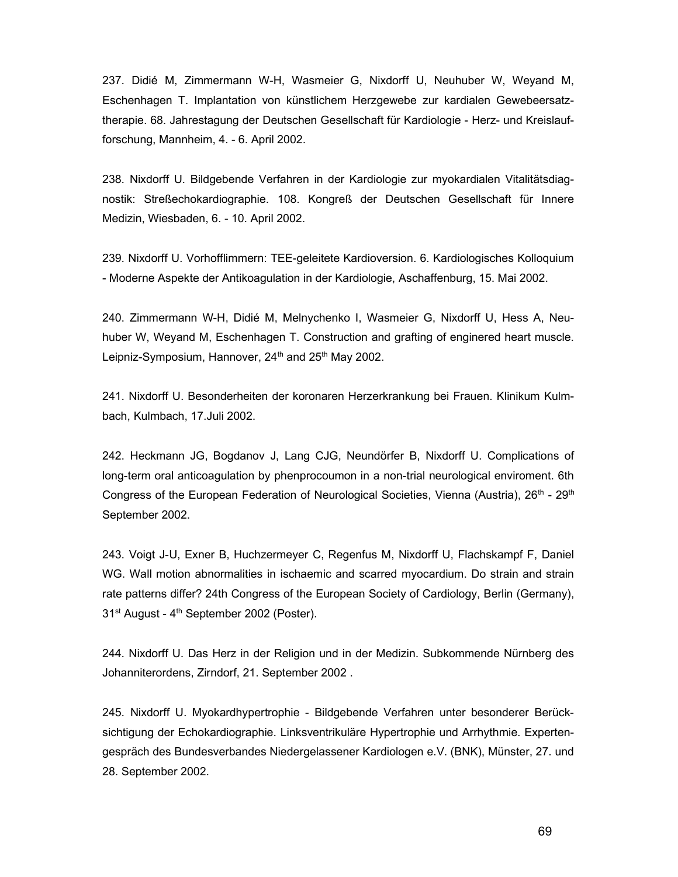237. Didié M, Zimmermann W-H, Wasmeier G, Nixdorff U, Neuhuber W, Weyand M, Eschenhagen T. Implantation von künstlichem Herzgewebe zur kardialen Gewebeersatztherapie. 68. Jahrestagung der Deutschen Gesellschaft für Kardiologie - Herz- und Kreislaufforschung, Mannheim, 4. - 6. April 2002.

238. Nixdorff U. Bildgebende Verfahren in der Kardiologie zur myokardialen Vitalitätsdiagnostik: Streßechokardiographie. 108. Kongreß der Deutschen Gesellschaft für Innere Medizin, Wiesbaden, 6. - 10. April 2002.

239. Nixdorff U. Vorhofflimmern: TEE-geleitete Kardioversion. 6. Kardiologisches Kolloquium - Moderne Aspekte der Antikoagulation in der Kardiologie, Aschaffenburg, 15. Mai 2002.

240. Zimmermann W-H, Didié M, Melnychenko I, Wasmeier G, Nixdorff U, Hess A, Neuhuber W, Weyand M, Eschenhagen T. Construction and grafting of enginered heart muscle. Leipniz-Symposium, Hannover,  $24<sup>th</sup>$  and  $25<sup>th</sup>$  May 2002.

241. Nixdorff U. Besonderheiten der koronaren Herzerkrankung bei Frauen. Klinikum Kulmbach, Kulmbach, 17.Juli 2002.

242. Heckmann JG, Bogdanov J, Lang CJG, Neundörfer B, Nixdorff U. Complications of long-term oral anticoagulation by phenprocoumon in a non-trial neurological enviroment. 6th Congress of the European Federation of Neurological Societies, Vienna (Austria),  $26<sup>th</sup>$  -  $29<sup>th</sup>$ September 2002.

243. Voigt J-U, Exner B, Huchzermeyer C, Regenfus M, Nixdorff U, Flachskampf F, Daniel WG. Wall motion abnormalities in ischaemic and scarred myocardium. Do strain and strain rate patterns differ? 24th Congress of the European Society of Cardiology, Berlin (Germany), 31<sup>st</sup> August - 4<sup>th</sup> September 2002 (Poster).

244. Nixdorff U. Das Herz in der Religion und in der Medizin. Subkommende Nürnberg des Johanniterordens, Zirndorf, 21. September 2002 .

245. Nixdorff U. Myokardhypertrophie - Bildgebende Verfahren unter besonderer Berücksichtigung der Echokardiographie. Linksventrikuläre Hypertrophie und Arrhythmie. Expertengespräch des Bundesverbandes Niedergelassener Kardiologen e.V. (BNK), Münster, 27. und 28. September 2002.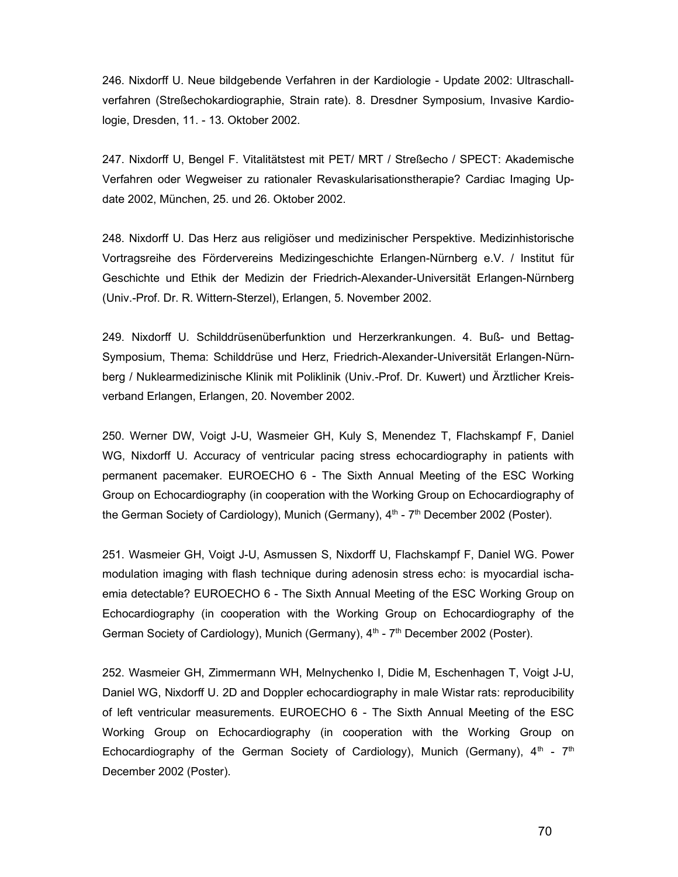246. Nixdorff U. Neue bildgebende Verfahren in der Kardiologie - Update 2002: Ultraschallverfahren (Streßechokardiographie, Strain rate). 8. Dresdner Symposium, Invasive Kardiologie, Dresden, 11. - 13. Oktober 2002.

247. Nixdorff U, Bengel F. Vitalitätstest mit PET/ MRT / Streßecho / SPECT: Akademische Verfahren oder Wegweiser zu rationaler Revaskularisationstherapie? Cardiac Imaging Update 2002, München, 25. und 26. Oktober 2002.

248. Nixdorff U. Das Herz aus religiöser und medizinischer Perspektive. Medizinhistorische Vortragsreihe des Fördervereins Medizingeschichte Erlangen-Nürnberg e.V. / Institut für Geschichte und Ethik der Medizin der Friedrich-Alexander-Universität Erlangen-Nürnberg (Univ.-Prof. Dr. R. Wittern-Sterzel), Erlangen, 5. November 2002.

249. Nixdorff U. Schilddrüsenüberfunktion und Herzerkrankungen. 4. Buß- und Bettag-Symposium, Thema: Schilddrüse und Herz, Friedrich-Alexander-Universität Erlangen-Nürnberg / Nuklearmedizinische Klinik mit Poliklinik (Univ.-Prof. Dr. Kuwert) und Ärztlicher Kreisverband Erlangen, Erlangen, 20. November 2002.

250. Werner DW, Voigt J-U, Wasmeier GH, Kuly S, Menendez T, Flachskampf F, Daniel WG, Nixdorff U. Accuracy of ventricular pacing stress echocardiography in patients with permanent pacemaker. EUROECHO 6 - The Sixth Annual Meeting of the ESC Working Group on Echocardiography (in cooperation with the Working Group on Echocardiography of the German Society of Cardiology), Munich (Germany), 4<sup>th</sup> - 7<sup>th</sup> December 2002 (Poster).

251. Wasmeier GH, Voigt J-U, Asmussen S, Nixdorff U, Flachskampf F, Daniel WG. Power modulation imaging with flash technique during adenosin stress echo: is myocardial ischaemia detectable? EUROECHO 6 - The Sixth Annual Meeting of the ESC Working Group on Echocardiography (in cooperation with the Working Group on Echocardiography of the German Society of Cardiology), Munich (Germany), 4<sup>th</sup> - 7<sup>th</sup> December 2002 (Poster).

252. Wasmeier GH, Zimmermann WH, Melnychenko I, Didie M, Eschenhagen T, Voigt J-U, Daniel WG, Nixdorff U. 2D and Doppler echocardiography in male Wistar rats: reproducibility of left ventricular measurements. EUROECHO 6 - The Sixth Annual Meeting of the ESC Working Group on Echocardiography (in cooperation with the Working Group on Echocardiography of the German Society of Cardiology), Munich (Germany),  $4<sup>th</sup> - 7<sup>th</sup>$ December 2002 (Poster).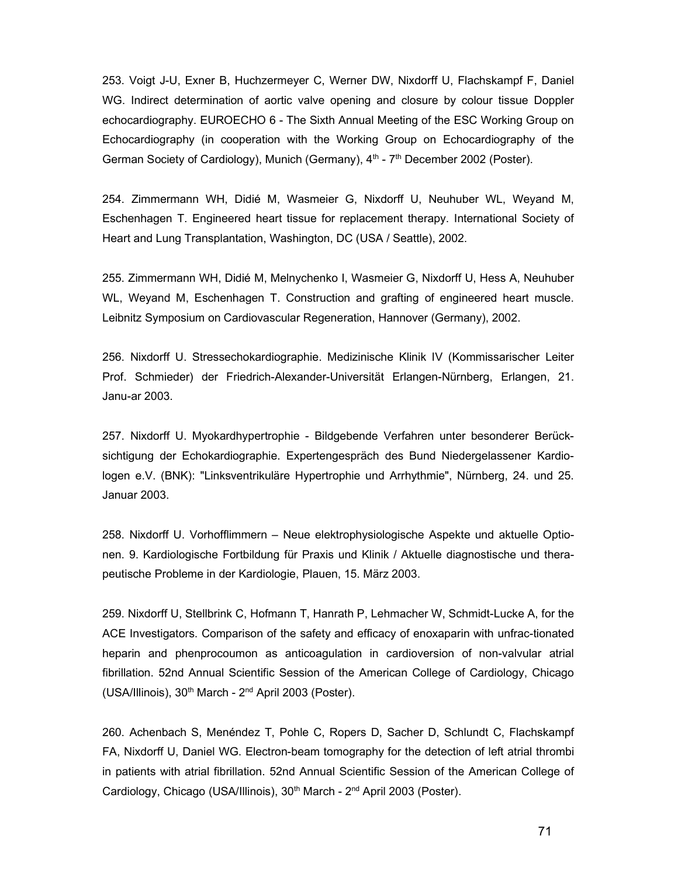253. Voigt J-U, Exner B, Huchzermeyer C, Werner DW, Nixdorff U, Flachskampf F, Daniel WG. Indirect determination of aortic valve opening and closure by colour tissue Doppler echocardiography. EUROECHO 6 - The Sixth Annual Meeting of the ESC Working Group on Echocardiography (in cooperation with the Working Group on Echocardiography of the German Society of Cardiology), Munich (Germany), 4<sup>th</sup> - 7<sup>th</sup> December 2002 (Poster).

254. Zimmermann WH, Didié M, Wasmeier G, Nixdorff U, Neuhuber WL, Weyand M, Eschenhagen T. Engineered heart tissue for replacement therapy. International Society of Heart and Lung Transplantation, Washington, DC (USA / Seattle), 2002.

255. Zimmermann WH, Didié M, Melnychenko I, Wasmeier G, Nixdorff U, Hess A, Neuhuber WL, Weyand M, Eschenhagen T. Construction and grafting of engineered heart muscle. Leibnitz Symposium on Cardiovascular Regeneration, Hannover (Germany), 2002.

256. Nixdorff U. Stressechokardiographie. Medizinische Klinik IV (Kommissarischer Leiter Prof. Schmieder) der Friedrich-Alexander-Universität Erlangen-Nürnberg, Erlangen, 21. Janu-ar 2003.

257. Nixdorff U. Myokardhypertrophie - Bildgebende Verfahren unter besonderer Berücksichtigung der Echokardiographie. Expertengespräch des Bund Niedergelassener Kardiologen e.V. (BNK): "Linksventrikuläre Hypertrophie und Arrhythmie", Nürnberg, 24. und 25. Januar 2003.

258. Nixdorff U. Vorhofflimmern – Neue elektrophysiologische Aspekte und aktuelle Optionen. 9. Kardiologische Fortbildung für Praxis und Klinik / Aktuelle diagnostische und therapeutische Probleme in der Kardiologie, Plauen, 15. März 2003.

259. Nixdorff U, Stellbrink C, Hofmann T, Hanrath P, Lehmacher W, Schmidt-Lucke A, for the ACE Investigators. Comparison of the safety and efficacy of enoxaparin with unfrac-tionated heparin and phenprocoumon as anticoagulation in cardioversion of non-valvular atrial fibrillation. 52nd Annual Scientific Session of the American College of Cardiology, Chicago (USA/Illinois),  $30<sup>th</sup>$  March -  $2<sup>nd</sup>$  April 2003 (Poster).

260. Achenbach S, Menéndez T, Pohle C, Ropers D, Sacher D, Schlundt C, Flachskampf FA, Nixdorff U, Daniel WG. Electron-beam tomography for the detection of left atrial thrombi in patients with atrial fibrillation. 52nd Annual Scientific Session of the American College of Cardiology, Chicago (USA/Illinois), 30<sup>th</sup> March - 2<sup>nd</sup> April 2003 (Poster).

71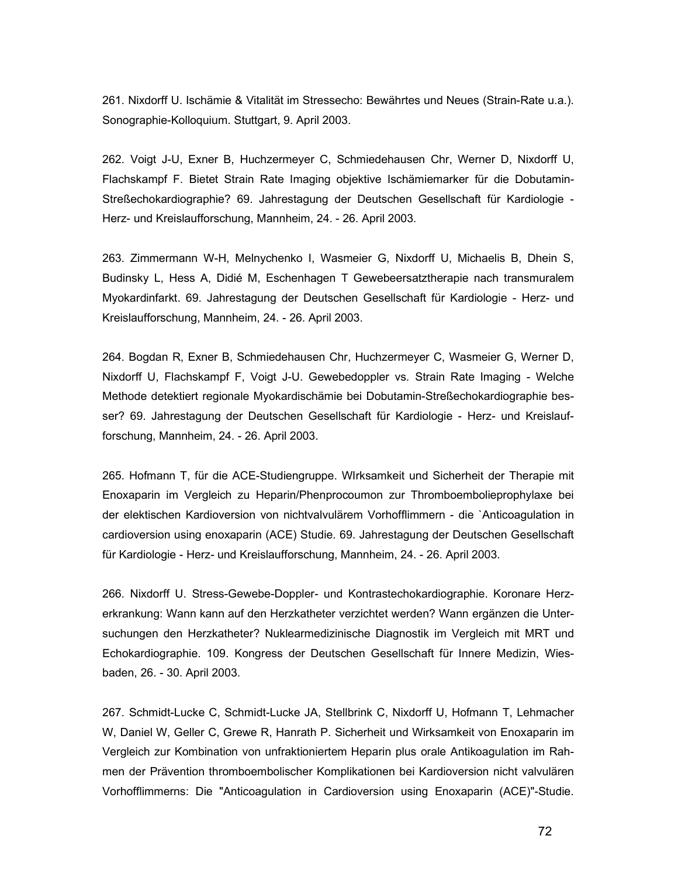261. Nixdorff U. Ischämie & Vitalität im Stressecho: Bewährtes und Neues (Strain-Rate u.a.). Sonographie-Kolloquium. Stuttgart, 9. April 2003.

262. Voigt J-U, Exner B, Huchzermeyer C, Schmiedehausen Chr, Werner D, Nixdorff U, Flachskampf F. Bietet Strain Rate Imaging objektive Ischämiemarker für die Dobutamin-Streßechokardiographie? 69. Jahrestagung der Deutschen Gesellschaft für Kardiologie - Herz- und Kreislaufforschung, Mannheim, 24. - 26. April 2003.

263. Zimmermann W-H, Melnychenko I, Wasmeier G, Nixdorff U, Michaelis B, Dhein S, Budinsky L, Hess A, Didié M, Eschenhagen T Gewebeersatztherapie nach transmuralem Myokardinfarkt. 69. Jahrestagung der Deutschen Gesellschaft für Kardiologie - Herz- und Kreislaufforschung, Mannheim, 24. - 26. April 2003.

264. Bogdan R, Exner B, Schmiedehausen Chr, Huchzermeyer C, Wasmeier G, Werner D, Nixdorff U, Flachskampf F, Voigt J-U. Gewebedoppler vs. Strain Rate Imaging - Welche Methode detektiert regionale Myokardischämie bei Dobutamin-Streßechokardiographie besser? 69. Jahrestagung der Deutschen Gesellschaft für Kardiologie - Herz- und Kreislaufforschung, Mannheim, 24. - 26. April 2003.

265. Hofmann T, für die ACE-Studiengruppe. WIrksamkeit und Sicherheit der Therapie mit Enoxaparin im Vergleich zu Heparin/Phenprocoumon zur Thromboembolieprophylaxe bei der elektischen Kardioversion von nichtvalvulärem Vorhofflimmern - die `Anticoagulation in cardioversion using enoxaparin (ACE) Studie. 69. Jahrestagung der Deutschen Gesellschaft für Kardiologie - Herz- und Kreislaufforschung, Mannheim, 24. - 26. April 2003.

266. Nixdorff U. Stress-Gewebe-Doppler- und Kontrastechokardiographie. Koronare Herzerkrankung: Wann kann auf den Herzkatheter verzichtet werden? Wann ergänzen die Untersuchungen den Herzkatheter? Nuklearmedizinische Diagnostik im Vergleich mit MRT und Echokardiographie. 109. Kongress der Deutschen Gesellschaft für Innere Medizin, Wiesbaden, 26. - 30. April 2003.

267. Schmidt-Lucke C, Schmidt-Lucke JA, Stellbrink C, Nixdorff U, Hofmann T, Lehmacher W, Daniel W, Geller C, Grewe R, Hanrath P. Sicherheit und Wirksamkeit von Enoxaparin im Vergleich zur Kombination von unfraktioniertem Heparin plus orale Antikoagulation im Rahmen der Prävention thromboembolischer Komplikationen bei Kardioversion nicht valvulären Vorhofflimmerns: Die "Anticoagulation in Cardioversion using Enoxaparin (ACE)"-Studie.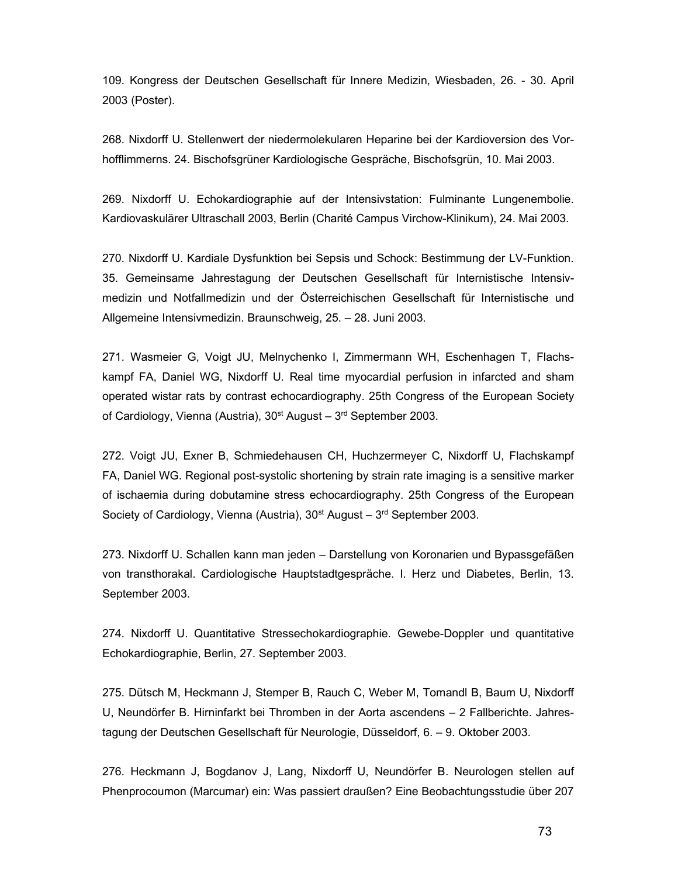109. Kongress der Deutschen Gesellschaft für Innere Medizin, Wiesbaden, 26. - 30. April 2003 (Poster).

268. Nixdorff U. Stellenwert der niedermolekularen Heparine bei der Kardioversion des Vorhofflimmerns. 24. Bischofsgrüner Kardiologische Gespräche, Bischofsgrün, 10. Mai 2003.

269. Nixdorff U. Echokardiographie auf der Intensivstation: Fulminante Lungenembolie. Kardiovaskulärer Ultraschall 2003, Berlin (Charité Campus Virchow-Klinikum), 24. Mai 2003.

270. Nixdorff U. Kardiale Dysfunktion bei Sepsis und Schock: Bestimmung der LV-Funktion. 35. Gemeinsame Jahrestagung der Deutschen Gesellschaft für Internistische Intensivmedizin und Notfallmedizin und der Österreichischen Gesellschaft für Internistische und Allgemeine Intensivmedizin. Braunschweig, 25. – 28. Juni 2003.

271. Wasmeier G, Voigt JU, Melnychenko I, Zimmermann WH, Eschenhagen T, Flachskampf FA, Daniel WG, Nixdorff U. Real time myocardial perfusion in infarcted and sham operated wistar rats by contrast echocardiography. 25th Congress of the European Society of Cardiology, Vienna (Austria),  $30^{st}$  August –  $3^{rd}$  September 2003.

272. Voigt JU, Exner B, Schmiedehausen CH, Huchzermeyer C, Nixdorff U, Flachskampf FA, Daniel WG. Regional post-systolic shortening by strain rate imaging is a sensitive marker of ischaemia during dobutamine stress echocardiography. 25th Congress of the European Society of Cardiology, Vienna (Austria),  $30<sup>st</sup>$  August –  $3<sup>rd</sup>$  September 2003.

273. Nixdorff U. Schallen kann man jeden – Darstellung von Koronarien und Bypassgefäßen von transthorakal. Cardiologische Hauptstadtgespräche. I. Herz und Diabetes, Berlin, 13. September 2003.

274. Nixdorff U. Quantitative Stressechokardiographie. Gewebe-Doppler und quantitative Echokardiographie, Berlin, 27. September 2003.

275. Dütsch M, Heckmann J, Stemper B, Rauch C, Weber M, Tomandl B, Baum U, Nixdorff U, Neundörfer B. Hirninfarkt bei Thromben in der Aorta ascendens – 2 Fallberichte. Jahrestagung der Deutschen Gesellschaft für Neurologie, Düsseldorf, 6. – 9. Oktober 2003.

276. Heckmann J, Bogdanov J, Lang, Nixdorff U, Neundörfer B. Neurologen stellen auf Phenprocoumon (Marcumar) ein: Was passiert draußen? Eine Beobachtungsstudie über 207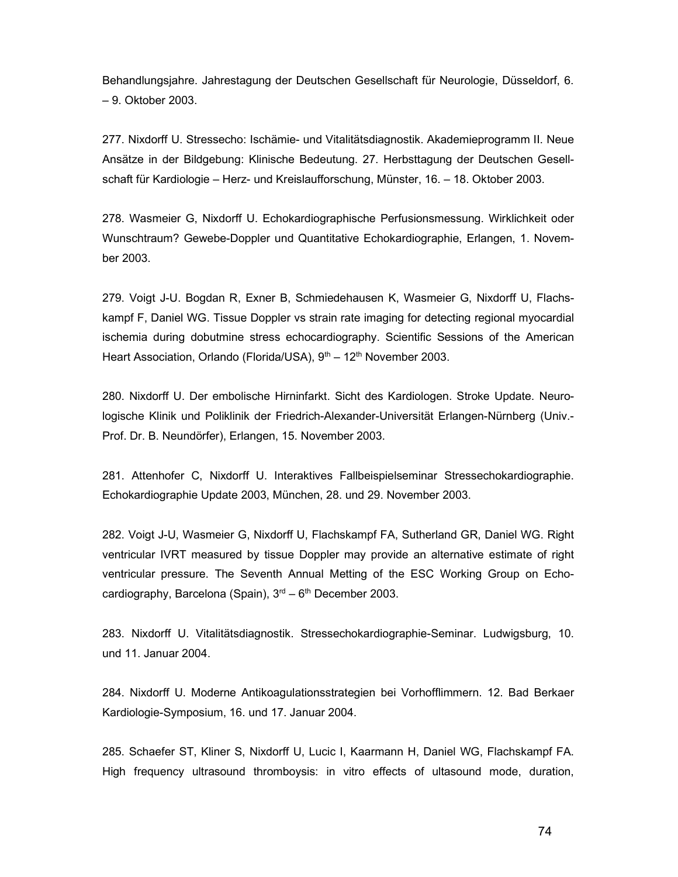Behandlungsjahre. Jahrestagung der Deutschen Gesellschaft für Neurologie, Düsseldorf, 6. – 9. Oktober 2003.

277. Nixdorff U. Stressecho: Ischämie- und Vitalitätsdiagnostik. Akademieprogramm II. Neue Ansätze in der Bildgebung: Klinische Bedeutung. 27. Herbsttagung der Deutschen Gesellschaft für Kardiologie – Herz- und Kreislaufforschung, Münster, 16. – 18. Oktober 2003.

278. Wasmeier G, Nixdorff U. Echokardiographische Perfusionsmessung. Wirklichkeit oder Wunschtraum? Gewebe-Doppler und Quantitative Echokardiographie, Erlangen, 1. November 2003.

279. Voigt J-U. Bogdan R, Exner B, Schmiedehausen K, Wasmeier G, Nixdorff U, Flachskampf F, Daniel WG. Tissue Doppler vs strain rate imaging for detecting regional myocardial ischemia during dobutmine stress echocardiography. Scientific Sessions of the American Heart Association, Orlando (Florida/USA), 9<sup>th</sup> – 12<sup>th</sup> November 2003.

280. Nixdorff U. Der embolische Hirninfarkt. Sicht des Kardiologen. Stroke Update. Neurologische Klinik und Poliklinik der Friedrich-Alexander-Universität Erlangen-Nürnberg (Univ.- Prof. Dr. B. Neundörfer), Erlangen, 15. November 2003.

281. Attenhofer C, Nixdorff U. Interaktives Fallbeispielseminar Stressechokardiographie. Echokardiographie Update 2003, München, 28. und 29. November 2003.

282. Voigt J-U, Wasmeier G, Nixdorff U, Flachskampf FA, Sutherland GR, Daniel WG. Right ventricular IVRT measured by tissue Doppler may provide an alternative estimate of right ventricular pressure. The Seventh Annual Metting of the ESC Working Group on Echocardiography, Barcelona (Spain),  $3<sup>rd</sup> - 6<sup>th</sup>$  December 2003.

283. Nixdorff U. Vitalitätsdiagnostik. Stressechokardiographie-Seminar. Ludwigsburg, 10. und 11. Januar 2004.

284. Nixdorff U. Moderne Antikoagulationsstrategien bei Vorhofflimmern. 12. Bad Berkaer Kardiologie-Symposium, 16. und 17. Januar 2004.

285. Schaefer ST, Kliner S, Nixdorff U, Lucic I, Kaarmann H, Daniel WG, Flachskampf FA. High frequency ultrasound thromboysis: in vitro effects of ultasound mode, duration,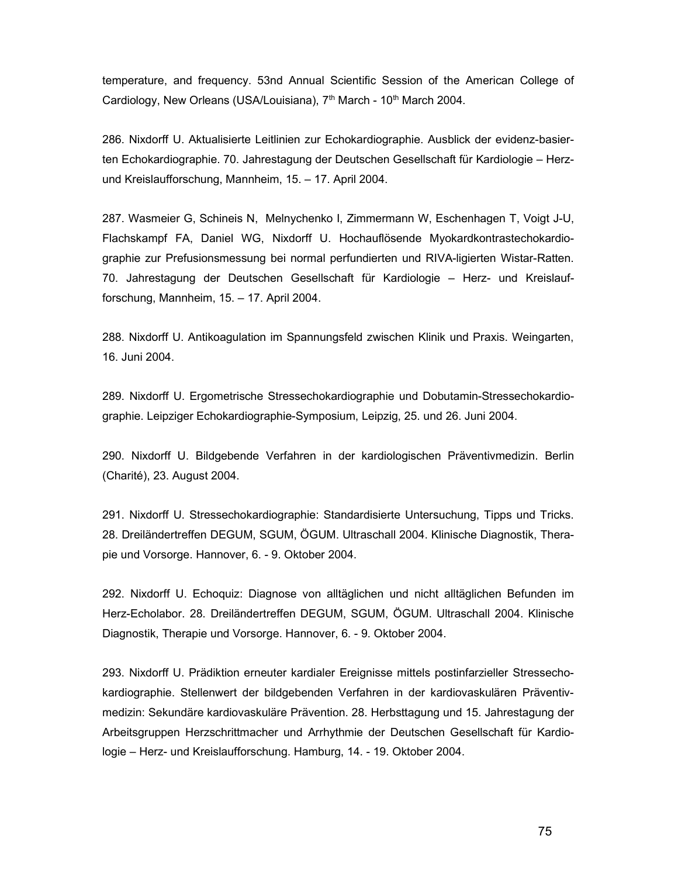temperature, and frequency. 53nd Annual Scientific Session of the American College of Cardiology, New Orleans (USA/Louisiana), 7<sup>th</sup> March - 10<sup>th</sup> March 2004.

286. Nixdorff U. Aktualisierte Leitlinien zur Echokardiographie. Ausblick der evidenz-basierten Echokardiographie. 70. Jahrestagung der Deutschen Gesellschaft für Kardiologie – Herzund Kreislaufforschung, Mannheim, 15. – 17. April 2004.

287. Wasmeier G, Schineis N, Melnychenko I, Zimmermann W, Eschenhagen T, Voigt J-U, Flachskampf FA, Daniel WG, Nixdorff U. Hochauflösende Myokardkontrastechokardiographie zur Prefusionsmessung bei normal perfundierten und RIVA-ligierten Wistar-Ratten. 70. Jahrestagung der Deutschen Gesellschaft für Kardiologie – Herz- und Kreislaufforschung, Mannheim, 15. – 17. April 2004.

288. Nixdorff U. Antikoagulation im Spannungsfeld zwischen Klinik und Praxis. Weingarten, 16. Juni 2004.

289. Nixdorff U. Ergometrische Stressechokardiographie und Dobutamin-Stressechokardiographie. Leipziger Echokardiographie-Symposium, Leipzig, 25. und 26. Juni 2004.

290. Nixdorff U. Bildgebende Verfahren in der kardiologischen Präventivmedizin. Berlin (Charité), 23. August 2004.

291. Nixdorff U. Stressechokardiographie: Standardisierte Untersuchung, Tipps und Tricks. 28. Dreiländertreffen DEGUM, SGUM, ÖGUM. Ultraschall 2004. Klinische Diagnostik, Therapie und Vorsorge. Hannover, 6. - 9. Oktober 2004.

292. Nixdorff U. Echoquiz: Diagnose von alltäglichen und nicht alltäglichen Befunden im Herz-Echolabor. 28. Dreiländertreffen DEGUM, SGUM, ÖGUM. Ultraschall 2004. Klinische Diagnostik, Therapie und Vorsorge. Hannover, 6. - 9. Oktober 2004.

293. Nixdorff U. Prädiktion erneuter kardialer Ereignisse mittels postinfarzieller Stressechokardiographie. Stellenwert der bildgebenden Verfahren in der kardiovaskulären Präventivmedizin: Sekundäre kardiovaskuläre Prävention. 28. Herbsttagung und 15. Jahrestagung der Arbeitsgruppen Herzschrittmacher und Arrhythmie der Deutschen Gesellschaft für Kardiologie – Herz- und Kreislaufforschung. Hamburg, 14. - 19. Oktober 2004.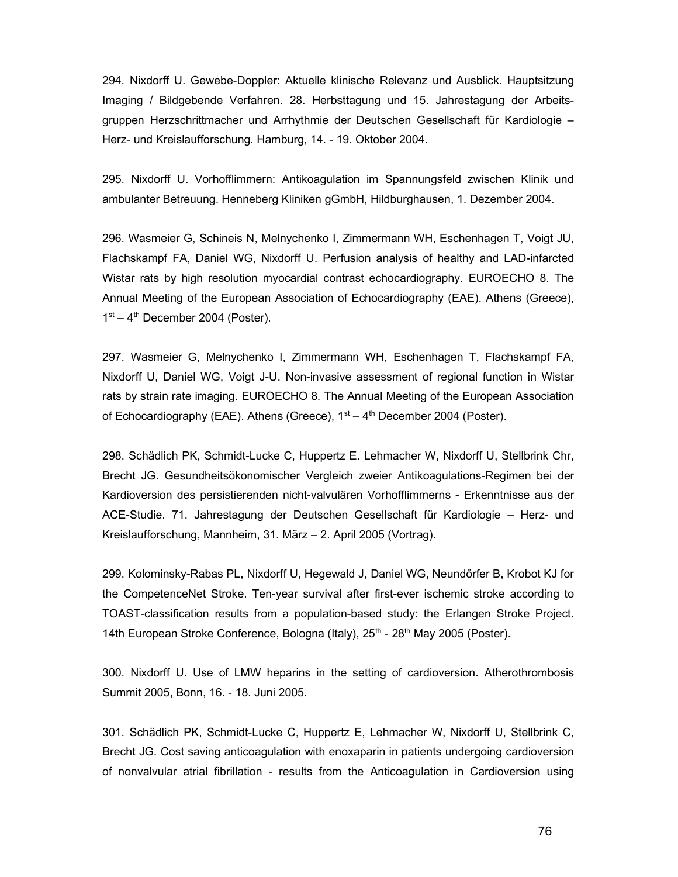294. Nixdorff U. Gewebe-Doppler: Aktuelle klinische Relevanz und Ausblick. Hauptsitzung Imaging / Bildgebende Verfahren. 28. Herbsttagung und 15. Jahrestagung der Arbeitsgruppen Herzschrittmacher und Arrhythmie der Deutschen Gesellschaft für Kardiologie – Herz- und Kreislaufforschung. Hamburg, 14. - 19. Oktober 2004.

295. Nixdorff U. Vorhofflimmern: Antikoagulation im Spannungsfeld zwischen Klinik und ambulanter Betreuung. Henneberg Kliniken gGmbH, Hildburghausen, 1. Dezember 2004.

296. Wasmeier G, Schineis N, Melnychenko I, Zimmermann WH, Eschenhagen T, Voigt JU, Flachskampf FA, Daniel WG, Nixdorff U. Perfusion analysis of healthy and LAD-infarcted Wistar rats by high resolution myocardial contrast echocardiography. EUROECHO 8. The Annual Meeting of the European Association of Echocardiography (EAE). Athens (Greece),  $1<sup>st</sup> - 4<sup>th</sup>$  December 2004 (Poster).

297. Wasmeier G, Melnychenko I, Zimmermann WH, Eschenhagen T, Flachskampf FA, Nixdorff U, Daniel WG, Voigt J-U. Non-invasive assessment of regional function in Wistar rats by strain rate imaging. EUROECHO 8. The Annual Meeting of the European Association of Echocardiography (EAE). Athens (Greece),  $1<sup>st</sup> - 4<sup>th</sup>$  December 2004 (Poster).

298. Schädlich PK, Schmidt-Lucke C, Huppertz E. Lehmacher W, Nixdorff U, Stellbrink Chr, Brecht JG. Gesundheitsökonomischer Vergleich zweier Antikoagulations-Regimen bei der Kardioversion des persistierenden nicht-valvulären Vorhofflimmerns - Erkenntnisse aus der ACE-Studie. 71. Jahrestagung der Deutschen Gesellschaft für Kardiologie – Herz- und Kreislaufforschung, Mannheim, 31. März – 2. April 2005 (Vortrag).

299. Kolominsky-Rabas PL, Nixdorff U, Hegewald J, Daniel WG, Neundörfer B, Krobot KJ for the CompetenceNet Stroke. Ten-year survival after first-ever ischemic stroke according to TOAST-classification results from a population-based study: the Erlangen Stroke Project. 14th European Stroke Conference, Bologna (Italy), 25<sup>th</sup> - 28<sup>th</sup> May 2005 (Poster).

300. Nixdorff U. Use of LMW heparins in the setting of cardioversion. Atherothrombosis Summit 2005, Bonn, 16. - 18. Juni 2005.

301. Schädlich PK, Schmidt-Lucke C, Huppertz E, Lehmacher W, Nixdorff U, Stellbrink C, Brecht JG. Cost saving anticoagulation with enoxaparin in patients undergoing cardioversion of nonvalvular atrial fibrillation - results from the Anticoagulation in Cardioversion using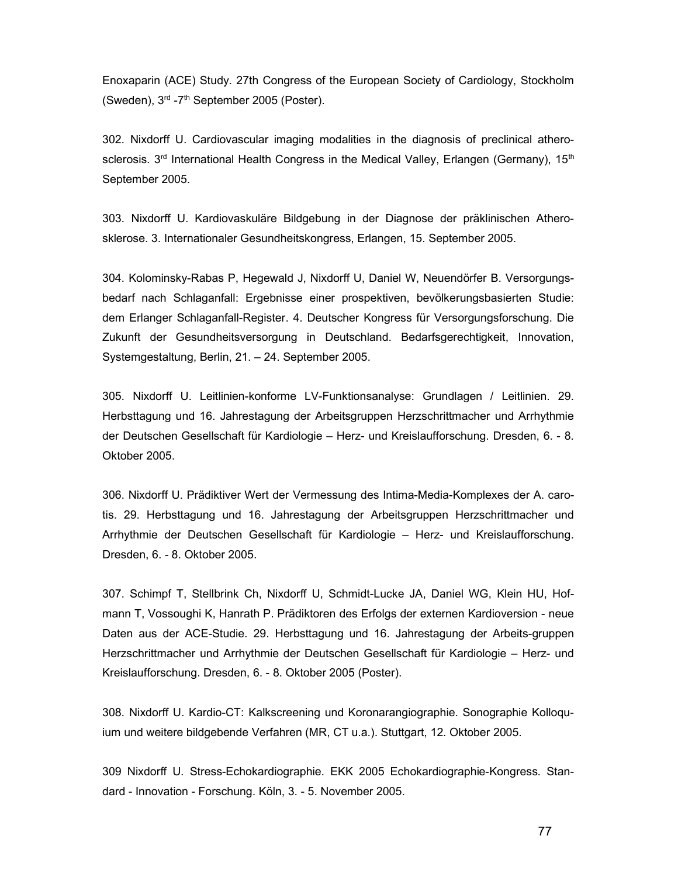Enoxaparin (ACE) Study. 27th Congress of the European Society of Cardiology, Stockholm (Sweden), 3rd -7th September 2005 (Poster).

302. Nixdorff U. Cardiovascular imaging modalities in the diagnosis of preclinical atherosclerosis. 3<sup>rd</sup> International Health Congress in the Medical Valley, Erlangen (Germany), 15<sup>th</sup> September 2005.

303. Nixdorff U. Kardiovaskuläre Bildgebung in der Diagnose der präklinischen Atherosklerose. 3. Internationaler Gesundheitskongress, Erlangen, 15. September 2005.

304. Kolominsky-Rabas P, Hegewald J, Nixdorff U, Daniel W, Neuendörfer B. Versorgungsbedarf nach Schlaganfall: Ergebnisse einer prospektiven, bevölkerungsbasierten Studie: dem Erlanger Schlaganfall-Register. 4. Deutscher Kongress für Versorgungsforschung. Die Zukunft der Gesundheitsversorgung in Deutschland. Bedarfsgerechtigkeit, Innovation, Systemgestaltung, Berlin, 21. – 24. September 2005.

305. Nixdorff U. Leitlinien-konforme LV-Funktionsanalyse: Grundlagen / Leitlinien. 29. Herbsttagung und 16. Jahrestagung der Arbeitsgruppen Herzschrittmacher und Arrhythmie der Deutschen Gesellschaft für Kardiologie – Herz- und Kreislaufforschung. Dresden, 6. - 8. Oktober 2005.

306. Nixdorff U. Prädiktiver Wert der Vermessung des Intima-Media-Komplexes der A. carotis. 29. Herbsttagung und 16. Jahrestagung der Arbeitsgruppen Herzschrittmacher und Arrhythmie der Deutschen Gesellschaft für Kardiologie – Herz- und Kreislaufforschung. Dresden, 6. - 8. Oktober 2005.

307. Schimpf T, Stellbrink Ch, Nixdorff U, Schmidt-Lucke JA, Daniel WG, Klein HU, Hofmann T, Vossoughi K, Hanrath P. Prädiktoren des Erfolgs der externen Kardioversion - neue Daten aus der ACE-Studie. 29. Herbsttagung und 16. Jahrestagung der Arbeits-gruppen Herzschrittmacher und Arrhythmie der Deutschen Gesellschaft für Kardiologie – Herz- und Kreislaufforschung. Dresden, 6. - 8. Oktober 2005 (Poster).

308. Nixdorff U. Kardio-CT: Kalkscreening und Koronarangiographie. Sonographie Kolloquium und weitere bildgebende Verfahren (MR, CT u.a.). Stuttgart, 12. Oktober 2005.

309 Nixdorff U. Stress-Echokardiographie. EKK 2005 Echokardiographie-Kongress. Standard - Innovation - Forschung. Köln, 3. - 5. November 2005.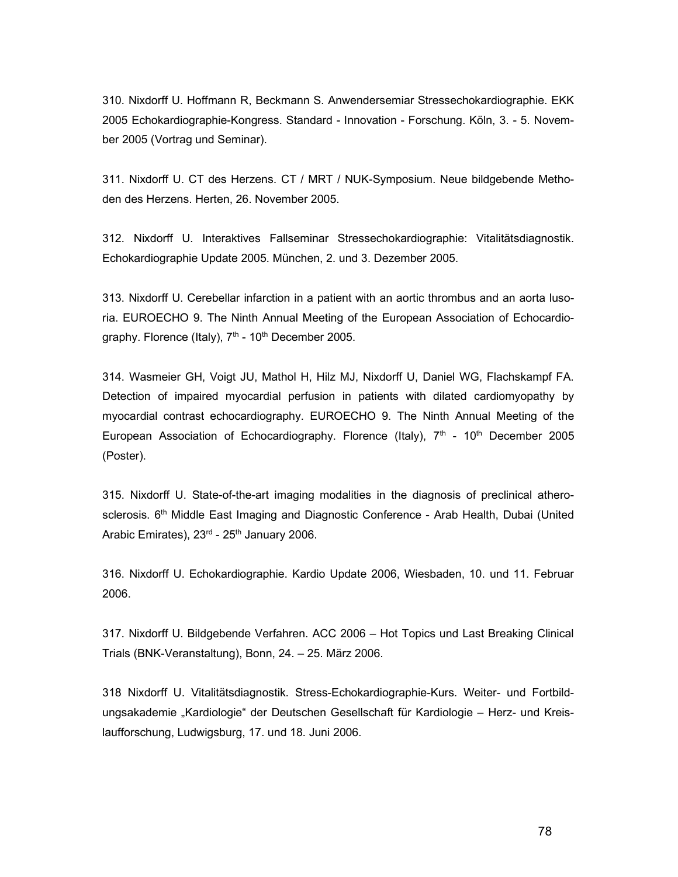310. Nixdorff U. Hoffmann R, Beckmann S. Anwendersemiar Stressechokardiographie. EKK 2005 Echokardiographie-Kongress. Standard - Innovation - Forschung. Köln, 3. - 5. November 2005 (Vortrag und Seminar).

311. Nixdorff U. CT des Herzens. CT / MRT / NUK-Symposium. Neue bildgebende Methoden des Herzens. Herten, 26. November 2005.

312. Nixdorff U. Interaktives Fallseminar Stressechokardiographie: Vitalitätsdiagnostik. Echokardiographie Update 2005. München, 2. und 3. Dezember 2005.

313. Nixdorff U. Cerebellar infarction in a patient with an aortic thrombus and an aorta lusoria. EUROECHO 9. The Ninth Annual Meeting of the European Association of Echocardiography. Florence (Italy),  $7<sup>th</sup>$  - 10<sup>th</sup> December 2005.

314. Wasmeier GH, Voigt JU, Mathol H, Hilz MJ, Nixdorff U, Daniel WG, Flachskampf FA. Detection of impaired myocardial perfusion in patients with dilated cardiomyopathy by myocardial contrast echocardiography. EUROECHO 9. The Ninth Annual Meeting of the European Association of Echocardiography. Florence (Italy),  $7<sup>th</sup>$  - 10<sup>th</sup> December 2005 (Poster).

315. Nixdorff U. State-of-the-art imaging modalities in the diagnosis of preclinical atherosclerosis. 6<sup>th</sup> Middle East Imaging and Diagnostic Conference - Arab Health, Dubai (United Arabic Emirates),  $23<sup>rd</sup>$  -  $25<sup>th</sup>$  January 2006.

316. Nixdorff U. Echokardiographie. Kardio Update 2006, Wiesbaden, 10. und 11. Februar 2006.

317. Nixdorff U. Bildgebende Verfahren. ACC 2006 – Hot Topics und Last Breaking Clinical Trials (BNK-Veranstaltung), Bonn, 24. – 25. März 2006.

318 Nixdorff U. Vitalitätsdiagnostik. Stress-Echokardiographie-Kurs. Weiter- und Fortbildungsakademie "Kardiologie" der Deutschen Gesellschaft für Kardiologie – Herz- und Kreislaufforschung, Ludwigsburg, 17. und 18. Juni 2006.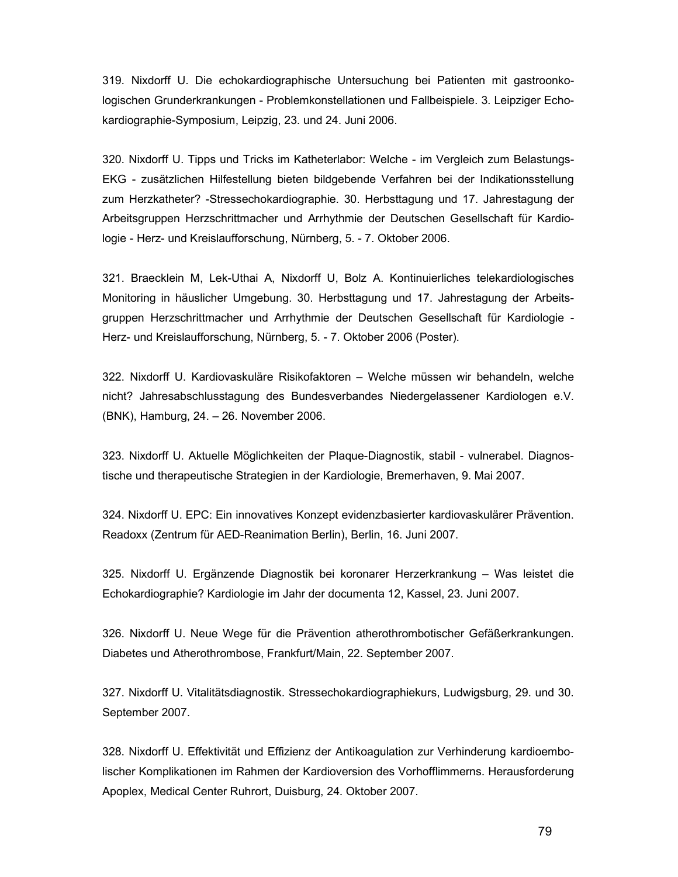319. Nixdorff U. Die echokardiographische Untersuchung bei Patienten mit gastroonkologischen Grunderkrankungen - Problemkonstellationen und Fallbeispiele. 3. Leipziger Echokardiographie-Symposium, Leipzig, 23. und 24. Juni 2006.

320. Nixdorff U. Tipps und Tricks im Katheterlabor: Welche - im Vergleich zum Belastungs-EKG - zusätzlichen Hilfestellung bieten bildgebende Verfahren bei der Indikationsstellung zum Herzkatheter? -Stressechokardiographie. 30. Herbsttagung und 17. Jahrestagung der Arbeitsgruppen Herzschrittmacher und Arrhythmie der Deutschen Gesellschaft für Kardiologie - Herz- und Kreislaufforschung, Nürnberg, 5. - 7. Oktober 2006.

321. Braecklein M, Lek-Uthai A, Nixdorff U, Bolz A. Kontinuierliches telekardiologisches Monitoring in häuslicher Umgebung. 30. Herbsttagung und 17. Jahrestagung der Arbeitsgruppen Herzschrittmacher und Arrhythmie der Deutschen Gesellschaft für Kardiologie - Herz- und Kreislaufforschung, Nürnberg, 5. - 7. Oktober 2006 (Poster).

322. Nixdorff U. Kardiovaskuläre Risikofaktoren – Welche müssen wir behandeln, welche nicht? Jahresabschlusstagung des Bundesverbandes Niedergelassener Kardiologen e.V. (BNK), Hamburg, 24. – 26. November 2006.

323. Nixdorff U. Aktuelle Möglichkeiten der Plaque-Diagnostik, stabil - vulnerabel. Diagnostische und therapeutische Strategien in der Kardiologie, Bremerhaven, 9. Mai 2007.

324. Nixdorff U. EPC: Ein innovatives Konzept evidenzbasierter kardiovaskulärer Prävention. Readoxx (Zentrum für AED-Reanimation Berlin), Berlin, 16. Juni 2007.

325. Nixdorff U. Ergänzende Diagnostik bei koronarer Herzerkrankung – Was leistet die Echokardiographie? Kardiologie im Jahr der documenta 12, Kassel, 23. Juni 2007.

326. Nixdorff U. Neue Wege für die Prävention atherothrombotischer Gefäßerkrankungen. Diabetes und Atherothrombose, Frankfurt/Main, 22. September 2007.

327. Nixdorff U. Vitalitätsdiagnostik. Stressechokardiographiekurs, Ludwigsburg, 29. und 30. September 2007.

328. Nixdorff U. Effektivität und Effizienz der Antikoagulation zur Verhinderung kardioembolischer Komplikationen im Rahmen der Kardioversion des Vorhofflimmerns. Herausforderung Apoplex, Medical Center Ruhrort, Duisburg, 24. Oktober 2007.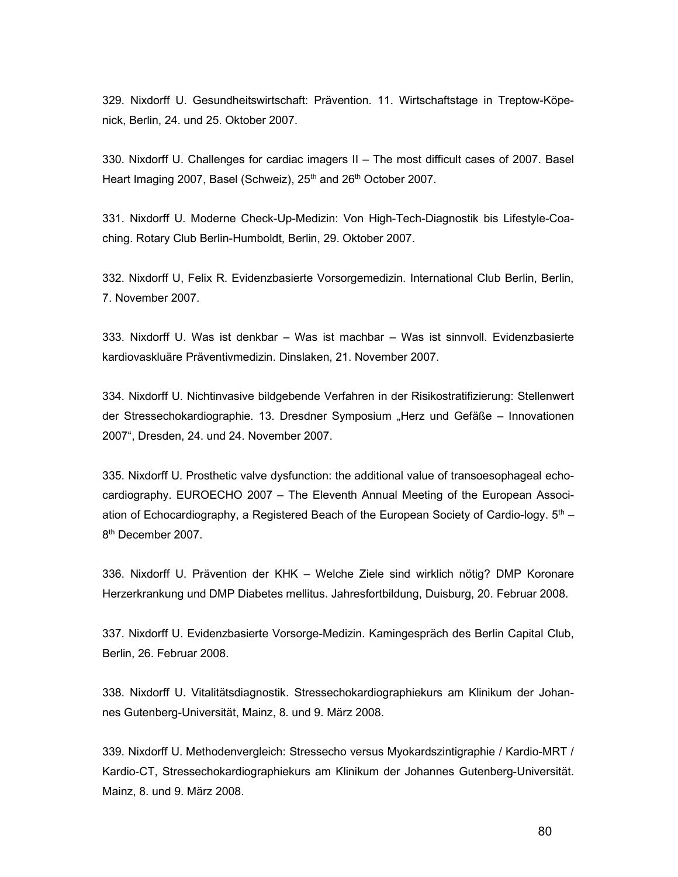329. Nixdorff U. Gesundheitswirtschaft: Prävention. 11. Wirtschaftstage in Treptow-Köpenick, Berlin, 24. und 25. Oktober 2007.

330. Nixdorff U. Challenges for cardiac imagers II – The most difficult cases of 2007. Basel Heart Imaging 2007, Basel (Schweiz), 25<sup>th</sup> and 26<sup>th</sup> October 2007.

331. Nixdorff U. Moderne Check-Up-Medizin: Von High-Tech-Diagnostik bis Lifestyle-Coaching. Rotary Club Berlin-Humboldt, Berlin, 29. Oktober 2007.

332. Nixdorff U, Felix R. Evidenzbasierte Vorsorgemedizin. International Club Berlin, Berlin, 7. November 2007.

333. Nixdorff U. Was ist denkbar – Was ist machbar – Was ist sinnvoll. Evidenzbasierte kardiovaskluäre Präventivmedizin. Dinslaken, 21. November 2007.

334. Nixdorff U. Nichtinvasive bildgebende Verfahren in der Risikostratifizierung: Stellenwert der Stressechokardiographie. 13. Dresdner Symposium "Herz und Gefäße – Innovationen 2007", Dresden, 24. und 24. November 2007.

335. Nixdorff U. Prosthetic valve dysfunction: the additional value of transoesophageal echocardiography. EUROECHO 2007 – The Eleventh Annual Meeting of the European Association of Echocardiography, a Registered Beach of the European Society of Cardio-logy.  $5<sup>th</sup>$  – 8<sup>th</sup> December 2007.

336. Nixdorff U. Prävention der KHK – Welche Ziele sind wirklich nötig? DMP Koronare Herzerkrankung und DMP Diabetes mellitus. Jahresfortbildung, Duisburg, 20. Februar 2008.

337. Nixdorff U. Evidenzbasierte Vorsorge-Medizin. Kamingespräch des Berlin Capital Club, Berlin, 26. Februar 2008.

338. Nixdorff U. Vitalitätsdiagnostik. Stressechokardiographiekurs am Klinikum der Johannes Gutenberg-Universität, Mainz, 8. und 9. März 2008.

339. Nixdorff U. Methodenvergleich: Stressecho versus Myokardszintigraphie / Kardio-MRT / Kardio-CT, Stressechokardiographiekurs am Klinikum der Johannes Gutenberg-Universität. Mainz, 8. und 9. März 2008.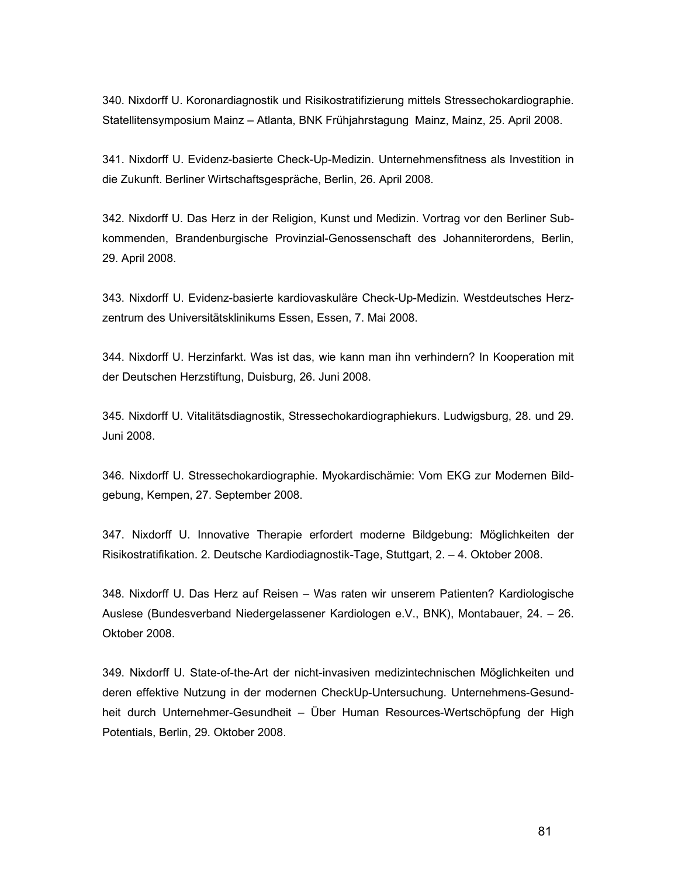340. Nixdorff U. Koronardiagnostik und Risikostratifizierung mittels Stressechokardiographie. Statellitensymposium Mainz – Atlanta, BNK Frühjahrstagung Mainz, Mainz, 25. April 2008.

341. Nixdorff U. Evidenz-basierte Check-Up-Medizin. Unternehmensfitness als Investition in die Zukunft. Berliner Wirtschaftsgespräche, Berlin, 26. April 2008.

342. Nixdorff U. Das Herz in der Religion, Kunst und Medizin. Vortrag vor den Berliner Subkommenden, Brandenburgische Provinzial-Genossenschaft des Johanniterordens, Berlin, 29. April 2008.

343. Nixdorff U. Evidenz-basierte kardiovaskuläre Check-Up-Medizin. Westdeutsches Herzzentrum des Universitätsklinikums Essen, Essen, 7. Mai 2008.

344. Nixdorff U. Herzinfarkt. Was ist das, wie kann man ihn verhindern? In Kooperation mit der Deutschen Herzstiftung, Duisburg, 26. Juni 2008.

345. Nixdorff U. Vitalitätsdiagnostik, Stressechokardiographiekurs. Ludwigsburg, 28. und 29. Juni 2008.

346. Nixdorff U. Stressechokardiographie. Myokardischämie: Vom EKG zur Modernen Bildgebung, Kempen, 27. September 2008.

347. Nixdorff U. Innovative Therapie erfordert moderne Bildgebung: Möglichkeiten der Risikostratifikation. 2. Deutsche Kardiodiagnostik-Tage, Stuttgart, 2. – 4. Oktober 2008.

348. Nixdorff U. Das Herz auf Reisen – Was raten wir unserem Patienten? Kardiologische Auslese (Bundesverband Niedergelassener Kardiologen e.V., BNK), Montabauer, 24. – 26. Oktober 2008.

349. Nixdorff U. State-of-the-Art der nicht-invasiven medizintechnischen Möglichkeiten und deren effektive Nutzung in der modernen CheckUp-Untersuchung. Unternehmens-Gesundheit durch Unternehmer-Gesundheit – Über Human Resources-Wertschöpfung der High Potentials, Berlin, 29. Oktober 2008.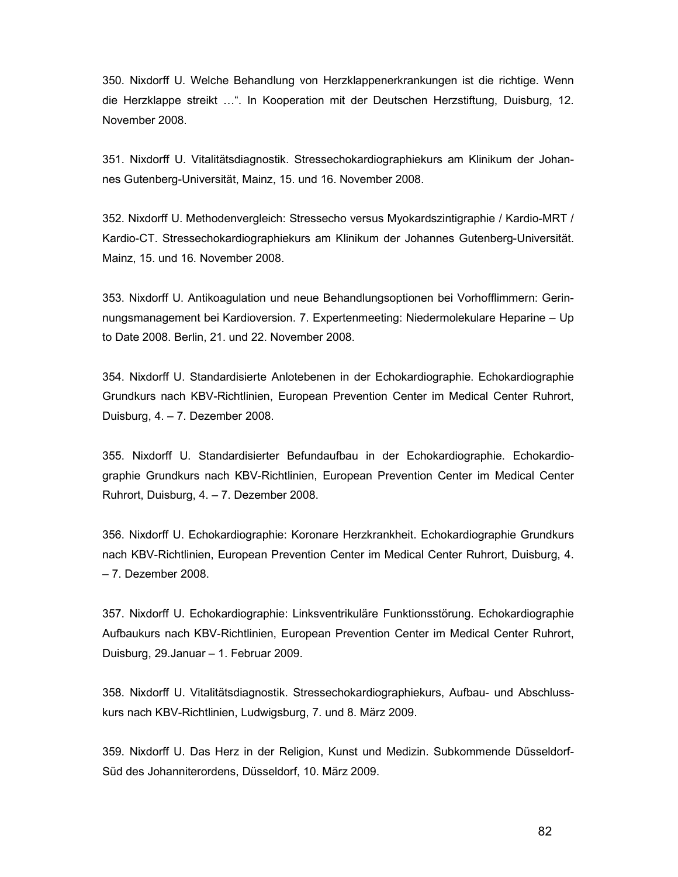350. Nixdorff U. Welche Behandlung von Herzklappenerkrankungen ist die richtige. Wenn die Herzklappe streikt …". In Kooperation mit der Deutschen Herzstiftung, Duisburg, 12. November 2008.

351. Nixdorff U. Vitalitätsdiagnostik. Stressechokardiographiekurs am Klinikum der Johannes Gutenberg-Universität, Mainz, 15. und 16. November 2008.

352. Nixdorff U. Methodenvergleich: Stressecho versus Myokardszintigraphie / Kardio-MRT / Kardio-CT. Stressechokardiographiekurs am Klinikum der Johannes Gutenberg-Universität. Mainz, 15. und 16. November 2008.

353. Nixdorff U. Antikoagulation und neue Behandlungsoptionen bei Vorhofflimmern: Gerinnungsmanagement bei Kardioversion. 7. Expertenmeeting: Niedermolekulare Heparine – Up to Date 2008. Berlin, 21. und 22. November 2008.

354. Nixdorff U. Standardisierte Anlotebenen in der Echokardiographie. Echokardiographie Grundkurs nach KBV-Richtlinien, European Prevention Center im Medical Center Ruhrort, Duisburg, 4. – 7. Dezember 2008.

355. Nixdorff U. Standardisierter Befundaufbau in der Echokardiographie. Echokardiographie Grundkurs nach KBV-Richtlinien, European Prevention Center im Medical Center Ruhrort, Duisburg, 4. – 7. Dezember 2008.

356. Nixdorff U. Echokardiographie: Koronare Herzkrankheit. Echokardiographie Grundkurs nach KBV-Richtlinien, European Prevention Center im Medical Center Ruhrort, Duisburg, 4. – 7. Dezember 2008.

357. Nixdorff U. Echokardiographie: Linksventrikuläre Funktionsstörung. Echokardiographie Aufbaukurs nach KBV-Richtlinien, European Prevention Center im Medical Center Ruhrort, Duisburg, 29.Januar – 1. Februar 2009.

358. Nixdorff U. Vitalitätsdiagnostik. Stressechokardiographiekurs, Aufbau- und Abschlusskurs nach KBV-Richtlinien, Ludwigsburg, 7. und 8. März 2009.

359. Nixdorff U. Das Herz in der Religion, Kunst und Medizin. Subkommende Düsseldorf-Süd des Johanniterordens, Düsseldorf, 10. März 2009.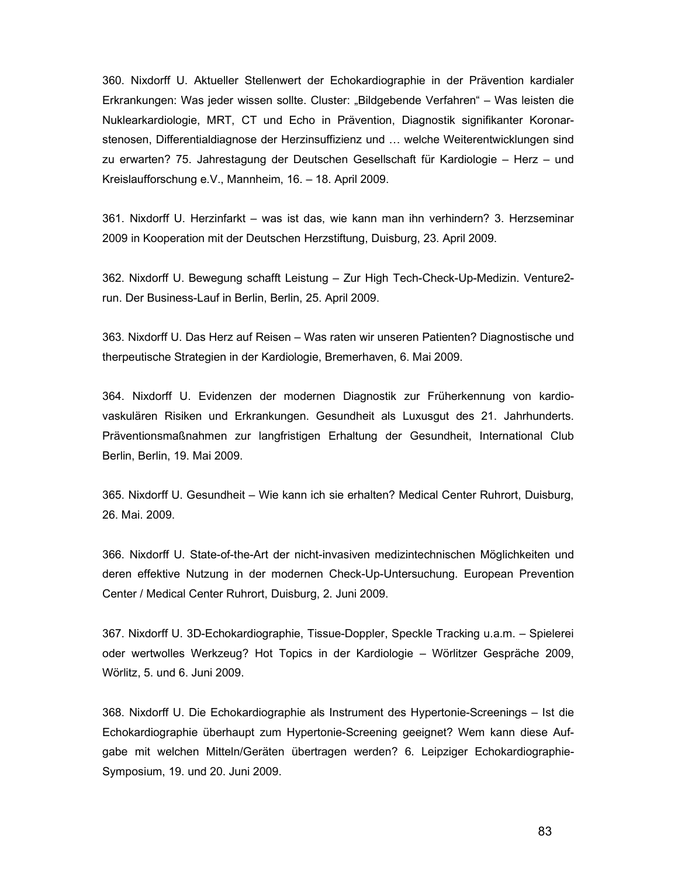360. Nixdorff U. Aktueller Stellenwert der Echokardiographie in der Prävention kardialer Erkrankungen: Was jeder wissen sollte. Cluster: "Bildgebende Verfahren" – Was leisten die Nuklearkardiologie, MRT, CT und Echo in Prävention, Diagnostik signifikanter Koronarstenosen, Differentialdiagnose der Herzinsuffizienz und … welche Weiterentwicklungen sind zu erwarten? 75. Jahrestagung der Deutschen Gesellschaft für Kardiologie – Herz – und Kreislaufforschung e.V., Mannheim, 16. – 18. April 2009.

361. Nixdorff U. Herzinfarkt – was ist das, wie kann man ihn verhindern? 3. Herzseminar 2009 in Kooperation mit der Deutschen Herzstiftung, Duisburg, 23. April 2009.

362. Nixdorff U. Bewegung schafft Leistung – Zur High Tech-Check-Up-Medizin. Venture2 run. Der Business-Lauf in Berlin, Berlin, 25. April 2009.

363. Nixdorff U. Das Herz auf Reisen – Was raten wir unseren Patienten? Diagnostische und therpeutische Strategien in der Kardiologie, Bremerhaven, 6. Mai 2009.

364. Nixdorff U. Evidenzen der modernen Diagnostik zur Früherkennung von kardiovaskulären Risiken und Erkrankungen. Gesundheit als Luxusgut des 21. Jahrhunderts. Präventionsmaßnahmen zur langfristigen Erhaltung der Gesundheit, International Club Berlin, Berlin, 19. Mai 2009.

365. Nixdorff U. Gesundheit – Wie kann ich sie erhalten? Medical Center Ruhrort, Duisburg, 26. Mai. 2009.

366. Nixdorff U. State-of-the-Art der nicht-invasiven medizintechnischen Möglichkeiten und deren effektive Nutzung in der modernen Check-Up-Untersuchung. European Prevention Center / Medical Center Ruhrort, Duisburg, 2. Juni 2009.

367. Nixdorff U. 3D-Echokardiographie, Tissue-Doppler, Speckle Tracking u.a.m. – Spielerei oder wertwolles Werkzeug? Hot Topics in der Kardiologie – Wörlitzer Gespräche 2009, Wörlitz, 5. und 6. Juni 2009.

368. Nixdorff U. Die Echokardiographie als Instrument des Hypertonie-Screenings – Ist die Echokardiographie überhaupt zum Hypertonie-Screening geeignet? Wem kann diese Aufgabe mit welchen Mitteln/Geräten übertragen werden? 6. Leipziger Echokardiographie-Symposium, 19. und 20. Juni 2009.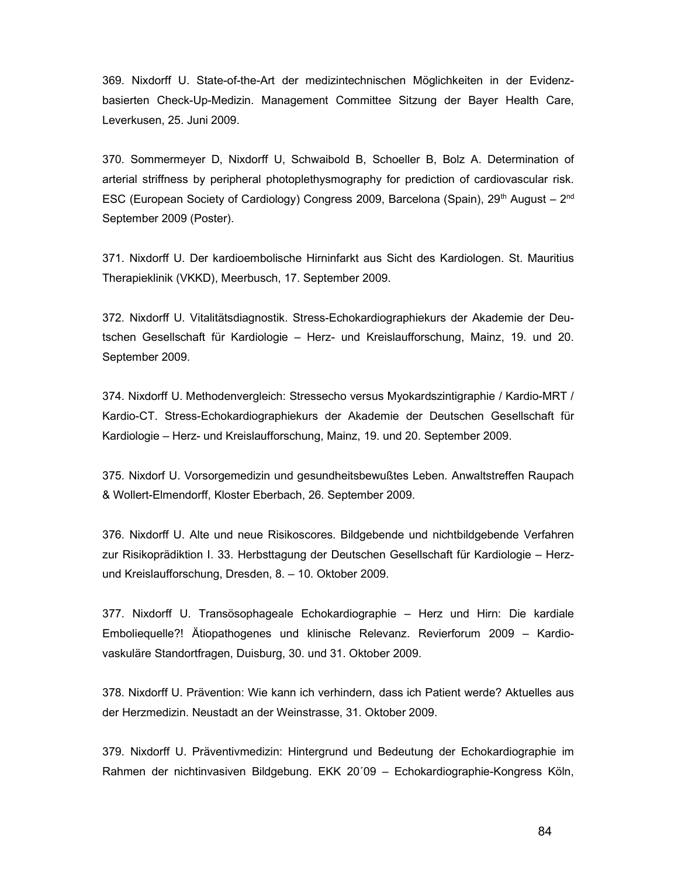369. Nixdorff U. State-of-the-Art der medizintechnischen Möglichkeiten in der Evidenzbasierten Check-Up-Medizin. Management Committee Sitzung der Bayer Health Care, Leverkusen, 25. Juni 2009.

370. Sommermeyer D, Nixdorff U, Schwaibold B, Schoeller B, Bolz A. Determination of arterial striffness by peripheral photoplethysmography for prediction of cardiovascular risk. ESC (European Society of Cardiology) Congress 2009, Barcelona (Spain), 29<sup>th</sup> August – 2<sup>nd</sup> September 2009 (Poster).

371. Nixdorff U. Der kardioembolische Hirninfarkt aus Sicht des Kardiologen. St. Mauritius Therapieklinik (VKKD), Meerbusch, 17. September 2009.

372. Nixdorff U. Vitalitätsdiagnostik. Stress-Echokardiographiekurs der Akademie der Deutschen Gesellschaft für Kardiologie – Herz- und Kreislaufforschung, Mainz, 19. und 20. September 2009.

374. Nixdorff U. Methodenvergleich: Stressecho versus Myokardszintigraphie / Kardio-MRT / Kardio-CT. Stress-Echokardiographiekurs der Akademie der Deutschen Gesellschaft für Kardiologie – Herz- und Kreislaufforschung, Mainz, 19. und 20. September 2009.

375. Nixdorf U. Vorsorgemedizin und gesundheitsbewußtes Leben. Anwaltstreffen Raupach & Wollert-Elmendorff, Kloster Eberbach, 26. September 2009.

376. Nixdorff U. Alte und neue Risikoscores. Bildgebende und nichtbildgebende Verfahren zur Risikoprädiktion I. 33. Herbsttagung der Deutschen Gesellschaft für Kardiologie – Herzund Kreislaufforschung, Dresden, 8. – 10. Oktober 2009.

377. Nixdorff U. Transösophageale Echokardiographie – Herz und Hirn: Die kardiale Emboliequelle?! Ätiopathogenes und klinische Relevanz. Revierforum 2009 – Kardiovaskuläre Standortfragen, Duisburg, 30. und 31. Oktober 2009.

378. Nixdorff U. Prävention: Wie kann ich verhindern, dass ich Patient werde? Aktuelles aus der Herzmedizin. Neustadt an der Weinstrasse, 31. Oktober 2009.

379. Nixdorff U. Präventivmedizin: Hintergrund und Bedeutung der Echokardiographie im Rahmen der nichtinvasiven Bildgebung. EKK 20´09 – Echokardiographie-Kongress Köln,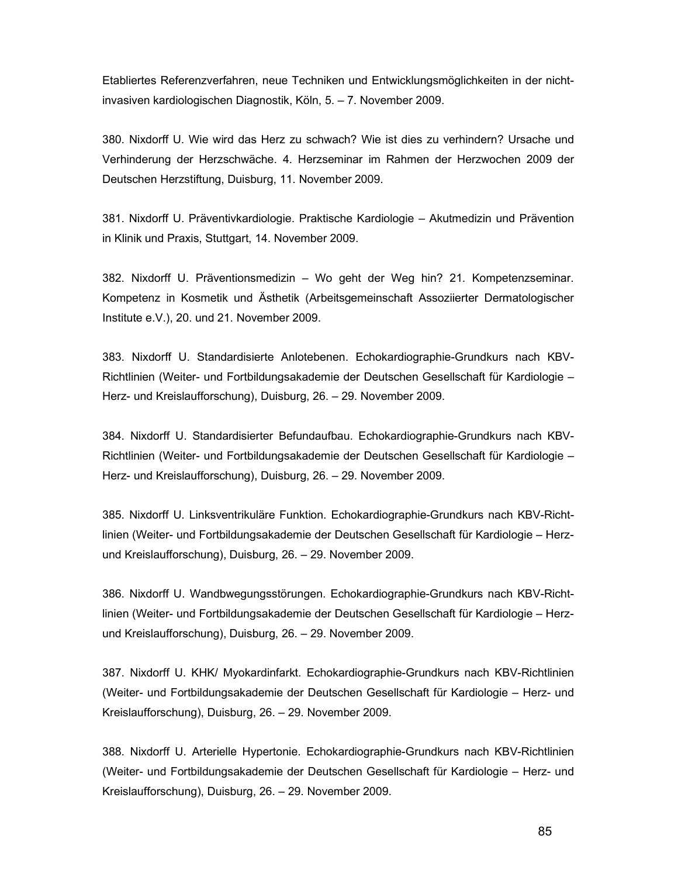Etabliertes Referenzverfahren, neue Techniken und Entwicklungsmöglichkeiten in der nichtinvasiven kardiologischen Diagnostik, Köln, 5. – 7. November 2009.

380. Nixdorff U. Wie wird das Herz zu schwach? Wie ist dies zu verhindern? Ursache und Verhinderung der Herzschwäche. 4. Herzseminar im Rahmen der Herzwochen 2009 der Deutschen Herzstiftung, Duisburg, 11. November 2009.

381. Nixdorff U. Präventivkardiologie. Praktische Kardiologie – Akutmedizin und Prävention in Klinik und Praxis, Stuttgart, 14. November 2009.

382. Nixdorff U. Präventionsmedizin – Wo geht der Weg hin? 21. Kompetenzseminar. Kompetenz in Kosmetik und Ästhetik (Arbeitsgemeinschaft Assoziierter Dermatologischer Institute e.V.), 20. und 21. November 2009.

383. Nixdorff U. Standardisierte Anlotebenen. Echokardiographie-Grundkurs nach KBV-Richtlinien (Weiter- und Fortbildungsakademie der Deutschen Gesellschaft für Kardiologie – Herz- und Kreislaufforschung), Duisburg, 26. – 29. November 2009.

384. Nixdorff U. Standardisierter Befundaufbau. Echokardiographie-Grundkurs nach KBV-Richtlinien (Weiter- und Fortbildungsakademie der Deutschen Gesellschaft für Kardiologie – Herz- und Kreislaufforschung), Duisburg, 26. – 29. November 2009.

385. Nixdorff U. Linksventrikuläre Funktion. Echokardiographie-Grundkurs nach KBV-Richtlinien (Weiter- und Fortbildungsakademie der Deutschen Gesellschaft für Kardiologie – Herzund Kreislaufforschung), Duisburg, 26. – 29. November 2009.

386. Nixdorff U. Wandbwegungsstörungen. Echokardiographie-Grundkurs nach KBV-Richtlinien (Weiter- und Fortbildungsakademie der Deutschen Gesellschaft für Kardiologie – Herzund Kreislaufforschung), Duisburg, 26. – 29. November 2009.

387. Nixdorff U. KHK/ Myokardinfarkt. Echokardiographie-Grundkurs nach KBV-Richtlinien (Weiter- und Fortbildungsakademie der Deutschen Gesellschaft für Kardiologie – Herz- und Kreislaufforschung), Duisburg, 26. – 29. November 2009.

388. Nixdorff U. Arterielle Hypertonie. Echokardiographie-Grundkurs nach KBV-Richtlinien (Weiter- und Fortbildungsakademie der Deutschen Gesellschaft für Kardiologie – Herz- und Kreislaufforschung), Duisburg, 26. – 29. November 2009.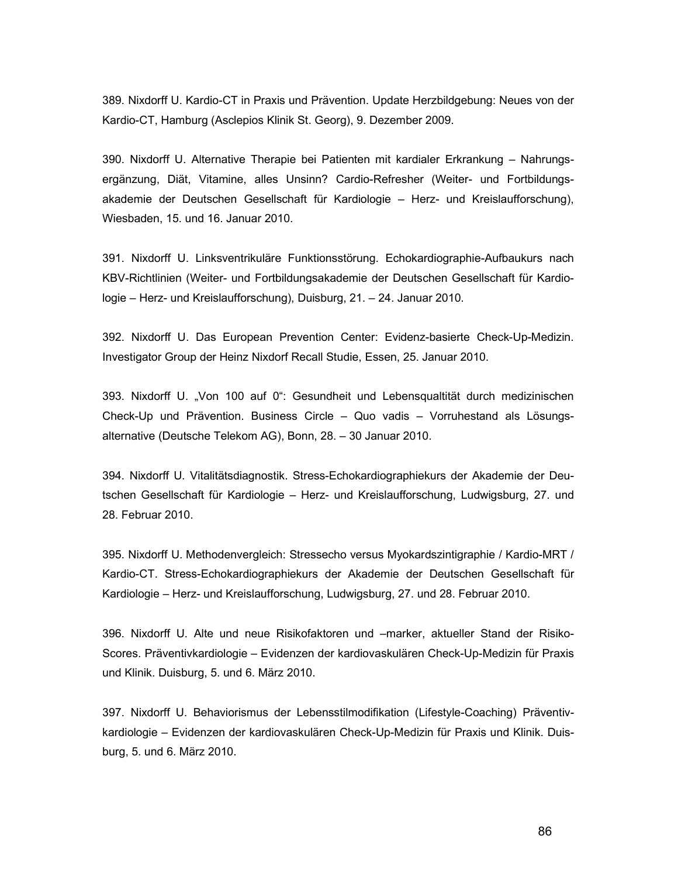389. Nixdorff U. Kardio-CT in Praxis und Prävention. Update Herzbildgebung: Neues von der Kardio-CT, Hamburg (Asclepios Klinik St. Georg), 9. Dezember 2009.

390. Nixdorff U. Alternative Therapie bei Patienten mit kardialer Erkrankung – Nahrungsergänzung, Diät, Vitamine, alles Unsinn? Cardio-Refresher (Weiter- und Fortbildungsakademie der Deutschen Gesellschaft für Kardiologie – Herz- und Kreislaufforschung), Wiesbaden, 15. und 16. Januar 2010.

391. Nixdorff U. Linksventrikuläre Funktionsstörung. Echokardiographie-Aufbaukurs nach KBV-Richtlinien (Weiter- und Fortbildungsakademie der Deutschen Gesellschaft für Kardiologie – Herz- und Kreislaufforschung), Duisburg, 21. – 24. Januar 2010.

392. Nixdorff U. Das European Prevention Center: Evidenz-basierte Check-Up-Medizin. Investigator Group der Heinz Nixdorf Recall Studie, Essen, 25. Januar 2010.

393. Nixdorff U. "Von 100 auf 0": Gesundheit und Lebensqualtität durch medizinischen Check-Up und Prävention. Business Circle – Quo vadis – Vorruhestand als Lösungsalternative (Deutsche Telekom AG), Bonn, 28. – 30 Januar 2010.

394. Nixdorff U. Vitalitätsdiagnostik. Stress-Echokardiographiekurs der Akademie der Deutschen Gesellschaft für Kardiologie – Herz- und Kreislaufforschung, Ludwigsburg, 27. und 28. Februar 2010.

395. Nixdorff U. Methodenvergleich: Stressecho versus Myokardszintigraphie / Kardio-MRT / Kardio-CT. Stress-Echokardiographiekurs der Akademie der Deutschen Gesellschaft für Kardiologie – Herz- und Kreislaufforschung, Ludwigsburg, 27. und 28. Februar 2010.

396. Nixdorff U. Alte und neue Risikofaktoren und –marker, aktueller Stand der Risiko-Scores. Präventivkardiologie – Evidenzen der kardiovaskulären Check-Up-Medizin für Praxis und Klinik. Duisburg, 5. und 6. März 2010.

397. Nixdorff U. Behaviorismus der Lebensstilmodifikation (Lifestyle-Coaching) Präventivkardiologie – Evidenzen der kardiovaskulären Check-Up-Medizin für Praxis und Klinik. Duisburg, 5. und 6. März 2010.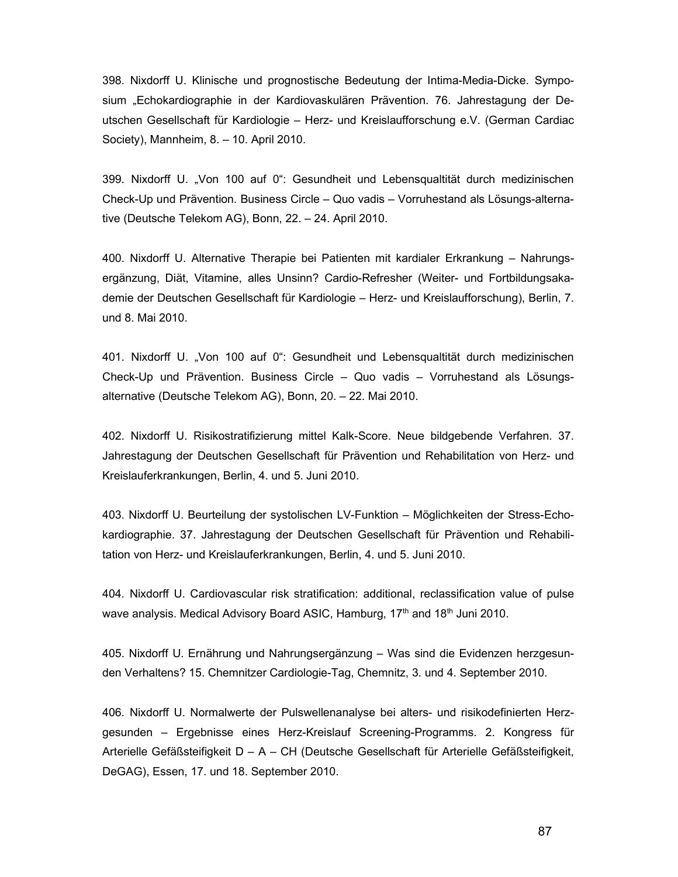398. Nixdorff U. Klinische und prognostische Bedeutung der Intima-Media-Dicke. Symposium "Echokardiographie in der Kardiovaskulären Prävention. 76. Jahrestagung der Deutschen Gesellschaft für Kardiologie – Herz- und Kreislaufforschung e.V. (German Cardiac Society), Mannheim, 8. – 10. April 2010.

399. Nixdorff U. "Von 100 auf 0": Gesundheit und Lebensqualtität durch medizinischen Check-Up und Prävention. Business Circle – Quo vadis – Vorruhestand als Lösungs-alternative (Deutsche Telekom AG), Bonn, 22. – 24. April 2010.

400. Nixdorff U. Alternative Therapie bei Patienten mit kardialer Erkrankung – Nahrungsergänzung, Diät, Vitamine, alles Unsinn? Cardio-Refresher (Weiter- und Fortbildungsakademie der Deutschen Gesellschaft für Kardiologie – Herz- und Kreislaufforschung), Berlin, 7. und 8. Mai 2010.

401. Nixdorff U. "Von 100 auf 0": Gesundheit und Lebensqualtität durch medizinischen Check-Up und Prävention. Business Circle – Quo vadis – Vorruhestand als Lösungsalternative (Deutsche Telekom AG), Bonn, 20. – 22. Mai 2010.

402. Nixdorff U. Risikostratifizierung mittel Kalk-Score. Neue bildgebende Verfahren. 37. Jahrestagung der Deutschen Gesellschaft für Prävention und Rehabilitation von Herz- und Kreislauferkrankungen, Berlin, 4. und 5. Juni 2010.

403. Nixdorff U. Beurteilung der systolischen LV-Funktion – Möglichkeiten der Stress-Echokardiographie. 37. Jahrestagung der Deutschen Gesellschaft für Prävention und Rehabilitation von Herz- und Kreislauferkrankungen, Berlin, 4. und 5. Juni 2010.

404. Nixdorff U. Cardiovascular risk stratification: additional, reclassification value of pulse wave analysis. Medical Advisory Board ASIC, Hamburg, 17<sup>th</sup> and 18<sup>th</sup> Juni 2010.

405. Nixdorff U. Ernährung und Nahrungsergänzung – Was sind die Evidenzen herzgesunden Verhaltens? 15. Chemnitzer Cardiologie-Tag, Chemnitz, 3. und 4. September 2010.

406. Nixdorff U. Normalwerte der Pulswellenanalyse bei alters- und risikodefinierten Herzgesunden – Ergebnisse eines Herz-Kreislauf Screening-Programms. 2. Kongress für Arterielle Gefäßsteifigkeit D – A – CH (Deutsche Gesellschaft für Arterielle Gefäßsteifigkeit, DeGAG), Essen, 17. und 18. September 2010.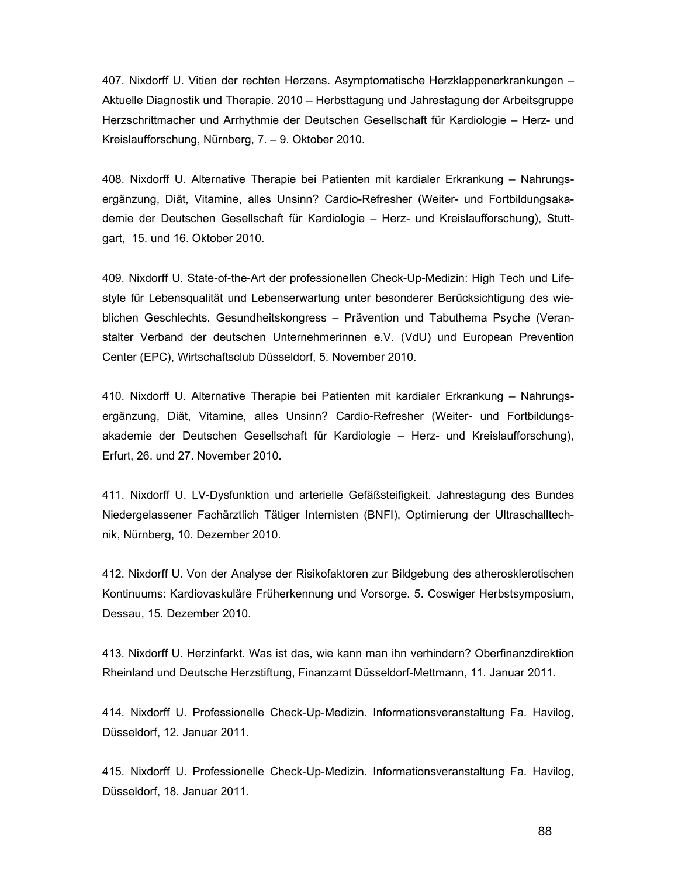407. Nixdorff U. Vitien der rechten Herzens. Asymptomatische Herzklappenerkrankungen – Aktuelle Diagnostik und Therapie. 2010 – Herbsttagung und Jahrestagung der Arbeitsgruppe Herzschrittmacher und Arrhythmie der Deutschen Gesellschaft für Kardiologie – Herz- und Kreislaufforschung, Nürnberg, 7. – 9. Oktober 2010.

408. Nixdorff U. Alternative Therapie bei Patienten mit kardialer Erkrankung – Nahrungsergänzung, Diät, Vitamine, alles Unsinn? Cardio-Refresher (Weiter- und Fortbildungsakademie der Deutschen Gesellschaft für Kardiologie – Herz- und Kreislaufforschung), Stuttgart, 15. und 16. Oktober 2010.

409. Nixdorff U. State-of-the-Art der professionellen Check-Up-Medizin: High Tech und Lifestyle für Lebensqualität und Lebenserwartung unter besonderer Berücksichtigung des wieblichen Geschlechts. Gesundheitskongress – Prävention und Tabuthema Psyche (Veranstalter Verband der deutschen Unternehmerinnen e.V. (VdU) und European Prevention Center (EPC), Wirtschaftsclub Düsseldorf, 5. November 2010.

410. Nixdorff U. Alternative Therapie bei Patienten mit kardialer Erkrankung – Nahrungsergänzung, Diät, Vitamine, alles Unsinn? Cardio-Refresher (Weiter- und Fortbildungsakademie der Deutschen Gesellschaft für Kardiologie – Herz- und Kreislaufforschung), Erfurt, 26. und 27. November 2010.

411. Nixdorff U. LV-Dysfunktion und arterielle Gefäßsteifigkeit. Jahrestagung des Bundes Niedergelassener Fachärztlich Tätiger Internisten (BNFI), Optimierung der Ultraschalltechnik, Nürnberg, 10. Dezember 2010.

412. Nixdorff U. Von der Analyse der Risikofaktoren zur Bildgebung des atherosklerotischen Kontinuums: Kardiovaskuläre Früherkennung und Vorsorge. 5. Coswiger Herbstsymposium, Dessau, 15. Dezember 2010.

413. Nixdorff U. Herzinfarkt. Was ist das, wie kann man ihn verhindern? Oberfinanzdirektion Rheinland und Deutsche Herzstiftung, Finanzamt Düsseldorf-Mettmann, 11. Januar 2011.

414. Nixdorff U. Professionelle Check-Up-Medizin. Informationsveranstaltung Fa. Havilog, Düsseldorf, 12. Januar 2011.

415. Nixdorff U. Professionelle Check-Up-Medizin. Informationsveranstaltung Fa. Havilog, Düsseldorf, 18. Januar 2011.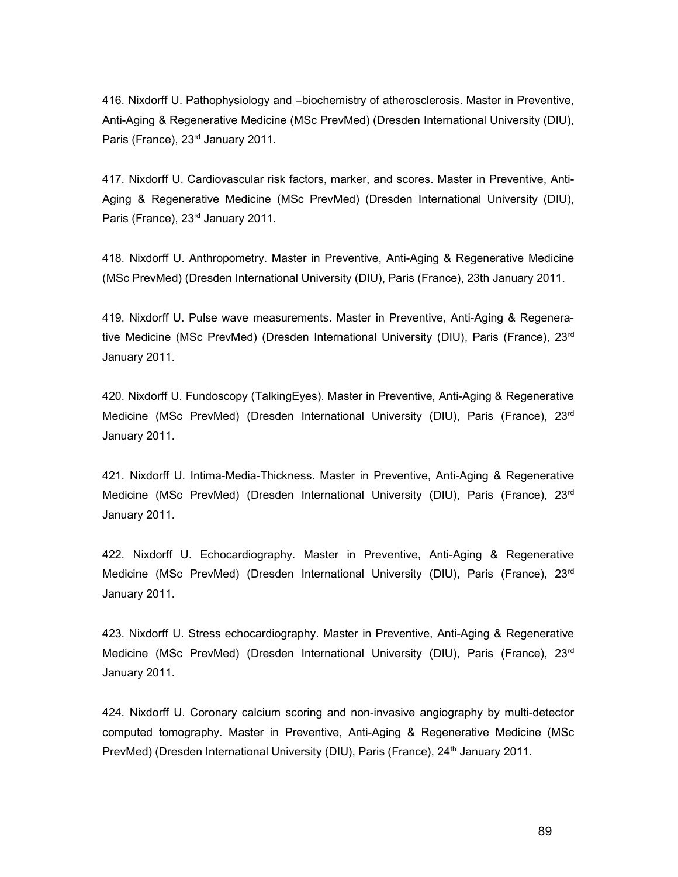416. Nixdorff U. Pathophysiology and –biochemistry of atherosclerosis. Master in Preventive, Anti-Aging & Regenerative Medicine (MSc PrevMed) (Dresden International University (DIU), Paris (France), 23<sup>rd</sup> January 2011.

417. Nixdorff U. Cardiovascular risk factors, marker, and scores. Master in Preventive, Anti-Aging & Regenerative Medicine (MSc PrevMed) (Dresden International University (DIU), Paris (France), 23<sup>rd</sup> January 2011.

418. Nixdorff U. Anthropometry. Master in Preventive, Anti-Aging & Regenerative Medicine (MSc PrevMed) (Dresden International University (DIU), Paris (France), 23th January 2011.

419. Nixdorff U. Pulse wave measurements. Master in Preventive, Anti-Aging & Regenerative Medicine (MSc PrevMed) (Dresden International University (DIU), Paris (France), 23<sup>rd</sup> January 2011.

420. Nixdorff U. Fundoscopy (TalkingEyes). Master in Preventive, Anti-Aging & Regenerative Medicine (MSc PrevMed) (Dresden International University (DIU), Paris (France), 23<sup>rd</sup> January 2011.

421. Nixdorff U. Intima-Media-Thickness. Master in Preventive, Anti-Aging & Regenerative Medicine (MSc PrevMed) (Dresden International University (DIU), Paris (France), 23<sup>rd</sup> January 2011.

422. Nixdorff U. Echocardiography. Master in Preventive, Anti-Aging & Regenerative Medicine (MSc PrevMed) (Dresden International University (DIU), Paris (France), 23<sup>rd</sup> January 2011.

423. Nixdorff U. Stress echocardiography. Master in Preventive, Anti-Aging & Regenerative Medicine (MSc PrevMed) (Dresden International University (DIU), Paris (France), 23<sup>rd</sup> January 2011.

424. Nixdorff U. Coronary calcium scoring and non-invasive angiography by multi-detector computed tomography. Master in Preventive, Anti-Aging & Regenerative Medicine (MSc PrevMed) (Dresden International University (DIU), Paris (France), 24<sup>th</sup> January 2011.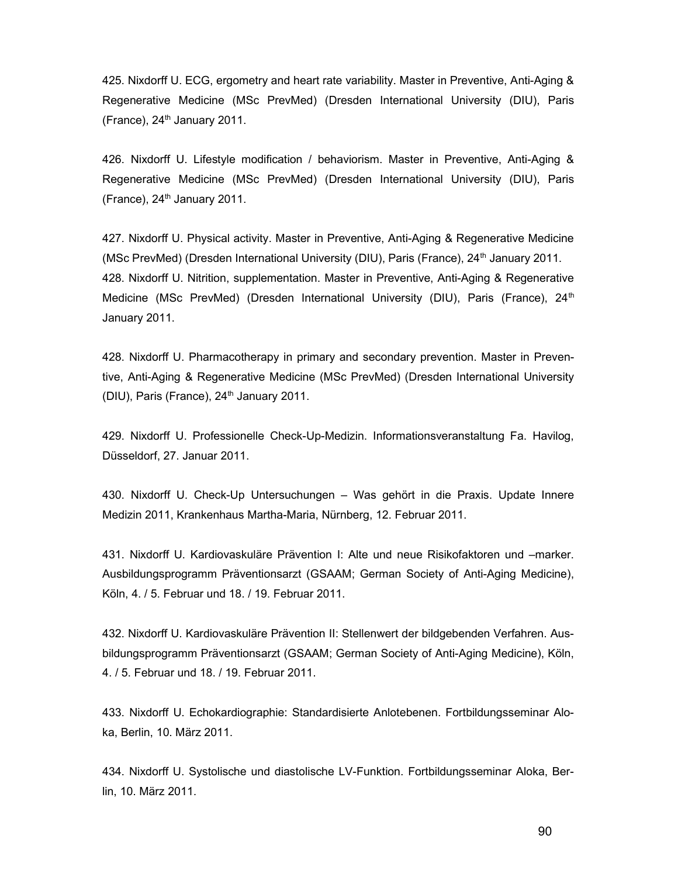425. Nixdorff U. ECG, ergometry and heart rate variability. Master in Preventive, Anti-Aging & Regenerative Medicine (MSc PrevMed) (Dresden International University (DIU), Paris (France),  $24<sup>th</sup>$  January 2011.

426. Nixdorff U. Lifestyle modification / behaviorism. Master in Preventive, Anti-Aging & Regenerative Medicine (MSc PrevMed) (Dresden International University (DIU), Paris (France),  $24<sup>th</sup>$  January 2011.

427. Nixdorff U. Physical activity. Master in Preventive, Anti-Aging & Regenerative Medicine (MSc PrevMed) (Dresden International University (DIU), Paris (France), 24<sup>th</sup> January 2011. 428. Nixdorff U. Nitrition, supplementation. Master in Preventive, Anti-Aging & Regenerative Medicine (MSc PrevMed) (Dresden International University (DIU), Paris (France), 24<sup>th</sup> January 2011.

428. Nixdorff U. Pharmacotherapy in primary and secondary prevention. Master in Preventive, Anti-Aging & Regenerative Medicine (MSc PrevMed) (Dresden International University (DIU), Paris (France),  $24<sup>th</sup>$  January 2011.

429. Nixdorff U. Professionelle Check-Up-Medizin. Informationsveranstaltung Fa. Havilog, Düsseldorf, 27. Januar 2011.

430. Nixdorff U. Check-Up Untersuchungen – Was gehört in die Praxis. Update Innere Medizin 2011, Krankenhaus Martha-Maria, Nürnberg, 12. Februar 2011.

431. Nixdorff U. Kardiovaskuläre Prävention I: Alte und neue Risikofaktoren und –marker. Ausbildungsprogramm Präventionsarzt (GSAAM; German Society of Anti-Aging Medicine), Köln, 4. / 5. Februar und 18. / 19. Februar 2011.

432. Nixdorff U. Kardiovaskuläre Prävention II: Stellenwert der bildgebenden Verfahren. Ausbildungsprogramm Präventionsarzt (GSAAM; German Society of Anti-Aging Medicine), Köln, 4. / 5. Februar und 18. / 19. Februar 2011.

433. Nixdorff U. Echokardiographie: Standardisierte Anlotebenen. Fortbildungsseminar Aloka, Berlin, 10. März 2011.

434. Nixdorff U. Systolische und diastolische LV-Funktion. Fortbildungsseminar Aloka, Berlin, 10. März 2011.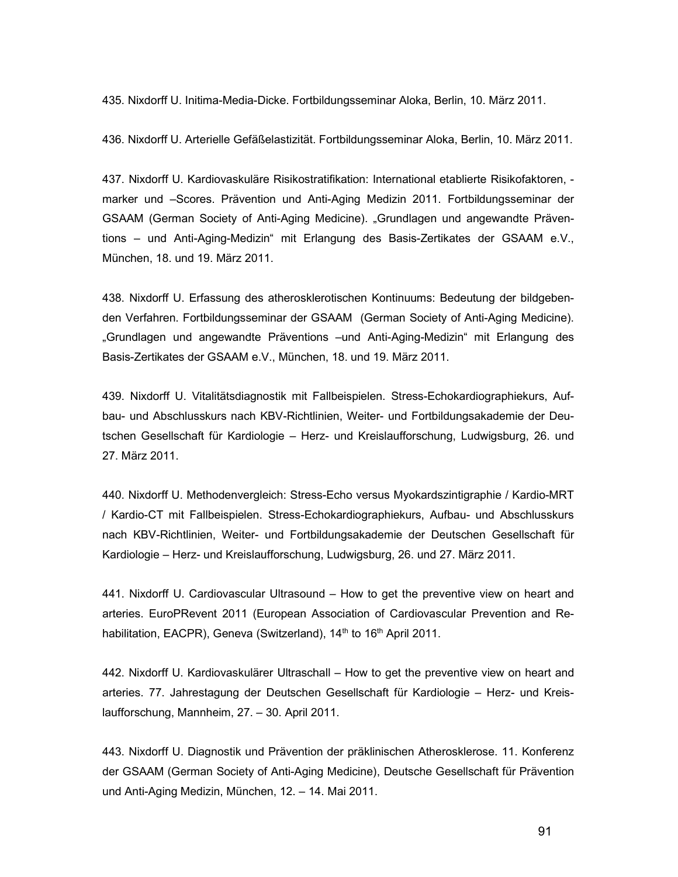435. Nixdorff U. Initima-Media-Dicke. Fortbildungsseminar Aloka, Berlin, 10. März 2011.

436. Nixdorff U. Arterielle Gefäßelastizität. Fortbildungsseminar Aloka, Berlin, 10. März 2011.

437. Nixdorff U. Kardiovaskuläre Risikostratifikation: International etablierte Risikofaktoren, marker und –Scores. Prävention und Anti-Aging Medizin 2011. Fortbildungsseminar der GSAAM (German Society of Anti-Aging Medicine). "Grundlagen und angewandte Präventions – und Anti-Aging-Medizin" mit Erlangung des Basis-Zertikates der GSAAM e.V., München, 18. und 19. März 2011.

438. Nixdorff U. Erfassung des atherosklerotischen Kontinuums: Bedeutung der bildgebenden Verfahren. Fortbildungsseminar der GSAAM (German Society of Anti-Aging Medicine). "Grundlagen und angewandte Präventions –und Anti-Aging-Medizin" mit Erlangung des Basis-Zertikates der GSAAM e.V., München, 18. und 19. März 2011.

439. Nixdorff U. Vitalitätsdiagnostik mit Fallbeispielen. Stress-Echokardiographiekurs, Aufbau- und Abschlusskurs nach KBV-Richtlinien, Weiter- und Fortbildungsakademie der Deutschen Gesellschaft für Kardiologie – Herz- und Kreislaufforschung, Ludwigsburg, 26. und 27. März 2011.

440. Nixdorff U. Methodenvergleich: Stress-Echo versus Myokardszintigraphie / Kardio-MRT / Kardio-CT mit Fallbeispielen. Stress-Echokardiographiekurs, Aufbau- und Abschlusskurs nach KBV-Richtlinien, Weiter- und Fortbildungsakademie der Deutschen Gesellschaft für Kardiologie – Herz- und Kreislaufforschung, Ludwigsburg, 26. und 27. März 2011.

441. Nixdorff U. Cardiovascular Ultrasound – How to get the preventive view on heart and arteries. EuroPRevent 2011 (European Association of Cardiovascular Prevention and Rehabilitation, EACPR), Geneva (Switzerland), 14<sup>th</sup> to 16<sup>th</sup> April 2011.

442. Nixdorff U. Kardiovaskulärer Ultraschall – How to get the preventive view on heart and arteries. 77. Jahrestagung der Deutschen Gesellschaft für Kardiologie – Herz- und Kreislaufforschung, Mannheim, 27. – 30. April 2011.

443. Nixdorff U. Diagnostik und Prävention der präklinischen Atherosklerose. 11. Konferenz der GSAAM (German Society of Anti-Aging Medicine), Deutsche Gesellschaft für Prävention und Anti-Aging Medizin, München, 12. – 14. Mai 2011.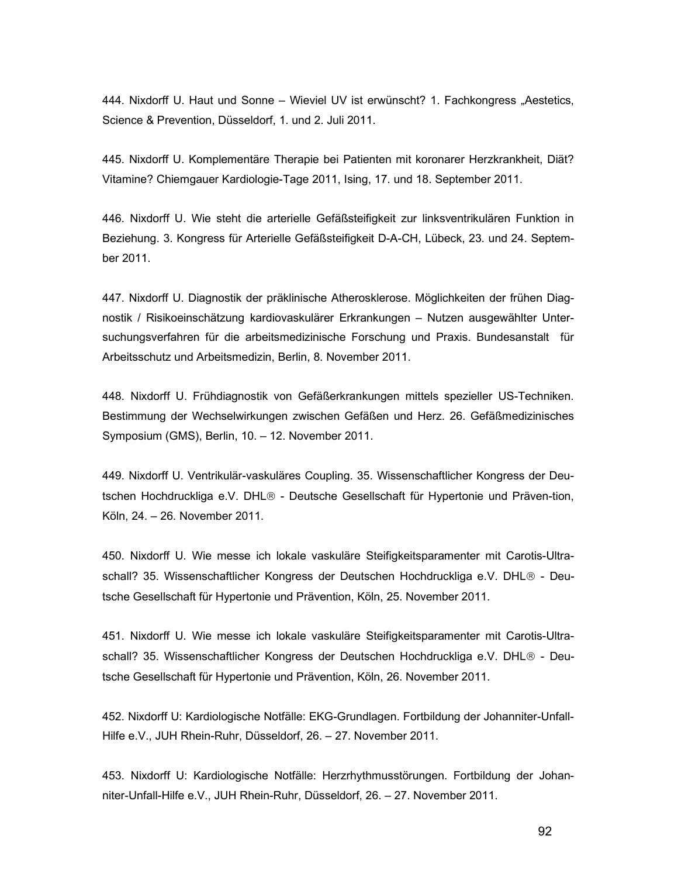444. Nixdorff U. Haut und Sonne – Wieviel UV ist erwünscht? 1. Fachkongress "Aestetics, Science & Prevention, Düsseldorf, 1. und 2. Juli 2011.

445. Nixdorff U. Komplementäre Therapie bei Patienten mit koronarer Herzkrankheit, Diät? Vitamine? Chiemgauer Kardiologie-Tage 2011, Ising, 17. und 18. September 2011.

446. Nixdorff U. Wie steht die arterielle Gefäßsteifigkeit zur linksventrikulären Funktion in Beziehung. 3. Kongress für Arterielle Gefäßsteifigkeit D-A-CH, Lübeck, 23. und 24. September 2011.

447. Nixdorff U. Diagnostik der präklinische Atherosklerose. Möglichkeiten der frühen Diagnostik / Risikoeinschätzung kardiovaskulärer Erkrankungen – Nutzen ausgewählter Untersuchungsverfahren für die arbeitsmedizinische Forschung und Praxis. Bundesanstalt für Arbeitsschutz und Arbeitsmedizin, Berlin, 8. November 2011.

448. Nixdorff U. Frühdiagnostik von Gefäßerkrankungen mittels spezieller US-Techniken. Bestimmung der Wechselwirkungen zwischen Gefäßen und Herz. 26. Gefäßmedizinisches Symposium (GMS), Berlin, 10. – 12. November 2011.

449. Nixdorff U. Ventrikulär-vaskuläres Coupling. 35. Wissenschaftlicher Kongress der Deutschen Hochdruckliga e.V. DHL<sup>®</sup> - Deutsche Gesellschaft für Hypertonie und Präven-tion, Köln, 24. – 26. November 2011.

450. Nixdorff U. Wie messe ich lokale vaskuläre Steifigkeitsparamenter mit Carotis-Ultraschall? 35. Wissenschaftlicher Kongress der Deutschen Hochdruckliga e.V. DHL<sup>®</sup> - Deutsche Gesellschaft für Hypertonie und Prävention, Köln, 25. November 2011.

451. Nixdorff U. Wie messe ich lokale vaskuläre Steifigkeitsparamenter mit Carotis-Ultraschall? 35. Wissenschaftlicher Kongress der Deutschen Hochdruckliga e.V. DHL® - Deutsche Gesellschaft für Hypertonie und Prävention, Köln, 26. November 2011.

452. Nixdorff U: Kardiologische Notfälle: EKG-Grundlagen. Fortbildung der Johanniter-Unfall-Hilfe e.V., JUH Rhein-Ruhr, Düsseldorf, 26. – 27. November 2011.

453. Nixdorff U: Kardiologische Notfälle: Herzrhythmusstörungen. Fortbildung der Johanniter-Unfall-Hilfe e.V., JUH Rhein-Ruhr, Düsseldorf, 26. – 27. November 2011.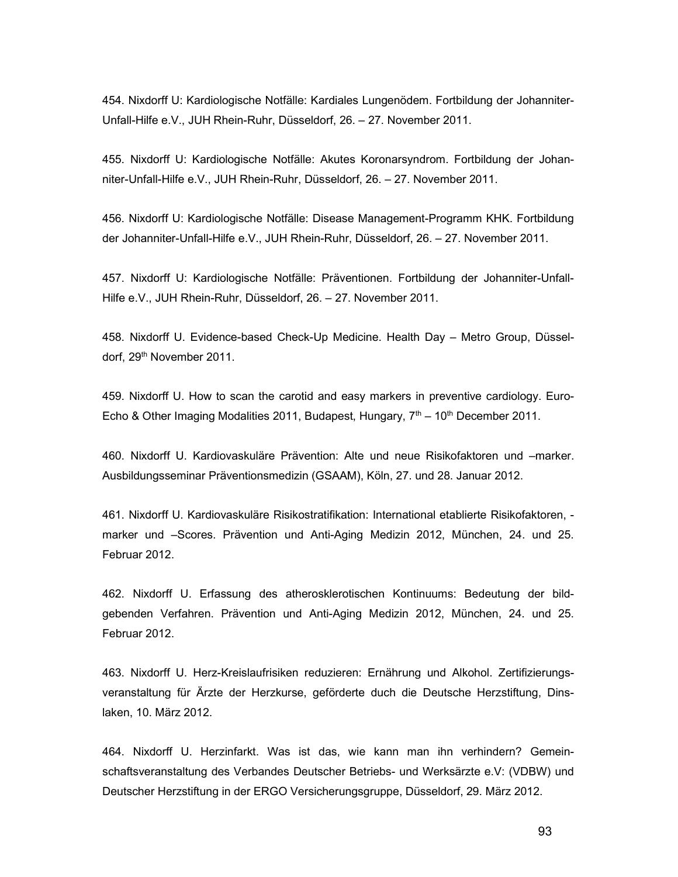454. Nixdorff U: Kardiologische Notfälle: Kardiales Lungenödem. Fortbildung der Johanniter-Unfall-Hilfe e.V., JUH Rhein-Ruhr, Düsseldorf, 26. – 27. November 2011.

455. Nixdorff U: Kardiologische Notfälle: Akutes Koronarsyndrom. Fortbildung der Johanniter-Unfall-Hilfe e.V., JUH Rhein-Ruhr, Düsseldorf, 26. – 27. November 2011.

456. Nixdorff U: Kardiologische Notfälle: Disease Management-Programm KHK. Fortbildung der Johanniter-Unfall-Hilfe e.V., JUH Rhein-Ruhr, Düsseldorf, 26. – 27. November 2011.

457. Nixdorff U: Kardiologische Notfälle: Präventionen. Fortbildung der Johanniter-Unfall-Hilfe e.V., JUH Rhein-Ruhr, Düsseldorf, 26. – 27. November 2011.

458. Nixdorff U. Evidence-based Check-Up Medicine. Health Day – Metro Group, Düsseldorf, 29th November 2011.

459. Nixdorff U. How to scan the carotid and easy markers in preventive cardiology. Euro-Echo & Other Imaging Modalities 2011, Budapest, Hungary,  $7<sup>th</sup> - 10<sup>th</sup>$  December 2011.

460. Nixdorff U. Kardiovaskuläre Prävention: Alte und neue Risikofaktoren und –marker. Ausbildungsseminar Präventionsmedizin (GSAAM), Köln, 27. und 28. Januar 2012.

461. Nixdorff U. Kardiovaskuläre Risikostratifikation: International etablierte Risikofaktoren, marker und –Scores. Prävention und Anti-Aging Medizin 2012, München, 24. und 25. Februar 2012.

462. Nixdorff U. Erfassung des atherosklerotischen Kontinuums: Bedeutung der bildgebenden Verfahren. Prävention und Anti-Aging Medizin 2012, München, 24. und 25. Februar 2012.

463. Nixdorff U. Herz-Kreislaufrisiken reduzieren: Ernährung und Alkohol. Zertifizierungsveranstaltung für Ärzte der Herzkurse, geförderte duch die Deutsche Herzstiftung, Dinslaken, 10. März 2012.

464. Nixdorff U. Herzinfarkt. Was ist das, wie kann man ihn verhindern? Gemeinschaftsveranstaltung des Verbandes Deutscher Betriebs- und Werksärzte e.V: (VDBW) und Deutscher Herzstiftung in der ERGO Versicherungsgruppe, Düsseldorf, 29. März 2012.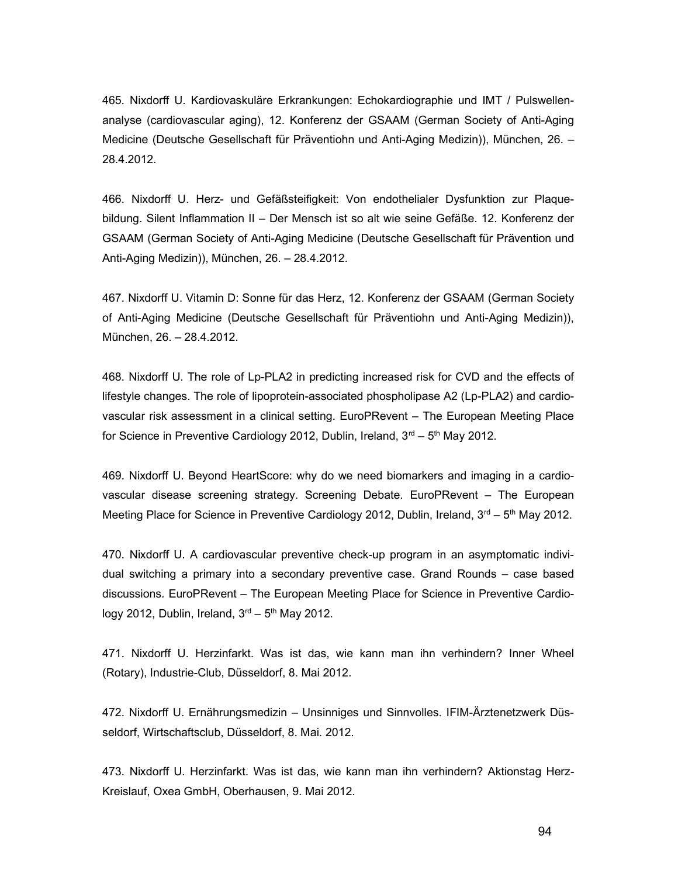465. Nixdorff U. Kardiovaskuläre Erkrankungen: Echokardiographie und IMT / Pulswellenanalyse (cardiovascular aging), 12. Konferenz der GSAAM (German Society of Anti-Aging Medicine (Deutsche Gesellschaft für Präventiohn und Anti-Aging Medizin)), München, 26. – 28.4.2012.

466. Nixdorff U. Herz- und Gefäßsteifigkeit: Von endothelialer Dysfunktion zur Plaquebildung. Silent Inflammation II – Der Mensch ist so alt wie seine Gefäße. 12. Konferenz der GSAAM (German Society of Anti-Aging Medicine (Deutsche Gesellschaft für Prävention und Anti-Aging Medizin)), München, 26. – 28.4.2012.

467. Nixdorff U. Vitamin D: Sonne für das Herz, 12. Konferenz der GSAAM (German Society of Anti-Aging Medicine (Deutsche Gesellschaft für Präventiohn und Anti-Aging Medizin)), München, 26. – 28.4.2012.

468. Nixdorff U. The role of Lp-PLA2 in predicting increased risk for CVD and the effects of lifestyle changes. The role of lipoprotein-associated phospholipase A2 (Lp-PLA2) and cardiovascular risk assessment in a clinical setting. EuroPRevent – The European Meeting Place for Science in Preventive Cardiology 2012, Dublin, Ireland,  $3<sup>rd</sup> - 5<sup>th</sup>$  May 2012.

469. Nixdorff U. Beyond HeartScore: why do we need biomarkers and imaging in a cardiovascular disease screening strategy. Screening Debate. EuroPRevent – The European Meeting Place for Science in Preventive Cardiology 2012, Dublin, Ireland,  $3<sup>rd</sup> - 5<sup>th</sup>$  May 2012.

470. Nixdorff U. A cardiovascular preventive check-up program in an asymptomatic individual switching a primary into a secondary preventive case. Grand Rounds – case based discussions. EuroPRevent – The European Meeting Place for Science in Preventive Cardiology 2012, Dublin, Ireland,  $3<sup>rd</sup> - 5<sup>th</sup>$  May 2012.

471. Nixdorff U. Herzinfarkt. Was ist das, wie kann man ihn verhindern? Inner Wheel (Rotary), Industrie-Club, Düsseldorf, 8. Mai 2012.

472. Nixdorff U. Ernährungsmedizin – Unsinniges und Sinnvolles. IFIM-Ärztenetzwerk Düsseldorf, Wirtschaftsclub, Düsseldorf, 8. Mai. 2012.

473. Nixdorff U. Herzinfarkt. Was ist das, wie kann man ihn verhindern? Aktionstag Herz-Kreislauf, Oxea GmbH, Oberhausen, 9. Mai 2012.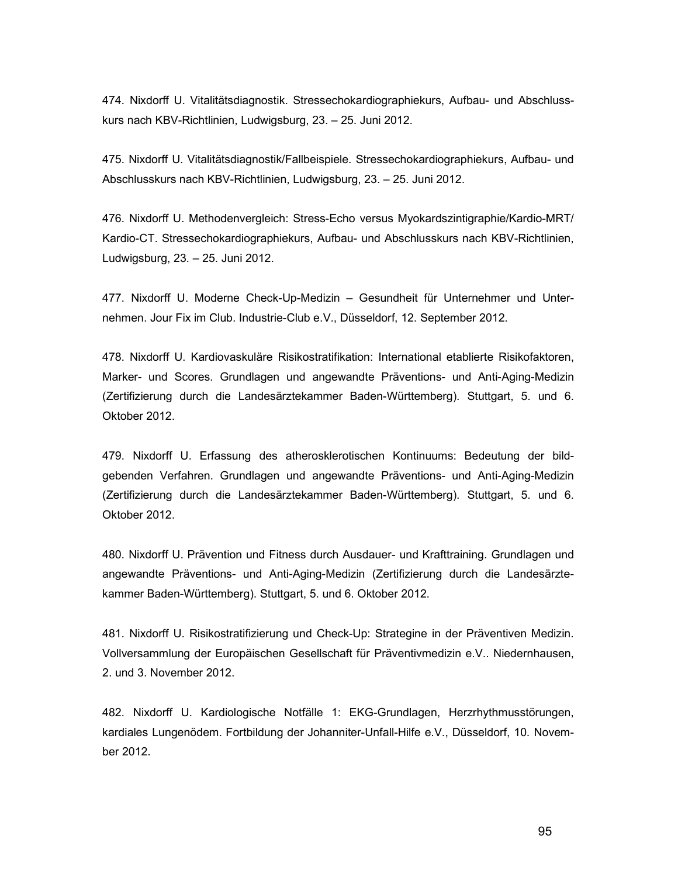474. Nixdorff U. Vitalitätsdiagnostik. Stressechokardiographiekurs, Aufbau- und Abschlusskurs nach KBV-Richtlinien, Ludwigsburg, 23. – 25. Juni 2012.

475. Nixdorff U. Vitalitätsdiagnostik/Fallbeispiele. Stressechokardiographiekurs, Aufbau- und Abschlusskurs nach KBV-Richtlinien, Ludwigsburg, 23. – 25. Juni 2012.

476. Nixdorff U. Methodenvergleich: Stress-Echo versus Myokardszintigraphie/Kardio-MRT/ Kardio-CT. Stressechokardiographiekurs, Aufbau- und Abschlusskurs nach KBV-Richtlinien, Ludwigsburg, 23. – 25. Juni 2012.

477. Nixdorff U. Moderne Check-Up-Medizin – Gesundheit für Unternehmer und Unternehmen. Jour Fix im Club. Industrie-Club e.V., Düsseldorf, 12. September 2012.

478. Nixdorff U. Kardiovaskuläre Risikostratifikation: International etablierte Risikofaktoren, Marker- und Scores. Grundlagen und angewandte Präventions- und Anti-Aging-Medizin (Zertifizierung durch die Landesärztekammer Baden-Württemberg). Stuttgart, 5. und 6. Oktober 2012.

479. Nixdorff U. Erfassung des atherosklerotischen Kontinuums: Bedeutung der bildgebenden Verfahren. Grundlagen und angewandte Präventions- und Anti-Aging-Medizin (Zertifizierung durch die Landesärztekammer Baden-Württemberg). Stuttgart, 5. und 6. Oktober 2012.

480. Nixdorff U. Prävention und Fitness durch Ausdauer- und Krafttraining. Grundlagen und angewandte Präventions- und Anti-Aging-Medizin (Zertifizierung durch die Landesärztekammer Baden-Württemberg). Stuttgart, 5. und 6. Oktober 2012.

481. Nixdorff U. Risikostratifizierung und Check-Up: Strategine in der Präventiven Medizin. Vollversammlung der Europäischen Gesellschaft für Präventivmedizin e.V.. Niedernhausen, 2. und 3. November 2012.

482. Nixdorff U. Kardiologische Notfälle 1: EKG-Grundlagen, Herzrhythmusstörungen, kardiales Lungenödem. Fortbildung der Johanniter-Unfall-Hilfe e.V., Düsseldorf, 10. November 2012.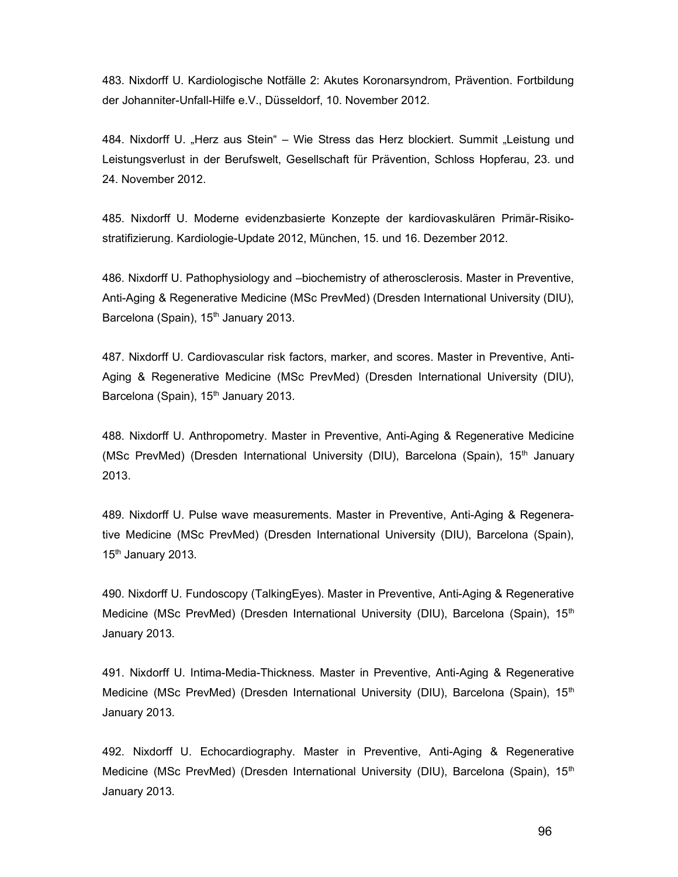483. Nixdorff U. Kardiologische Notfälle 2: Akutes Koronarsyndrom, Prävention. Fortbildung der Johanniter-Unfall-Hilfe e.V., Düsseldorf, 10. November 2012.

484. Nixdorff U. "Herz aus Stein" – Wie Stress das Herz blockiert. Summit "Leistung und Leistungsverlust in der Berufswelt, Gesellschaft für Prävention, Schloss Hopferau, 23. und 24. November 2012.

485. Nixdorff U. Moderne evidenzbasierte Konzepte der kardiovaskulären Primär-Risikostratifizierung. Kardiologie-Update 2012, München, 15. und 16. Dezember 2012.

486. Nixdorff U. Pathophysiology and –biochemistry of atherosclerosis. Master in Preventive, Anti-Aging & Regenerative Medicine (MSc PrevMed) (Dresden International University (DIU), Barcelona (Spain), 15<sup>th</sup> January 2013.

487. Nixdorff U. Cardiovascular risk factors, marker, and scores. Master in Preventive, Anti-Aging & Regenerative Medicine (MSc PrevMed) (Dresden International University (DIU), Barcelona (Spain), 15<sup>th</sup> January 2013.

488. Nixdorff U. Anthropometry. Master in Preventive, Anti-Aging & Regenerative Medicine (MSc PrevMed) (Dresden International University (DIU), Barcelona (Spain), 15<sup>th</sup> January 2013.

489. Nixdorff U. Pulse wave measurements. Master in Preventive, Anti-Aging & Regenerative Medicine (MSc PrevMed) (Dresden International University (DIU), Barcelona (Spain), 15<sup>th</sup> January 2013.

490. Nixdorff U. Fundoscopy (TalkingEyes). Master in Preventive, Anti-Aging & Regenerative Medicine (MSc PrevMed) (Dresden International University (DIU), Barcelona (Spain), 15<sup>th</sup> January 2013.

491. Nixdorff U. Intima-Media-Thickness. Master in Preventive, Anti-Aging & Regenerative Medicine (MSc PrevMed) (Dresden International University (DIU), Barcelona (Spain), 15<sup>th</sup> January 2013.

492. Nixdorff U. Echocardiography. Master in Preventive, Anti-Aging & Regenerative Medicine (MSc PrevMed) (Dresden International University (DIU), Barcelona (Spain), 15<sup>th</sup> January 2013.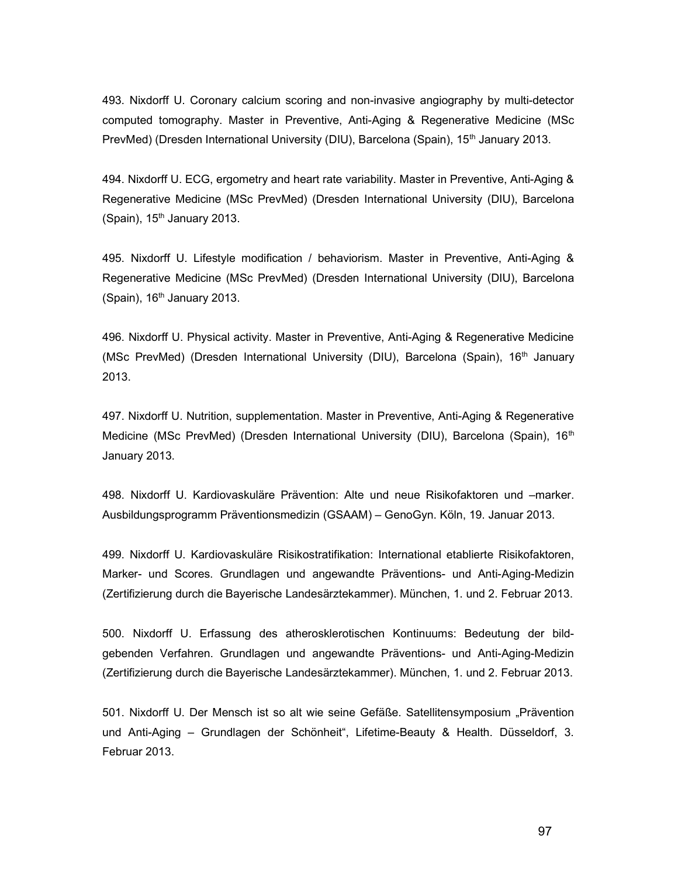493. Nixdorff U. Coronary calcium scoring and non-invasive angiography by multi-detector computed tomography. Master in Preventive, Anti-Aging & Regenerative Medicine (MSc PrevMed) (Dresden International University (DIU), Barcelona (Spain), 15<sup>th</sup> January 2013.

494. Nixdorff U. ECG, ergometry and heart rate variability. Master in Preventive, Anti-Aging & Regenerative Medicine (MSc PrevMed) (Dresden International University (DIU), Barcelona (Spain),  $15<sup>th</sup>$  January 2013.

495. Nixdorff U. Lifestyle modification / behaviorism. Master in Preventive, Anti-Aging & Regenerative Medicine (MSc PrevMed) (Dresden International University (DIU), Barcelona (Spain),  $16<sup>th</sup>$  January 2013.

496. Nixdorff U. Physical activity. Master in Preventive, Anti-Aging & Regenerative Medicine (MSc PrevMed) (Dresden International University (DIU), Barcelona (Spain), 16<sup>th</sup> January 2013.

497. Nixdorff U. Nutrition, supplementation. Master in Preventive, Anti-Aging & Regenerative Medicine (MSc PrevMed) (Dresden International University (DIU), Barcelona (Spain), 16<sup>th</sup> January 2013.

498. Nixdorff U. Kardiovaskuläre Prävention: Alte und neue Risikofaktoren und –marker. Ausbildungsprogramm Präventionsmedizin (GSAAM) – GenoGyn. Köln, 19. Januar 2013.

499. Nixdorff U. Kardiovaskuläre Risikostratifikation: International etablierte Risikofaktoren, Marker- und Scores. Grundlagen und angewandte Präventions- und Anti-Aging-Medizin (Zertifizierung durch die Bayerische Landesärztekammer). München, 1. und 2. Februar 2013.

500. Nixdorff U. Erfassung des atherosklerotischen Kontinuums: Bedeutung der bildgebenden Verfahren. Grundlagen und angewandte Präventions- und Anti-Aging-Medizin (Zertifizierung durch die Bayerische Landesärztekammer). München, 1. und 2. Februar 2013.

501. Nixdorff U. Der Mensch ist so alt wie seine Gefäße. Satellitensymposium "Prävention und Anti-Aging – Grundlagen der Schönheit", Lifetime-Beauty & Health. Düsseldorf, 3. Februar 2013.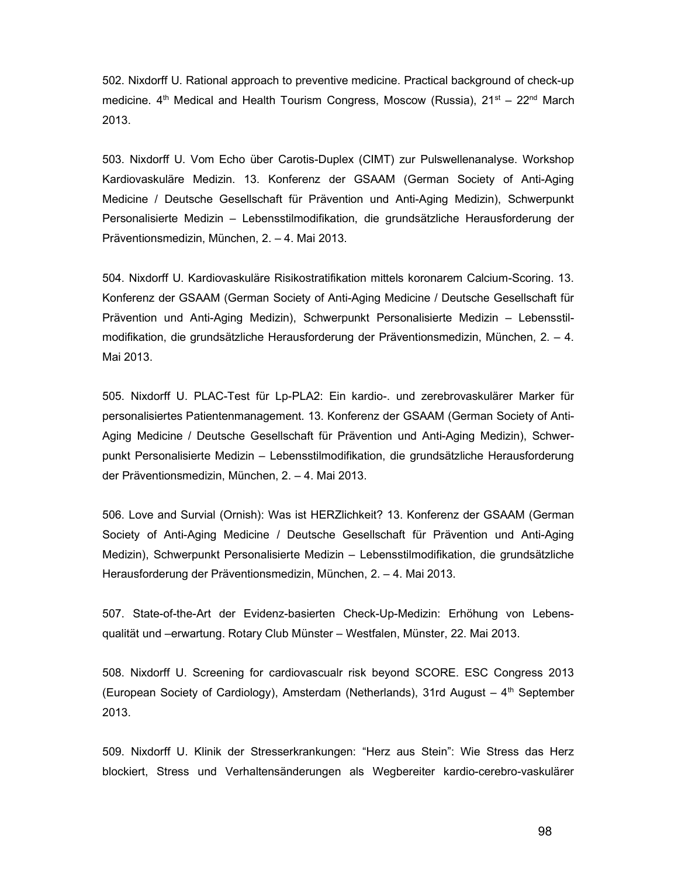502. Nixdorff U. Rational approach to preventive medicine. Practical background of check-up medicine.  $4<sup>th</sup>$  Medical and Health Tourism Congress, Moscow (Russia),  $21<sup>st</sup> - 22<sup>nd</sup>$  March 2013.

503. Nixdorff U. Vom Echo über Carotis-Duplex (CIMT) zur Pulswellenanalyse. Workshop Kardiovaskuläre Medizin. 13. Konferenz der GSAAM (German Society of Anti-Aging Medicine / Deutsche Gesellschaft für Prävention und Anti-Aging Medizin), Schwerpunkt Personalisierte Medizin – Lebensstilmodifikation, die grundsätzliche Herausforderung der Präventionsmedizin, München, 2. – 4. Mai 2013.

504. Nixdorff U. Kardiovaskuläre Risikostratifikation mittels koronarem Calcium-Scoring. 13. Konferenz der GSAAM (German Society of Anti-Aging Medicine / Deutsche Gesellschaft für Prävention und Anti-Aging Medizin), Schwerpunkt Personalisierte Medizin – Lebensstilmodifikation, die grundsätzliche Herausforderung der Präventionsmedizin, München, 2. – 4. Mai 2013.

505. Nixdorff U. PLAC-Test für Lp-PLA2: Ein kardio-. und zerebrovaskulärer Marker für personalisiertes Patientenmanagement. 13. Konferenz der GSAAM (German Society of Anti-Aging Medicine / Deutsche Gesellschaft für Prävention und Anti-Aging Medizin), Schwerpunkt Personalisierte Medizin – Lebensstilmodifikation, die grundsätzliche Herausforderung der Präventionsmedizin, München, 2. – 4. Mai 2013.

506. Love and Survial (Ornish): Was ist HERZlichkeit? 13. Konferenz der GSAAM (German Society of Anti-Aging Medicine / Deutsche Gesellschaft für Prävention und Anti-Aging Medizin), Schwerpunkt Personalisierte Medizin – Lebensstilmodifikation, die grundsätzliche Herausforderung der Präventionsmedizin, München, 2. – 4. Mai 2013.

507. State-of-the-Art der Evidenz-basierten Check-Up-Medizin: Erhöhung von Lebensqualität und –erwartung. Rotary Club Münster – Westfalen, Münster, 22. Mai 2013.

508. Nixdorff U. Screening for cardiovascualr risk beyond SCORE. ESC Congress 2013 (European Society of Cardiology), Amsterdam (Netherlands), 31rd August  $-4<sup>th</sup>$  September 2013.

509. Nixdorff U. Klinik der Stresserkrankungen: "Herz aus Stein": Wie Stress das Herz blockiert, Stress und Verhaltensänderungen als Wegbereiter kardio-cerebro-vaskulärer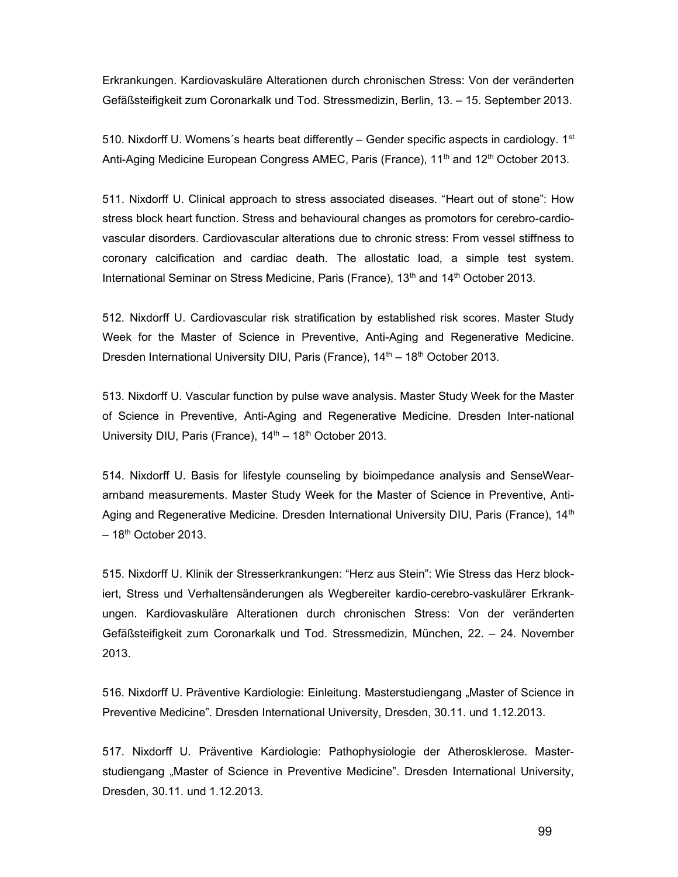Erkrankungen. Kardiovaskuläre Alterationen durch chronischen Stress: Von der veränderten Gefäßsteifigkeit zum Coronarkalk und Tod. Stressmedizin, Berlin, 13. – 15. September 2013.

510. Nixdorff U. Womens's hearts beat differently – Gender specific aspects in cardiology.  $1<sup>st</sup>$ Anti-Aging Medicine European Congress AMEC, Paris (France), 11<sup>th</sup> and 12<sup>th</sup> October 2013.

511. Nixdorff U. Clinical approach to stress associated diseases. "Heart out of stone": How stress block heart function. Stress and behavioural changes as promotors for cerebro-cardiovascular disorders. Cardiovascular alterations due to chronic stress: From vessel stiffness to coronary calcification and cardiac death. The allostatic load, a simple test system. International Seminar on Stress Medicine, Paris (France),  $13<sup>th</sup>$  and  $14<sup>th</sup>$  October 2013.

512. Nixdorff U. Cardiovascular risk stratification by established risk scores. Master Study Week for the Master of Science in Preventive, Anti-Aging and Regenerative Medicine. Dresden International University DIU, Paris (France),  $14<sup>th</sup> - 18<sup>th</sup>$  October 2013.

513. Nixdorff U. Vascular function by pulse wave analysis. Master Study Week for the Master of Science in Preventive, Anti-Aging and Regenerative Medicine. Dresden Inter-national University DIU, Paris (France),  $14<sup>th</sup> - 18<sup>th</sup>$  October 2013.

514. Nixdorff U. Basis for lifestyle counseling by bioimpedance analysis and SenseWeararnband measurements. Master Study Week for the Master of Science in Preventive, Anti-Aging and Regenerative Medicine. Dresden International University DIU, Paris (France), 14<sup>th</sup>  $-18<sup>th</sup>$  October 2013.

515. Nixdorff U. Klinik der Stresserkrankungen: "Herz aus Stein": Wie Stress das Herz blockiert, Stress und Verhaltensänderungen als Wegbereiter kardio-cerebro-vaskulärer Erkrankungen. Kardiovaskuläre Alterationen durch chronischen Stress: Von der veränderten Gefäßsteifigkeit zum Coronarkalk und Tod. Stressmedizin, München, 22. – 24. November 2013.

516. Nixdorff U. Präventive Kardiologie: Einleitung. Masterstudiengang "Master of Science in Preventive Medicine". Dresden International University, Dresden, 30.11. und 1.12.2013.

517. Nixdorff U. Präventive Kardiologie: Pathophysiologie der Atherosklerose. Masterstudiengang "Master of Science in Preventive Medicine". Dresden International University, Dresden, 30.11. und 1.12.2013.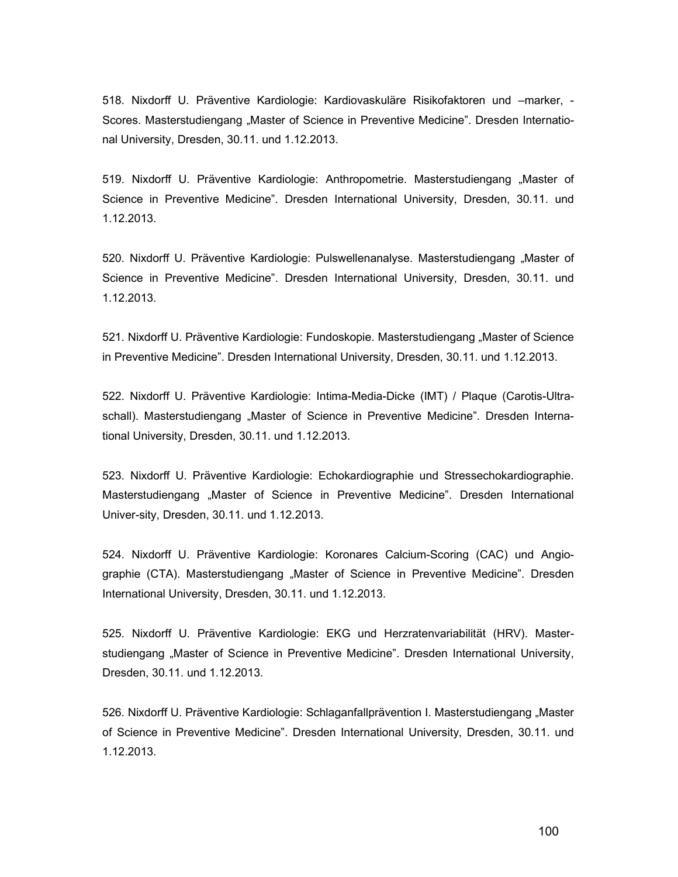518. Nixdorff U. Präventive Kardiologie: Kardiovaskuläre Risikofaktoren und –marker, - Scores. Masterstudiengang "Master of Science in Preventive Medicine". Dresden International University, Dresden, 30.11. und 1.12.2013.

519. Nixdorff U. Präventive Kardiologie: Anthropometrie. Masterstudiengang "Master of Science in Preventive Medicine". Dresden International University, Dresden, 30.11. und 1.12.2013.

520. Nixdorff U. Präventive Kardiologie: Pulswellenanalyse. Masterstudiengang "Master of Science in Preventive Medicine". Dresden International University, Dresden, 30.11. und 1.12.2013.

521. Nixdorff U. Präventive Kardiologie: Fundoskopie. Masterstudiengang "Master of Science in Preventive Medicine". Dresden International University, Dresden, 30.11. und 1.12.2013.

522. Nixdorff U. Präventive Kardiologie: Intima-Media-Dicke (IMT) / Plaque (Carotis-Ultraschall). Masterstudiengang "Master of Science in Preventive Medicine". Dresden International University, Dresden, 30.11. und 1.12.2013.

523. Nixdorff U. Präventive Kardiologie: Echokardiographie und Stressechokardiographie. Masterstudiengang "Master of Science in Preventive Medicine". Dresden International Univer-sity, Dresden, 30.11. und 1.12.2013.

524. Nixdorff U. Präventive Kardiologie: Koronares Calcium-Scoring (CAC) und Angiographie (CTA). Masterstudiengang "Master of Science in Preventive Medicine". Dresden International University, Dresden, 30.11. und 1.12.2013.

525. Nixdorff U. Präventive Kardiologie: EKG und Herzratenvariabilität (HRV). Masterstudiengang "Master of Science in Preventive Medicine". Dresden International University, Dresden, 30.11. und 1.12.2013.

526. Nixdorff U. Präventive Kardiologie: Schlaganfallprävention I. Masterstudiengang "Master of Science in Preventive Medicine". Dresden International University, Dresden, 30.11. und 1.12.2013.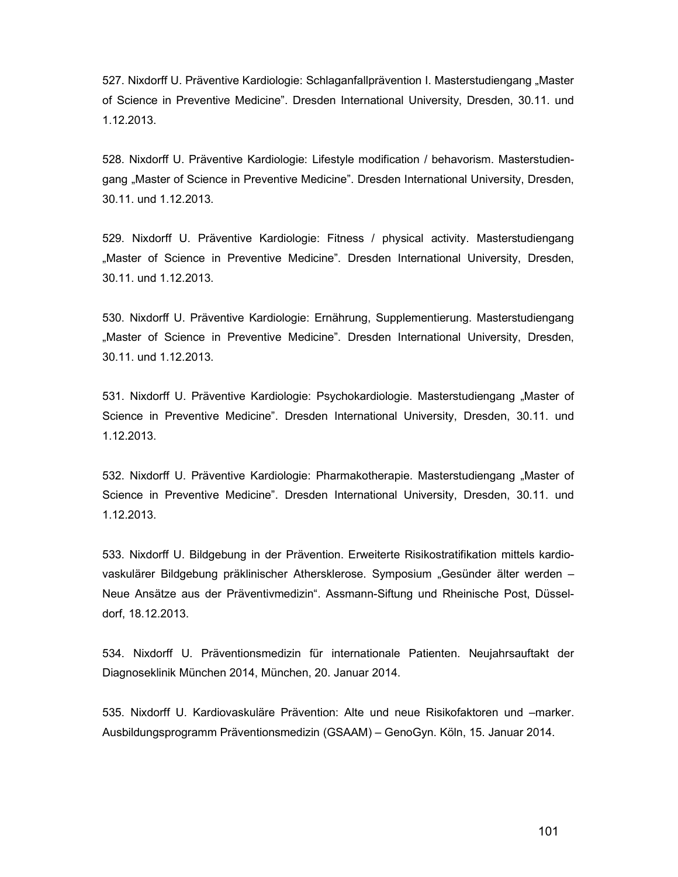527. Nixdorff U. Präventive Kardiologie: Schlaganfallprävention I. Masterstudiengang "Master of Science in Preventive Medicine". Dresden International University, Dresden, 30.11. und 1.12.2013.

528. Nixdorff U. Präventive Kardiologie: Lifestyle modification / behavorism. Masterstudiengang "Master of Science in Preventive Medicine". Dresden International University, Dresden, 30.11. und 1.12.2013.

529. Nixdorff U. Präventive Kardiologie: Fitness / physical activity. Masterstudiengang "Master of Science in Preventive Medicine". Dresden International University, Dresden, 30.11. und 1.12.2013.

530. Nixdorff U. Präventive Kardiologie: Ernährung, Supplementierung. Masterstudiengang "Master of Science in Preventive Medicine". Dresden International University, Dresden, 30.11. und 1.12.2013.

531. Nixdorff U. Präventive Kardiologie: Psychokardiologie. Masterstudiengang "Master of Science in Preventive Medicine". Dresden International University, Dresden, 30.11. und 1.12.2013.

532. Nixdorff U. Präventive Kardiologie: Pharmakotherapie. Masterstudiengang "Master of Science in Preventive Medicine". Dresden International University, Dresden, 30.11. und 1.12.2013.

533. Nixdorff U. Bildgebung in der Prävention. Erweiterte Risikostratifikation mittels kardiovaskulärer Bildgebung präklinischer Athersklerose. Symposium "Gesünder älter werden – Neue Ansätze aus der Präventivmedizin". Assmann-Siftung und Rheinische Post, Düsseldorf, 18.12.2013.

534. Nixdorff U. Präventionsmedizin für internationale Patienten. Neujahrsauftakt der Diagnoseklinik München 2014, München, 20. Januar 2014.

535. Nixdorff U. Kardiovaskuläre Prävention: Alte und neue Risikofaktoren und –marker. Ausbildungsprogramm Präventionsmedizin (GSAAM) – GenoGyn. Köln, 15. Januar 2014.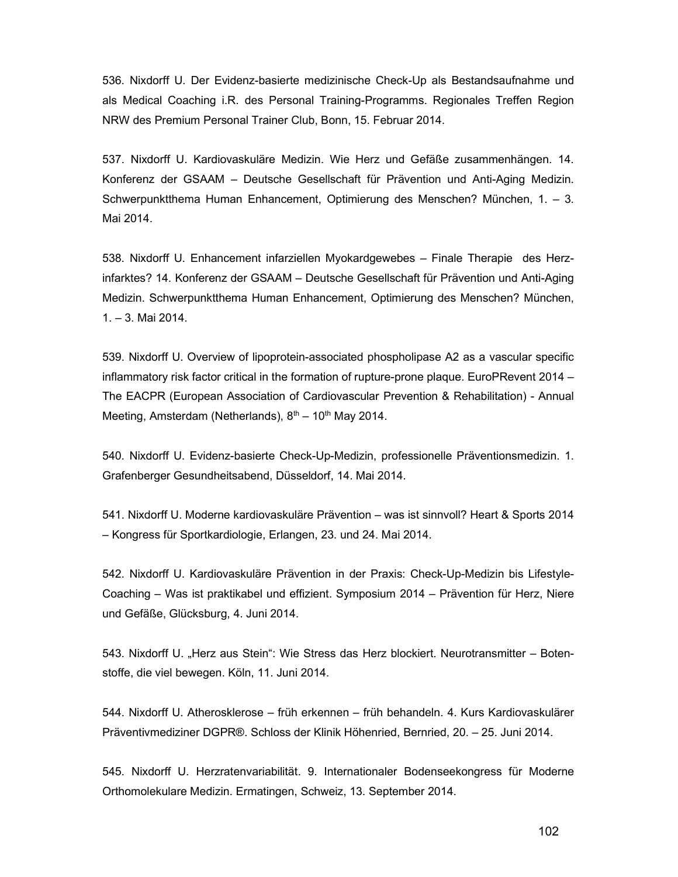536. Nixdorff U. Der Evidenz-basierte medizinische Check-Up als Bestandsaufnahme und als Medical Coaching i.R. des Personal Training-Programms. Regionales Treffen Region NRW des Premium Personal Trainer Club, Bonn, 15. Februar 2014.

537. Nixdorff U. Kardiovaskuläre Medizin. Wie Herz und Gefäße zusammenhängen. 14. Konferenz der GSAAM – Deutsche Gesellschaft für Prävention und Anti-Aging Medizin. Schwerpunktthema Human Enhancement, Optimierung des Menschen? München, 1. – 3. Mai 2014.

538. Nixdorff U. Enhancement infarziellen Myokardgewebes – Finale Therapie des Herzinfarktes? 14. Konferenz der GSAAM – Deutsche Gesellschaft für Prävention und Anti-Aging Medizin. Schwerpunktthema Human Enhancement, Optimierung des Menschen? München, 1. – 3. Mai 2014.

539. Nixdorff U. Overview of lipoprotein-associated phospholipase A2 as a vascular specific inflammatory risk factor critical in the formation of rupture-prone plaque. EuroPRevent 2014 – The EACPR (European Association of Cardiovascular Prevention & Rehabilitation) - Annual Meeting, Amsterdam (Netherlands),  $8<sup>th</sup> - 10<sup>th</sup>$  May 2014.

540. Nixdorff U. Evidenz-basierte Check-Up-Medizin, professionelle Präventionsmedizin. 1. Grafenberger Gesundheitsabend, Düsseldorf, 14. Mai 2014.

541. Nixdorff U. Moderne kardiovaskuläre Prävention – was ist sinnvoll? Heart & Sports 2014 – Kongress für Sportkardiologie, Erlangen, 23. und 24. Mai 2014.

542. Nixdorff U. Kardiovaskuläre Prävention in der Praxis: Check-Up-Medizin bis Lifestyle-Coaching – Was ist praktikabel und effizient. Symposium 2014 – Prävention für Herz, Niere und Gefäße, Glücksburg, 4. Juni 2014.

543. Nixdorff U. "Herz aus Stein": Wie Stress das Herz blockiert. Neurotransmitter – Botenstoffe, die viel bewegen. Köln, 11. Juni 2014.

544. Nixdorff U. Atherosklerose – früh erkennen – früh behandeln. 4. Kurs Kardiovaskulärer Präventivmediziner DGPR®. Schloss der Klinik Höhenried, Bernried, 20. – 25. Juni 2014.

545. Nixdorff U. Herzratenvariabilität. 9. Internationaler Bodenseekongress für Moderne Orthomolekulare Medizin. Ermatingen, Schweiz, 13. September 2014.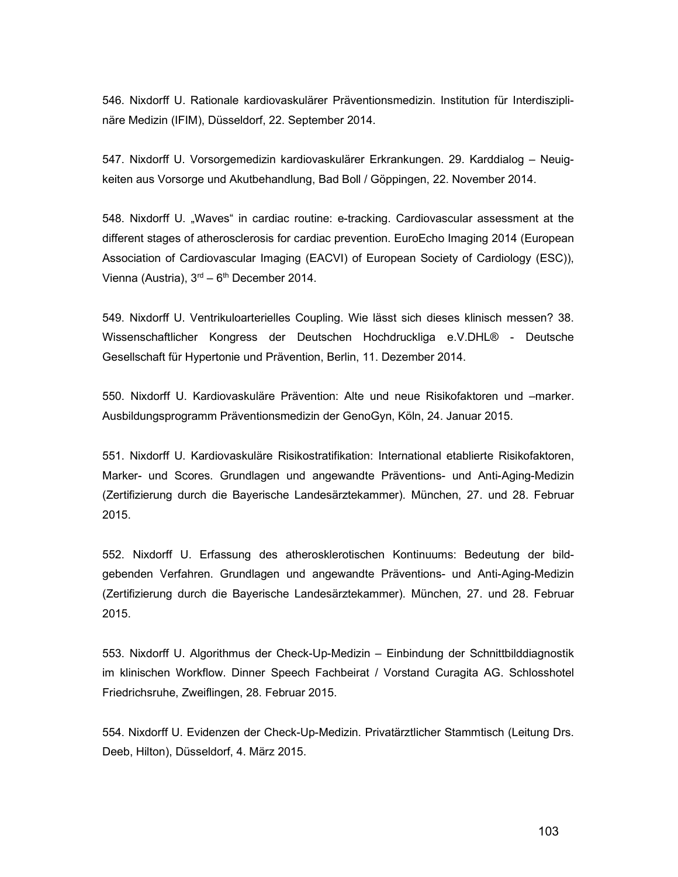546. Nixdorff U. Rationale kardiovaskulärer Präventionsmedizin. Institution für Interdisziplinäre Medizin (IFIM), Düsseldorf, 22. September 2014.

547. Nixdorff U. Vorsorgemedizin kardiovaskulärer Erkrankungen. 29. Karddialog – Neuigkeiten aus Vorsorge und Akutbehandlung, Bad Boll / Göppingen, 22. November 2014.

548. Nixdorff U. "Waves" in cardiac routine: e-tracking. Cardiovascular assessment at the different stages of atherosclerosis for cardiac prevention. EuroEcho Imaging 2014 (European Association of Cardiovascular Imaging (EACVI) of European Society of Cardiology (ESC)), Vienna (Austria),  $3<sup>rd</sup> - 6<sup>th</sup>$  December 2014.

549. Nixdorff U. Ventrikuloarterielles Coupling. Wie lässt sich dieses klinisch messen? 38. Wissenschaftlicher Kongress der Deutschen Hochdruckliga e.V.DHL® - Deutsche Gesellschaft für Hypertonie und Prävention, Berlin, 11. Dezember 2014.

550. Nixdorff U. Kardiovaskuläre Prävention: Alte und neue Risikofaktoren und –marker. Ausbildungsprogramm Präventionsmedizin der GenoGyn, Köln, 24. Januar 2015.

551. Nixdorff U. Kardiovaskuläre Risikostratifikation: International etablierte Risikofaktoren, Marker- und Scores. Grundlagen und angewandte Präventions- und Anti-Aging-Medizin (Zertifizierung durch die Bayerische Landesärztekammer). München, 27. und 28. Februar 2015.

552. Nixdorff U. Erfassung des atherosklerotischen Kontinuums: Bedeutung der bildgebenden Verfahren. Grundlagen und angewandte Präventions- und Anti-Aging-Medizin (Zertifizierung durch die Bayerische Landesärztekammer). München, 27. und 28. Februar 2015.

553. Nixdorff U. Algorithmus der Check-Up-Medizin – Einbindung der Schnittbilddiagnostik im klinischen Workflow. Dinner Speech Fachbeirat / Vorstand Curagita AG. Schlosshotel Friedrichsruhe, Zweiflingen, 28. Februar 2015.

554. Nixdorff U. Evidenzen der Check-Up-Medizin. Privatärztlicher Stammtisch (Leitung Drs. Deeb, Hilton), Düsseldorf, 4. März 2015.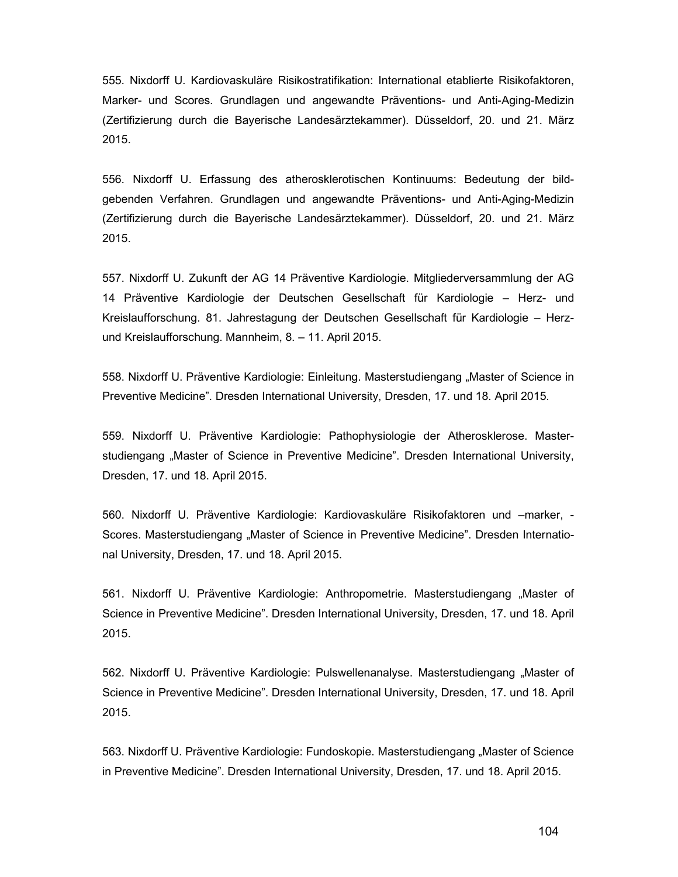555. Nixdorff U. Kardiovaskuläre Risikostratifikation: International etablierte Risikofaktoren, Marker- und Scores. Grundlagen und angewandte Präventions- und Anti-Aging-Medizin (Zertifizierung durch die Bayerische Landesärztekammer). Düsseldorf, 20. und 21. März 2015.

556. Nixdorff U. Erfassung des atherosklerotischen Kontinuums: Bedeutung der bildgebenden Verfahren. Grundlagen und angewandte Präventions- und Anti-Aging-Medizin (Zertifizierung durch die Bayerische Landesärztekammer). Düsseldorf, 20. und 21. März 2015.

557. Nixdorff U. Zukunft der AG 14 Präventive Kardiologie. Mitgliederversammlung der AG 14 Präventive Kardiologie der Deutschen Gesellschaft für Kardiologie – Herz- und Kreislaufforschung. 81. Jahrestagung der Deutschen Gesellschaft für Kardiologie – Herzund Kreislaufforschung. Mannheim, 8. – 11. April 2015.

558. Nixdorff U. Präventive Kardiologie: Einleitung. Masterstudiengang "Master of Science in Preventive Medicine". Dresden International University, Dresden, 17. und 18. April 2015.

559. Nixdorff U. Präventive Kardiologie: Pathophysiologie der Atherosklerose. Masterstudiengang "Master of Science in Preventive Medicine". Dresden International University, Dresden, 17. und 18. April 2015.

560. Nixdorff U. Präventive Kardiologie: Kardiovaskuläre Risikofaktoren und –marker, - Scores. Masterstudiengang "Master of Science in Preventive Medicine". Dresden International University, Dresden, 17. und 18. April 2015.

561. Nixdorff U. Präventive Kardiologie: Anthropometrie. Masterstudiengang "Master of Science in Preventive Medicine". Dresden International University, Dresden, 17. und 18. April 2015.

562. Nixdorff U. Präventive Kardiologie: Pulswellenanalyse. Masterstudiengang "Master of Science in Preventive Medicine". Dresden International University, Dresden, 17. und 18. April 2015.

563. Nixdorff U. Präventive Kardiologie: Fundoskopie. Masterstudiengang "Master of Science in Preventive Medicine". Dresden International University, Dresden, 17. und 18. April 2015.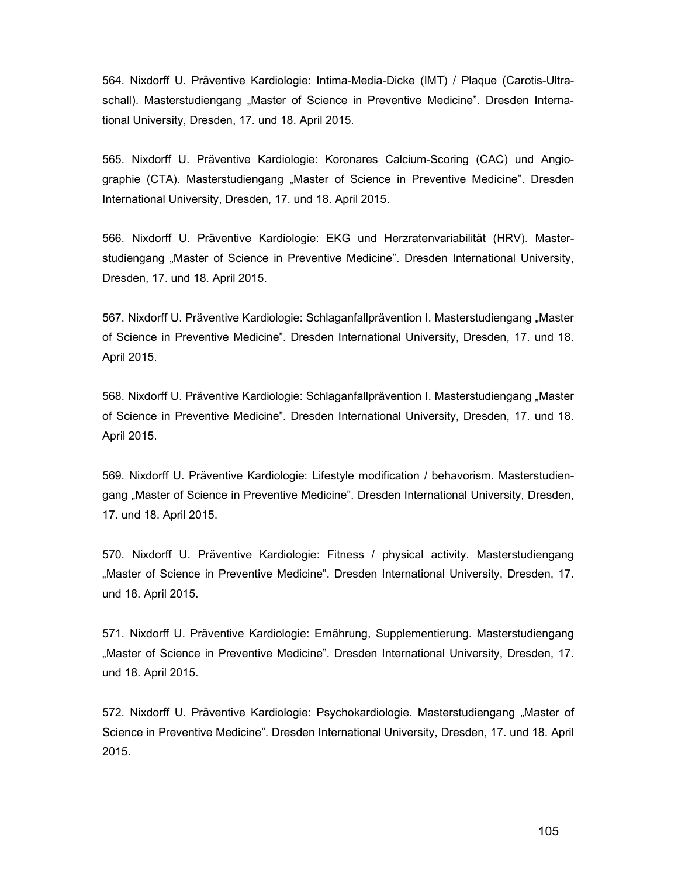564. Nixdorff U. Präventive Kardiologie: Intima-Media-Dicke (IMT) / Plaque (Carotis-Ultraschall). Masterstudiengang "Master of Science in Preventive Medicine". Dresden International University, Dresden, 17. und 18. April 2015.

565. Nixdorff U. Präventive Kardiologie: Koronares Calcium-Scoring (CAC) und Angiographie (CTA). Masterstudiengang "Master of Science in Preventive Medicine". Dresden International University, Dresden, 17. und 18. April 2015.

566. Nixdorff U. Präventive Kardiologie: EKG und Herzratenvariabilität (HRV). Masterstudiengang "Master of Science in Preventive Medicine". Dresden International University, Dresden, 17. und 18. April 2015.

567. Nixdorff U. Präventive Kardiologie: Schlaganfallprävention I. Masterstudiengang "Master of Science in Preventive Medicine". Dresden International University, Dresden, 17. und 18. April 2015.

568. Nixdorff U. Präventive Kardiologie: Schlaganfallprävention I. Masterstudiengang "Master of Science in Preventive Medicine". Dresden International University, Dresden, 17. und 18. April 2015.

569. Nixdorff U. Präventive Kardiologie: Lifestyle modification / behavorism. Masterstudiengang "Master of Science in Preventive Medicine". Dresden International University, Dresden, 17. und 18. April 2015.

570. Nixdorff U. Präventive Kardiologie: Fitness / physical activity. Masterstudiengang "Master of Science in Preventive Medicine". Dresden International University, Dresden, 17. und 18. April 2015.

571. Nixdorff U. Präventive Kardiologie: Ernährung, Supplementierung. Masterstudiengang "Master of Science in Preventive Medicine". Dresden International University, Dresden, 17. und 18. April 2015.

572. Nixdorff U. Präventive Kardiologie: Psychokardiologie. Masterstudiengang "Master of Science in Preventive Medicine". Dresden International University, Dresden, 17. und 18. April 2015.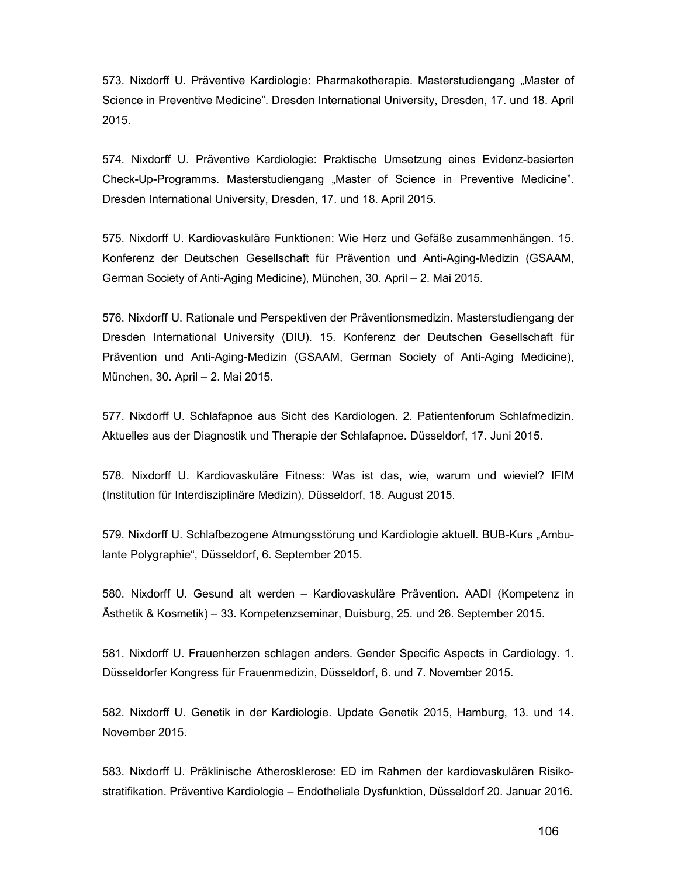573. Nixdorff U. Präventive Kardiologie: Pharmakotherapie. Masterstudiengang "Master of Science in Preventive Medicine". Dresden International University, Dresden, 17. und 18. April 2015.

574. Nixdorff U. Präventive Kardiologie: Praktische Umsetzung eines Evidenz-basierten Check-Up-Programms. Masterstudiengang "Master of Science in Preventive Medicine". Dresden International University, Dresden, 17. und 18. April 2015.

575. Nixdorff U. Kardiovaskuläre Funktionen: Wie Herz und Gefäße zusammenhängen. 15. Konferenz der Deutschen Gesellschaft für Prävention und Anti-Aging-Medizin (GSAAM, German Society of Anti-Aging Medicine), München, 30. April – 2. Mai 2015.

576. Nixdorff U. Rationale und Perspektiven der Präventionsmedizin. Masterstudiengang der Dresden International University (DIU). 15. Konferenz der Deutschen Gesellschaft für Prävention und Anti-Aging-Medizin (GSAAM, German Society of Anti-Aging Medicine), München, 30. April – 2. Mai 2015.

577. Nixdorff U. Schlafapnoe aus Sicht des Kardiologen. 2. Patientenforum Schlafmedizin. Aktuelles aus der Diagnostik und Therapie der Schlafapnoe. Düsseldorf, 17. Juni 2015.

578. Nixdorff U. Kardiovaskuläre Fitness: Was ist das, wie, warum und wieviel? IFIM (Institution für Interdisziplinäre Medizin), Düsseldorf, 18. August 2015.

579. Nixdorff U. Schlafbezogene Atmungsstörung und Kardiologie aktuell. BUB-Kurs "Ambulante Polygraphie", Düsseldorf, 6. September 2015.

580. Nixdorff U. Gesund alt werden – Kardiovaskuläre Prävention. AADI (Kompetenz in Ästhetik & Kosmetik) – 33. Kompetenzseminar, Duisburg, 25. und 26. September 2015.

581. Nixdorff U. Frauenherzen schlagen anders. Gender Specific Aspects in Cardiology. 1. Düsseldorfer Kongress für Frauenmedizin, Düsseldorf, 6. und 7. November 2015.

582. Nixdorff U. Genetik in der Kardiologie. Update Genetik 2015, Hamburg, 13. und 14. November 2015.

583. Nixdorff U. Präklinische Atherosklerose: ED im Rahmen der kardiovaskulären Risikostratifikation. Präventive Kardiologie – Endotheliale Dysfunktion, Düsseldorf 20. Januar 2016.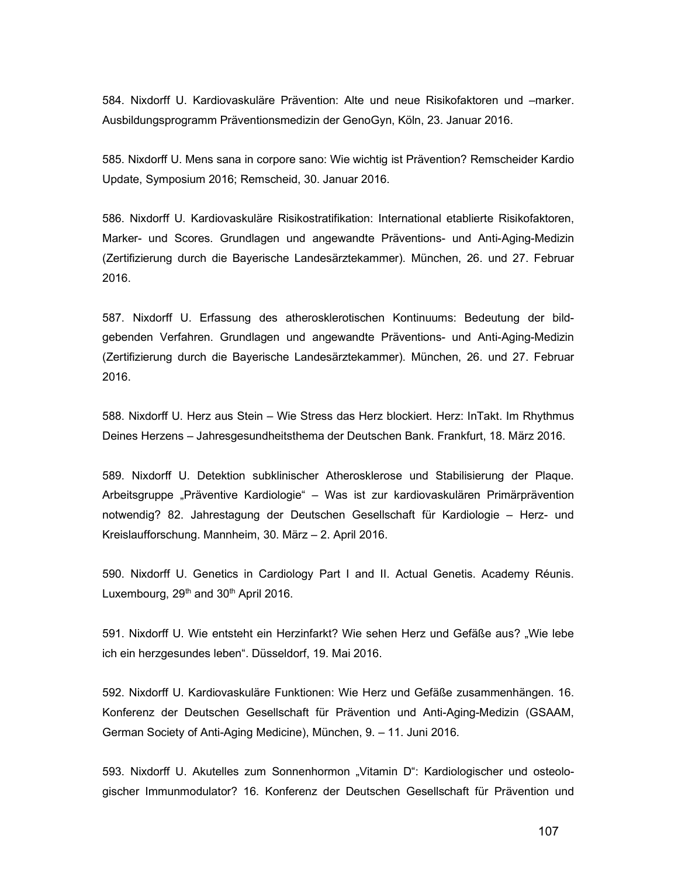584. Nixdorff U. Kardiovaskuläre Prävention: Alte und neue Risikofaktoren und –marker. Ausbildungsprogramm Präventionsmedizin der GenoGyn, Köln, 23. Januar 2016.

585. Nixdorff U. Mens sana in corpore sano: Wie wichtig ist Prävention? Remscheider Kardio Update, Symposium 2016; Remscheid, 30. Januar 2016.

586. Nixdorff U. Kardiovaskuläre Risikostratifikation: International etablierte Risikofaktoren, Marker- und Scores. Grundlagen und angewandte Präventions- und Anti-Aging-Medizin (Zertifizierung durch die Bayerische Landesärztekammer). München, 26. und 27. Februar 2016.

587. Nixdorff U. Erfassung des atherosklerotischen Kontinuums: Bedeutung der bildgebenden Verfahren. Grundlagen und angewandte Präventions- und Anti-Aging-Medizin (Zertifizierung durch die Bayerische Landesärztekammer). München, 26. und 27. Februar 2016.

588. Nixdorff U. Herz aus Stein – Wie Stress das Herz blockiert. Herz: InTakt. Im Rhythmus Deines Herzens – Jahresgesundheitsthema der Deutschen Bank. Frankfurt, 18. März 2016.

589. Nixdorff U. Detektion subklinischer Atherosklerose und Stabilisierung der Plaque. Arbeitsgruppe "Präventive Kardiologie" – Was ist zur kardiovaskulären Primärprävention notwendig? 82. Jahrestagung der Deutschen Gesellschaft für Kardiologie – Herz- und Kreislaufforschung. Mannheim, 30. März – 2. April 2016.

590. Nixdorff U. Genetics in Cardiology Part I and II. Actual Genetis. Academy Réunis. Luxembourg,  $29<sup>th</sup>$  and  $30<sup>th</sup>$  April 2016.

591. Nixdorff U. Wie entsteht ein Herzinfarkt? Wie sehen Herz und Gefäße aus? "Wie lebe ich ein herzgesundes leben". Düsseldorf, 19. Mai 2016.

592. Nixdorff U. Kardiovaskuläre Funktionen: Wie Herz und Gefäße zusammenhängen. 16. Konferenz der Deutschen Gesellschaft für Prävention und Anti-Aging-Medizin (GSAAM, German Society of Anti-Aging Medicine), München, 9. – 11. Juni 2016.

593. Nixdorff U. Akutelles zum Sonnenhormon "Vitamin D": Kardiologischer und osteologischer Immunmodulator? 16. Konferenz der Deutschen Gesellschaft für Prävention und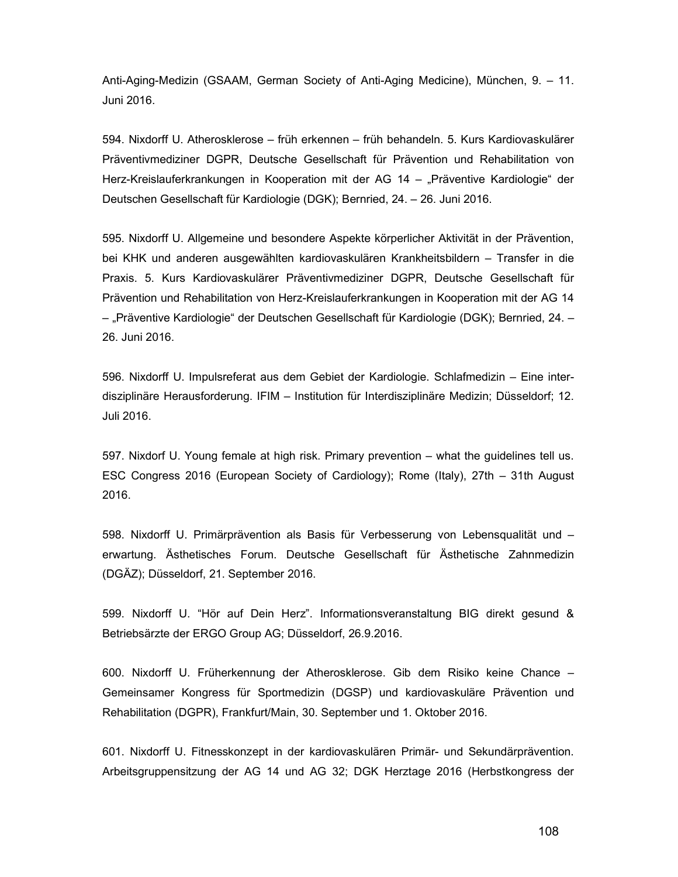Anti-Aging-Medizin (GSAAM, German Society of Anti-Aging Medicine), München, 9. – 11. Juni 2016.

594. Nixdorff U. Atherosklerose – früh erkennen – früh behandeln. 5. Kurs Kardiovaskulärer Präventivmediziner DGPR, Deutsche Gesellschaft für Prävention und Rehabilitation von Herz-Kreislauferkrankungen in Kooperation mit der AG 14 – "Präventive Kardiologie" der Deutschen Gesellschaft für Kardiologie (DGK); Bernried, 24. – 26. Juni 2016.

595. Nixdorff U. Allgemeine und besondere Aspekte körperlicher Aktivität in der Prävention, bei KHK und anderen ausgewählten kardiovaskulären Krankheitsbildern – Transfer in die Praxis. 5. Kurs Kardiovaskulärer Präventivmediziner DGPR, Deutsche Gesellschaft für Prävention und Rehabilitation von Herz-Kreislauferkrankungen in Kooperation mit der AG 14 – "Präventive Kardiologie" der Deutschen Gesellschaft für Kardiologie (DGK); Bernried, 24. – 26. Juni 2016.

596. Nixdorff U. Impulsreferat aus dem Gebiet der Kardiologie. Schlafmedizin – Eine interdisziplinäre Herausforderung. IFIM – Institution für Interdisziplinäre Medizin; Düsseldorf; 12. Juli 2016.

597. Nixdorf U. Young female at high risk. Primary prevention – what the guidelines tell us. ESC Congress 2016 (European Society of Cardiology); Rome (Italy), 27th – 31th August 2016.

598. Nixdorff U. Primärprävention als Basis für Verbesserung von Lebensqualität und – erwartung. Ästhetisches Forum. Deutsche Gesellschaft für Ästhetische Zahnmedizin (DGÄZ); Düsseldorf, 21. September 2016.

599. Nixdorff U. "Hör auf Dein Herz". Informationsveranstaltung BIG direkt gesund & Betriebsärzte der ERGO Group AG; Düsseldorf, 26.9.2016.

600. Nixdorff U. Früherkennung der Atherosklerose. Gib dem Risiko keine Chance – Gemeinsamer Kongress für Sportmedizin (DGSP) und kardiovaskuläre Prävention und Rehabilitation (DGPR), Frankfurt/Main, 30. September und 1. Oktober 2016.

601. Nixdorff U. Fitnesskonzept in der kardiovaskulären Primär- und Sekundärprävention. Arbeitsgruppensitzung der AG 14 und AG 32; DGK Herztage 2016 (Herbstkongress der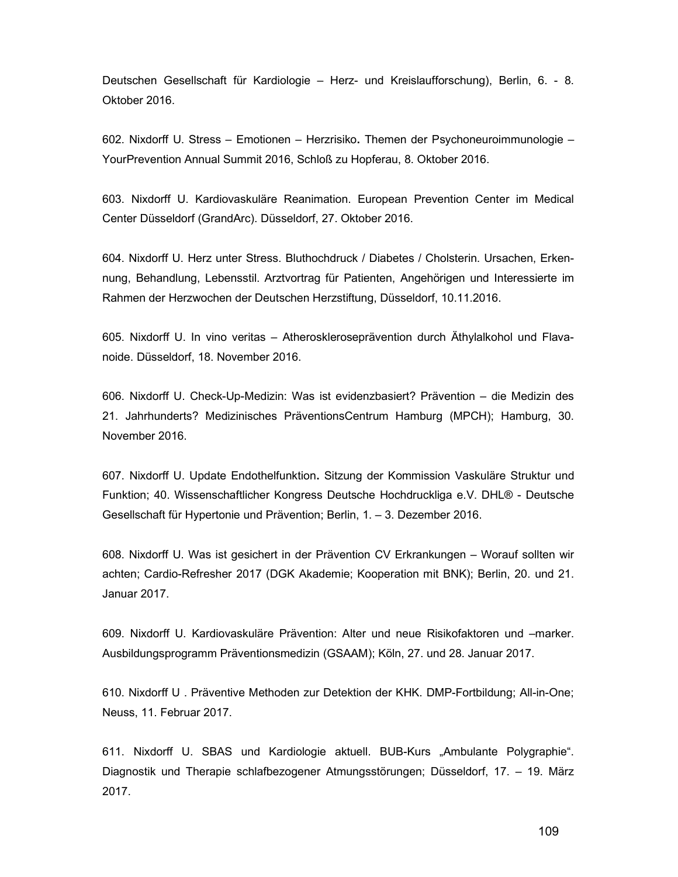Deutschen Gesellschaft für Kardiologie – Herz- und Kreislaufforschung), Berlin, 6. - 8. Oktober 2016.

602. Nixdorff U. Stress – Emotionen – Herzrisiko. Themen der Psychoneuroimmunologie – YourPrevention Annual Summit 2016, Schloß zu Hopferau, 8. Oktober 2016.

603. Nixdorff U. Kardiovaskuläre Reanimation. European Prevention Center im Medical Center Düsseldorf (GrandArc). Düsseldorf, 27. Oktober 2016.

604. Nixdorff U. Herz unter Stress. Bluthochdruck / Diabetes / Cholsterin. Ursachen, Erkennung, Behandlung, Lebensstil. Arztvortrag für Patienten, Angehörigen und Interessierte im Rahmen der Herzwochen der Deutschen Herzstiftung, Düsseldorf, 10.11.2016.

605. Nixdorff U. In vino veritas – Atheroskleroseprävention durch Äthylalkohol und Flavanoide. Düsseldorf, 18. November 2016.

606. Nixdorff U. Check-Up-Medizin: Was ist evidenzbasiert? Prävention – die Medizin des 21. Jahrhunderts? Medizinisches PräventionsCentrum Hamburg (MPCH); Hamburg, 30. November 2016.

607. Nixdorff U. Update Endothelfunktion. Sitzung der Kommission Vaskuläre Struktur und Funktion; 40. Wissenschaftlicher Kongress Deutsche Hochdruckliga e.V. DHL® - Deutsche Gesellschaft für Hypertonie und Prävention; Berlin, 1. – 3. Dezember 2016.

608. Nixdorff U. Was ist gesichert in der Prävention CV Erkrankungen – Worauf sollten wir achten; Cardio-Refresher 2017 (DGK Akademie; Kooperation mit BNK); Berlin, 20. und 21. Januar 2017.

609. Nixdorff U. Kardiovaskuläre Prävention: Alter und neue Risikofaktoren und –marker. Ausbildungsprogramm Präventionsmedizin (GSAAM); Köln, 27. und 28. Januar 2017.

610. Nixdorff U . Präventive Methoden zur Detektion der KHK. DMP-Fortbildung; All-in-One; Neuss, 11. Februar 2017.

611. Nixdorff U. SBAS und Kardiologie aktuell. BUB-Kurs "Ambulante Polygraphie". Diagnostik und Therapie schlafbezogener Atmungsstörungen; Düsseldorf, 17. – 19. März 2017.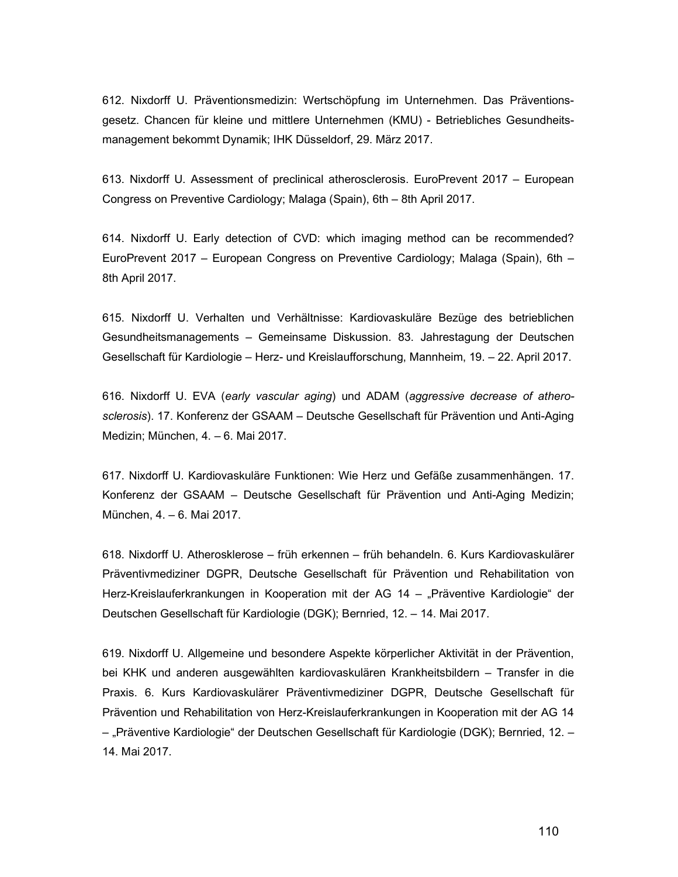612. Nixdorff U. Präventionsmedizin: Wertschöpfung im Unternehmen. Das Präventionsgesetz. Chancen für kleine und mittlere Unternehmen (KMU) - Betriebliches Gesundheitsmanagement bekommt Dynamik; IHK Düsseldorf, 29. März 2017.

613. Nixdorff U. Assessment of preclinical atherosclerosis. EuroPrevent 2017 – European Congress on Preventive Cardiology; Malaga (Spain), 6th – 8th April 2017.

614. Nixdorff U. Early detection of CVD: which imaging method can be recommended? EuroPrevent 2017 – European Congress on Preventive Cardiology; Malaga (Spain), 6th – 8th April 2017.

615. Nixdorff U. Verhalten und Verhältnisse: Kardiovaskuläre Bezüge des betrieblichen Gesundheitsmanagements – Gemeinsame Diskussion. 83. Jahrestagung der Deutschen Gesellschaft für Kardiologie – Herz- und Kreislaufforschung, Mannheim, 19. – 22. April 2017.

616. Nixdorff U. EVA (early vascular aging) und ADAM (aggressive decrease of atherosclerosis). 17. Konferenz der GSAAM – Deutsche Gesellschaft für Prävention und Anti-Aging Medizin; München, 4. – 6. Mai 2017.

617. Nixdorff U. Kardiovaskuläre Funktionen: Wie Herz und Gefäße zusammenhängen. 17. Konferenz der GSAAM – Deutsche Gesellschaft für Prävention und Anti-Aging Medizin; München, 4. – 6. Mai 2017.

618. Nixdorff U. Atherosklerose – früh erkennen – früh behandeln. 6. Kurs Kardiovaskulärer Präventivmediziner DGPR, Deutsche Gesellschaft für Prävention und Rehabilitation von Herz-Kreislauferkrankungen in Kooperation mit der AG 14 – "Präventive Kardiologie" der Deutschen Gesellschaft für Kardiologie (DGK); Bernried, 12. – 14. Mai 2017.

619. Nixdorff U. Allgemeine und besondere Aspekte körperlicher Aktivität in der Prävention, bei KHK und anderen ausgewählten kardiovaskulären Krankheitsbildern – Transfer in die Praxis. 6. Kurs Kardiovaskulärer Präventivmediziner DGPR, Deutsche Gesellschaft für Prävention und Rehabilitation von Herz-Kreislauferkrankungen in Kooperation mit der AG 14 – "Präventive Kardiologie" der Deutschen Gesellschaft für Kardiologie (DGK); Bernried, 12. – 14. Mai 2017.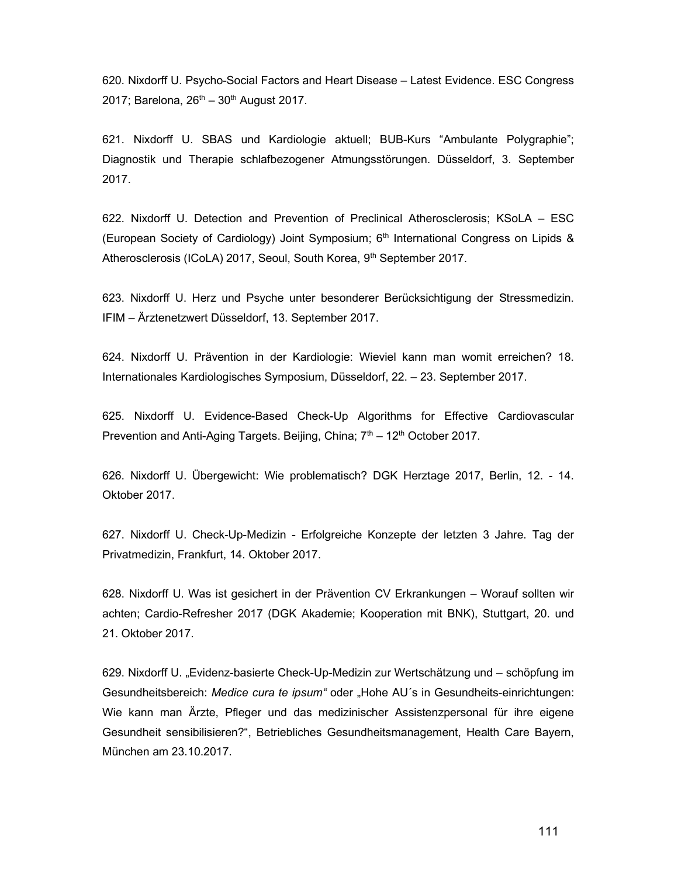620. Nixdorff U. Psycho-Social Factors and Heart Disease – Latest Evidence. ESC Congress 2017; Barelona,  $26^{th} - 30^{th}$  August 2017.

621. Nixdorff U. SBAS und Kardiologie aktuell; BUB-Kurs "Ambulante Polygraphie"; Diagnostik und Therapie schlafbezogener Atmungsstörungen. Düsseldorf, 3. September 2017.

622. Nixdorff U. Detection and Prevention of Preclinical Atherosclerosis; KSoLA – ESC (European Society of Cardiology) Joint Symposium; 6th International Congress on Lipids & Atherosclerosis (ICoLA) 2017, Seoul, South Korea, 9<sup>th</sup> September 2017.

623. Nixdorff U. Herz und Psyche unter besonderer Berücksichtigung der Stressmedizin. IFIM – Ärztenetzwert Düsseldorf, 13. September 2017.

624. Nixdorff U. Prävention in der Kardiologie: Wieviel kann man womit erreichen? 18. Internationales Kardiologisches Symposium, Düsseldorf, 22. – 23. September 2017.

625. Nixdorff U. Evidence-Based Check-Up Algorithms for Effective Cardiovascular Prevention and Anti-Aging Targets. Beijing, China;  $7<sup>th</sup> - 12<sup>th</sup>$  October 2017.

626. Nixdorff U. Übergewicht: Wie problematisch? DGK Herztage 2017, Berlin, 12. - 14. Oktober 2017.

627. Nixdorff U. Check-Up-Medizin - Erfolgreiche Konzepte der letzten 3 Jahre. Tag der Privatmedizin, Frankfurt, 14. Oktober 2017.

628. Nixdorff U. Was ist gesichert in der Prävention CV Erkrankungen – Worauf sollten wir achten; Cardio-Refresher 2017 (DGK Akademie; Kooperation mit BNK), Stuttgart, 20. und 21. Oktober 2017.

629. Nixdorff U. "Evidenz-basierte Check-Up-Medizin zur Wertschätzung und – schöpfung im Gesundheitsbereich: Medice cura te ipsum" oder "Hohe AU's in Gesundheits-einrichtungen: Wie kann man Ärzte, Pfleger und das medizinischer Assistenzpersonal für ihre eigene Gesundheit sensibilisieren?", Betriebliches Gesundheitsmanagement, Health Care Bayern, München am 23.10.2017.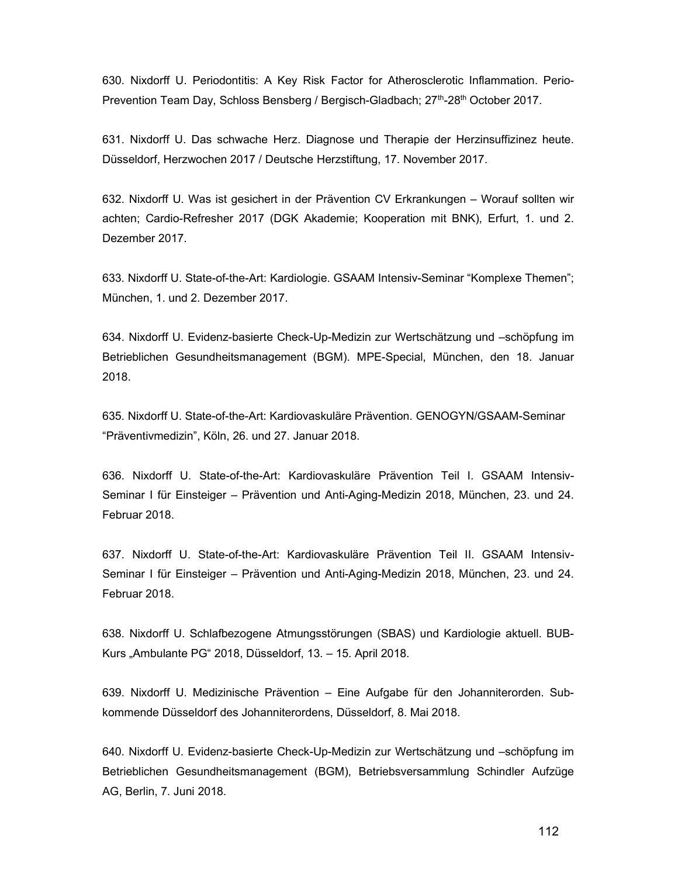630. Nixdorff U. Periodontitis: A Key Risk Factor for Atherosclerotic Inflammation. Perio-Prevention Team Day, Schloss Bensberg / Bergisch-Gladbach;  $27<sup>th</sup>$ -28<sup>th</sup> October 2017.

631. Nixdorff U. Das schwache Herz. Diagnose und Therapie der Herzinsuffizinez heute. Düsseldorf, Herzwochen 2017 / Deutsche Herzstiftung, 17. November 2017.

632. Nixdorff U. Was ist gesichert in der Prävention CV Erkrankungen – Worauf sollten wir achten; Cardio-Refresher 2017 (DGK Akademie; Kooperation mit BNK), Erfurt, 1. und 2. Dezember 2017.

633. Nixdorff U. State-of-the-Art: Kardiologie. GSAAM Intensiv-Seminar "Komplexe Themen"; München, 1. und 2. Dezember 2017.

634. Nixdorff U. Evidenz-basierte Check-Up-Medizin zur Wertschätzung und –schöpfung im Betrieblichen Gesundheitsmanagement (BGM). MPE-Special, München, den 18. Januar 2018.

635. Nixdorff U. State-of-the-Art: Kardiovaskuläre Prävention. GENOGYN/GSAAM-Seminar "Präventivmedizin", Köln, 26. und 27. Januar 2018.

636. Nixdorff U. State-of-the-Art: Kardiovaskuläre Prävention Teil I. GSAAM Intensiv-Seminar I für Einsteiger – Prävention und Anti-Aging-Medizin 2018, München, 23. und 24. Februar 2018.

637. Nixdorff U. State-of-the-Art: Kardiovaskuläre Prävention Teil II. GSAAM Intensiv-Seminar I für Einsteiger – Prävention und Anti-Aging-Medizin 2018, München, 23. und 24. Februar 2018.

638. Nixdorff U. Schlafbezogene Atmungsstörungen (SBAS) und Kardiologie aktuell. BUB-Kurs "Ambulante PG" 2018, Düsseldorf, 13. – 15. April 2018.

639. Nixdorff U. Medizinische Prävention – Eine Aufgabe für den Johanniterorden. Subkommende Düsseldorf des Johanniterordens, Düsseldorf, 8. Mai 2018.

640. Nixdorff U. Evidenz-basierte Check-Up-Medizin zur Wertschätzung und –schöpfung im Betrieblichen Gesundheitsmanagement (BGM), Betriebsversammlung Schindler Aufzüge AG, Berlin, 7. Juni 2018.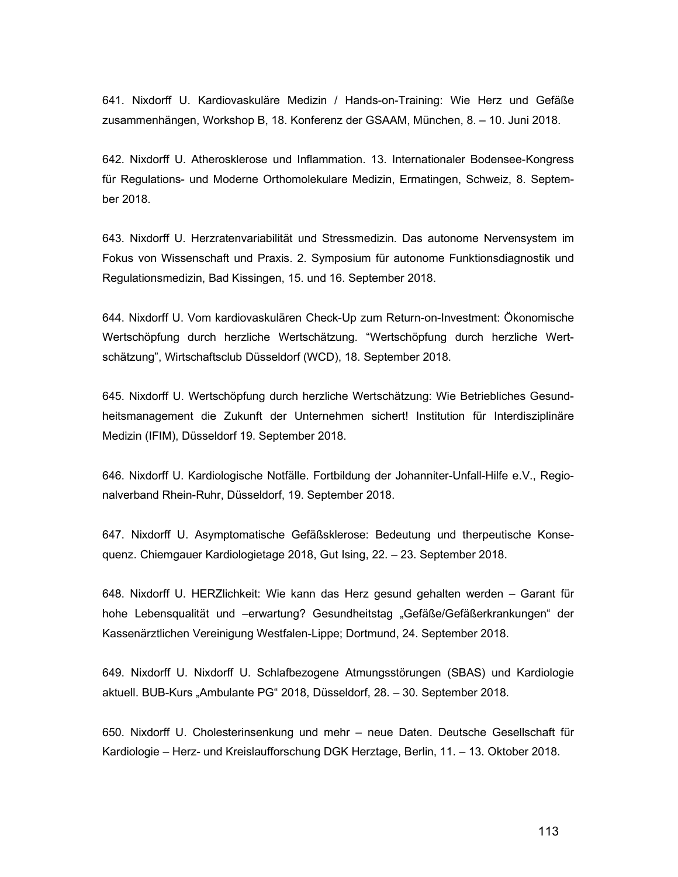641. Nixdorff U. Kardiovaskuläre Medizin / Hands-on-Training: Wie Herz und Gefäße zusammenhängen, Workshop B, 18. Konferenz der GSAAM, München, 8. – 10. Juni 2018.

642. Nixdorff U. Atherosklerose und Inflammation. 13. Internationaler Bodensee-Kongress für Regulations- und Moderne Orthomolekulare Medizin, Ermatingen, Schweiz, 8. September 2018.

643. Nixdorff U. Herzratenvariabilität und Stressmedizin. Das autonome Nervensystem im Fokus von Wissenschaft und Praxis. 2. Symposium für autonome Funktionsdiagnostik und Regulationsmedizin, Bad Kissingen, 15. und 16. September 2018.

644. Nixdorff U. Vom kardiovaskulären Check-Up zum Return-on-Investment: Ökonomische Wertschöpfung durch herzliche Wertschätzung. "Wertschöpfung durch herzliche Wertschätzung", Wirtschaftsclub Düsseldorf (WCD), 18. September 2018.

645. Nixdorff U. Wertschöpfung durch herzliche Wertschätzung: Wie Betriebliches Gesundheitsmanagement die Zukunft der Unternehmen sichert! Institution für Interdisziplinäre Medizin (IFIM), Düsseldorf 19. September 2018.

646. Nixdorff U. Kardiologische Notfälle. Fortbildung der Johanniter-Unfall-Hilfe e.V., Regionalverband Rhein-Ruhr, Düsseldorf, 19. September 2018.

647. Nixdorff U. Asymptomatische Gefäßsklerose: Bedeutung und therpeutische Konsequenz. Chiemgauer Kardiologietage 2018, Gut Ising, 22. – 23. September 2018.

648. Nixdorff U. HERZlichkeit: Wie kann das Herz gesund gehalten werden – Garant für hohe Lebensqualität und –erwartung? Gesundheitstag "Gefäße/Gefäßerkrankungen" der Kassenärztlichen Vereinigung Westfalen-Lippe; Dortmund, 24. September 2018.

649. Nixdorff U. Nixdorff U. Schlafbezogene Atmungsstörungen (SBAS) und Kardiologie aktuell. BUB-Kurs "Ambulante PG" 2018, Düsseldorf, 28. – 30. September 2018.

650. Nixdorff U. Cholesterinsenkung und mehr – neue Daten. Deutsche Gesellschaft für Kardiologie – Herz- und Kreislaufforschung DGK Herztage, Berlin, 11. – 13. Oktober 2018.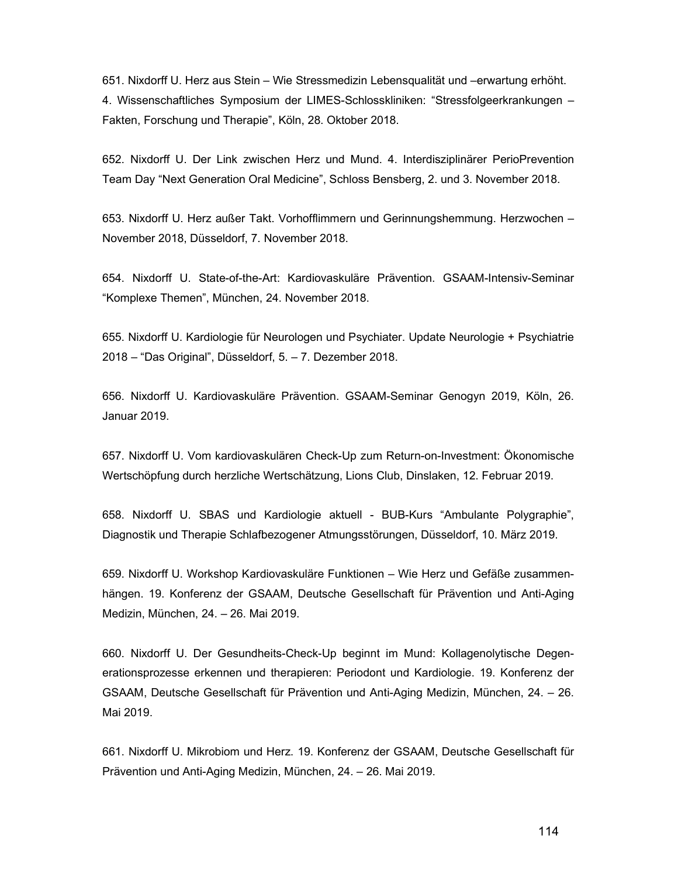651. Nixdorff U. Herz aus Stein – Wie Stressmedizin Lebensqualität und –erwartung erhöht. 4. Wissenschaftliches Symposium der LIMES-Schlosskliniken: "Stressfolgeerkrankungen – Fakten, Forschung und Therapie", Köln, 28. Oktober 2018.

652. Nixdorff U. Der Link zwischen Herz und Mund. 4. Interdisziplinärer PerioPrevention Team Day "Next Generation Oral Medicine", Schloss Bensberg, 2. und 3. November 2018.

653. Nixdorff U. Herz außer Takt. Vorhofflimmern und Gerinnungshemmung. Herzwochen – November 2018, Düsseldorf, 7. November 2018.

654. Nixdorff U. State-of-the-Art: Kardiovaskuläre Prävention. GSAAM-Intensiv-Seminar "Komplexe Themen", München, 24. November 2018.

655. Nixdorff U. Kardiologie für Neurologen und Psychiater. Update Neurologie + Psychiatrie 2018 – "Das Original", Düsseldorf, 5. – 7. Dezember 2018.

656. Nixdorff U. Kardiovaskuläre Prävention. GSAAM-Seminar Genogyn 2019, Köln, 26. Januar 2019.

657. Nixdorff U. Vom kardiovaskulären Check-Up zum Return-on-Investment: Ökonomische Wertschöpfung durch herzliche Wertschätzung, Lions Club, Dinslaken, 12. Februar 2019.

658. Nixdorff U. SBAS und Kardiologie aktuell - BUB-Kurs "Ambulante Polygraphie", Diagnostik und Therapie Schlafbezogener Atmungsstörungen, Düsseldorf, 10. März 2019.

659. Nixdorff U. Workshop Kardiovaskuläre Funktionen – Wie Herz und Gefäße zusammenhängen. 19. Konferenz der GSAAM, Deutsche Gesellschaft für Prävention und Anti-Aging Medizin, München, 24. – 26. Mai 2019.

660. Nixdorff U. Der Gesundheits-Check-Up beginnt im Mund: Kollagenolytische Degenerationsprozesse erkennen und therapieren: Periodont und Kardiologie. 19. Konferenz der GSAAM, Deutsche Gesellschaft für Prävention und Anti-Aging Medizin, München, 24. – 26. Mai 2019.

661. Nixdorff U. Mikrobiom und Herz. 19. Konferenz der GSAAM, Deutsche Gesellschaft für Prävention und Anti-Aging Medizin, München, 24. – 26. Mai 2019.